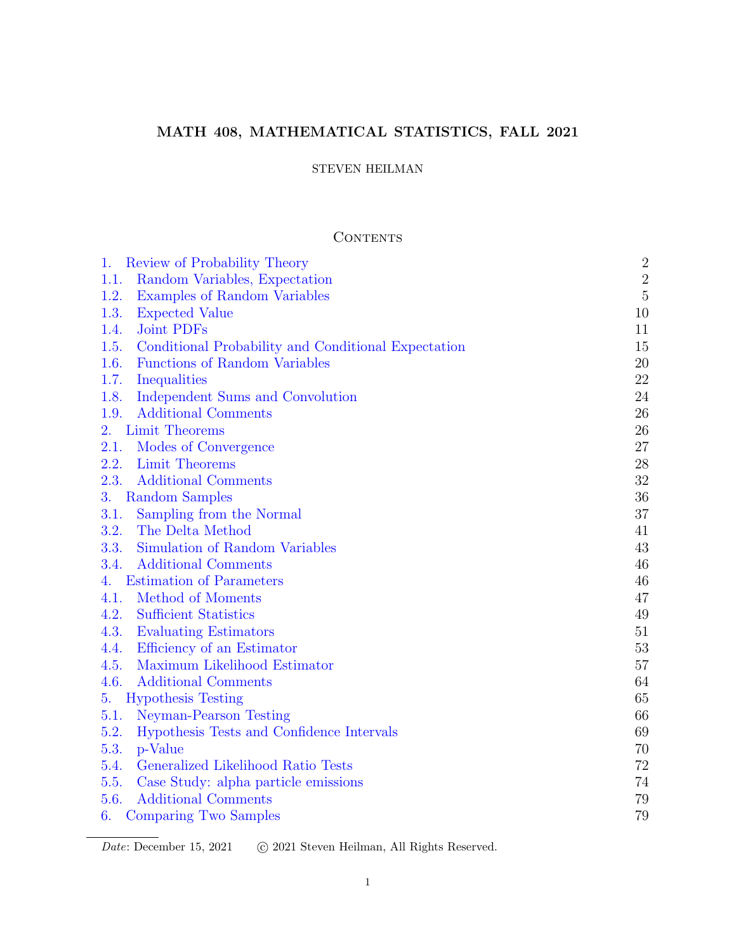# MATH 408, MATHEMATICAL STATISTICS, FALL 2021

## STEVEN HEILMAN

## CONTENTS

| Review of Probability Theory<br>1.                          | $\sqrt{2}$     |
|-------------------------------------------------------------|----------------|
| 1.1.<br>Random Variables, Expectation                       | $\sqrt{2}$     |
| 1.2.<br>Examples of Random Variables                        | $\overline{5}$ |
| 1.3.<br><b>Expected Value</b>                               | 10             |
| Joint PDFs<br>1.4.                                          | 11             |
| 1.5.<br>Conditional Probability and Conditional Expectation | 15             |
| <b>Functions of Random Variables</b><br>1.6.                | 20             |
| 1.7.<br>Inequalities                                        | 22             |
| Independent Sums and Convolution<br>1.8.                    | 24             |
| 1.9.<br><b>Additional Comments</b>                          | 26             |
| Limit Theorems<br>2.                                        | 26             |
| 2.1.<br>Modes of Convergence                                | 27             |
| 2.2.<br>Limit Theorems                                      | 28             |
| 2.3.<br><b>Additional Comments</b>                          | 32             |
| 3.<br>Random Samples                                        | 36             |
| 3.1.<br>Sampling from the Normal                            | 37             |
| 3.2.<br>The Delta Method                                    | 41             |
| Simulation of Random Variables<br>3.3.                      | 43             |
| 3.4.<br><b>Additional Comments</b>                          | 46             |
| <b>Estimation of Parameters</b><br>4.                       | 46             |
| 4.1.<br>Method of Moments                                   | 47             |
| 4.2.<br><b>Sufficient Statistics</b>                        | 49             |
| 4.3.<br>Evaluating Estimators                               | 51             |
| 4.4.<br>Efficiency of an Estimator                          | 53             |
| 4.5.<br>Maximum Likelihood Estimator                        | $57\,$         |
| 4.6.<br><b>Additional Comments</b>                          | 64             |
| <b>Hypothesis Testing</b><br>5.                             | 65             |
| 5.1.<br>Neyman-Pearson Testing                              | 66             |
| 5.2.<br>Hypothesis Tests and Confidence Intervals           | 69             |
| 5.3.<br>p-Value                                             | 70             |
| 5.4.<br>Generalized Likelihood Ratio Tests                  | 72             |
| 5.5.<br>Case Study: alpha particle emissions                | 74             |
| 5.6.<br><b>Additional Comments</b>                          | 79             |
| Comparing Two Samples<br>6.                                 | 79             |

Date: December 15, 2021 c 2021 Steven Heilman, All Rights Reserved.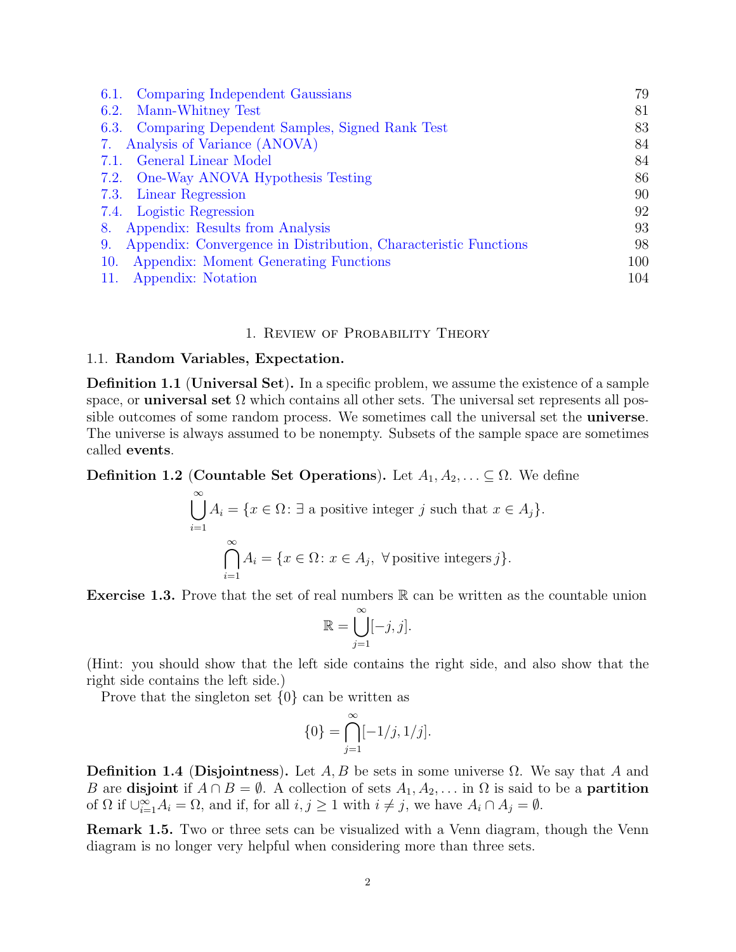| Comparing Independent Gaussians<br>6.1.                               | 79  |
|-----------------------------------------------------------------------|-----|
| Mann-Whitney Test<br>6.2.                                             | 81  |
| 6.3. Comparing Dependent Samples, Signed Rank Test                    | 83  |
| 7. Analysis of Variance (ANOVA)                                       | 84  |
| 7.1. General Linear Model                                             | 84  |
| 7.2. One-Way ANOVA Hypothesis Testing                                 | 86  |
| 7.3. Linear Regression                                                | 90  |
| 7.4. Logistic Regression                                              | 92  |
| Appendix: Results from Analysis<br>8.                                 | 93  |
| Appendix: Convergence in Distribution, Characteristic Functions<br>9. | 98  |
| Appendix: Moment Generating Functions<br>10.                          | 100 |
| Appendix: Notation<br>11.                                             | 104 |

## 1. Review of Probability Theory

#### <span id="page-1-1"></span><span id="page-1-0"></span>1.1. Random Variables, Expectation.

 $\infty$ 

Definition 1.1 (Universal Set). In a specific problem, we assume the existence of a sample space, or **universal set**  $\Omega$  which contains all other sets. The universal set represents all possible outcomes of some random process. We sometimes call the universal set the **universe**. The universe is always assumed to be nonempty. Subsets of the sample space are sometimes called events.

**Definition 1.2 (Countable Set Operations).** Let  $A_1, A_2, \ldots \subseteq \Omega$ . We define

$$
\bigcup_{i=1} A_i = \{x \in \Omega : \exists \text{ a positive integer } j \text{ such that } x \in A_j\}.
$$

$$
\bigcap_{i=1}^{\infty} A_i = \{x \in \Omega : x \in A_j, \forall \text{ positive integers } j\}.
$$

**Exercise 1.3.** Prove that the set of real numbers  $\mathbb{R}$  can be written as the countable union

$$
\mathbb{R} = \bigcup_{j=1}^{\infty} [-j, j].
$$

(Hint: you should show that the left side contains the right side, and also show that the right side contains the left side.)

Prove that the singleton set {0} can be written as

$$
\{0\} = \bigcap_{j=1}^{\infty} [-1/j, 1/j].
$$

**Definition 1.4 (Disjointness).** Let  $A, B$  be sets in some universe  $\Omega$ . We say that A and B are disjoint if  $A \cap B = \emptyset$ . A collection of sets  $A_1, A_2, \ldots$  in  $\Omega$  is said to be a **partition** of  $\Omega$  if  $\bigcup_{i=1}^{\infty} A_i = \Omega$ , and if, for all  $i, j \geq 1$  with  $i \neq j$ , we have  $A_i \cap A_j = \emptyset$ .

Remark 1.5. Two or three sets can be visualized with a Venn diagram, though the Venn diagram is no longer very helpful when considering more than three sets.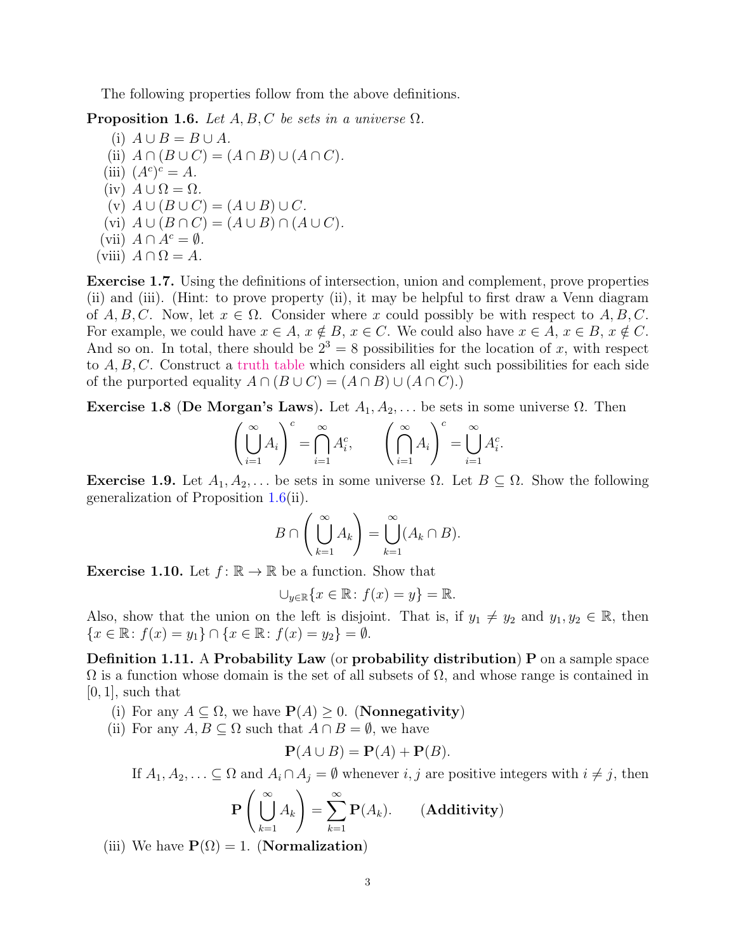The following properties follow from the above definitions.

<span id="page-2-0"></span>**Proposition 1.6.** Let  $A, B, C$  be sets in a universe  $\Omega$ .

(i)  $A \cup B = B \cup A$ . (ii)  $A \cap (B \cup C) = (A \cap B) \cup (A \cap C)$ . (iii)  $(A^c)^c = A$ . (iv)  $A \cup \Omega = \Omega$ . (v)  $A \cup (B \cup C) = (A \cup B) \cup C$ . (vi)  $A \cup (B \cap C) = (A \cup B) \cap (A \cup C)$ . (vii)  $A \cap A^c = \emptyset$ . (viii)  $A \cap \Omega = A$ .

Exercise 1.7. Using the definitions of intersection, union and complement, prove properties (ii) and (iii). (Hint: to prove property (ii), it may be helpful to first draw a Venn diagram of A, B, C. Now, let  $x \in \Omega$ . Consider where x could possibly be with respect to A, B, C. For example, we could have  $x \in A$ ,  $x \notin B$ ,  $x \in C$ . We could also have  $x \in A$ ,  $x \in B$ ,  $x \notin C$ . And so on. In total, there should be  $2^3 = 8$  possibilities for the location of x, with respect to  $A, B, C$ . Construct a [truth table](https://en.wikipedia.org/wiki/Truth_table) which considers all eight such possibilities for each side of the purported equality  $A \cap (B \cup C) = (A \cap B) \cup (A \cap C)$ .

Exercise 1.8 (De Morgan's Laws). Let  $A_1, A_2, \ldots$  be sets in some universe  $\Omega$ . Then

$$
\left(\bigcup_{i=1}^{\infty} A_i\right)^c = \bigcap_{i=1}^{\infty} A_i^c, \qquad \left(\bigcap_{i=1}^{\infty} A_i\right)^c = \bigcup_{i=1}^{\infty} A_i^c.
$$

<span id="page-2-1"></span>Exercise 1.9. Let  $A_1, A_2, \ldots$  be sets in some universe  $\Omega$ . Let  $B \subseteq \Omega$ . Show the following generalization of Proposition [1.6\(](#page-2-0)ii).

$$
B \cap \left(\bigcup_{k=1}^{\infty} A_k\right) = \bigcup_{k=1}^{\infty} (A_k \cap B).
$$

**Exercise 1.10.** Let  $f: \mathbb{R} \to \mathbb{R}$  be a function. Show that

$$
\bigcup_{y\in\mathbb{R}}\{x\in\mathbb{R}\colon f(x)=y\}=\mathbb{R}.
$$

Also, show that the union on the left is disjoint. That is, if  $y_1 \neq y_2$  and  $y_1, y_2 \in \mathbb{R}$ , then  ${x \in \mathbb{R} : f(x) = y_1} \cap {x \in \mathbb{R} : f(x) = y_2} = \emptyset.$ 

<span id="page-2-2"></span>Definition 1.11. A Probability Law (or probability distribution) P on a sample space  $\Omega$  is a function whose domain is the set of all subsets of  $\Omega$ , and whose range is contained in  $[0, 1]$ , such that

- (i) For any  $A \subseteq \Omega$ , we have  $P(A) \geq 0$ . (**Nonnegativity**)
- (ii) For any  $A, B \subseteq \Omega$  such that  $A \cap B = \emptyset$ , we have

$$
\mathbf{P}(A \cup B) = \mathbf{P}(A) + \mathbf{P}(B).
$$

If  $A_1, A_2, \ldots \subseteq \Omega$  and  $A_i \cap A_j = \emptyset$  whenever  $i, j$  are positive integers with  $i \neq j$ , then

$$
\mathbf{P}\left(\bigcup_{k=1}^{\infty} A_k\right) = \sum_{k=1}^{\infty} \mathbf{P}(A_k). \qquad \text{(Additivity)}
$$

(iii) We have  $\mathbf{P}(\Omega) = 1$ . (**Normalization**)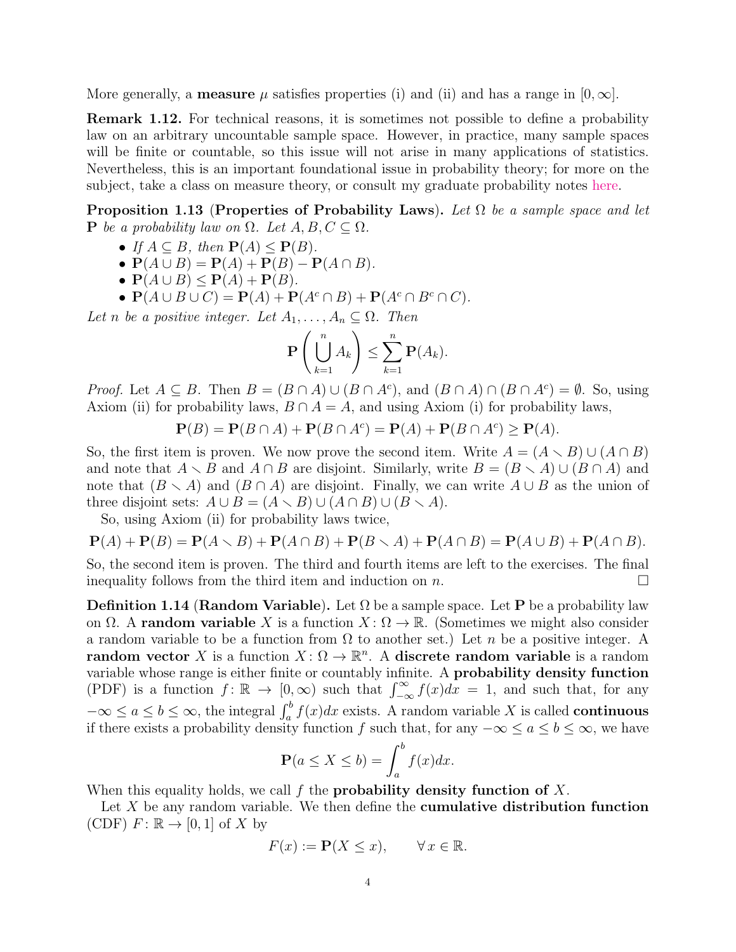More generally, a **measure**  $\mu$  satisfies properties (i) and (ii) and has a range in [0,  $\infty$ ].

**Remark 1.12.** For technical reasons, it is sometimes not possible to define a probability law on an arbitrary uncountable sample space. However, in practice, many sample spaces will be finite or countable, so this issue will not arise in many applications of statistics. Nevertheless, this is an important foundational issue in probability theory; for more on the subject, take a class on measure theory, or consult my graduate probability notes [here.](http://www.stevenheilman.org/~heilman/teach/60850.pdf)

<span id="page-3-1"></span>**Proposition 1.13 (Properties of Probability Laws).** Let  $\Omega$  be a sample space and let **P** be a probability law on  $\Omega$ . Let  $A, B, C \subseteq \Omega$ .

- If  $A \subseteq B$ , then  $P(A) \leq P(B)$ .
- $P(A \cup B) = P(A) + P(B) P(A \cap B)$ .
- $P(A \cup B) \leq P(A) + P(B)$ .
- $P(A \cup B \cup C) = P(A) + P(A^c \cap B) + P(A^c \cap B^c \cap C)$ .

Let n be a positive integer. Let  $A_1, \ldots, A_n \subseteq \Omega$ . Then

$$
\mathbf{P}\left(\bigcup_{k=1}^n A_k\right) \leq \sum_{k=1}^n \mathbf{P}(A_k).
$$

*Proof.* Let  $A \subseteq B$ . Then  $B = (B \cap A) \cup (B \cap A^c)$ , and  $(B \cap A) \cap (B \cap A^c) = \emptyset$ . So, using Axiom (ii) for probability laws,  $B \cap A = A$ , and using Axiom (i) for probability laws,

$$
\mathbf{P}(B) = \mathbf{P}(B \cap A) + \mathbf{P}(B \cap A^c) = \mathbf{P}(A) + \mathbf{P}(B \cap A^c) \ge \mathbf{P}(A).
$$

So, the first item is proven. We now prove the second item. Write  $A = (A \setminus B) \cup (A \cap B)$ and note that  $A \setminus B$  and  $A \cap B$  are disjoint. Similarly, write  $B = (B \setminus A) \cup (B \cap A)$  and note that  $(B \setminus A)$  and  $(B \cap A)$  are disjoint. Finally, we can write  $A \cup B$  as the union of three disjoint sets:  $A \cup B = (A \setminus B) \cup (A \cap B) \cup (B \setminus A)$ .

So, using Axiom (ii) for probability laws twice,

$$
\mathbf{P}(A) + \mathbf{P}(B) = \mathbf{P}(A \setminus B) + \mathbf{P}(A \cap B) + \mathbf{P}(B \setminus A) + \mathbf{P}(A \cap B) = \mathbf{P}(A \cup B) + \mathbf{P}(A \cap B).
$$

So, the second item is proven. The third and fourth items are left to the exercises. The final inequality follows from the third item and induction on n.

<span id="page-3-0"></span>**Definition 1.14 (Random Variable).** Let  $\Omega$  be a sample space. Let **P** be a probability law on  $\Omega$ . A **random variable** X is a function  $X : \Omega \to \mathbb{R}$ . (Sometimes we might also consider a random variable to be a function from  $\Omega$  to another set.) Let n be a positive integer. A random vector X is a function  $X: \Omega \to \mathbb{R}^n$ . A discrete random variable is a random variable whose range is either finite or countably infinite. A probability density function (PDF) is a function  $f: \mathbb{R} \to [0, \infty)$  such that  $\int_{-\infty}^{\infty} f(x) dx = 1$ , and such that, for any  $-\infty \le a \le b \le \infty$ , the integral  $\int_a^b f(x)dx$  exists. A random variable X is called **continuous** if there exists a probability density function f such that, for any  $-\infty \le a \le b \le \infty$ , we have

$$
\mathbf{P}(a \le X \le b) = \int_{a}^{b} f(x) dx.
$$

When this equality holds, we call f the **probability density function of** X.

Let  $X$  be any random variable. We then define the **cumulative distribution function** (CDF)  $F: \mathbb{R} \to [0,1]$  of X by

$$
F(x) := \mathbf{P}(X \le x), \qquad \forall x \in \mathbb{R}.
$$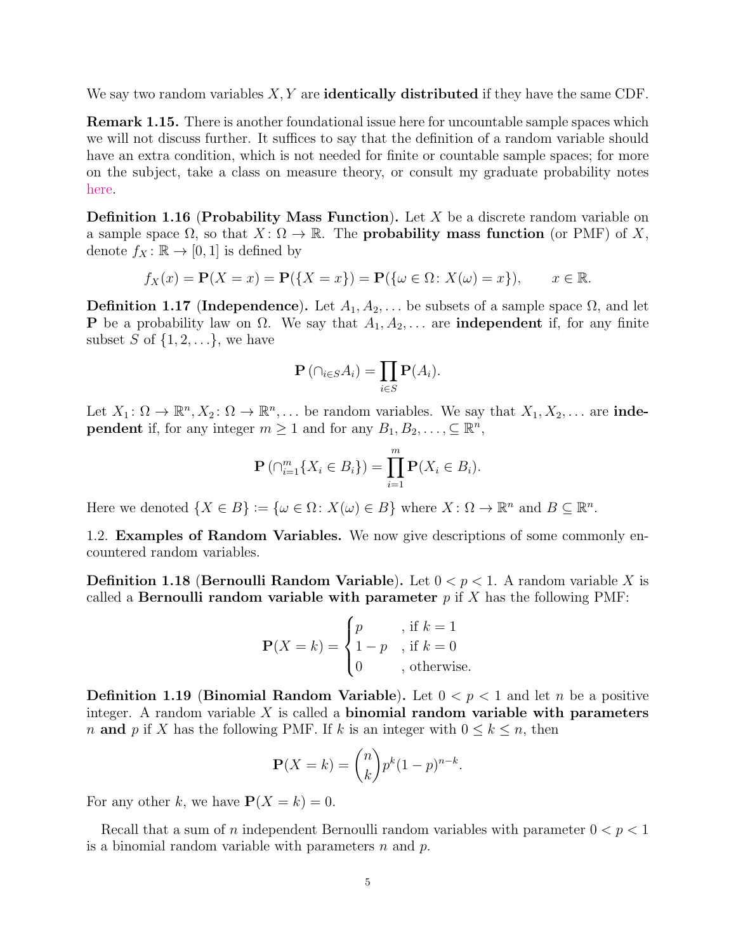We say two random variables  $X, Y$  are **identically distributed** if they have the same CDF.

Remark 1.15. There is another foundational issue here for uncountable sample spaces which we will not discuss further. It suffices to say that the definition of a random variable should have an extra condition, which is not needed for finite or countable sample spaces; for more on the subject, take a class on measure theory, or consult my graduate probability notes [here.](http://www.stevenheilman.org/~heilman/teach/60850.pdf)

**Definition 1.16 (Probability Mass Function).** Let  $X$  be a discrete random variable on a sample space  $\Omega$ , so that  $X: \Omega \to \mathbb{R}$ . The **probability mass function** (or PMF) of X, denote  $f_X : \mathbb{R} \to [0, 1]$  is defined by

$$
f_X(x) = \mathbf{P}(X = x) = \mathbf{P}(\{X = x\}) = \mathbf{P}(\{\omega \in \Omega \colon X(\omega) = x\}), \qquad x \in \mathbb{R}.
$$

<span id="page-4-1"></span>**Definition 1.17 (Independence).** Let  $A_1, A_2, \ldots$  be subsets of a sample space  $\Omega$ , and let **P** be a probability law on  $\Omega$ . We say that  $A_1, A_2, \ldots$  are **independent** if, for any finite subset S of  $\{1, 2, \ldots\}$ , we have

$$
\mathbf{P}\left(\cap_{i\in S}A_i\right)=\prod_{i\in S}\mathbf{P}(A_i).
$$

Let  $X_1: \Omega \to \mathbb{R}^n, X_2: \Omega \to \mathbb{R}^n, \ldots$  be random variables. We say that  $X_1, X_2, \ldots$  are **independent** if, for any integer  $m \geq 1$  and for any  $B_1, B_2, \ldots, \subseteq \mathbb{R}^n$ ,

$$
\mathbf{P}(\bigcap_{i=1}^{m} \{X_i \in B_i\}) = \prod_{i=1}^{m} \mathbf{P}(X_i \in B_i).
$$

Here we denoted  $\{X \in B\} := \{\omega \in \Omega \colon X(\omega) \in B\}$  where  $X \colon \Omega \to \mathbb{R}^n$  and  $B \subseteq \mathbb{R}^n$ .

<span id="page-4-0"></span>1.2. Examples of Random Variables. We now give descriptions of some commonly encountered random variables.

**Definition 1.18 (Bernoulli Random Variable).** Let  $0 < p < 1$ . A random variable X is called a **Bernoulli random variable with parameter**  $p$  if X has the following PMF:

$$
\mathbf{P}(X=k) = \begin{cases} p & , \text{ if } k=1\\ 1-p & , \text{ if } k=0\\ 0 & , \text{ otherwise.} \end{cases}
$$

**Definition 1.19 (Binomial Random Variable).** Let  $0 < p < 1$  and let n be a positive integer. A random variable  $X$  is called a **binomial random variable with parameters** n and p if X has the following PMF. If k is an integer with  $0 \leq k \leq n$ , then

$$
\mathbf{P}(X=k) = \binom{n}{k} p^k (1-p)^{n-k}.
$$

For any other k, we have  $P(X = k) = 0$ .

Recall that a sum of n independent Bernoulli random variables with parameter  $0 < p < 1$ is a binomial random variable with parameters  $n$  and  $p$ .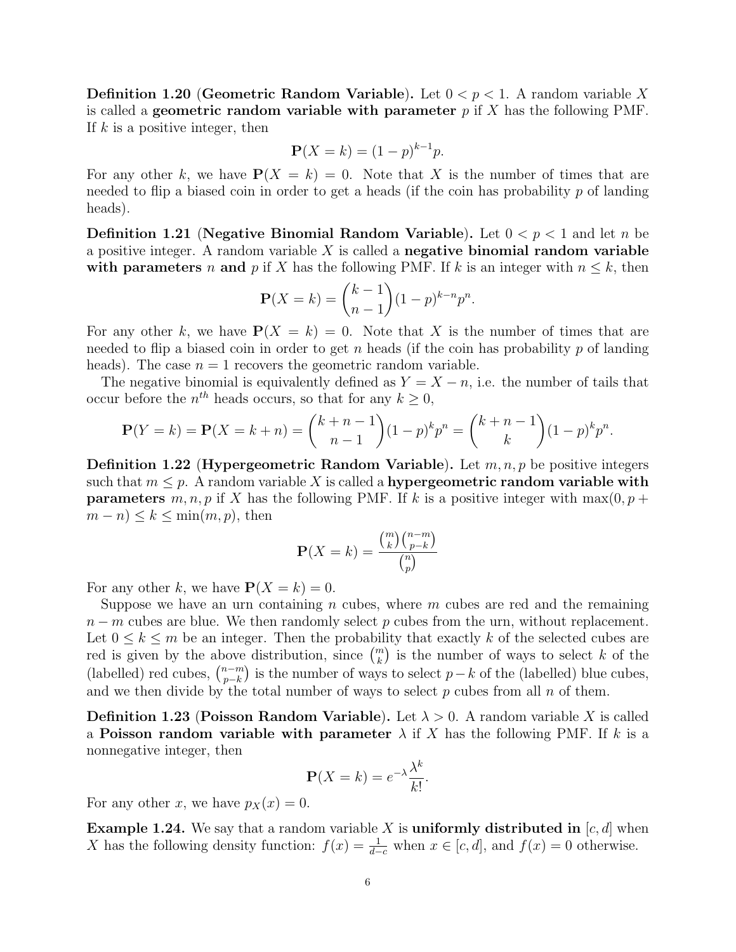**Definition 1.20 (Geometric Random Variable).** Let  $0 < p < 1$ . A random variable X is called a **geometric random variable with parameter**  $p$  if  $X$  has the following PMF. If  $k$  is a positive integer, then

$$
\mathbf{P}(X = k) = (1 - p)^{k-1}p.
$$

For any other k, we have  $P(X = k) = 0$ . Note that X is the number of times that are needed to flip a biased coin in order to get a heads (if the coin has probability  $p$  of landing heads).

**Definition 1.21 (Negative Binomial Random Variable).** Let  $0 < p < 1$  and let n be a positive integer. A random variable  $X$  is called a negative binomial random variable with parameters n and p if X has the following PMF. If k is an integer with  $n \leq k$ , then

$$
\mathbf{P}(X = k) = \binom{k-1}{n-1} (1-p)^{k-n} p^n.
$$

For any other k, we have  $P(X = k) = 0$ . Note that X is the number of times that are needed to flip a biased coin in order to get n heads (if the coin has probability  $p$  of landing heads). The case  $n = 1$  recovers the geometric random variable.

The negative binomial is equivalently defined as  $Y = X - n$ , i.e. the number of tails that occur before the  $n^{th}$  heads occurs, so that for any  $k \geq 0$ ,

$$
\mathbf{P}(Y=k) = \mathbf{P}(X=k+n) = \binom{k+n-1}{n-1} (1-p)^k p^n = \binom{k+n-1}{k} (1-p)^k p^n.
$$

**Definition 1.22 (Hypergeometric Random Variable).** Let  $m, n, p$  be positive integers such that  $m \leq p$ . A random variable X is called a hypergeometric random variable with **parameters** m, n, p if X has the following PMF. If k is a positive integer with max $(0, p +$  $(m - n) \leq k \leq \min(m, p)$ , then

$$
\mathbf{P}(X=k) = \frac{\binom{m}{k} \binom{n-m}{p-k}}{\binom{n}{p}}
$$

For any other k, we have  $P(X = k) = 0$ .

Suppose we have an urn containing n cubes, where  $m$  cubes are red and the remaining  $n - m$  cubes are blue. We then randomly select p cubes from the urn, without replacement. Let  $0 \leq k \leq m$  be an integer. Then the probability that exactly k of the selected cubes are red is given by the above distribution, since  $\binom{m}{k}$  is the number of ways to select k of the (labelled) red cubes,  $\binom{n-m}{n-k}$  $\binom{n-m}{p-k}$  is the number of ways to select  $p-k$  of the (labelled) blue cubes, and we then divide by the total number of ways to select  $p$  cubes from all  $n$  of them.

**Definition 1.23 (Poisson Random Variable).** Let  $\lambda > 0$ . A random variable X is called a **Poisson random variable with parameter**  $\lambda$  if X has the following PMF. If k is a nonnegative integer, then

$$
\mathbf{P}(X=k) = e^{-\lambda} \frac{\lambda^k}{k!}.
$$

For any other x, we have  $p_X(x) = 0$ .

**Example 1.24.** We say that a random variable X is uniformly distributed in  $[c, d]$  when X has the following density function:  $f(x) = \frac{1}{d-c}$  when  $x \in [c, d]$ , and  $f(x) = 0$  otherwise.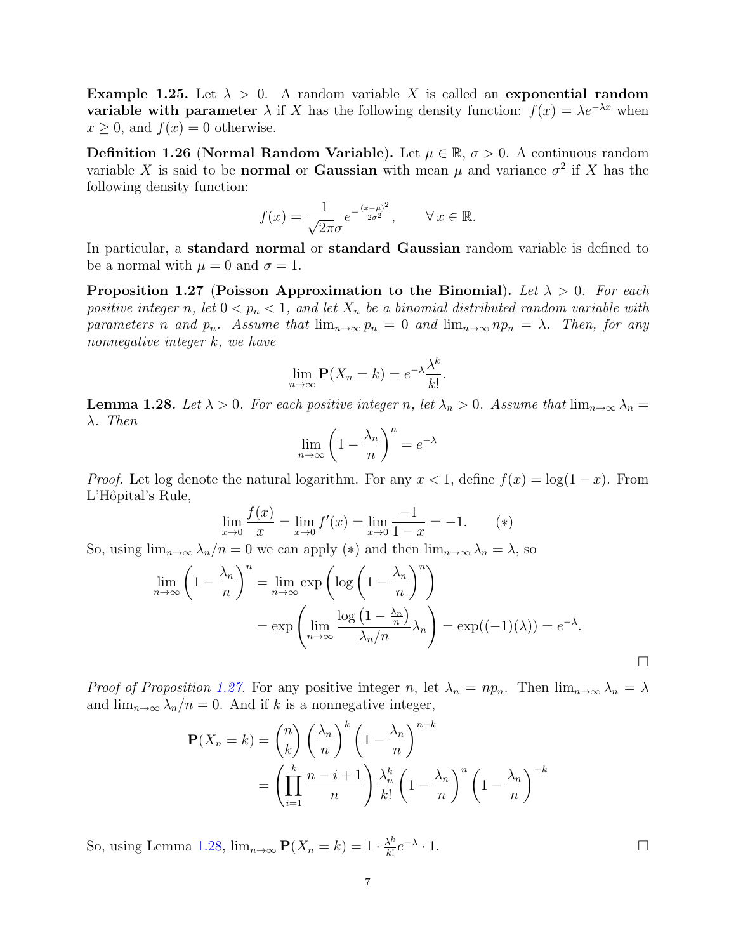<span id="page-6-2"></span>Example 1.25. Let  $\lambda > 0$ . A random variable X is called an exponential random **variable with parameter**  $\lambda$  if X has the following density function:  $f(x) = \lambda e^{-\lambda x}$  when  $x \geq 0$ , and  $f(x) = 0$  otherwise.

Definition 1.26 (Normal Random Variable). Let  $\mu \in \mathbb{R}$ ,  $\sigma > 0$ . A continuous random variable X is said to be **normal** or **Gaussian** with mean  $\mu$  and variance  $\sigma^2$  if X has the following density function:

$$
f(x) = \frac{1}{\sqrt{2\pi}\sigma} e^{-\frac{(x-\mu)^2}{2\sigma^2}}, \qquad \forall x \in \mathbb{R}.
$$

In particular, a standard normal or standard Gaussian random variable is defined to be a normal with  $\mu = 0$  and  $\sigma = 1$ .

<span id="page-6-0"></span>Proposition 1.27 (Poisson Approximation to the Binomial). Let  $\lambda > 0$ . For each positive integer n, let  $0 < p_n < 1$ , and let  $X_n$  be a binomial distributed random variable with parameters n and  $p_n$ . Assume that  $\lim_{n\to\infty} p_n = 0$  and  $\lim_{n\to\infty} np_n = \lambda$ . Then, for any nonnegative integer k, we have

$$
\lim_{n \to \infty} \mathbf{P}(X_n = k) = e^{-\lambda} \frac{\lambda^k}{k!}
$$

.

<span id="page-6-1"></span>**Lemma 1.28.** Let  $\lambda > 0$ . For each positive integer n, let  $\lambda_n > 0$ . Assume that  $\lim_{n\to\infty} \lambda_n =$ λ. Then

$$
\lim_{n \to \infty} \left( 1 - \frac{\lambda_n}{n} \right)^n = e^{-\lambda}
$$

*Proof.* Let log denote the natural logarithm. For any  $x < 1$ , define  $f(x) = \log(1-x)$ . From L'Hôpital's Rule,

$$
\lim_{x \to 0} \frac{f(x)}{x} = \lim_{x \to 0} f'(x) = \lim_{x \to 0} \frac{-1}{1 - x} = -1. \quad (*)
$$

So, using  $\lim_{n\to\infty}\lambda_n/n=0$  we can apply (\*) and then  $\lim_{n\to\infty}\lambda_n=\lambda$ , so

$$
\lim_{n \to \infty} \left( 1 - \frac{\lambda_n}{n} \right)^n = \lim_{n \to \infty} \exp \left( \log \left( 1 - \frac{\lambda_n}{n} \right)^n \right)
$$
  
= 
$$
\exp \left( \lim_{n \to \infty} \frac{\log \left( 1 - \frac{\lambda_n}{n} \right)}{\lambda_n/n} \lambda_n \right) = \exp((-1)(\lambda)) = e^{-\lambda}.
$$

Proof of Proposition [1.27.](#page-6-0) For any positive integer n, let  $\lambda_n = np_n$ . Then  $\lim_{n\to\infty}\lambda_n = \lambda$ and  $\lim_{n\to\infty}\lambda_n/n=0$ . And if k is a nonnegative integer,

$$
\mathbf{P}(X_n = k) = {n \choose k} \left(\frac{\lambda_n}{n}\right)^k \left(1 - \frac{\lambda_n}{n}\right)^{n-k}
$$

$$
= \left(\prod_{i=1}^k \frac{n-i+1}{n}\right) \frac{\lambda_n^k}{k!} \left(1 - \frac{\lambda_n}{n}\right)^n \left(1 - \frac{\lambda_n}{n}\right)^{-k}
$$

So, using Lemma [1.28,](#page-6-1)  $\lim_{n\to\infty} P(X_n = k) = 1 \cdot \frac{\lambda^k}{k!}$  $\frac{\lambda^k}{k!}e^{-\lambda}$  $\cdot$  1.

 $\Box$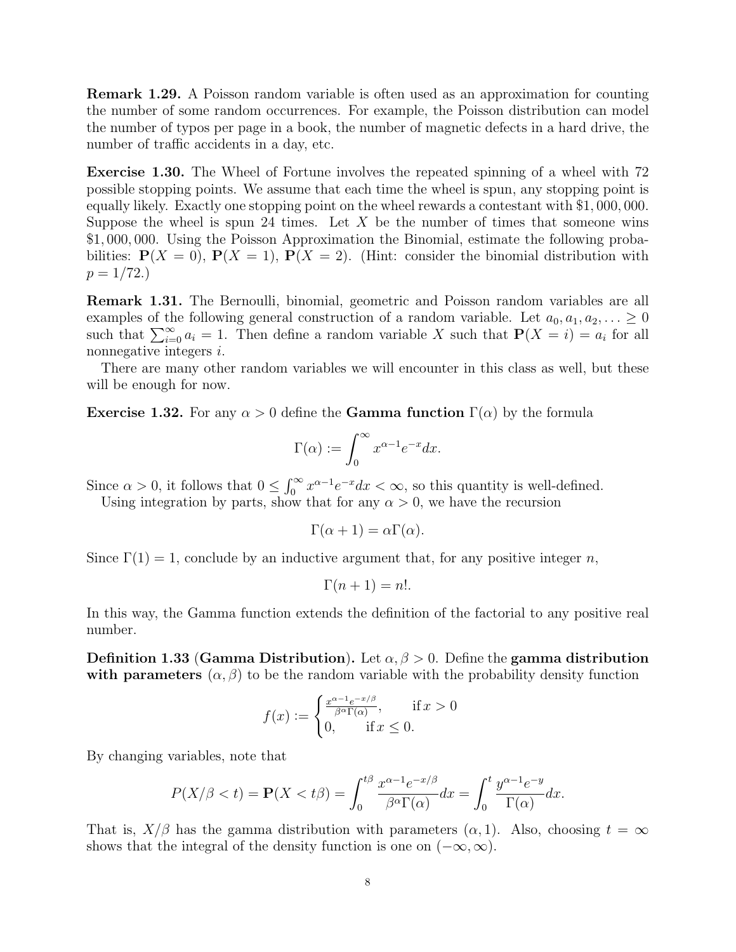Remark 1.29. A Poisson random variable is often used as an approximation for counting the number of some random occurrences. For example, the Poisson distribution can model the number of typos per page in a book, the number of magnetic defects in a hard drive, the number of traffic accidents in a day, etc.

Exercise 1.30. The Wheel of Fortune involves the repeated spinning of a wheel with 72 possible stopping points. We assume that each time the wheel is spun, any stopping point is equally likely. Exactly one stopping point on the wheel rewards a contestant with \$1, 000, 000. Suppose the wheel is spun 24 times. Let  $X$  be the number of times that someone wins \$1, 000, 000. Using the Poisson Approximation the Binomial, estimate the following probabilities:  $P(X = 0)$ ,  $P(X = 1)$ ,  $P(X = 2)$ . (Hint: consider the binomial distribution with  $p = 1/72.$ 

Remark 1.31. The Bernoulli, binomial, geometric and Poisson random variables are all examples of the following general construction of a random variable. Let  $a_0, a_1, a_2, \ldots \geq 0$ such that  $\sum_{i=0}^{\infty} a_i = 1$ . Then define a random variable X such that  $P(X = i) = a_i$  for all nonnegative integers i.

There are many other random variables we will encounter in this class as well, but these will be enough for now.

**Exercise 1.32.** For any  $\alpha > 0$  define the **Gamma function**  $\Gamma(\alpha)$  by the formula

$$
\Gamma(\alpha) := \int_0^\infty x^{\alpha - 1} e^{-x} dx.
$$

Since  $\alpha > 0$ , it follows that  $0 \leq \int_0^\infty x^{\alpha-1} e^{-x} dx < \infty$ , so this quantity is well-defined.

Using integration by parts, show that for any  $\alpha > 0$ , we have the recursion

$$
\Gamma(\alpha + 1) = \alpha \Gamma(\alpha).
$$

Since  $\Gamma(1) = 1$ , conclude by an inductive argument that, for any positive integer n,

$$
\Gamma(n+1) = n!.
$$

In this way, the Gamma function extends the definition of the factorial to any positive real number.

**Definition 1.33 (Gamma Distribution).** Let  $\alpha, \beta > 0$ . Define the gamma distribution with parameters  $(\alpha, \beta)$  to be the random variable with the probability density function

$$
f(x) := \begin{cases} \frac{x^{\alpha - 1} e^{-x/\beta}}{\beta^{\alpha} \Gamma(\alpha)}, & \text{if } x > 0\\ 0, & \text{if } x \le 0. \end{cases}
$$

By changing variables, note that

$$
P(X/\beta < t) = \mathbf{P}(X < t\beta) = \int_0^{t\beta} \frac{x^{\alpha - 1} e^{-x/\beta}}{\beta^{\alpha} \Gamma(\alpha)} dx = \int_0^t \frac{y^{\alpha - 1} e^{-y}}{\Gamma(\alpha)} dx.
$$

That is,  $X/\beta$  has the gamma distribution with parameters  $(\alpha, 1)$ . Also, choosing  $t = \infty$ shows that the integral of the density function is one on  $(-\infty, \infty)$ .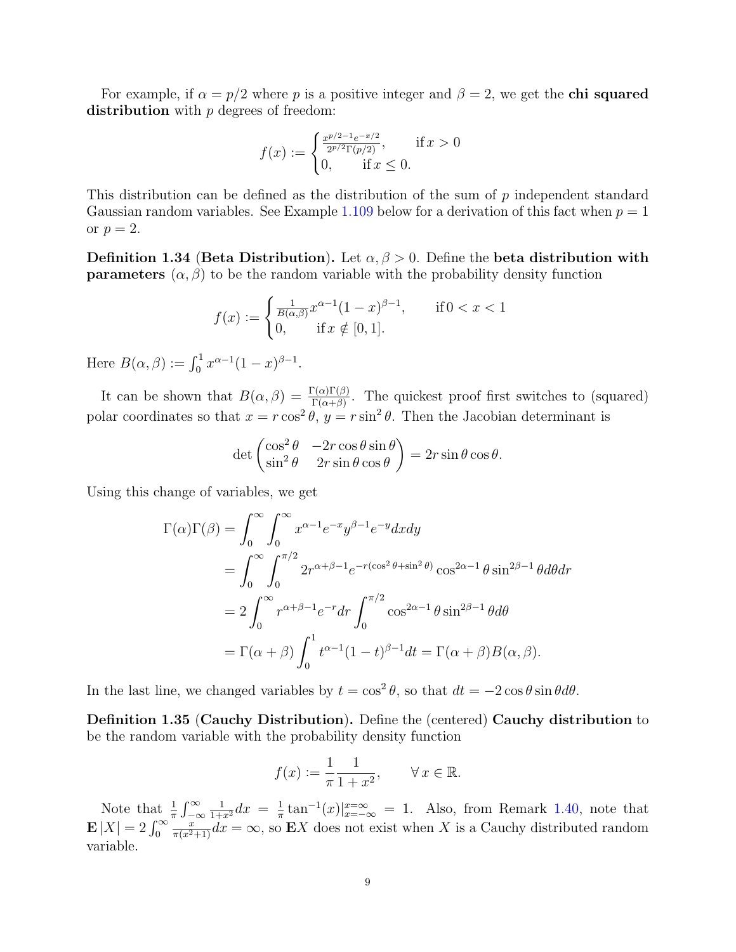For example, if  $\alpha = p/2$  where p is a positive integer and  $\beta = 2$ , we get the **chi squared** distribution with  $p$  degrees of freedom:

$$
f(x) := \begin{cases} \frac{x^{p/2 - 1} e^{-x/2}}{2^{p/2} \Gamma(p/2)}, & \text{if } x > 0\\ 0, & \text{if } x \le 0. \end{cases}
$$

This distribution can be defined as the distribution of the sum of p independent standard Gaussian random variables. See Example [1.109](#page-24-0) below for a derivation of this fact when  $p = 1$ or  $p=2$ .

Definition 1.34 (Beta Distribution). Let  $\alpha, \beta > 0$ . Define the beta distribution with **parameters**  $(\alpha, \beta)$  to be the random variable with the probability density function

$$
f(x) := \begin{cases} \frac{1}{B(\alpha,\beta)} x^{\alpha-1} (1-x)^{\beta-1}, & \text{if } 0 < x < 1\\ 0, & \text{if } x \notin [0,1]. \end{cases}
$$

Here  $B(\alpha, \beta) := \int_0^1 x^{\alpha-1} (1-x)^{\beta-1}$ .

It can be shown that  $B(\alpha, \beta) = \frac{\Gamma(\alpha)\Gamma(\beta)}{\Gamma(\alpha+\beta)}$ . The quickest proof first switches to (squared) polar coordinates so that  $x = r \cos^2 \theta$ ,  $y = r \sin^2 \theta$ . Then the Jacobian determinant is

$$
\det \begin{pmatrix} \cos^2 \theta & -2r \cos \theta \sin \theta \\ \sin^2 \theta & 2r \sin \theta \cos \theta \end{pmatrix} = 2r \sin \theta \cos \theta.
$$

Using this change of variables, we get

$$
\Gamma(\alpha)\Gamma(\beta) = \int_0^\infty \int_0^\infty x^{\alpha-1} e^{-x} y^{\beta-1} e^{-y} dx dy
$$
  
= 
$$
\int_0^\infty \int_0^{\pi/2} 2r^{\alpha+\beta-1} e^{-r(\cos^2\theta + \sin^2\theta)} \cos^{2\alpha-1}\theta \sin^{2\beta-1}\theta d\theta dr
$$
  
= 
$$
2 \int_0^\infty r^{\alpha+\beta-1} e^{-r} dr \int_0^{\pi/2} \cos^{2\alpha-1}\theta \sin^{2\beta-1}\theta d\theta
$$
  
= 
$$
\Gamma(\alpha+\beta) \int_0^1 t^{\alpha-1} (1-t)^{\beta-1} dt = \Gamma(\alpha+\beta) B(\alpha,\beta).
$$

In the last line, we changed variables by  $t = \cos^2 \theta$ , so that  $dt = -2 \cos \theta \sin \theta d\theta$ .

Definition 1.35 (Cauchy Distribution). Define the (centered) Cauchy distribution to be the random variable with the probability density function

$$
f(x) := \frac{1}{\pi} \frac{1}{1 + x^2}, \qquad \forall x \in \mathbb{R}.
$$

Note that  $\frac{1}{\pi} \int_{-\infty}^{\infty}$  $\frac{1}{1+x^2}dx = \frac{1}{\pi}$  $\frac{1}{\pi} \tan^{-1}(x) \Big|_{x=-\infty}^{x=\infty} = 1$ . Also, from Remark [1.40,](#page-9-1) note that  $\mathbf{E}\left[X\right]=2\int_{0}^{\infty}$  $\frac{x}{\pi(x^2+1)}dx = \infty$ , so EX does not exist when X is a Cauchy distributed random variable.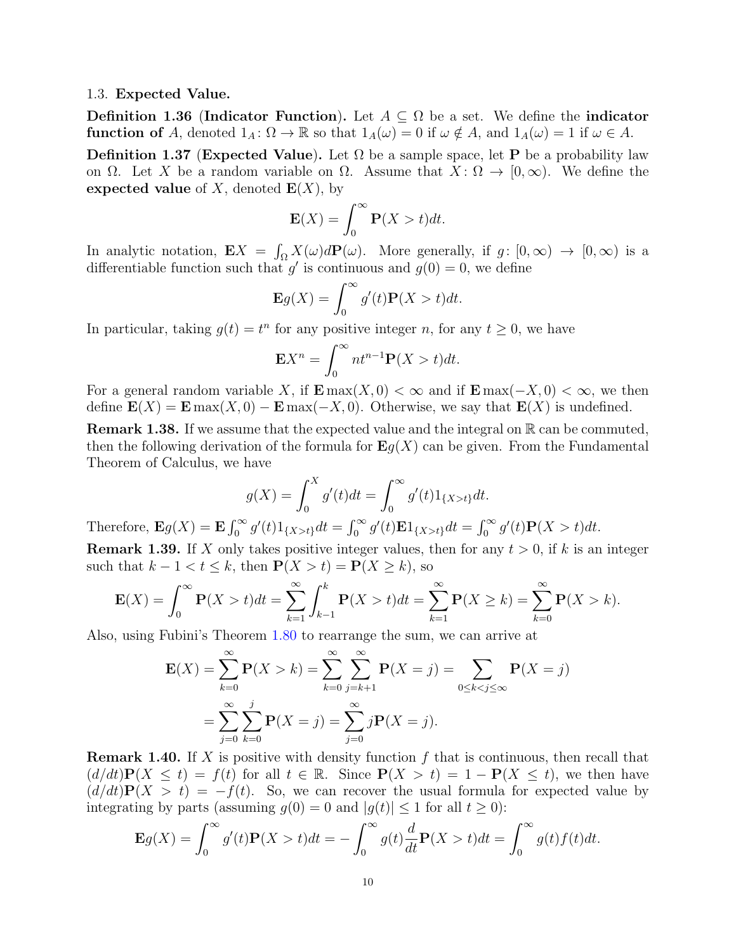#### <span id="page-9-0"></span>1.3. Expected Value.

**Definition 1.36 (Indicator Function).** Let  $A \subseteq \Omega$  be a set. We define the indicator **function of** A, denoted  $1_A: \Omega \to \mathbb{R}$  so that  $1_A(\omega) = 0$  if  $\omega \notin A$ , and  $1_A(\omega) = 1$  if  $\omega \in A$ .

**Definition 1.37 (Expected Value).** Let  $\Omega$  be a sample space, let **P** be a probability law on  $\Omega$ . Let X be a random variable on  $\Omega$ . Assume that  $X: \Omega \to [0,\infty)$ . We define the expected value of X, denoted  $E(X)$ , by

$$
\mathbf{E}(X) = \int_0^\infty \mathbf{P}(X > t) dt.
$$

In analytic notation,  $\mathbf{E}X = \int_{\Omega} X(\omega) d\mathbf{P}(\omega)$ . More generally, if  $g: [0, \infty) \to [0, \infty)$  is a differentiable function such that  $g'$  is continuous and  $g(0) = 0$ , we define

$$
\mathbf{E}g(X) = \int_0^\infty g'(t)\mathbf{P}(X > t)dt.
$$

In particular, taking  $g(t) = t^n$  for any positive integer n, for any  $t \geq 0$ , we have

$$
\mathbf{E}X^n = \int_0^\infty nt^{n-1}\mathbf{P}(X>t)dt.
$$

For a general random variable X, if  $\mathbf{E} \max(X, 0) < \infty$  and if  $\mathbf{E} \max(-X, 0) < \infty$ , we then define  $\mathbf{E}(X) = \mathbf{E} \max(X, 0) - \mathbf{E} \max(-X, 0)$ . Otherwise, we say that  $\mathbf{E}(X)$  is undefined.

**Remark 1.38.** If we assume that the expected value and the integral on  $\mathbb{R}$  can be commuted, then the following derivation of the formula for  $\mathbf{E}g(X)$  can be given. From the Fundamental Theorem of Calculus, we have

$$
g(X) = \int_0^X g'(t)dt = \int_0^\infty g'(t)1_{\{X>t\}}dt.
$$

Therefore,  $\mathbf{E}g(X) = \mathbf{E} \int_0^\infty g'(t)1_{\{X>t\}}dt = \int_0^\infty g'(t)\mathbf{E}1_{\{X>t\}}dt = \int_0^\infty g'(t)\mathbf{P}(X>t)dt$ . **Remark 1.39.** If X only takes positive integer values, then for any  $t > 0$ , if k is an integer such that  $k - 1 < t \leq k$ , then  $P(X > t) = P(X \geq k)$ , so

$$
\mathbf{E}(X) = \int_0^\infty \mathbf{P}(X > t)dt = \sum_{k=1}^\infty \int_{k-1}^k \mathbf{P}(X > t)dt = \sum_{k=1}^\infty \mathbf{P}(X \ge k) = \sum_{k=0}^\infty \mathbf{P}(X > k).
$$

Also, using Fubini's Theorem [1.80](#page-19-1) to rearrange the sum, we can arrive at

$$
\mathbf{E}(X) = \sum_{k=0}^{\infty} \mathbf{P}(X > k) = \sum_{k=0}^{\infty} \sum_{j=k+1}^{\infty} \mathbf{P}(X = j) = \sum_{0 \le k < j \le \infty} \mathbf{P}(X = j)
$$
\n
$$
= \sum_{j=0}^{\infty} \sum_{k=0}^{j} \mathbf{P}(X = j) = \sum_{j=0}^{\infty} j \mathbf{P}(X = j).
$$

<span id="page-9-1"></span>**Remark 1.40.** If X is positive with density function f that is continuous, then recall that  $(d/dt)P(X \le t) = f(t)$  for all  $t \in \mathbb{R}$ . Since  $P(X > t) = 1 - P(X \le t)$ , we then have  $(d/dt)\mathbf{P}(X > t) = -f(t)$ . So, we can recover the usual formula for expected value by integrating by parts (assuming  $g(0) = 0$  and  $|g(t)| \le 1$  for all  $t \ge 0$ ):

$$
\mathbf{E}g(X) = \int_0^\infty g'(t)\mathbf{P}(X > t)dt = -\int_0^\infty g(t)\frac{d}{dt}\mathbf{P}(X > t)dt = \int_0^\infty g(t)f(t)dt.
$$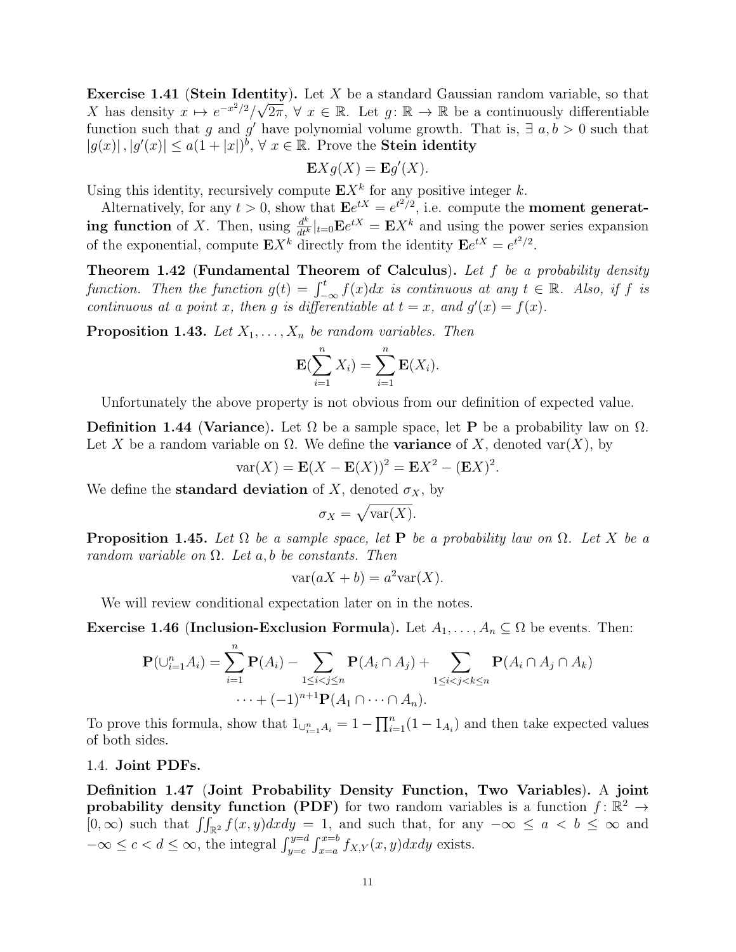Exercise 1.41 (Stein Identity). Let X be a standard Gaussian random variable, so that X has density  $x \mapsto e^{-x^2/2}/\sqrt{2\pi}$ ,  $\forall x \in \mathbb{R}$ . Let  $g : \mathbb{R} \to \mathbb{R}$  be a continuously differentiable function such that g and g' have polynomial volume growth. That is,  $\exists a, b > 0$  such that  $|g(x)|, |g'(x)| \leq a(1+|x|)^b$ ,  $\forall x \in \mathbb{R}$ . Prove the **Stein identity** 

$$
\mathbf{E} X g(X) = \mathbf{E} g'(X).
$$

Using this identity, recursively compute  $\mathbf{E} X^k$  for any positive integer k.

Alternatively, for any  $t > 0$ , show that  $\mathbf{E}e^{tX} = e^{t^2/2}$ , i.e. compute the **moment generat**ing function of X. Then, using  $\frac{d^k}{dt^k}|_{t=0} \mathbf{E} e^{tX} = \mathbf{E} X^k$  and using the power series expansion of the exponential, compute  $\mathbf{E} X^k$  directly from the identity  $\mathbf{E} e^{tX} = e^{t^2/2}$ .

<span id="page-10-1"></span>Theorem 1.42 (Fundamental Theorem of Calculus). Let f be a probability density function. Then the function  $g(t) = \int_{-\infty}^{t} f(x)dx$  is continuous at any  $t \in \mathbb{R}$ . Also, if f is continuous at a point x, then g is differentiable at  $t = x$ , and  $g'(x) = f(x)$ .

**Proposition 1.43.** Let  $X_1, \ldots, X_n$  be random variables. Then

$$
\mathbf{E}(\sum_{i=1}^n X_i) = \sum_{i=1}^n \mathbf{E}(X_i).
$$

Unfortunately the above property is not obvious from our definition of expected value.

**Definition 1.44 (Variance).** Let  $\Omega$  be a sample space, let **P** be a probability law on  $\Omega$ . Let X be a random variable on  $\Omega$ . We define the **variance** of X, denoted var $(X)$ , by

$$
var(X) = \mathbf{E}(X - \mathbf{E}(X))^2 = \mathbf{E}X^2 - (\mathbf{E}X)^2.
$$

We define the **standard deviation** of X, denoted  $\sigma_X$ , by

$$
\sigma_X = \sqrt{\text{var}(X)}.
$$

**Proposition 1.45.** Let  $\Omega$  be a sample space, let **P** be a probability law on  $\Omega$ . Let X be a random variable on  $\Omega$ . Let a, b be constants. Then

$$
\text{var}(aX + b) = a^2 \text{var}(X).
$$

We will review conditional expectation later on in the notes.

Exercise 1.46 (Inclusion-Exclusion Formula). Let  $A_1, \ldots, A_n \subseteq \Omega$  be events. Then:

$$
\mathbf{P}(\bigcup_{i=1}^{n} A_i) = \sum_{i=1}^{n} \mathbf{P}(A_i) - \sum_{1 \leq i < j \leq n} \mathbf{P}(A_i \cap A_j) + \sum_{1 \leq i < j < k \leq n} \mathbf{P}(A_i \cap A_j \cap A_k) - \dots + (-1)^{n+1} \mathbf{P}(A_1 \cap \dots \cap A_n).
$$

To prove this formula, show that  $1_{\cup_{i=1}^{n} A_i} = 1 - \prod_{i=1}^{n} (1 - 1_{A_i})$  and then take expected values of both sides.

#### <span id="page-10-0"></span>1.4. Joint PDFs.

Definition 1.47 (Joint Probability Density Function, Two Variables). A joint probability density function (PDF) for two random variables is a function  $f: \mathbb{R}^2 \to$  $[0, \infty)$  such that  $\iint_{\mathbb{R}^2} f(x, y) dx dy = 1$ , and such that, for any  $-\infty \le a < b \le \infty$  and  $-\infty \leq c < d \leq \infty$ , the integral  $\int_{y=c}^{y=d} \int_{x=a}^{x=b} f_{X,Y}(x, y) dx dy$  exists.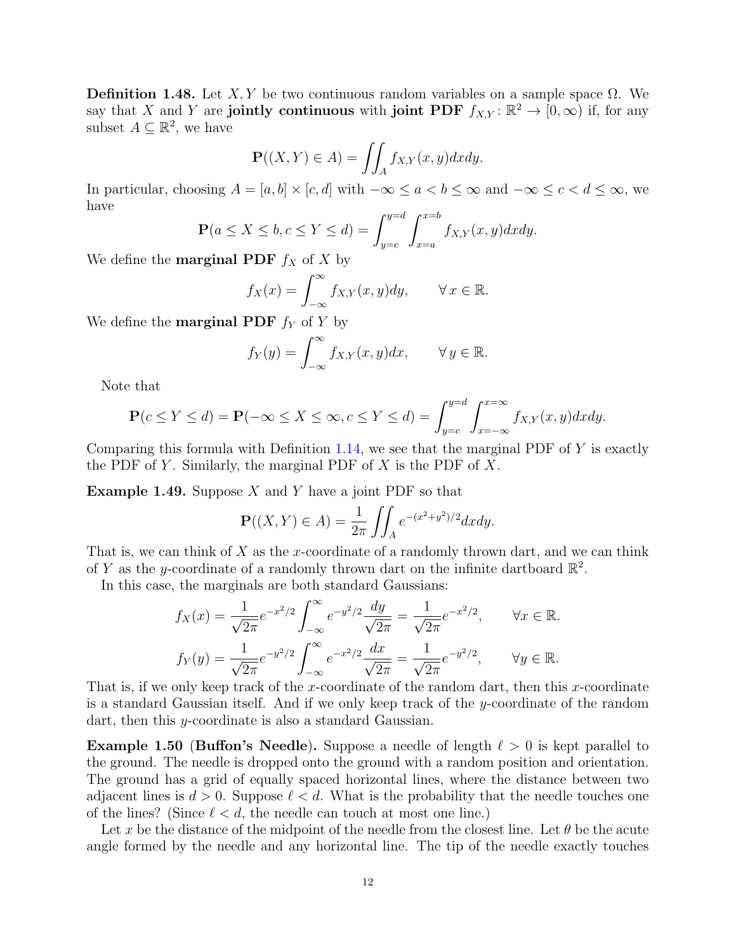<span id="page-11-0"></span>Definition 1.48. Let X, Y be two continuous random variables on a sample space  $\Omega$ . We say that X and Y are jointly continuous with joint PDF  $f_{X,Y} : \mathbb{R}^2 \to [0,\infty)$  if, for any subset  $A \subseteq \mathbb{R}^2$ , we have

$$
\mathbf{P}((X,Y) \in A) = \iint_A f_{X,Y}(x,y) dx dy.
$$

In particular, choosing  $A = [a, b] \times [c, d]$  with  $-\infty \le a < b \le \infty$  and  $-\infty \le c < d \le \infty$ , we have

$$
\mathbf{P}(a \le X \le b, c \le Y \le d) = \int_{y=c}^{y=d} \int_{x=a}^{x=b} f_{X,Y}(x, y) dx dy.
$$

We define the **marginal PDF**  $f_X$  of X by

$$
f_X(x) = \int_{-\infty}^{\infty} f_{X,Y}(x, y) dy, \qquad \forall x \in \mathbb{R}.
$$

We define the **marginal PDF**  $f_Y$  of Y by

$$
f_Y(y) = \int_{-\infty}^{\infty} f_{X,Y}(x, y) dx, \qquad \forall y \in \mathbb{R}.
$$

Note that

$$
\mathbf{P}(c \le Y \le d) = \mathbf{P}(-\infty \le X \le \infty, c \le Y \le d) = \int_{y=c}^{y=d} \int_{x=-\infty}^{x=\infty} f_{X,Y}(x,y) dx dy.
$$

Comparing this formula with Definition [1.14,](#page-3-0) we see that the marginal PDF of  $Y$  is exactly the PDF of Y. Similarly, the marginal PDF of  $X$  is the PDF of  $X$ .

<span id="page-11-1"></span>**Example 1.49.** Suppose  $X$  and  $Y$  have a joint PDF so that

$$
\mathbf{P}((X,Y) \in A) = \frac{1}{2\pi} \iint_{A} e^{-(x^2 + y^2)/2} dx dy.
$$

That is, we can think of  $X$  as the x-coordinate of a randomly thrown dart, and we can think of Y as the y-coordinate of a randomly thrown dart on the infinite dartboard  $\mathbb{R}^2$ .

In this case, the marginals are both standard Gaussians:

$$
f_X(x) = \frac{1}{\sqrt{2\pi}} e^{-x^2/2} \int_{-\infty}^{\infty} e^{-y^2/2} \frac{dy}{\sqrt{2\pi}} = \frac{1}{\sqrt{2\pi}} e^{-x^2/2}, \qquad \forall x \in \mathbb{R}.
$$
  

$$
f_Y(y) = \frac{1}{\sqrt{2\pi}} e^{-y^2/2} \int_{-\infty}^{\infty} e^{-x^2/2} \frac{dx}{\sqrt{2\pi}} = \frac{1}{\sqrt{2\pi}} e^{-y^2/2}, \qquad \forall y \in \mathbb{R}.
$$

That is, if we only keep track of the x-coordinate of the random dart, then this x-coordinate is a standard Gaussian itself. And if we only keep track of the y-coordinate of the random dart, then this y-coordinate is also a standard Gaussian.

**Example 1.50 (Buffon's Needle).** Suppose a needle of length  $\ell > 0$  is kept parallel to the ground. The needle is dropped onto the ground with a random position and orientation. The ground has a grid of equally spaced horizontal lines, where the distance between two adjacent lines is  $d > 0$ . Suppose  $\ell < d$ . What is the probability that the needle touches one of the lines? (Since  $\ell < d$ , the needle can touch at most one line.)

Let x be the distance of the midpoint of the needle from the closest line. Let  $\theta$  be the acute angle formed by the needle and any horizontal line. The tip of the needle exactly touches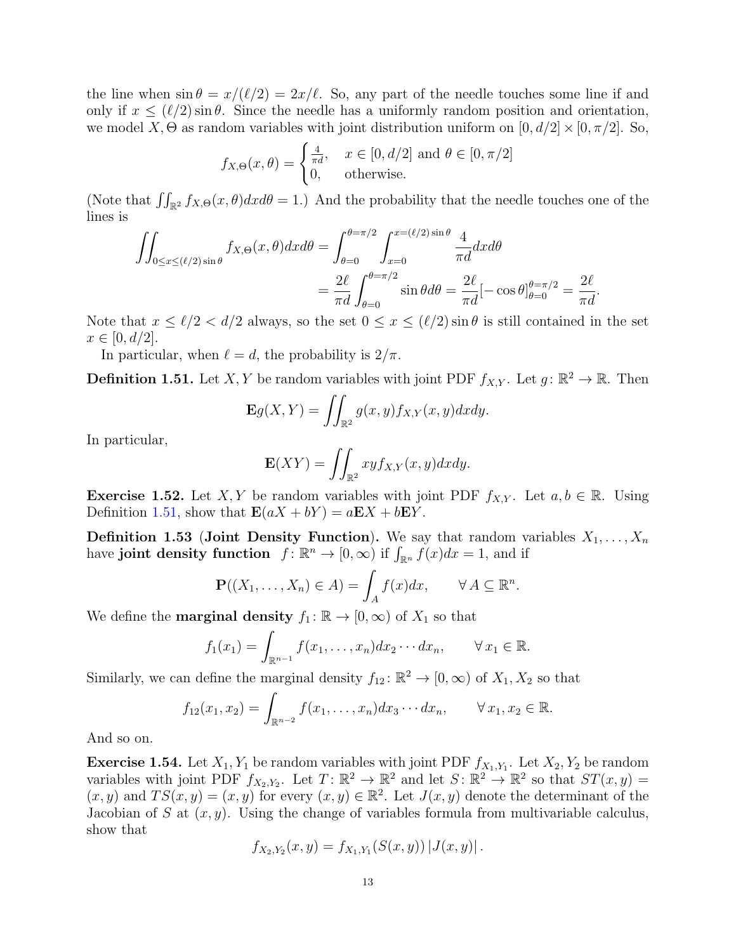the line when  $\sin \theta = x/(\ell/2) = 2x/\ell$ . So, any part of the needle touches some line if and only if  $x \leq (\ell/2) \sin \theta$ . Since the needle has a uniformly random position and orientation, we model X,  $\Theta$  as random variables with joint distribution uniform on  $[0, d/2] \times [0, \pi/2]$ . So,

$$
f_{X,\Theta}(x,\theta) = \begin{cases} \frac{4}{\pi d}, & x \in [0,d/2] \text{ and } \theta \in [0,\pi/2] \\ 0, & \text{otherwise.} \end{cases}
$$

(Note that  $\iint_{\mathbb{R}^2} f_{X,\Theta}(x,\theta) dx d\theta = 1$ .) And the probability that the needle touches one of the lines is

$$
\iint_{0 \le x \le (\ell/2) \sin \theta} f_{X,\Theta}(x,\theta) dx d\theta = \int_{\theta=0}^{\theta=\pi/2} \int_{x=0}^{x=(\ell/2) \sin \theta} \frac{4}{\pi d} dx d\theta
$$

$$
= \frac{2\ell}{\pi d} \int_{\theta=0}^{\theta=\pi/2} \sin \theta d\theta = \frac{2\ell}{\pi d} [-\cos \theta]_{\theta=0}^{\theta=\pi/2} = \frac{2\ell}{\pi d}.
$$

Note that  $x \leq \ell/2 < d/2$  always, so the set  $0 \leq x \leq (\ell/2) \sin \theta$  is still contained in the set  $x \in [0, d/2].$ 

In particular, when  $\ell = d$ , the probability is  $2/\pi$ .

<span id="page-12-0"></span>**Definition 1.51.** Let X, Y be random variables with joint PDF  $f_{X,Y}$ . Let  $g: \mathbb{R}^2 \to \mathbb{R}$ . Then

$$
\mathbf{E}g(X,Y) = \iint_{\mathbb{R}^2} g(x,y) f_{X,Y}(x,y) dx dy.
$$

In particular,

$$
\mathbf{E}(XY) = \iint_{\mathbb{R}^2} xy f_{X,Y}(x,y) dx dy.
$$

**Exercise 1.52.** Let X, Y be random variables with joint PDF  $f_{X,Y}$ . Let  $a, b \in \mathbb{R}$ . Using Definition [1.51,](#page-12-0) show that  $\mathbf{E}(aX + bY) = a\mathbf{E}X + b\mathbf{E}Y$ .

**Definition 1.53 (Joint Density Function).** We say that random variables  $X_1, \ldots, X_n$ have joint density function  $f: \mathbb{R}^n \to [0, \infty)$  if  $\int_{\mathbb{R}^n} f(x) dx = 1$ , and if

$$
\mathbf{P}((X_1,\ldots,X_n)\in A)=\int_A f(x)dx, \qquad \forall A\subseteq\mathbb{R}^n.
$$

We define the **marginal density**  $f_1: \mathbb{R} \to [0, \infty)$  of  $X_1$  so that

$$
f_1(x_1) = \int_{\mathbb{R}^{n-1}} f(x_1,\ldots,x_n) dx_2 \cdots dx_n, \qquad \forall x_1 \in \mathbb{R}.
$$

Similarly, we can define the marginal density  $f_{12} : \mathbb{R}^2 \to [0, \infty)$  of  $X_1, X_2$  so that

$$
f_{12}(x_1, x_2) = \int_{\mathbb{R}^{n-2}} f(x_1, \dots, x_n) dx_3 \cdots dx_n, \qquad \forall x_1, x_2 \in \mathbb{R}.
$$

And so on.

**Exercise 1.54.** Let  $X_1, Y_1$  be random variables with joint PDF  $f_{X_1,Y_1}$ . Let  $X_2, Y_2$  be random variables with joint PDF  $f_{X_2,Y_2}$ . Let  $T: \mathbb{R}^2 \to \mathbb{R}^2$  and let  $S: \mathbb{R}^2 \to \mathbb{R}^2$  so that  $ST(x, y) =$  $(x, y)$  and  $TS(x, y) = (x, y)$  for every  $(x, y) \in \mathbb{R}^2$ . Let  $J(x, y)$  denote the determinant of the Jacobian of S at  $(x, y)$ . Using the change of variables formula from multivariable calculus, show that

$$
f_{X_2,Y_2}(x,y) = f_{X_1,Y_1}(S(x,y)) |J(x,y)|.
$$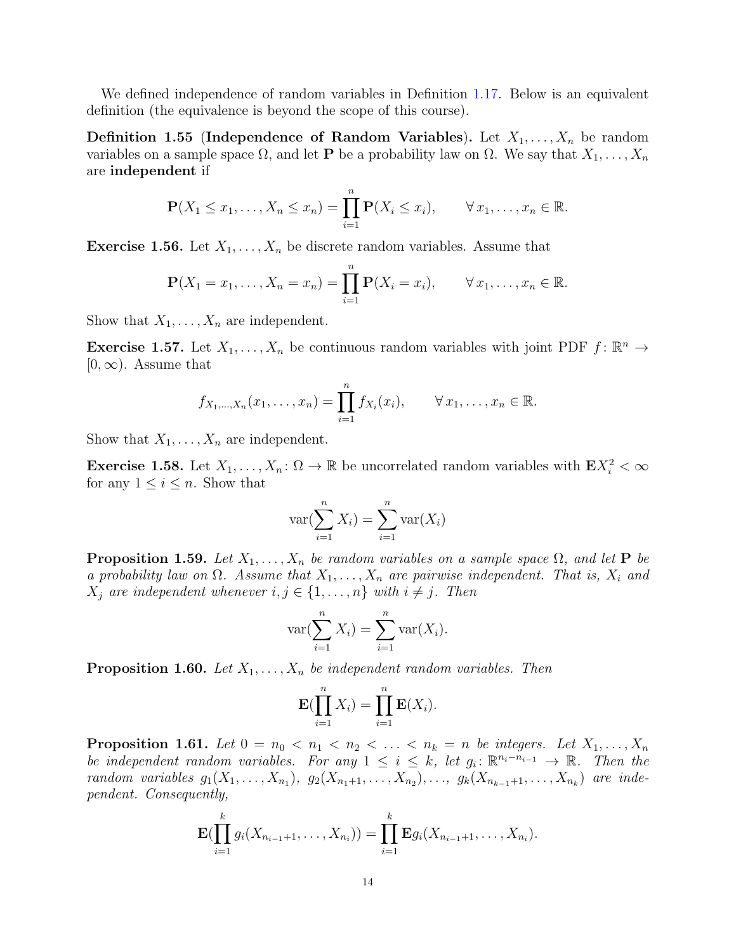We defined independence of random variables in Definition [1.17.](#page-4-1) Below is an equivalent definition (the equivalence is beyond the scope of this course).

**Definition 1.55 (Independence of Random Variables).** Let  $X_1, \ldots, X_n$  be random variables on a sample space  $\Omega$ , and let **P** be a probability law on  $\Omega$ . We say that  $X_1, \ldots, X_n$ are independent if

$$
\mathbf{P}(X_1 \leq x_1, \dots, X_n \leq x_n) = \prod_{i=1}^n \mathbf{P}(X_i \leq x_i), \qquad \forall x_1, \dots, x_n \in \mathbb{R}.
$$

**Exercise 1.56.** Let  $X_1, \ldots, X_n$  be discrete random variables. Assume that

$$
\mathbf{P}(X_1 = x_1, ..., X_n = x_n) = \prod_{i=1}^n \mathbf{P}(X_i = x_i), \qquad \forall x_1, ..., x_n \in \mathbb{R}.
$$

Show that  $X_1, \ldots, X_n$  are independent.

**Exercise 1.57.** Let  $X_1, \ldots, X_n$  be continuous random variables with joint PDF  $f: \mathbb{R}^n \to$  $[0,\infty)$ . Assume that

$$
f_{X_1,...,X_n}(x_1,...,x_n) = \prod_{i=1}^n f_{X_i}(x_i), \qquad \forall x_1,...,x_n \in \mathbb{R}.
$$

Show that  $X_1, \ldots, X_n$  are independent.

<span id="page-13-0"></span>**Exercise 1.58.** Let  $X_1, \ldots, X_n \colon \Omega \to \mathbb{R}$  be uncorrelated random variables with  $\mathbf{E} X_i^2 < \infty$ for any  $1 \leq i \leq n$ . Show that

$$
\text{var}(\sum_{i=1}^{n} X_i) = \sum_{i=1}^{n} \text{var}(X_i)
$$

**Proposition 1.59.** Let  $X_1, \ldots, X_n$  be random variables on a sample space  $\Omega$ , and let **P** be a probability law on  $\Omega$ . Assume that  $X_1, \ldots, X_n$  are pairwise independent. That is,  $X_i$  and  $X_j$  are independent whenever  $i, j \in \{1, ..., n\}$  with  $i \neq j$ . Then

$$
\text{var}(\sum_{i=1}^{n} X_i) = \sum_{i=1}^{n} \text{var}(X_i).
$$

**Proposition 1.60.** Let  $X_1, \ldots, X_n$  be independent random variables. Then

$$
\mathbf{E}(\prod_{i=1}^n X_i) = \prod_{i=1}^n \mathbf{E}(X_i).
$$

**Proposition 1.61.** Let  $0 = n_0 < n_1 < n_2 < \ldots < n_k = n$  be integers. Let  $X_1, \ldots, X_n$ be independent random variables. For any  $1 \leq i \leq k$ , let  $g_i: \mathbb{R}^{n_i - n_{i-1}} \to \mathbb{R}$ . Then the random variables  $g_1(X_1, ..., X_{n_1}), g_2(X_{n_1+1}, ..., X_{n_2}), ..., g_k(X_{n_{k-1}+1}, ..., X_{n_k})$  are independent. Consequently,

$$
\mathbf{E}(\prod_{i=1}^k g_i(X_{n_{i-1}+1},\ldots,X_{n_i})) = \prod_{i=1}^k \mathbf{E}g_i(X_{n_{i-1}+1},\ldots,X_{n_i}).
$$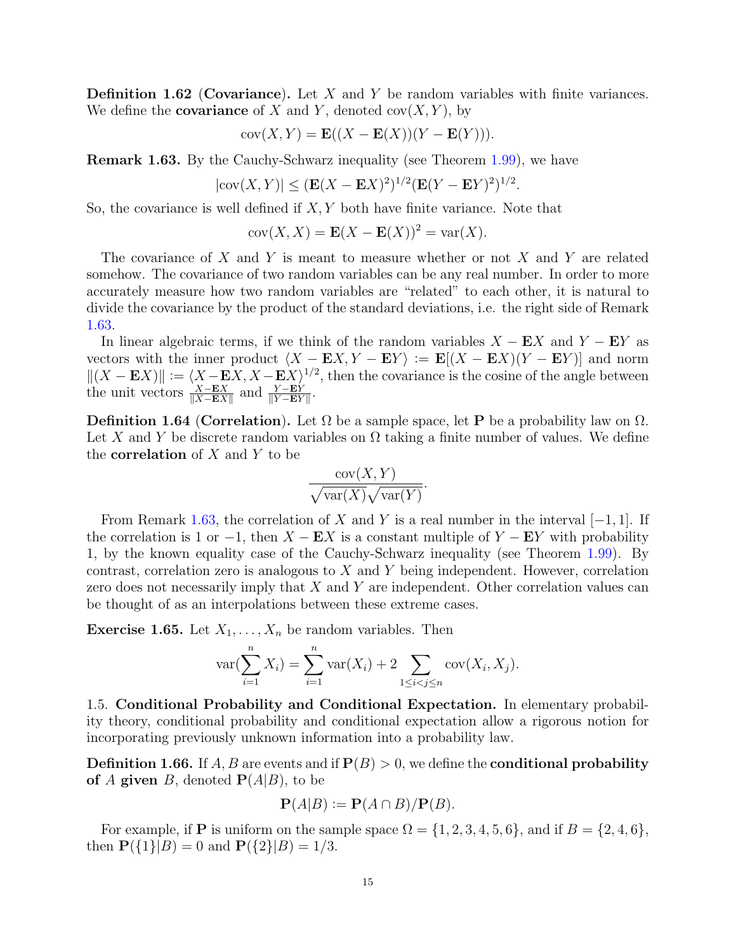**Definition 1.62** (Covariance). Let  $X$  and  $Y$  be random variables with finite variances. We define the **covariance** of X and Y, denoted  $cov(X, Y)$ , by

$$
cov(X, Y) = \mathbf{E}((X - \mathbf{E}(X))(Y - \mathbf{E}(Y))).
$$

<span id="page-14-1"></span>Remark 1.63. By the Cauchy-Schwarz inequality (see Theorem [1.99\)](#page-22-0), we have

$$
|\text{cov}(X, Y)| \le (\mathbf{E}(X - \mathbf{E}X)^2)^{1/2} (\mathbf{E}(Y - \mathbf{E}Y)^2)^{1/2}.
$$

So, the covariance is well defined if  $X, Y$  both have finite variance. Note that

$$
cov(X, X) = \mathbf{E}(X - \mathbf{E}(X))^2 = var(X).
$$

The covariance of X and Y is meant to measure whether or not X and Y are related somehow. The covariance of two random variables can be any real number. In order to more accurately measure how two random variables are "related" to each other, it is natural to divide the covariance by the product of the standard deviations, i.e. the right side of Remark [1.63.](#page-14-1)

In linear algebraic terms, if we think of the random variables  $X - EX$  and  $Y - EY$  as vectors with the inner product  $\langle X - \mathbf{E}X, Y - \mathbf{E}Y \rangle := \mathbf{E}[(X - \mathbf{E}X)(Y - \mathbf{E}Y)]$  and norm  $||(X - EX)|| := \langle X - EX, X - EX \rangle^{1/2}$ , then the covariance is the cosine of the angle between the unit vectors  $\frac{X-\mathbf{E}X}{\|X-\mathbf{E}X\|}$  and  $\frac{Y-\mathbf{E}Y}{\|Y-\mathbf{E}Y\|}$ .

**Definition 1.64 (Correlation).** Let  $\Omega$  be a sample space, let **P** be a probability law on  $\Omega$ . Let X and Y be discrete random variables on  $\Omega$  taking a finite number of values. We define the **correlation** of  $X$  and  $Y$  to be

$$
\frac{\text{cov}(X,Y)}{\sqrt{\text{var}(X)}\sqrt{\text{var}(Y)}}.
$$

From Remark [1.63,](#page-14-1) the correlation of X and Y is a real number in the interval  $[-1, 1]$ . If the correlation is 1 or  $-1$ , then  $X - EX$  is a constant multiple of  $Y - EY$  with probability 1, by the known equality case of the Cauchy-Schwarz inequality (see Theorem [1.99\)](#page-22-0). By contrast, correlation zero is analogous to  $X$  and  $Y$  being independent. However, correlation zero does not necessarily imply that  $X$  and  $Y$  are independent. Other correlation values can be thought of as an interpolations between these extreme cases.

**Exercise 1.65.** Let  $X_1, \ldots, X_n$  be random variables. Then

$$
var(\sum_{i=1}^{n} X_i) = \sum_{i=1}^{n} var(X_i) + 2 \sum_{1 \le i < j \le n} cov(X_i, X_j).
$$

<span id="page-14-0"></span>1.5. Conditional Probability and Conditional Expectation. In elementary probability theory, conditional probability and conditional expectation allow a rigorous notion for incorporating previously unknown information into a probability law.

<span id="page-14-2"></span>**Definition 1.66.** If A, B are events and if  $P(B) > 0$ , we define the **conditional probability** of A given B, denoted  $P(A|B)$ , to be

$$
\mathbf{P}(A|B) := \mathbf{P}(A \cap B) / \mathbf{P}(B).
$$

For example, if **P** is uniform on the sample space  $\Omega = \{1, 2, 3, 4, 5, 6\}$ , and if  $B = \{2, 4, 6\}$ , then  $\mathbf{P}({1}||B) = 0$  and  $\mathbf{P}({2}||B) = 1/3$ .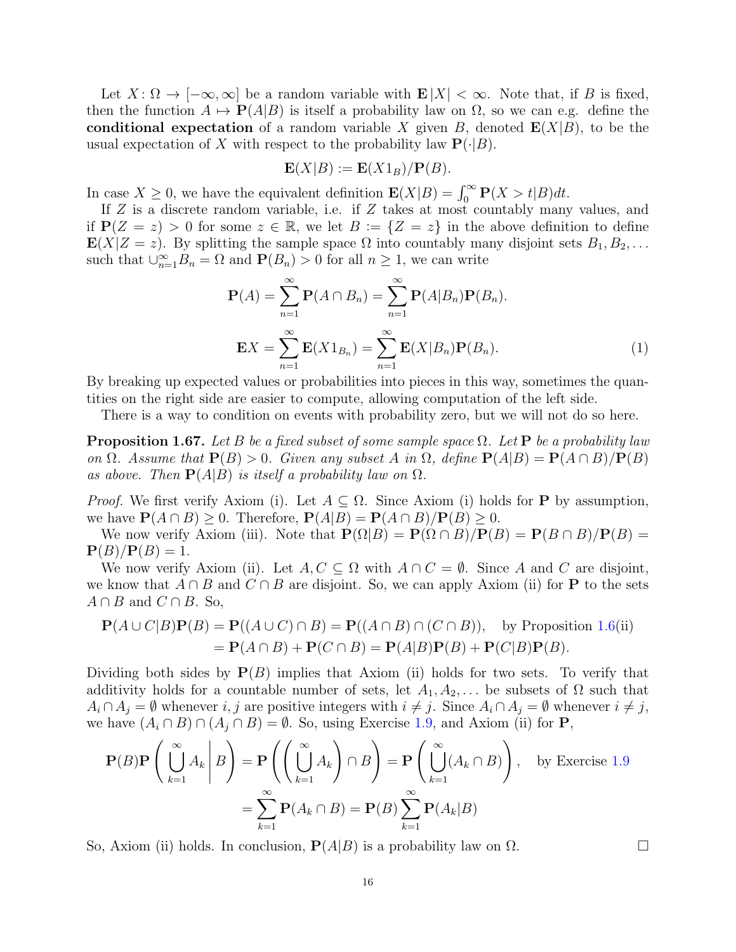Let  $X: \Omega \to [-\infty, \infty]$  be a random variable with  $\mathbf{E}|X| < \infty$ . Note that, if B is fixed, then the function  $A \mapsto \mathbf{P}(A|B)$  is itself a probability law on  $\Omega$ , so we can e.g. define the conditional expectation of a random variable X given B, denoted  $E(X|B)$ , to be the usual expectation of X with respect to the probability law  $\mathbf{P}(\cdot|B)$ .

$$
\mathbf{E}(X|B) := \mathbf{E}(X1_B)/\mathbf{P}(B).
$$

In case  $X \geq 0$ , we have the equivalent definition  $\mathbf{E}(X|B) = \int_0^\infty \mathbf{P}(X > t|B)dt$ .

If Z is a discrete random variable, i.e. if Z takes at most countably many values, and if  $P(Z = z) > 0$  for some  $z \in \mathbb{R}$ , we let  $B := \{Z = z\}$  in the above definition to define  $\mathbf{E}(X|Z=z)$ . By splitting the sample space  $\Omega$  into countably many disjoint sets  $B_1, B_2, \ldots$ such that  $\bigcup_{n=1}^{\infty} B_n = \Omega$  and  $\mathbf{P}(B_n) > 0$  for all  $n \geq 1$ , we can write

<span id="page-15-1"></span>
$$
\mathbf{P}(A) = \sum_{n=1}^{\infty} \mathbf{P}(A \cap B_n) = \sum_{n=1}^{\infty} \mathbf{P}(A|B_n) \mathbf{P}(B_n).
$$

$$
\mathbf{E}X = \sum_{n=1}^{\infty} \mathbf{E}(X1_{B_n}) = \sum_{n=1}^{\infty} \mathbf{E}(X|B_n) \mathbf{P}(B_n).
$$
(1)

By breaking up expected values or probabilities into pieces in this way, sometimes the quantities on the right side are easier to compute, allowing computation of the left side.

There is a way to condition on events with probability zero, but we will not do so here.

<span id="page-15-0"></span>**Proposition 1.67.** Let B be a fixed subset of some sample space  $\Omega$ . Let P be a probability law on  $\Omega$ . Assume that  $P(B) > 0$ . Given any subset A in  $\Omega$ , define  $P(A|B) = P(A \cap B)/P(B)$ as above. Then  $P(A|B)$  is itself a probability law on  $\Omega$ .

*Proof.* We first verify Axiom (i). Let  $A \subseteq \Omega$ . Since Axiom (i) holds for **P** by assumption, we have  $P(A \cap B) > 0$ . Therefore,  $P(A|B) = P(A \cap B)/P(B) > 0$ .

We now verify Axiom (iii). Note that  $P(\Omega|B) = P(\Omega \cap B)/P(B) = P(B \cap B)/P(B) =$  ${\bf P}(B)/{\bf P}(B)=1.$ 

We now verify Axiom (ii). Let  $A, C \subseteq \Omega$  with  $A \cap C = \emptyset$ . Since A and C are disjoint, we know that  $A \cap B$  and  $C \cap B$  are disjoint. So, we can apply Axiom (ii) for **P** to the sets  $A \cap B$  and  $C \cap B$ . So,

$$
\mathbf{P}(A \cup C|B)\mathbf{P}(B) = \mathbf{P}((A \cup C) \cap B) = \mathbf{P}((A \cap B) \cap (C \cap B)), \text{ by Proposition 1.6(ii)}
$$
  
=  $\mathbf{P}(A \cap B) + \mathbf{P}(C \cap B) = \mathbf{P}(A|B)\mathbf{P}(B) + \mathbf{P}(C|B)\mathbf{P}(B).$ 

Dividing both sides by  $P(B)$  implies that Axiom (ii) holds for two sets. To verify that additivity holds for a countable number of sets, let  $A_1, A_2, \ldots$  be subsets of  $\Omega$  such that  $A_i \cap A_j = \emptyset$  whenever  $i, j$  are positive integers with  $i \neq j$ . Since  $A_i \cap A_j = \emptyset$  whenever  $i \neq j$ , we have  $(A_i \cap B) \cap (A_j \cap B) = \emptyset$ . So, using Exercise [1.9,](#page-2-1) and Axiom (ii) for **P**,

$$
\mathbf{P}(B)\mathbf{P}\left(\left.\bigcup_{k=1}^{\infty} A_k \middle| B\right) = \mathbf{P}\left(\left(\bigcup_{k=1}^{\infty} A_k\right) \cap B\right) = \mathbf{P}\left(\bigcup_{k=1}^{\infty} (A_k \cap B)\right), \text{ by Exercise 1.9}
$$

$$
= \sum_{k=1}^{\infty} \mathbf{P}(A_k \cap B) = \mathbf{P}(B) \sum_{k=1}^{\infty} \mathbf{P}(A_k | B)
$$

So, Axiom (ii) holds. In conclusion,  $P(A|B)$  is a probability law on  $\Omega$ .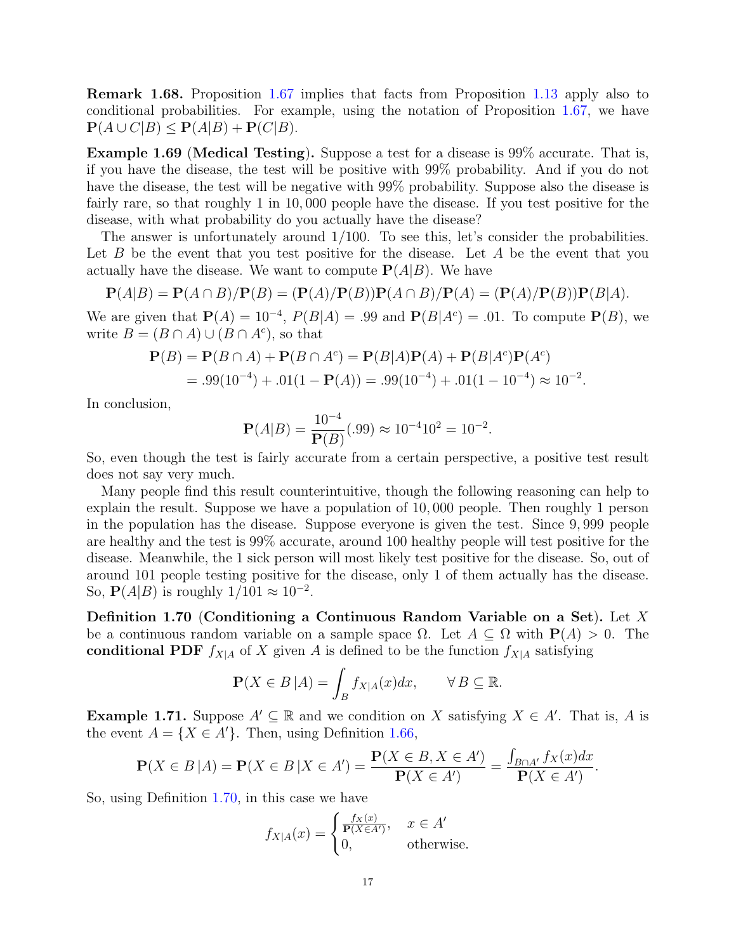Remark 1.68. Proposition [1.67](#page-15-0) implies that facts from Proposition [1.13](#page-3-1) apply also to conditional probabilities. For example, using the notation of Proposition [1.67,](#page-15-0) we have  $\mathbf{P}(A \cup C|B) \leq \mathbf{P}(A|B) + \mathbf{P}(C|B).$ 

Example 1.69 (Medical Testing). Suppose a test for a disease is 99% accurate. That is, if you have the disease, the test will be positive with 99% probability. And if you do not have the disease, the test will be negative with 99% probability. Suppose also the disease is fairly rare, so that roughly 1 in 10, 000 people have the disease. If you test positive for the disease, with what probability do you actually have the disease?

The answer is unfortunately around 1/100. To see this, let's consider the probabilities. Let  $B$  be the event that you test positive for the disease. Let  $A$  be the event that you actually have the disease. We want to compute  $P(A|B)$ . We have

$$
\mathbf{P}(A|B) = \mathbf{P}(A \cap B)/\mathbf{P}(B) = (\mathbf{P}(A)/\mathbf{P}(B))\mathbf{P}(A \cap B)/\mathbf{P}(A) = (\mathbf{P}(A)/\mathbf{P}(B))\mathbf{P}(B|A).
$$

We are given that  $P(A) = 10^{-4}$ ,  $P(B|A) = .99$  and  $P(B|A<sup>c</sup>) = .01$ . To compute  $P(B)$ , we write  $B = (B \cap A) \cup (B \cap A^c)$ , so that

$$
\mathbf{P}(B) = \mathbf{P}(B \cap A) + \mathbf{P}(B \cap A^c) = \mathbf{P}(B|A)\mathbf{P}(A) + \mathbf{P}(B|A^c)\mathbf{P}(A^c)
$$
  
= .99(10<sup>-4</sup>) + .01(1 -  $\mathbf{P}(A)$ ) = .99(10<sup>-4</sup>) + .01(1 - 10<sup>-4</sup>) ≈ 10<sup>-2</sup>.

In conclusion,

$$
\mathbf{P}(A|B) = \frac{10^{-4}}{\mathbf{P}(B)}(.99) \approx 10^{-4}10^2 = 10^{-2}.
$$

So, even though the test is fairly accurate from a certain perspective, a positive test result does not say very much.

Many people find this result counterintuitive, though the following reasoning can help to explain the result. Suppose we have a population of 10, 000 people. Then roughly 1 person in the population has the disease. Suppose everyone is given the test. Since 9, 999 people are healthy and the test is 99% accurate, around 100 healthy people will test positive for the disease. Meanwhile, the 1 sick person will most likely test positive for the disease. So, out of around 101 people testing positive for the disease, only 1 of them actually has the disease. So,  $\mathbf{P}(A|B)$  is roughly  $1/101 \approx 10^{-2}$ .

<span id="page-16-0"></span>Definition 1.70 (Conditioning a Continuous Random Variable on a Set). Let X be a continuous random variable on a sample space  $\Omega$ . Let  $A \subseteq \Omega$  with  $P(A) > 0$ . The conditional PDF  $f_{X|A}$  of X given A is defined to be the function  $f_{X|A}$  satisfying

$$
\mathbf{P}(X \in B | A) = \int_B f_{X|A}(x) dx, \qquad \forall B \subseteq \mathbb{R}.
$$

**Example 1.71.** Suppose  $A' \subseteq \mathbb{R}$  and we condition on X satisfying  $X \in A'$ . That is, A is the event  $A = \{X \in A'\}$ . Then, using Definition [1.66,](#page-14-2)

$$
\mathbf{P}(X \in B | A) = \mathbf{P}(X \in B | X \in A') = \frac{\mathbf{P}(X \in B, X \in A')}{\mathbf{P}(X \in A')} = \frac{\int_{B \cap A'} f_X(x) dx}{\mathbf{P}(X \in A')}.
$$

So, using Definition [1.70,](#page-16-0) in this case we have

$$
f_{X|A}(x) = \begin{cases} \frac{f_X(x)}{\mathbf{P}(X \in A')}, & x \in A' \\ 0, & \text{otherwise.} \end{cases}
$$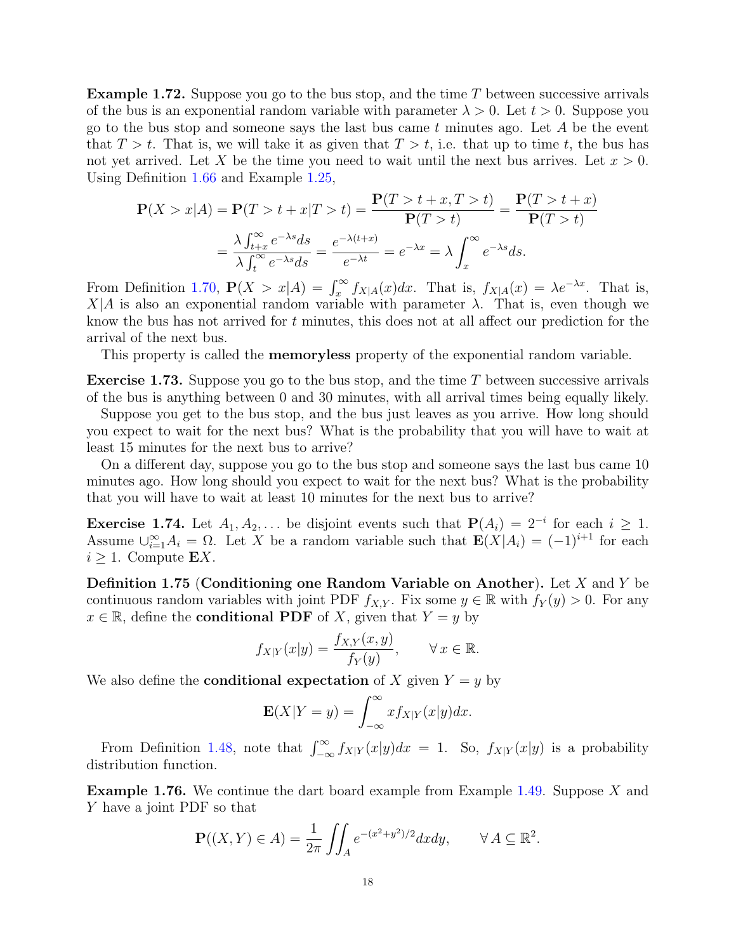**Example 1.72.** Suppose you go to the bus stop, and the time  $T$  between successive arrivals of the bus is an exponential random variable with parameter  $\lambda > 0$ . Let  $t > 0$ . Suppose you go to the bus stop and someone says the last bus came t minutes ago. Let  $A$  be the event that  $T > t$ . That is, we will take it as given that  $T > t$ , i.e. that up to time t, the bus has not yet arrived. Let X be the time you need to wait until the next bus arrives. Let  $x > 0$ . Using Definition [1.66](#page-14-2) and Example [1.25,](#page-6-2)

$$
\mathbf{P}(X > x | A) = \mathbf{P}(T > t + x | T > t) = \frac{\mathbf{P}(T > t + x, T > t)}{\mathbf{P}(T > t)} = \frac{\mathbf{P}(T > t + x)}{\mathbf{P}(T > t)}
$$

$$
= \frac{\lambda \int_{t+x}^{\infty} e^{-\lambda s} ds}{\lambda \int_{t}^{\infty} e^{-\lambda s} ds} = \frac{e^{-\lambda(t+x)}}{e^{-\lambda t}} = e^{-\lambda x} = \lambda \int_{x}^{\infty} e^{-\lambda s} ds.
$$

From Definition [1.70,](#page-16-0)  $\mathbf{P}(X > x | A) = \int_x^{\infty} f_{X|A}(x) dx$ . That is,  $f_{X|A}(x) = \lambda e^{-\lambda x}$ . That is,  $X|A$  is also an exponential random variable with parameter  $\lambda$ . That is, even though we know the bus has not arrived for t minutes, this does not at all affect our prediction for the arrival of the next bus.

This property is called the memoryless property of the exponential random variable.

**Exercise 1.73.** Suppose you go to the bus stop, and the time  $T$  between successive arrivals of the bus is anything between 0 and 30 minutes, with all arrival times being equally likely.

Suppose you get to the bus stop, and the bus just leaves as you arrive. How long should you expect to wait for the next bus? What is the probability that you will have to wait at least 15 minutes for the next bus to arrive?

On a different day, suppose you go to the bus stop and someone says the last bus came 10 minutes ago. How long should you expect to wait for the next bus? What is the probability that you will have to wait at least 10 minutes for the next bus to arrive?

**Exercise 1.74.** Let  $A_1, A_2, \ldots$  be disjoint events such that  $P(A_i) = 2^{-i}$  for each  $i \ge 1$ . Assume  $\bigcup_{i=1}^{\infty} A_i = \Omega$ . Let X be a random variable such that  $\mathbf{E}(X|A_i) = (-1)^{i+1}$  for each  $i \geq 1$ . Compute **E**X.

<span id="page-17-0"></span>**Definition 1.75 (Conditioning one Random Variable on Another).** Let  $X$  and  $Y$  be continuous random variables with joint PDF  $f_{X,Y}$ . Fix some  $y \in \mathbb{R}$  with  $f_Y(y) > 0$ . For any  $x \in \mathbb{R}$ , define the **conditional PDF** of X, given that  $Y = y$  by

$$
f_{X|Y}(x|y) = \frac{f_{X,Y}(x,y)}{f_Y(y)}, \qquad \forall x \in \mathbb{R}.
$$

We also define the **conditional expectation** of X given  $Y = y$  by

$$
\mathbf{E}(X|Y=y) = \int_{-\infty}^{\infty} x f_{X|Y}(x|y) dx.
$$

From Definition [1.48,](#page-11-0) note that  $\int_{-\infty}^{\infty} f_{X|Y}(x|y)dx = 1$ . So,  $f_{X|Y}(x|y)$  is a probability distribution function.

Example 1.76. We continue the dart board example from Example [1.49.](#page-11-1) Suppose X and Y have a joint PDF so that

$$
\mathbf{P}((X,Y)\in A) = \frac{1}{2\pi} \iint_A e^{-(x^2+y^2)/2} dx dy, \qquad \forall A \subseteq \mathbb{R}^2.
$$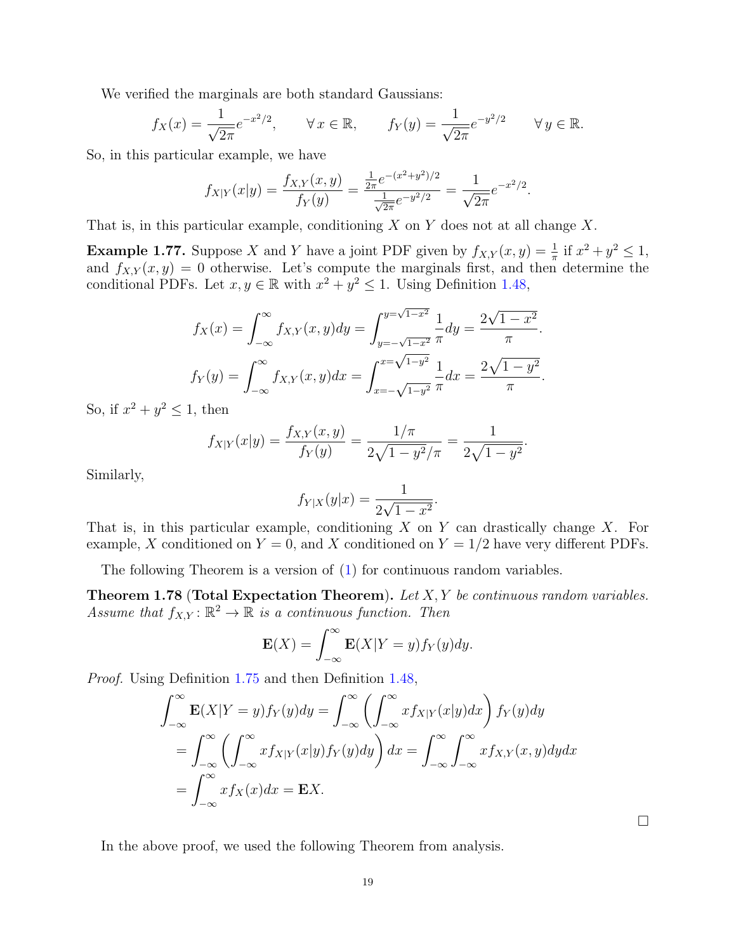We verified the marginals are both standard Gaussians:

$$
f_X(x) = \frac{1}{\sqrt{2\pi}} e^{-x^2/2}, \quad \forall x \in \mathbb{R}, \quad f_Y(y) = \frac{1}{\sqrt{2\pi}} e^{-y^2/2} \quad \forall y \in \mathbb{R}.
$$

So, in this particular example, we have

$$
f_{X|Y}(x|y) = \frac{f_{X,Y}(x,y)}{f_Y(y)} = \frac{\frac{1}{2\pi}e^{-(x^2+y^2)/2}}{\frac{1}{\sqrt{2\pi}}e^{-y^2/2}} = \frac{1}{\sqrt{2\pi}}e^{-x^2/2}.
$$

That is, in this particular example, conditioning  $X$  on  $Y$  does not at all change  $X$ .

**Example 1.77.** Suppose X and Y have a joint PDF given by  $f_{X,Y}(x,y) = \frac{1}{\pi}$  if  $x^2 + y^2 \le 1$ , and  $f_{X,Y}(x, y) = 0$  otherwise. Let's compute the marginals first, and then determine the conditional PDFs. Let  $x, y \in \mathbb{R}$  with  $x^2 + y^2 \leq 1$ . Using Definition [1.48,](#page-11-0)

$$
f_X(x) = \int_{-\infty}^{\infty} f_{X,Y}(x, y) dy = \int_{y=-\sqrt{1-x^2}}^{y=\sqrt{1-x^2}} \frac{1}{\pi} dy = \frac{2\sqrt{1-x^2}}{\pi}.
$$

$$
f_Y(y) = \int_{-\infty}^{\infty} f_{X,Y}(x, y) dx = \int_{x=-\sqrt{1-y^2}}^{x=\sqrt{1-y^2}} \frac{1}{\pi} dx = \frac{2\sqrt{1-y^2}}{\pi}.
$$

So, if  $x^2 + y^2 \leq 1$ , then

$$
f_{X|Y}(x|y) = \frac{f_{X,Y}(x,y)}{f_Y(y)} = \frac{1/\pi}{2\sqrt{1-y^2}/\pi} = \frac{1}{2\sqrt{1-y^2}}.
$$

Similarly,

$$
f_{Y|X}(y|x) = \frac{1}{2\sqrt{1-x^2}}.
$$

That is, in this particular example, conditioning  $X$  on  $Y$  can drastically change  $X$ . For example, X conditioned on  $Y = 0$ , and X conditioned on  $Y = 1/2$  have very different PDFs.

The following Theorem is a version of [\(1\)](#page-15-1) for continuous random variables.

**Theorem 1.78 (Total Expectation Theorem).** Let  $X, Y$  be continuous random variables. Assume that  $f_{X,Y} : \mathbb{R}^2 \to \mathbb{R}$  is a continuous function. Then

$$
\mathbf{E}(X) = \int_{-\infty}^{\infty} \mathbf{E}(X|Y=y) f_Y(y) dy.
$$

*Proof.* Using Definition [1.75](#page-17-0) and then Definition [1.48,](#page-11-0)

$$
\int_{-\infty}^{\infty} \mathbf{E}(X|Y=y) f_Y(y) dy = \int_{-\infty}^{\infty} \left( \int_{-\infty}^{\infty} x f_{X|Y}(x|y) dx \right) f_Y(y) dy
$$
  
= 
$$
\int_{-\infty}^{\infty} \left( \int_{-\infty}^{\infty} x f_{X|Y}(x|y) f_Y(y) dy \right) dx = \int_{-\infty}^{\infty} \int_{-\infty}^{\infty} x f_{X,Y}(x,y) dy dx
$$
  
= 
$$
\int_{-\infty}^{\infty} x f_X(x) dx = \mathbf{E} X.
$$

 $\Box$ 

In the above proof, we used the following Theorem from analysis.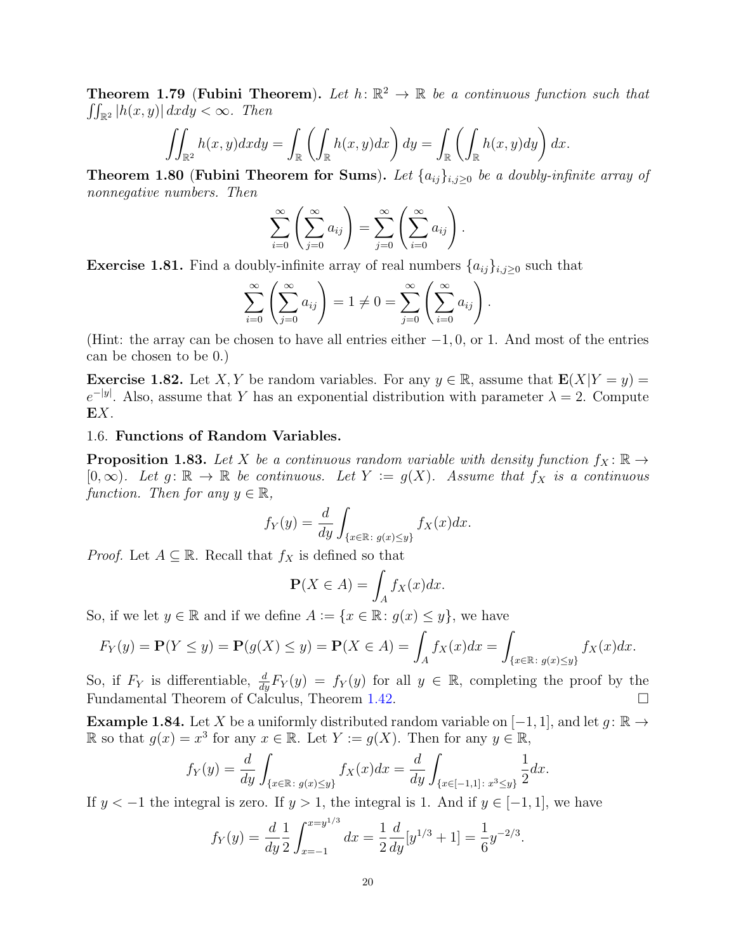**Theorem 1.79 (Fubini Theorem).** Let  $h: \mathbb{R}^2 \to \mathbb{R}$  be a continuous function such that  $\iint_{\mathbb{R}^2} |h(x,y)| \, dx dy < \infty$ . Then

$$
\iint_{\mathbb{R}^2} h(x, y) dx dy = \int_{\mathbb{R}} \left( \int_{\mathbb{R}} h(x, y) dx \right) dy = \int_{\mathbb{R}} \left( \int_{\mathbb{R}} h(x, y) dy \right) dx.
$$

<span id="page-19-1"></span>Theorem 1.80 (Fubini Theorem for Sums). Let  $\{a_{ij}\}_{i,j\geq 0}$  be a doubly-infinite array of nonnegative numbers. Then

$$
\sum_{i=0}^{\infty} \left( \sum_{j=0}^{\infty} a_{ij} \right) = \sum_{j=0}^{\infty} \left( \sum_{i=0}^{\infty} a_{ij} \right).
$$

**Exercise 1.81.** Find a doubly-infinite array of real numbers  $\{a_{ij}\}_{i,j\geq 0}$  such that

$$
\sum_{i=0}^{\infty} \left( \sum_{j=0}^{\infty} a_{ij} \right) = 1 \neq 0 = \sum_{j=0}^{\infty} \left( \sum_{i=0}^{\infty} a_{ij} \right).
$$

(Hint: the array can be chosen to have all entries either  $-1, 0$ , or 1. And most of the entries can be chosen to be 0.)

**Exercise 1.82.** Let X, Y be random variables. For any  $y \in \mathbb{R}$ , assume that  $\mathbf{E}(X|Y=y)$  =  $e^{-|y|}$ . Also, assume that Y has an exponential distribution with parameter  $\lambda = 2$ . Compute EX.

## <span id="page-19-0"></span>1.6. Functions of Random Variables.

**Proposition 1.83.** Let X be a continuous random variable with density function  $f_X : \mathbb{R} \to$ [0,∞). Let  $g: \mathbb{R} \to \mathbb{R}$  be continuous. Let  $Y := g(X)$ . Assume that  $f_X$  is a continuous function. Then for any  $y \in \mathbb{R}$ ,

$$
f_Y(y) = \frac{d}{dy} \int_{\{x \in \mathbb{R} : g(x) \le y\}} f_X(x) dx.
$$

*Proof.* Let  $A \subseteq \mathbb{R}$ . Recall that  $f_X$  is defined so that

$$
\mathbf{P}(X \in A) = \int_A f_X(x) dx.
$$

So, if we let  $y \in \mathbb{R}$  and if we define  $A := \{x \in \mathbb{R} : g(x) \leq y\}$ , we have

$$
F_Y(y) = \mathbf{P}(Y \le y) = \mathbf{P}(g(X) \le y) = \mathbf{P}(X \in A) = \int_A f_X(x)dx = \int_{\{x \in \mathbb{R} : g(x) \le y\}} f_X(x)dx.
$$

So, if  $F_Y$  is differentiable,  $\frac{d}{dy}F_Y(y) = f_Y(y)$  for all  $y \in \mathbb{R}$ , completing the proof by the Fundamental Theorem of Calculus, Theorem [1.42.](#page-10-1)

**Example 1.84.** Let X be a uniformly distributed random variable on  $[-1, 1]$ , and let  $g: \mathbb{R} \to$ R so that  $g(x) = x^3$  for any  $x \in \mathbb{R}$ . Let  $Y := g(X)$ . Then for any  $y \in \mathbb{R}$ ,

$$
f_Y(y) = \frac{d}{dy} \int_{\{x \in \mathbb{R} : g(x) \le y\}} f_X(x) dx = \frac{d}{dy} \int_{\{x \in [-1,1] : x^3 \le y\}} \frac{1}{2} dx.
$$

If  $y < -1$  the integral is zero. If  $y > 1$ , the integral is 1. And if  $y \in [-1, 1]$ , we have

$$
f_Y(y) = \frac{d}{dy} \frac{1}{2} \int_{x=-1}^{x=y^{1/3}} dx = \frac{1}{2} \frac{d}{dy} [y^{1/3} + 1] = \frac{1}{6} y^{-2/3}.
$$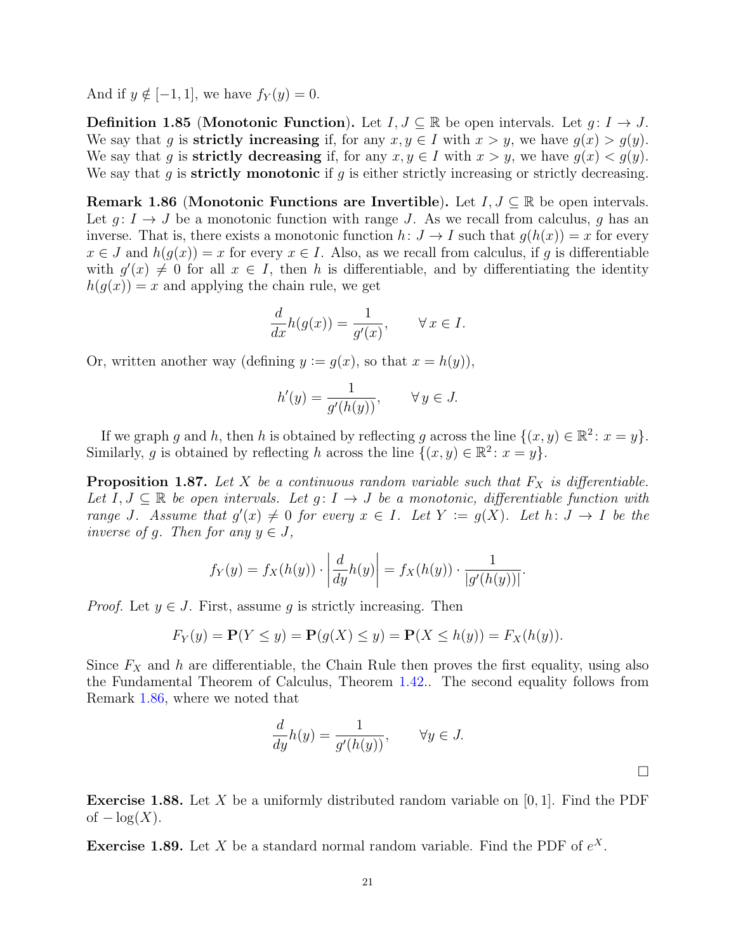And if  $y \notin [-1, 1]$ , we have  $f_Y(y) = 0$ .

**Definition 1.85 (Monotonic Function).** Let  $I, J \subseteq \mathbb{R}$  be open intervals. Let  $g: I \to J$ . We say that g is **strictly increasing** if, for any  $x, y \in I$  with  $x > y$ , we have  $g(x) > g(y)$ . We say that g is **strictly decreasing** if, for any  $x, y \in I$  with  $x > y$ , we have  $g(x) < g(y)$ . We say that g is strictly monotonic if g is either strictly increasing or strictly decreasing.

<span id="page-20-0"></span>Remark 1.86 (Monotonic Functions are Invertible). Let  $I, J \subseteq \mathbb{R}$  be open intervals. Let  $g: I \to J$  be a monotonic function with range J. As we recall from calculus, g has an inverse. That is, there exists a monotonic function  $h: J \to I$  such that  $g(h(x)) = x$  for every  $x \in J$  and  $h(g(x)) = x$  for every  $x \in I$ . Also, as we recall from calculus, if g is differentiable with  $g'(x) \neq 0$  for all  $x \in I$ , then h is differentiable, and by differentiating the identity  $h(q(x)) = x$  and applying the chain rule, we get

$$
\frac{d}{dx}h(g(x)) = \frac{1}{g'(x)}, \qquad \forall x \in I.
$$

Or, written another way (defining  $y := g(x)$ , so that  $x = h(y)$ ),

$$
h'(y) = \frac{1}{g'(h(y))}, \qquad \forall y \in J.
$$

If we graph g and h, then h is obtained by reflecting g across the line  $\{(x, y) \in \mathbb{R}^2 : x = y\}.$ Similarly, g is obtained by reflecting h across the line  $\{(x, y) \in \mathbb{R}^2 : x = y\}.$ 

**Proposition 1.87.** Let X be a continuous random variable such that  $F_X$  is differentiable. Let  $I, J \subseteq \mathbb{R}$  be open intervals. Let  $g: I \to J$  be a monotonic, differentiable function with range J. Assume that  $g'(x) \neq 0$  for every  $x \in I$ . Let  $Y := g(X)$ . Let  $h: J \to I$  be the inverse of g. Then for any  $y \in J$ ,

$$
f_Y(y) = f_X(h(y)) \cdot \left| \frac{d}{dy} h(y) \right| = f_X(h(y)) \cdot \frac{1}{|g'(h(y))|}.
$$

*Proof.* Let  $y \in J$ . First, assume g is strictly increasing. Then

$$
F_Y(y) = \mathbf{P}(Y \le y) = \mathbf{P}(g(X) \le y) = \mathbf{P}(X \le h(y)) = F_X(h(y)).
$$

Since  $F_X$  and h are differentiable, the Chain Rule then proves the first equality, using also the Fundamental Theorem of Calculus, Theorem [1.42.](#page-10-1). The second equality follows from Remark [1.86,](#page-20-0) where we noted that

$$
\frac{d}{dy}h(y) = \frac{1}{g'(h(y))}, \qquad \forall y \in J.
$$

**Exercise 1.88.** Let X be a uniformly distributed random variable on  $[0, 1]$ . Find the PDF of  $-\log(X)$ .

**Exercise 1.89.** Let X be a standard normal random variable. Find the PDF of  $e^X$ .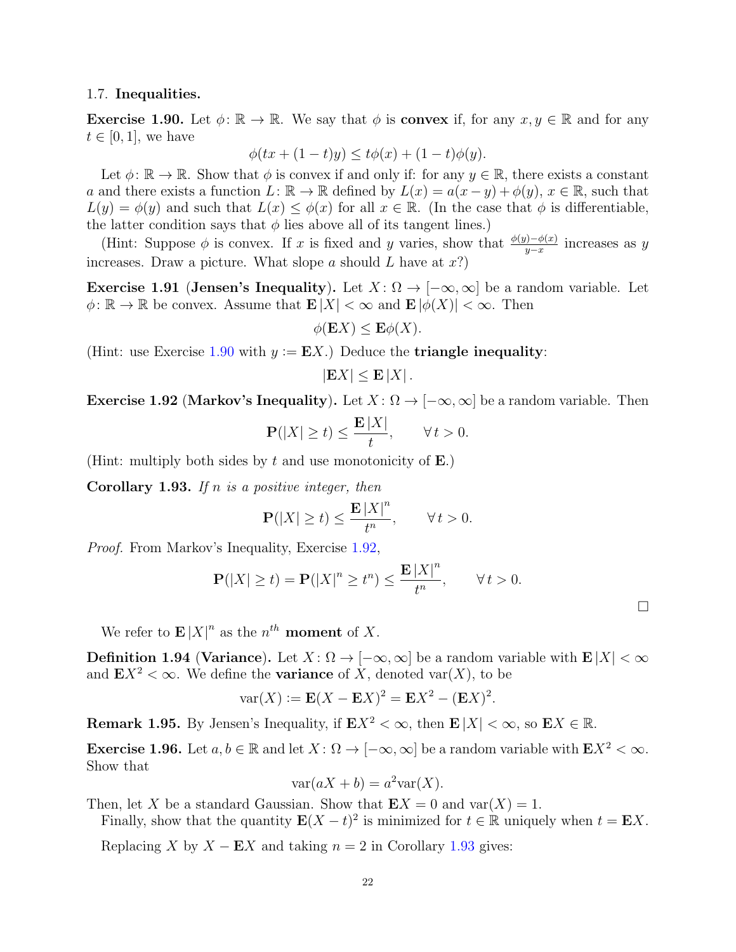#### <span id="page-21-0"></span>1.7. Inequalities.

<span id="page-21-1"></span>**Exercise 1.90.** Let  $\phi: \mathbb{R} \to \mathbb{R}$ . We say that  $\phi$  is **convex** if, for any  $x, y \in \mathbb{R}$  and for any  $t \in [0, 1]$ , we have

$$
\phi(tx + (1-t)y) \le t\phi(x) + (1-t)\phi(y).
$$

Let  $\phi: \mathbb{R} \to \mathbb{R}$ . Show that  $\phi$  is convex if and only if: for any  $y \in \mathbb{R}$ , there exists a constant a and there exists a function  $L: \mathbb{R} \to \mathbb{R}$  defined by  $L(x) = a(x - y) + \phi(y), x \in \mathbb{R}$ , such that  $L(y) = \phi(y)$  and such that  $L(x) \leq \phi(x)$  for all  $x \in \mathbb{R}$ . (In the case that  $\phi$  is differentiable, the latter condition says that  $\phi$  lies above all of its tangent lines.)

(Hint: Suppose  $\phi$  is convex. If x is fixed and y varies, show that  $\frac{\phi(y) - \phi(x)}{y - x}$  increases as y increases. Draw a picture. What slope a should L have at  $x$ ?)

<span id="page-21-4"></span>Exercise 1.91 (Jensen's Inequality). Let  $X: \Omega \to [-\infty, \infty]$  be a random variable. Let  $\phi: \mathbb{R} \to \mathbb{R}$  be convex. Assume that  $\mathbf{E}|X| < \infty$  and  $\mathbf{E} |\phi(X)| < \infty$ . Then

$$
\phi(\mathbf{E}X) \le \mathbf{E}\phi(X).
$$

(Hint: use Exercise [1.90](#page-21-1) with  $y := EX$ .) Deduce the **triangle inequality**:

$$
|\mathbf{E}X| \le \mathbf{E} |X|.
$$

<span id="page-21-2"></span>Exercise 1.92 (Markov's Inequality). Let  $X: \Omega \to [-\infty, \infty]$  be a random variable. Then

$$
\mathbf{P}(|X| \ge t) \le \frac{\mathbf{E}|X|}{t}, \qquad \forall \, t > 0.
$$

(Hint: multiply both sides by t and use monotonicity of  $\bf{E}$ .)

<span id="page-21-3"></span>**Corollary 1.93.** If n is a positive integer, then

$$
\mathbf{P}(|X| \ge t) \le \frac{\mathbf{E}|X|^n}{t^n}, \qquad \forall \, t > 0.
$$

Proof. From Markov's Inequality, Exercise [1.92,](#page-21-2)

$$
\mathbf{P}(|X| \ge t) = \mathbf{P}(|X|^n \ge t^n) \le \frac{\mathbf{E}|X|^n}{t^n}, \qquad \forall t > 0.
$$

We refer to  $\mathbf{E}|X|^n$  as the  $n^{th}$  moment of X.

**Definition 1.94 (Variance).** Let  $X: \Omega \to [-\infty, \infty]$  be a random variable with  $\mathbf{E}|X| < \infty$ and  $\mathbf{E} X^2 < \infty$ . We define the **variance** of X, denoted var $(X)$ , to be

$$
var(X) := \mathbf{E}(X - \mathbf{E}X)^2 = \mathbf{E}X^2 - (\mathbf{E}X)^2.
$$

**Remark 1.95.** By Jensen's Inequality, if  $\mathbf{E} X^2 < \infty$ , then  $\mathbf{E} |X| < \infty$ , so  $\mathbf{E} X \in \mathbb{R}$ .

Exercise 1.96. Let  $a, b \in \mathbb{R}$  and let  $X: \Omega \to [-\infty, \infty]$  be a random variable with  $E X^2 < \infty$ . Show that

$$
\text{var}(aX + b) = a^2 \text{var}(X).
$$

Then, let X be a standard Gaussian. Show that  $\mathbf{E}X = 0$  and  $\text{var}(X) = 1$ .

Finally, show that the quantity  $\mathbf{E}(X-t)^2$  is minimized for  $t \in \mathbb{R}$  uniquely when  $t = \mathbf{E}X$ .

Replacing X by  $X - EX$  and taking  $n = 2$  in Corollary [1.93](#page-21-3) gives:

 $\Box$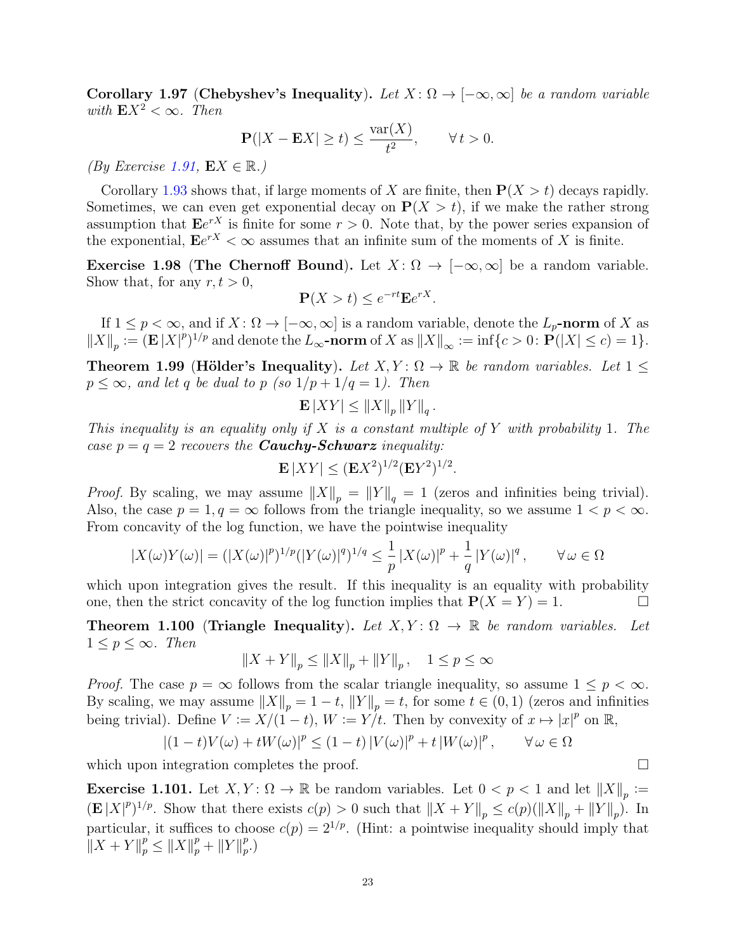<span id="page-22-1"></span>Corollary 1.97 (Chebyshev's Inequality). Let  $X: \Omega \to [-\infty, \infty]$  be a random variable with  $E X^2 < \infty$ . Then

$$
\mathbf{P}(|X - \mathbf{E}X| \ge t) \le \frac{\text{var}(X)}{t^2}, \qquad \forall t > 0.
$$

(By Exercise [1.91,](#page-21-4)  $EX \in \mathbb{R}$ .)

Corollary [1.93](#page-21-3) shows that, if large moments of X are finite, then  $P(X > t)$  decays rapidly. Sometimes, we can even get exponential decay on  $P(X > t)$ , if we make the rather strong assumption that  $\mathbf{E}e^{rX}$  is finite for some  $r > 0$ . Note that, by the power series expansion of the exponential,  $\mathbf{E}e^{rX} < \infty$  assumes that an infinite sum of the moments of X is finite.

Exercise 1.98 (The Chernoff Bound). Let  $X: \Omega \to [-\infty, \infty]$  be a random variable. Show that, for any  $r, t > 0$ ,

$$
\mathbf{P}(X > t) \le e^{-rt} \mathbf{E} e^{rX}.
$$

If  $1 \leq p < \infty$ , and if  $X: \Omega \to [-\infty, \infty]$  is a random variable, denote the  $L_p$ -norm of X as  $||X||_p := (\mathbf{E} |X|^p)^{1/p}$  and denote the  $L_\infty$ -norm of X as  $||X||_\infty := \inf\{c > 0 : \mathbf{P}(|X| \leq c) = 1\}.$ 

<span id="page-22-0"></span>**Theorem 1.99 (Hölder's Inequality).** Let  $X, Y: \Omega \to \mathbb{R}$  be random variables. Let  $1 \leq$  $p \leq \infty$ , and let q be dual to p (so  $1/p + 1/q = 1$ ). Then

$$
\mathbf{E}\left|XY\right| \leq \left\|X\right\|_p \left\|Y\right\|_q.
$$

This inequality is an equality only if X is a constant multiple of Y with probability 1. The case  $p = q = 2$  recovers the **Cauchy-Schwarz** inequality:

$$
\mathbf{E}\left[XY\right] \leq (\mathbf{E}X^2)^{1/2}(\mathbf{E}Y^2)^{1/2}.
$$

*Proof.* By scaling, we may assume  $||X||_p = ||Y||_q = 1$  (zeros and infinities being trivial). Also, the case  $p = 1, q = \infty$  follows from the triangle inequality, so we assume  $1 < p < \infty$ . From concavity of the log function, we have the pointwise inequality

$$
|X(\omega)Y(\omega)| = (|X(\omega)|^p)^{1/p} (|Y(\omega)|^q)^{1/q} \le \frac{1}{p} |X(\omega)|^p + \frac{1}{q} |Y(\omega)|^q, \qquad \forall \omega \in \Omega
$$

which upon integration gives the result. If this inequality is an equality with probability one, then the strict concavity of the log function implies that  $P(X = Y) = 1$ .

**Theorem 1.100** (Triangle Inequality). Let  $X, Y: \Omega \to \mathbb{R}$  be random variables. Let  $1 \leq p \leq \infty$ . Then

$$
||X+Y||_p\leq ||X||_p+||Y||_p\,,\quad 1\leq p\leq\infty
$$

*Proof.* The case  $p = \infty$  follows from the scalar triangle inequality, so assume  $1 \leq p \leq \infty$ . By scaling, we may assume  $||X||_p = 1 - t$ ,  $||Y||_p = t$ , for some  $t \in (0, 1)$  (zeros and infinities being trivial). Define  $V := X/(1-t)$ ,  $W := Y/t$ . Then by convexity of  $x \mapsto |x|^p$  on  $\mathbb{R}$ ,

$$
|(1-t)V(\omega)+tW(\omega)|^p \le (1-t)|V(\omega)|^p+t|W(\omega)|^p, \qquad \forall \omega \in \Omega
$$

which upon integration completes the proof.

**Exercise 1.101.** Let  $X, Y: \Omega \to \mathbb{R}$  be random variables. Let  $0 < p < 1$  and let  $||X||_p :=$  $(\mathbf{E}|X|^p)^{1/p}$ . Show that there exists  $c(p) > 0$  such that  $||X + Y||_p \leq c(p)(||X||_p + ||Y||_p)$ . In particular, it suffices to choose  $c(p) = 2^{1/p}$ . (Hint: a pointwise inequality should imply that  $\|X + Y\|_p^p \le \|X\|_p^p + \|Y\|_p^p$  $_{p}^{p}.)$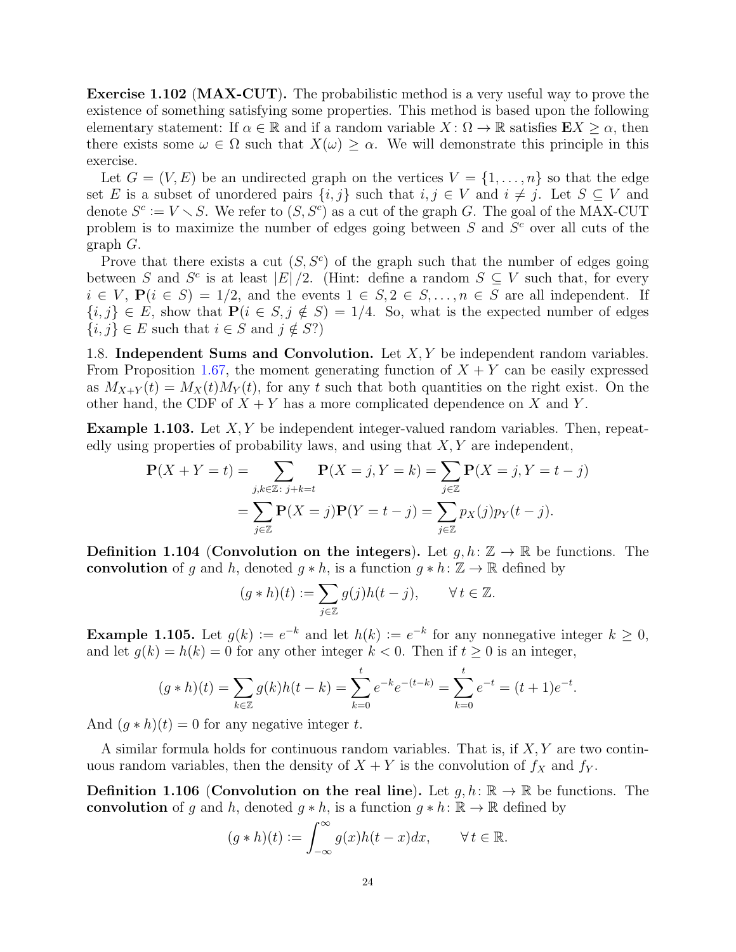Exercise 1.102 (MAX-CUT). The probabilistic method is a very useful way to prove the existence of something satisfying some properties. This method is based upon the following elementary statement: If  $\alpha \in \mathbb{R}$  and if a random variable  $X: \Omega \to \mathbb{R}$  satisfies  $\mathbf{E} X \geq \alpha$ , then there exists some  $\omega \in \Omega$  such that  $X(\omega) \geq \alpha$ . We will demonstrate this principle in this exercise.

Let  $G = (V, E)$  be an undirected graph on the vertices  $V = \{1, \ldots, n\}$  so that the edge set E is a subset of unordered pairs  $\{i, j\}$  such that  $i, j \in V$  and  $i \neq j$ . Let  $S \subseteq V$  and denote  $S^c := V \setminus S$ . We refer to  $(S, S^c)$  as a cut of the graph G. The goal of the MAX-CUT problem is to maximize the number of edges going between  $S$  and  $S<sup>c</sup>$  over all cuts of the graph G.

Prove that there exists a cut  $(S, S^c)$  of the graph such that the number of edges going between S and  $S^c$  is at least  $|E|/2$ . (Hint: define a random  $S \subseteq V$  such that, for every  $i \in V$ ,  $P(i \in S) = 1/2$ , and the events  $1 \in S$ ,  $2 \in S$ , ...,  $n \in S$  are all independent. If  ${i, j} \in E$ , show that  $P(i \in S, j \notin S) = 1/4$ . So, what is the expected number of edges  $\{i, j\} \in E$  such that  $i \in S$  and  $j \notin S$ ?)

<span id="page-23-0"></span>1.8. Independent Sums and Convolution. Let  $X, Y$  be independent random variables. From Proposition [1.67,](#page-15-0) the moment generating function of  $X + Y$  can be easily expressed as  $M_{X+Y}(t) = M_X(t)M_Y(t)$ , for any t such that both quantities on the right exist. On the other hand, the CDF of  $X + Y$  has a more complicated dependence on X and Y.

**Example 1.103.** Let  $X, Y$  be independent integer-valued random variables. Then, repeatedly using properties of probability laws, and using that  $X, Y$  are independent,

$$
\mathbf{P}(X+Y=t) = \sum_{j,k \in \mathbb{Z}:\ j+k=t} \mathbf{P}(X=j, Y=k) = \sum_{j \in \mathbb{Z}} \mathbf{P}(X=j, Y=t-j)
$$

$$
= \sum_{j \in \mathbb{Z}} \mathbf{P}(X=j) \mathbf{P}(Y=t-j) = \sum_{j \in \mathbb{Z}} p_X(j) p_Y(t-j).
$$

**Definition 1.104 (Convolution on the integers).** Let  $g, h: \mathbb{Z} \to \mathbb{R}$  be functions. The convolution of g and h, denoted  $g * h$ , is a function  $g * h: \mathbb{Z} \to \mathbb{R}$  defined by

$$
(g * h)(t) := \sum_{j \in \mathbb{Z}} g(j)h(t - j), \qquad \forall t \in \mathbb{Z}.
$$

**Example 1.105.** Let  $g(k) := e^{-k}$  and let  $h(k) := e^{-k}$  for any nonnegative integer  $k \geq 0$ , and let  $g(k) = h(k) = 0$  for any other integer  $k < 0$ . Then if  $t \ge 0$  is an integer,

$$
(g * h)(t) = \sum_{k \in \mathbb{Z}} g(k)h(t-k) = \sum_{k=0}^{t} e^{-k} e^{-(t-k)} = \sum_{k=0}^{t} e^{-t} = (t+1)e^{-t}.
$$

And  $(q * h)(t) = 0$  for any negative integer t.

A similar formula holds for continuous random variables. That is, if  $X, Y$  are two continuous random variables, then the density of  $X + Y$  is the convolution of  $f_X$  and  $f_Y$ .

**Definition 1.106 (Convolution on the real line).** Let  $q, h: \mathbb{R} \to \mathbb{R}$  be functions. The convolution of g and h, denoted  $q * h$ , is a function  $q * h: \mathbb{R} \to \mathbb{R}$  defined by

$$
(g * h)(t) := \int_{-\infty}^{\infty} g(x)h(t - x)dx, \qquad \forall t \in \mathbb{R}.
$$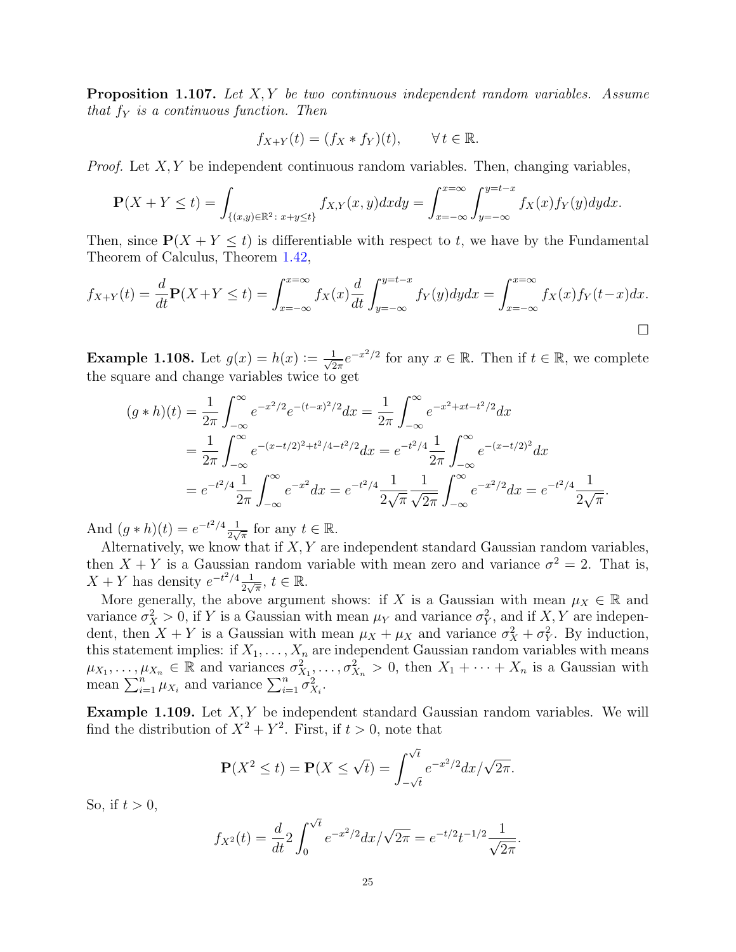**Proposition 1.107.** Let X, Y be two continuous independent random variables. Assume that  $f_Y$  is a continuous function. Then

$$
f_{X+Y}(t) = (f_X * f_Y)(t), \qquad \forall \, t \in \mathbb{R}.
$$

*Proof.* Let  $X, Y$  be independent continuous random variables. Then, changing variables,

$$
\mathbf{P}(X+Y \le t) = \int_{\{(x,y)\in\mathbb{R}^2\colon x+y\le t\}} f_{X,Y}(x,y) dx dy = \int_{x=-\infty}^{x=\infty} \int_{y=-\infty}^{y=t-x} f_X(x) f_Y(y) dy dx.
$$

Then, since  $P(X + Y \le t)$  is differentiable with respect to t, we have by the Fundamental Theorem of Calculus, Theorem [1.42,](#page-10-1)

$$
f_{X+Y}(t) = \frac{d}{dt} \mathbf{P}(X+Y \le t) = \int_{x=-\infty}^{x=\infty} f_X(x) \frac{d}{dt} \int_{y=-\infty}^{y=t-x} f_Y(y) dy dx = \int_{x=-\infty}^{x=\infty} f_X(x) f_Y(t-x) dx.
$$

**Example 1.108.** Let  $g(x) = h(x) := \frac{1}{\sqrt{2}}$  $\frac{1}{2\pi}e^{-x^2/2}$  for any  $x \in \mathbb{R}$ . Then if  $t \in \mathbb{R}$ , we complete the square and change variables twice to get

$$
(g * h)(t) = \frac{1}{2\pi} \int_{-\infty}^{\infty} e^{-x^2/2} e^{-(t-x)^2/2} dx = \frac{1}{2\pi} \int_{-\infty}^{\infty} e^{-x^2 + xt - t^2/2} dx
$$
  

$$
= \frac{1}{2\pi} \int_{-\infty}^{\infty} e^{-(x-t/2)^2 + t^2/4 - t^2/2} dx = e^{-t^2/4} \frac{1}{2\pi} \int_{-\infty}^{\infty} e^{-(x-t/2)^2} dx
$$
  

$$
= e^{-t^2/4} \frac{1}{2\pi} \int_{-\infty}^{\infty} e^{-x^2} dx = e^{-t^2/4} \frac{1}{2\sqrt{\pi}} \frac{1}{\sqrt{2\pi}} \int_{-\infty}^{\infty} e^{-x^2/2} dx = e^{-t^2/4} \frac{1}{2\sqrt{\pi}}.
$$

And  $(g * h)(t) = e^{-t^2/4} \frac{1}{2}$  $\frac{1}{2\sqrt{\pi}}$  for any  $t \in \mathbb{R}$ .

Alternatively, we know that if  $X, Y$  are independent standard Gaussian random variables, then  $X + Y$  is a Gaussian random variable with mean zero and variance  $\sigma^2 = 2$ . That is,  $X + Y$  has density  $e^{-t^2/4} \frac{1}{2}$  $\frac{1}{2\sqrt{\pi}}, t \in \mathbb{R}$ .

More generally, the above argument shows: if X is a Gaussian with mean  $\mu_X \in \mathbb{R}$  and variance  $\sigma_X^2 > 0$ , if Y is a Gaussian with mean  $\mu_Y$  and variance  $\sigma_Y^2$ , and if X, Y are independent, then  $X + Y$  is a Gaussian with mean  $\mu_X + \mu_X$  and variance  $\sigma_X^2 + \sigma_Y^2$ . By induction, this statement implies: if  $X_1, \ldots, X_n$  are independent Gaussian random variables with means  $\mu_{X_1},\ldots,\mu_{X_n} \in \mathbb{R}$  and variances  $\sigma_{X_1}^2,\ldots,\sigma_{X_n}^2 > 0$ , then  $X_1 + \cdots + X_n$  is a Gaussian with mean  $\sum_{i=1}^{n} \mu_{X_i}$  and variance  $\sum_{i=1}^{n} \sigma_{X_i}^2$ .

<span id="page-24-0"></span>**Example 1.109.** Let  $X, Y$  be independent standard Gaussian random variables. We will find the distribution of  $X^2 + Y^2$ . First, if  $t > 0$ , note that

$$
\mathbf{P}(X^2 \le t) = \mathbf{P}(X \le \sqrt{t}) = \int_{-\sqrt{t}}^{\sqrt{t}} e^{-x^2/2} dx / \sqrt{2\pi}.
$$

So, if  $t > 0$ ,

$$
f_{X^2}(t) = \frac{d}{dt} 2 \int_0^{\sqrt{t}} e^{-x^2/2} dx / \sqrt{2\pi} = e^{-t/2} t^{-1/2} \frac{1}{\sqrt{2\pi}}.
$$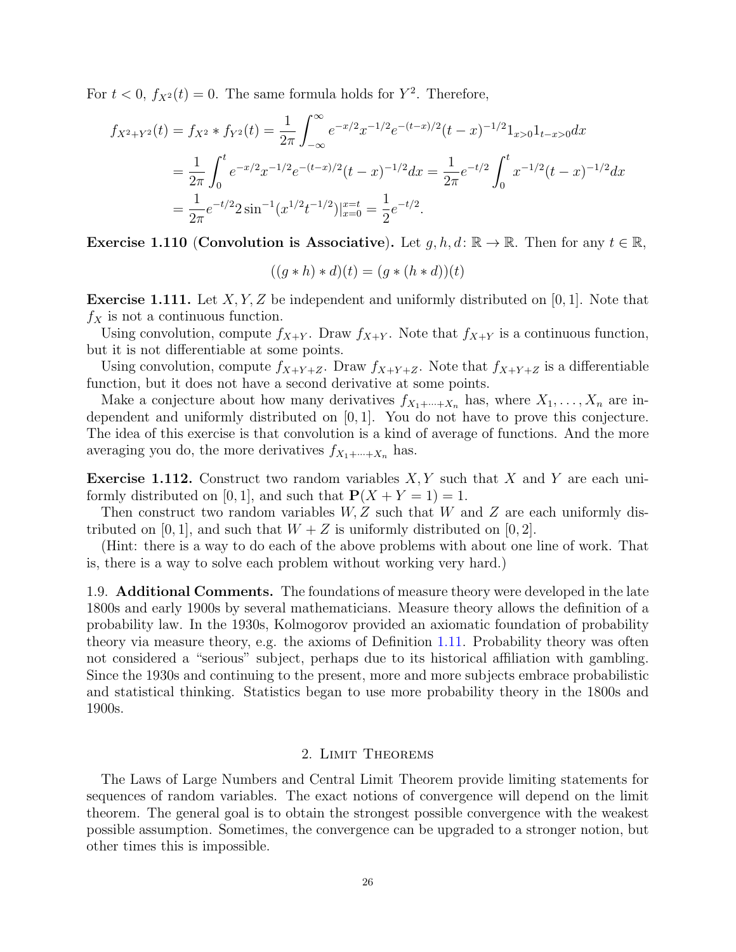For  $t < 0$ ,  $f_{X^2}(t) = 0$ . The same formula holds for  $Y^2$ . Therefore,

$$
f_{X^2+Y^2}(t) = f_{X^2} * f_{Y^2}(t) = \frac{1}{2\pi} \int_{-\infty}^{\infty} e^{-x/2} x^{-1/2} e^{-(t-x)/2} (t-x)^{-1/2} 1_{x>0} 1_{t-x>0} dx
$$
  
=  $\frac{1}{2\pi} \int_0^t e^{-x/2} x^{-1/2} e^{-(t-x)/2} (t-x)^{-1/2} dx = \frac{1}{2\pi} e^{-t/2} \int_0^t x^{-1/2} (t-x)^{-1/2} dx$   
=  $\frac{1}{2\pi} e^{-t/2} 2 \sin^{-1} (x^{1/2} t^{-1/2})|_{x=0}^{x=t} = \frac{1}{2} e^{-t/2}.$ 

Exercise 1.110 (Convolution is Associative). Let  $g, h, d: \mathbb{R} \to \mathbb{R}$ . Then for any  $t \in \mathbb{R}$ ,

$$
((g * h) * d)(t) = (g * (h * d))(t)
$$

**Exercise 1.111.** Let  $X, Y, Z$  be independent and uniformly distributed on [0, 1]. Note that  $f_X$  is not a continuous function.

Using convolution, compute  $f_{X+Y}$ . Draw  $f_{X+Y}$ . Note that  $f_{X+Y}$  is a continuous function, but it is not differentiable at some points.

Using convolution, compute  $f_{X+Y+Z}$ . Draw  $f_{X+Y+Z}$ . Note that  $f_{X+Y+Z}$  is a differentiable function, but it does not have a second derivative at some points.

Make a conjecture about how many derivatives  $f_{X_1+\cdots+X_n}$  has, where  $X_1,\ldots,X_n$  are independent and uniformly distributed on [0, 1]. You do not have to prove this conjecture. The idea of this exercise is that convolution is a kind of average of functions. And the more averaging you do, the more derivatives  $f_{X_1+\cdots+X_n}$  has.

**Exercise 1.112.** Construct two random variables  $X, Y$  such that X and Y are each uniformly distributed on [0, 1], and such that  $P(X + Y = 1) = 1$ .

Then construct two random variables  $W, Z$  such that W and Z are each uniformly distributed on [0, 1], and such that  $W + Z$  is uniformly distributed on [0, 2].

(Hint: there is a way to do each of the above problems with about one line of work. That is, there is a way to solve each problem without working very hard.)

<span id="page-25-0"></span>1.9. Additional Comments. The foundations of measure theory were developed in the late 1800s and early 1900s by several mathematicians. Measure theory allows the definition of a probability law. In the 1930s, Kolmogorov provided an axiomatic foundation of probability theory via measure theory, e.g. the axioms of Definition [1.11.](#page-2-2) Probability theory was often not considered a "serious" subject, perhaps due to its historical affiliation with gambling. Since the 1930s and continuing to the present, more and more subjects embrace probabilistic and statistical thinking. Statistics began to use more probability theory in the 1800s and 1900s.

#### 2. Limit Theorems

<span id="page-25-1"></span>The Laws of Large Numbers and Central Limit Theorem provide limiting statements for sequences of random variables. The exact notions of convergence will depend on the limit theorem. The general goal is to obtain the strongest possible convergence with the weakest possible assumption. Sometimes, the convergence can be upgraded to a stronger notion, but other times this is impossible.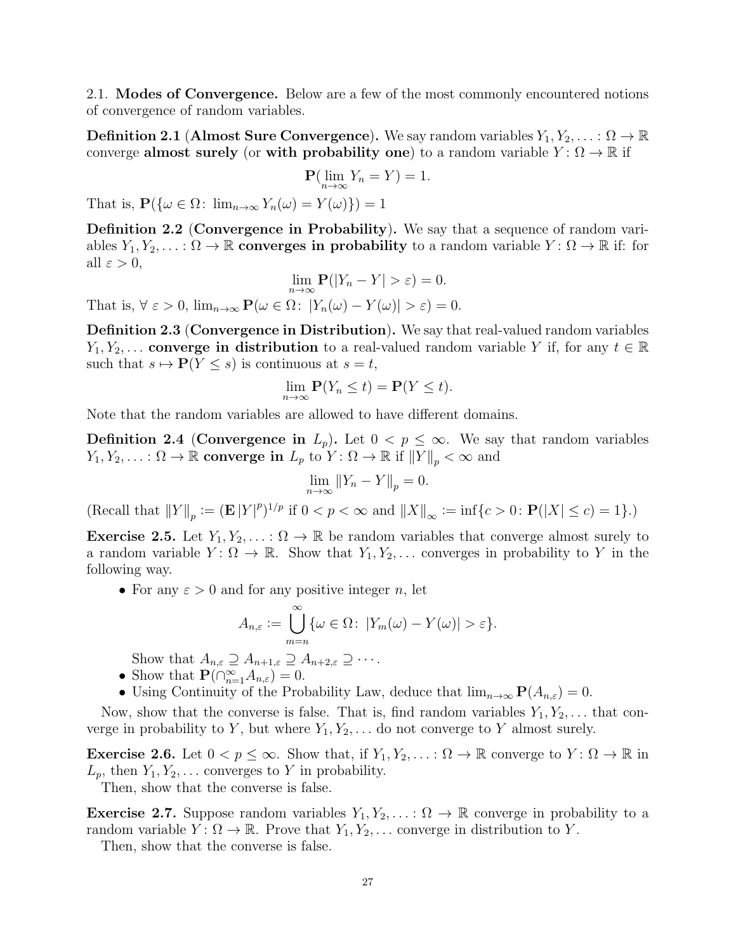<span id="page-26-0"></span>2.1. Modes of Convergence. Below are a few of the most commonly encountered notions of convergence of random variables.

**Definition 2.1 (Almost Sure Convergence).** We say random variables  $Y_1, Y_2, \ldots : \Omega \to \mathbb{R}$ converge almost surely (or with probability one) to a random variable  $Y: \Omega \to \mathbb{R}$  if

$$
\mathbf{P}(\lim_{n\to\infty}Y_n=Y)=1.
$$

That is,  $P({\omega \in \Omega: \lim_{n\to\infty} Y_n(\omega) = Y(\omega)} = 1$ 

Definition 2.2 (Convergence in Probability). We say that a sequence of random variables  $Y_1, Y_2, \ldots : \Omega \to \mathbb{R}$  converges in probability to a random variable  $Y : \Omega \to \mathbb{R}$  if: for all  $\varepsilon > 0$ ,

$$
\lim_{n \to \infty} \mathbf{P}(|Y_n - Y| > \varepsilon) = 0.
$$
  
That is,  $\forall \varepsilon > 0$ ,  $\lim_{n \to \infty} \mathbf{P}(\omega \in \Omega: |Y_n(\omega) - Y(\omega)| > \varepsilon) = 0.$ 

Definition 2.3 (Convergence in Distribution). We say that real-valued random variables  $Y_1, Y_2, \ldots$  converge in distribution to a real-valued random variable Y if, for any  $t \in \mathbb{R}$ such that  $s \mapsto P(Y \leq s)$  is continuous at  $s = t$ ,

$$
\lim_{n \to \infty} \mathbf{P}(Y_n \le t) = \mathbf{P}(Y \le t).
$$

Note that the random variables are allowed to have different domains.

**Definition 2.4 (Convergence in**  $L_p$ ). Let  $0 < p \leq \infty$ . We say that random variables  $Y_1, Y_2, \ldots : \Omega \to \mathbb{R}$  converge in  $L_p$  to  $Y : \Omega \to \mathbb{R}$  if  $||Y||_p < \infty$  and

$$
\lim_{n \to \infty} ||Y_n - Y||_p = 0.
$$

(Recall that  $||Y||_p := (\mathbf{E} |Y|^p)^{1/p}$  if  $0 < p < \infty$  and  $||X||_{\infty} := \inf\{c > 0 : \mathbf{P}(|X| \le c) = 1\}$ .)

**Exercise 2.5.** Let  $Y_1, Y_2, \ldots : \Omega \to \mathbb{R}$  be random variables that converge almost surely to a random variable  $Y: \Omega \to \mathbb{R}$ . Show that  $Y_1, Y_2, \ldots$  converges in probability to Y in the following way.

• For any  $\varepsilon > 0$  and for any positive integer n, let

$$
A_{n,\varepsilon} := \bigcup_{m=n}^{\infty} \{ \omega \in \Omega : |Y_m(\omega) - Y(\omega)| > \varepsilon \}.
$$

Show that  $A_{n,\varepsilon} \supseteq A_{n+1,\varepsilon} \supseteq A_{n+2,\varepsilon} \supseteq \cdots$ .

- Show that  $\mathbf{P}(\bigcap_{n=1}^{\infty} A_{n,\varepsilon}) = 0.$
- Using Continuity of the Probability Law, deduce that  $\lim_{n\to\infty} P(A_{n,\varepsilon}) = 0$ .

Now, show that the converse is false. That is, find random variables  $Y_1, Y_2, \ldots$  that converge in probability to Y, but where  $Y_1, Y_2, \ldots$  do not converge to Y almost surely.

<span id="page-26-1"></span>**Exercise 2.6.** Let  $0 < p \leq \infty$ . Show that, if  $Y_1, Y_2, \ldots : \Omega \to \mathbb{R}$  converge to  $Y : \Omega \to \mathbb{R}$  in  $L_p$ , then  $Y_1, Y_2, \ldots$  converges to Y in probability.

Then, show that the converse is false.

<span id="page-26-2"></span>**Exercise 2.7.** Suppose random variables  $Y_1, Y_2, \ldots : \Omega \to \mathbb{R}$  converge in probability to a random variable  $Y: \Omega \to \mathbb{R}$ . Prove that  $Y_1, Y_2, \ldots$  converge in distribution to Y.

Then, show that the converse is false.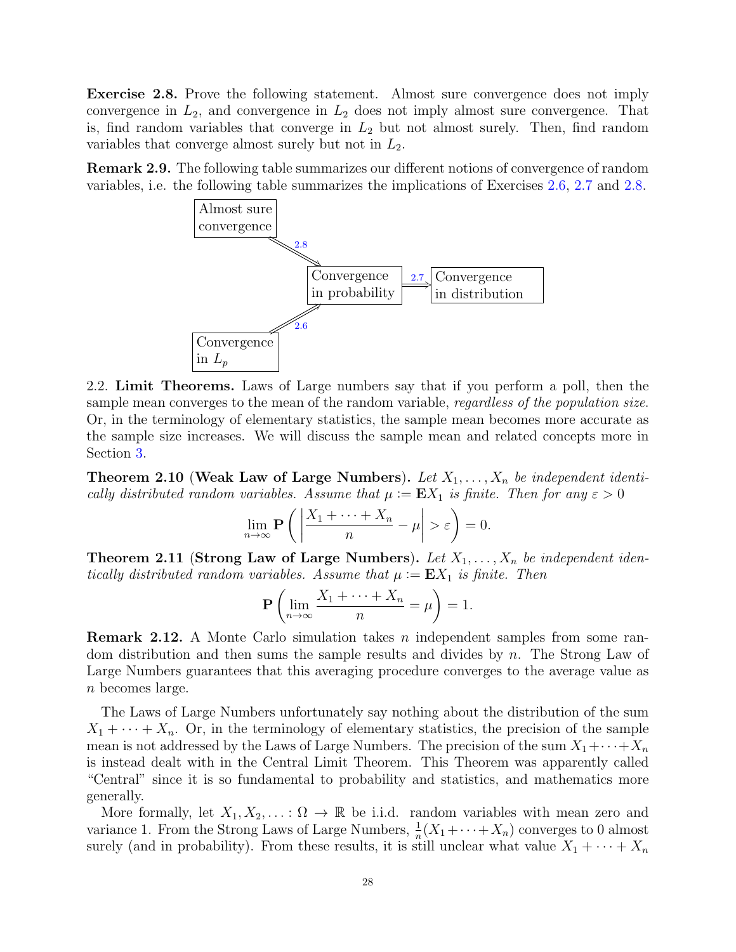<span id="page-27-1"></span>Exercise 2.8. Prove the following statement. Almost sure convergence does not imply convergence in  $L_2$ , and convergence in  $L_2$  does not imply almost sure convergence. That is, find random variables that converge in  $L_2$  but not almost surely. Then, find random variables that converge almost surely but not in  $L_2$ .

Remark 2.9. The following table summarizes our different notions of convergence of random variables, i.e. the following table summarizes the implications of Exercises [2.6,](#page-26-1) [2.7](#page-26-2) and [2.8.](#page-27-1)



<span id="page-27-0"></span>2.2. Limit Theorems. Laws of Large numbers say that if you perform a poll, then the sample mean converges to the mean of the random variable, *regardless of the population size*. Or, in the terminology of elementary statistics, the sample mean becomes more accurate as the sample size increases. We will discuss the sample mean and related concepts more in Section [3.](#page-35-0)

**Theorem 2.10 (Weak Law of Large Numbers).** Let  $X_1, \ldots, X_n$  be independent identically distributed random variables. Assume that  $\mu := \mathbf{E} X_1$  is finite. Then for any  $\varepsilon > 0$ 

$$
\lim_{n \to \infty} \mathbf{P}\left(\left|\frac{X_1 + \dots + X_n}{n} - \mu\right| > \varepsilon\right) = 0.
$$

**Theorem 2.11 (Strong Law of Large Numbers).** Let  $X_1, \ldots, X_n$  be independent identically distributed random variables. Assume that  $\mu := EX_1$  is finite. Then

$$
\mathbf{P}\left(\lim_{n\to\infty}\frac{X_1+\cdots+X_n}{n}=\mu\right)=1.
$$

**Remark 2.12.** A Monte Carlo simulation takes n independent samples from some random distribution and then sums the sample results and divides by n. The Strong Law of Large Numbers guarantees that this averaging procedure converges to the average value as n becomes large.

The Laws of Large Numbers unfortunately say nothing about the distribution of the sum  $X_1 + \cdots + X_n$ . Or, in the terminology of elementary statistics, the precision of the sample mean is not addressed by the Laws of Large Numbers. The precision of the sum  $X_1 + \cdots + X_n$ is instead dealt with in the Central Limit Theorem. This Theorem was apparently called "Central" since it is so fundamental to probability and statistics, and mathematics more generally.

More formally, let  $X_1, X_2, \ldots : \Omega \to \mathbb{R}$  be i.i.d. random variables with mean zero and variance 1. From the Strong Laws of Large Numbers,  $\frac{1}{n}(X_1 + \cdots + X_n)$  converges to 0 almost surely (and in probability). From these results, it is still unclear what value  $X_1 + \cdots + X_n$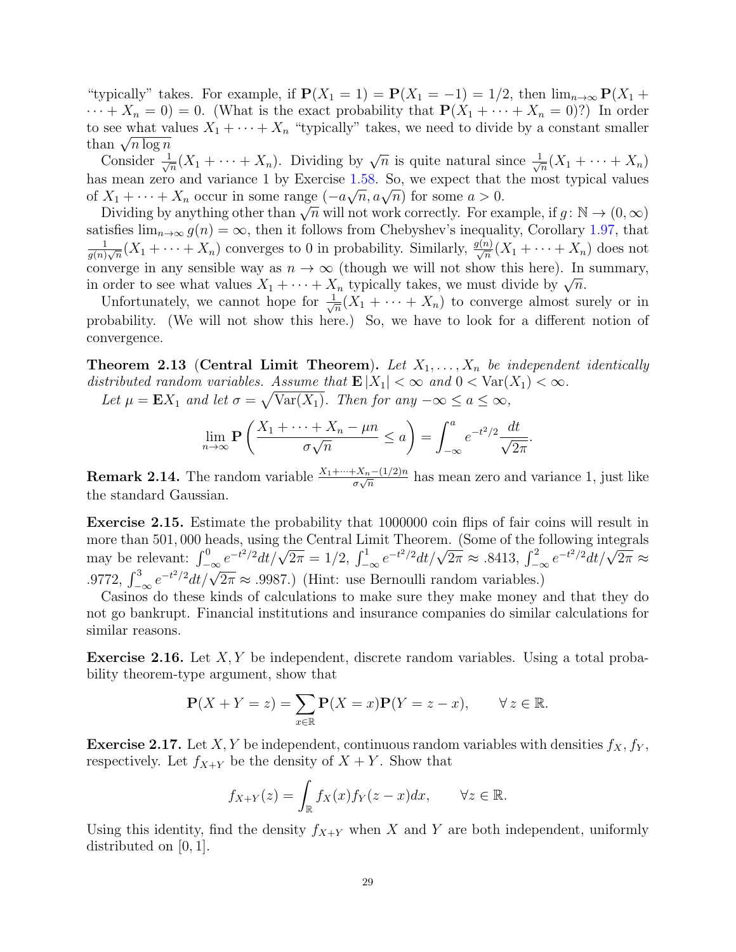"typically" takes. For example, if  $P(X_1 = 1) = P(X_1 = -1) = 1/2$ , then  $\lim_{n\to\infty} P(X_1 +$  $\cdots + X_n = 0$  = 0. (What is the exact probability that  $\mathbf{P}(X_1 + \cdots + X_n = 0)$ ?) In order to see what values  $X_1 + \cdots + X_n$  "typically" takes, we need to divide by a constant smaller to see what va<br>than  $\sqrt{n \log n}$ 

Consider  $\frac{1}{\sqrt{2}}$  $\frac{1}{\sqrt{n}}(X_1 + \cdots + X_n)$ . Dividing by  $\sqrt{n}$  is quite natural since  $\frac{1}{\sqrt{n}}$  $\frac{1}{n}(X_1 + \cdots + X_n)$ has mean zero and variance 1 by Exercise [1.58.](#page-13-0) So, we expect that the most typical values nas mean zero and variance 1 by Exercise 1.58. So, we expect that<br>of  $X_1 + \cdots + X_n$  occur in some range  $(-a\sqrt{n}, a\sqrt{n})$  for some  $a > 0$ .

 $\Delta_1 + \cdots + \Delta_n$  occur in some range  $(-a\sqrt{n}, a\sqrt{n})$  for some  $a > 0$ .<br>Dividing by anything other than  $\sqrt{n}$  will not work correctly. For example, if  $g : \mathbb{N} \to (0, \infty)$ satisfies  $\lim_{n\to\infty} g(n) = \infty$ , then it follows from Chebyshev's inequality, Corollary [1.97,](#page-22-1) that 1  $\frac{1}{g(n)\sqrt{n}}(X_1+\cdots+X_n)$  converges to 0 in probability. Similarly,  $\frac{g(n)}{\sqrt{n}}(X_1+\cdots+X_n)$  does not converge in any sensible way as  $n \to \infty$  (though we will not show this here). In summary, converge in any sensible way as  $n \to \infty$  (though we will not show this here). In in order to see what values  $X_1 + \cdots + X_n$  typically takes, we must divide by  $\sqrt{n}$ .

Unfortunately, we cannot hope for  $\frac{1}{\sqrt{2}}$  $\frac{1}{n}(X_1 + \cdots + X_n)$  to converge almost surely or in probability. (We will not show this here.) So, we have to look for a different notion of convergence.

**Theorem 2.13 (Central Limit Theorem).** Let  $X_1, \ldots, X_n$  be independent identically distributed random variables. Assume that  $\mathbf{E}|X_1| < \infty$  and  $0 < \text{Var}(X_1) < \infty$ .

Let  $\mu = \mathbf{E} X_1$  and let  $\sigma = \sqrt{\text{Var}(X_1)}$ . Then for any  $-\infty \le a \le \infty$ ,

$$
\lim_{n \to \infty} \mathbf{P}\left(\frac{X_1 + \dots + X_n - \mu n}{\sigma \sqrt{n}} \le a\right) = \int_{-\infty}^a e^{-t^2/2} \frac{dt}{\sqrt{2\pi}}
$$

.

**Remark 2.14.** The random variable  $\frac{X_1 + \dots + X_n - (1/2)n}{\sigma \sqrt{n}}$  has mean zero and variance 1, just like the standard Gaussian.

Exercise 2.15. Estimate the probability that 1000000 coin flips of fair coins will result in more than 501, 000 heads, using the Central Limit Theorem. (Some of the following integrals more than 501, 000 heads, using the Central Ellint Theorem. (Some of the following integrals<br>may be relevant:  $\int_{-\infty}^{0} e^{-t^2/2} dt/\sqrt{2\pi} = 1/2$ ,  $\int_{-\infty}^{1} e^{-t^2/2} dt/\sqrt{2\pi} \approx .8413$ ,  $\int_{-\infty}^{2} e^{-t^2/2} dt/\sqrt{2\pi} \approx$ .9772,  $\int_{-\infty}^{3} e^{-t^2/2} dt / \sqrt{2\pi} \approx .9987$ .) (Hint: use Bernoulli random variables.)

Casinos do these kinds of calculations to make sure they make money and that they do not go bankrupt. Financial institutions and insurance companies do similar calculations for similar reasons.

**Exercise 2.16.** Let  $X, Y$  be independent, discrete random variables. Using a total probability theorem-type argument, show that

$$
\mathbf{P}(X+Y=z) = \sum_{x \in \mathbb{R}} \mathbf{P}(X=x) \mathbf{P}(Y=z-x), \qquad \forall z \in \mathbb{R}.
$$

**Exercise 2.17.** Let X, Y be independent, continuous random variables with densities  $f_X, f_Y$ , respectively. Let  $f_{X+Y}$  be the density of  $X+Y$ . Show that

$$
f_{X+Y}(z) = \int_{\mathbb{R}} f_X(x) f_Y(z-x) dx, \qquad \forall z \in \mathbb{R}.
$$

Using this identity, find the density  $f_{X+Y}$  when X and Y are both independent, uniformly distributed on [0, 1].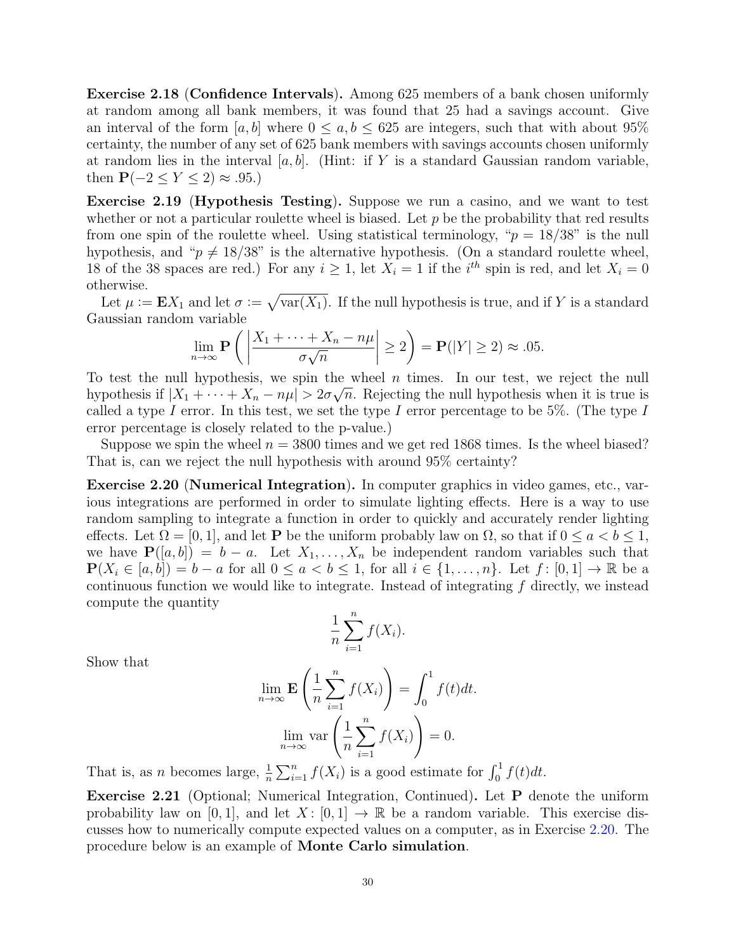Exercise 2.18 (Confidence Intervals). Among 625 members of a bank chosen uniformly at random among all bank members, it was found that 25 had a savings account. Give an interval of the form [a, b] where  $0 \le a, b \le 625$  are integers, such that with about 95% certainty, the number of any set of 625 bank members with savings accounts chosen uniformly at random lies in the interval  $[a, b]$ . (Hint: if Y is a standard Gaussian random variable, then  $P(-2 \le Y \le 2) \approx .95$ .)

Exercise 2.19 (Hypothesis Testing). Suppose we run a casino, and we want to test whether or not a particular roulette wheel is biased. Let  $p$  be the probability that red results from one spin of the roulette wheel. Using statistical terminology, " $p = 18/38$ " is the null hypothesis, and " $p \neq 18/38$ " is the alternative hypothesis. (On a standard roulette wheel, 18 of the 38 spaces are red.) For any  $i \geq 1$ , let  $X_i = 1$  if the  $i^{th}$  spin is red, and let  $X_i = 0$ otherwise.

Let  $\mu := \mathbf{E} X_1$  and let  $\sigma := \sqrt{\text{var}(X_1)}$ . If the null hypothesis is true, and if Y is a standard Gaussian random variable

$$
\lim_{n \to \infty} \mathbf{P}\left(\left|\frac{X_1 + \dots + X_n - n\mu}{\sigma\sqrt{n}}\right| \ge 2\right) = \mathbf{P}(|Y| \ge 2) \approx .05.
$$

To test the null hypothesis, we spin the wheel *n* times. In our test, we reject the null hypothesis if  $|X_1 + \cdots + X_n - n\mu| > 2\sigma\sqrt{n}$ . Rejecting the null hypothesis when it is true is called a type I error. In this test, we set the type I error percentage to be 5%. (The type I error percentage is closely related to the p-value.)

Suppose we spin the wheel  $n = 3800$  times and we get red 1868 times. Is the wheel biased? That is, can we reject the null hypothesis with around 95% certainty?

<span id="page-29-0"></span>Exercise 2.20 (Numerical Integration). In computer graphics in video games, etc., various integrations are performed in order to simulate lighting effects. Here is a way to use random sampling to integrate a function in order to quickly and accurately render lighting effects. Let  $\Omega = [0, 1]$ , and let **P** be the uniform probably law on  $\Omega$ , so that if  $0 \le a < b \le 1$ , we have  $P([a, b]) = b - a$ . Let  $X_1, \ldots, X_n$  be independent random variables such that  $P(X_i \in [a, b]) = b - a$  for all  $0 \le a < b \le 1$ , for all  $i \in \{1, \ldots, n\}$ . Let  $f : [0, 1] \to \mathbb{R}$  be a continuous function we would like to integrate. Instead of integrating f directly, we instead compute the quantity

$$
\frac{1}{n}\sum_{i=1}^n f(X_i).
$$

Show that

$$
\lim_{n \to \infty} \mathbf{E} \left( \frac{1}{n} \sum_{i=1}^{n} f(X_i) \right) = \int_0^1 f(t) dt.
$$

$$
\lim_{n \to \infty} \text{var} \left( \frac{1}{n} \sum_{i=1}^{n} f(X_i) \right) = 0.
$$

That is, as *n* becomes large,  $\frac{1}{n} \sum_{i=1}^{n} f(X_i)$  is a good estimate for  $\int_0^1 f(t)dt$ .

Exercise 2.21 (Optional; Numerical Integration, Continued). Let P denote the uniform probability law on [0, 1], and let  $X: [0, 1] \to \mathbb{R}$  be a random variable. This exercise discusses how to numerically compute expected values on a computer, as in Exercise [2.20.](#page-29-0) The procedure below is an example of Monte Carlo simulation.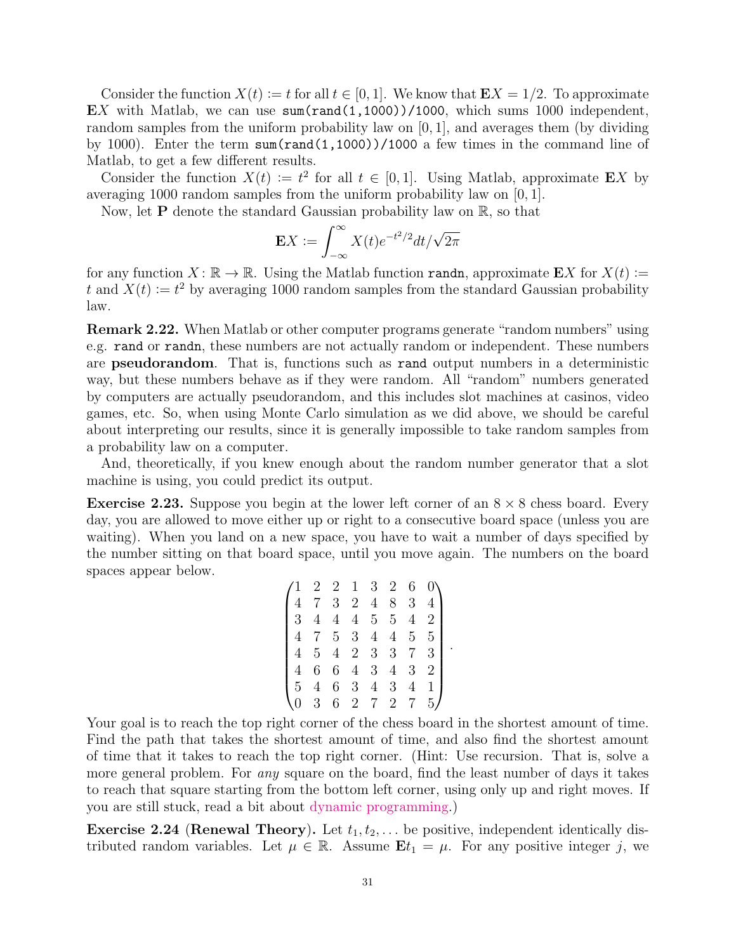Consider the function  $X(t) := t$  for all  $t \in [0, 1]$ . We know that  $\mathbf{E}X = 1/2$ . To approximate EX with Matlab, we can use  $sum(rand(1,1000))/1000$ , which sums 1000 independent, random samples from the uniform probability law on [0, 1], and averages them (by dividing by 1000). Enter the term sum(rand(1,1000))/1000 a few times in the command line of Matlab, to get a few different results.

Consider the function  $X(t) := t^2$  for all  $t \in [0,1]$ . Using Matlab, approximate EX by averaging 1000 random samples from the uniform probability law on [0, 1].

Now, let **P** denote the standard Gaussian probability law on  $\mathbb{R}$ , so that

$$
\mathbf{E} X := \int_{-\infty}^{\infty} X(t) e^{-t^2/2} dt / \sqrt{2\pi}
$$

for any function  $X \colon \mathbb{R} \to \mathbb{R}$ . Using the Matlab function randn, approximate EX for  $X(t) \coloneqq$ t and  $X(t) := t^2$  by averaging 1000 random samples from the standard Gaussian probability law.

Remark 2.22. When Matlab or other computer programs generate "random numbers" using e.g. rand or randn, these numbers are not actually random or independent. These numbers are pseudorandom. That is, functions such as rand output numbers in a deterministic way, but these numbers behave as if they were random. All "random" numbers generated by computers are actually pseudorandom, and this includes slot machines at casinos, video games, etc. So, when using Monte Carlo simulation as we did above, we should be careful about interpreting our results, since it is generally impossible to take random samples from a probability law on a computer.

And, theoretically, if you knew enough about the random number generator that a slot machine is using, you could predict its output.

**Exercise 2.23.** Suppose you begin at the lower left corner of an  $8 \times 8$  chess board. Every day, you are allowed to move either up or right to a consecutive board space (unless you are waiting). When you land on a new space, you have to wait a number of days specified by the number sitting on that board space, until you move again. The numbers on the board spaces appear below.

$$
\begin{pmatrix}\n1 & 2 & 2 & 1 & 3 & 2 & 6 & 0 \\
4 & 7 & 3 & 2 & 4 & 8 & 3 & 4 \\
3 & 4 & 4 & 4 & 5 & 5 & 4 & 2 \\
4 & 7 & 5 & 3 & 4 & 4 & 5 & 5 \\
4 & 5 & 4 & 2 & 3 & 3 & 7 & 3 \\
4 & 6 & 6 & 4 & 3 & 4 & 3 & 2 \\
5 & 4 & 6 & 3 & 4 & 3 & 4 & 1 \\
0 & 3 & 6 & 2 & 7 & 2 & 7 & 5\n\end{pmatrix}.
$$

Your goal is to reach the top right corner of the chess board in the shortest amount of time. Find the path that takes the shortest amount of time, and also find the shortest amount of time that it takes to reach the top right corner. (Hint: Use recursion. That is, solve a more general problem. For *any* square on the board, find the least number of days it takes to reach that square starting from the bottom left corner, using only up and right moves. If you are still stuck, read a bit about [dynamic programming.](https://en.wikipedia.org/wiki/Dynamic_programming))

<span id="page-30-0"></span>**Exercise 2.24 (Renewal Theory).** Let  $t_1, t_2, \ldots$  be positive, independent identically distributed random variables. Let  $\mu \in \mathbb{R}$ . Assume  $\mathbf{E}t_1 = \mu$ . For any positive integer j, we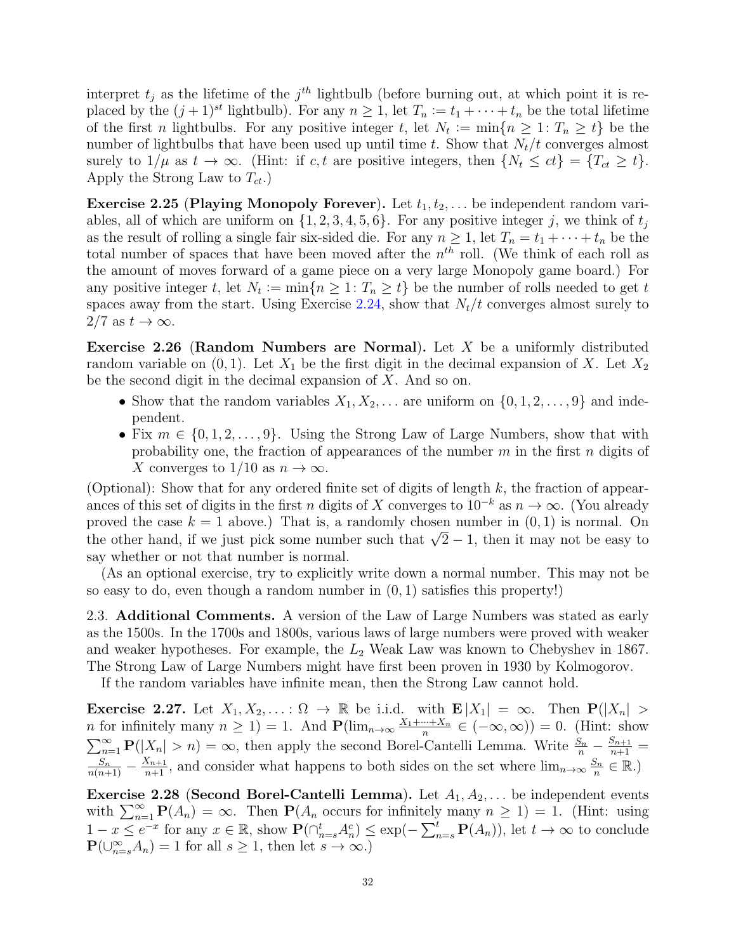interpret  $t_j$  as the lifetime of the  $j<sup>th</sup>$  lightbulb (before burning out, at which point it is replaced by the  $(j + 1)^{st}$  lightbulb). For any  $n \geq 1$ , let  $T_n := t_1 + \cdots + t_n$  be the total lifetime of the first *n* lightbulbs. For any positive integer *t*, let  $N_t := \min\{n \geq 1 : T_n \geq t\}$  be the number of lightbulbs that have been used up until time t. Show that  $N_t/t$  converges almost surely to  $1/\mu$  as  $t \to \infty$ . (Hint: if c, t are positive integers, then  $\{N_t \le ct\} = \{T_{ct} \ge t\}$ . Apply the Strong Law to  $T_{ct}$ .)

**Exercise 2.25 (Playing Monopoly Forever).** Let  $t_1, t_2, \ldots$  be independent random variables, all of which are uniform on  $\{1, 2, 3, 4, 5, 6\}$ . For any positive integer j, we think of  $t_j$ as the result of rolling a single fair six-sided die. For any  $n \geq 1$ , let  $T_n = t_1 + \cdots + t_n$  be the total number of spaces that have been moved after the  $n^{th}$  roll. (We think of each roll as the amount of moves forward of a game piece on a very large Monopoly game board.) For any positive integer t, let  $N_t := \min\{n \geq 1 : T_n \geq t\}$  be the number of rolls needed to get t spaces away from the start. Using Exercise [2.24,](#page-30-0) show that  $N_t/t$  converges almost surely to  $2/7$  as  $t \to \infty$ .

Exercise 2.26 (Random Numbers are Normal). Let  $X$  be a uniformly distributed random variable on  $(0, 1)$ . Let  $X_1$  be the first digit in the decimal expansion of X. Let  $X_2$ be the second digit in the decimal expansion of  $X$ . And so on.

- Show that the random variables  $X_1, X_2, \ldots$  are uniform on  $\{0, 1, 2, \ldots, 9\}$  and independent.
- Fix  $m \in \{0, 1, 2, \ldots, 9\}$ . Using the Strong Law of Large Numbers, show that with probability one, the fraction of appearances of the number  $m$  in the first  $n$  digits of X converges to  $1/10$  as  $n \to \infty$ .

(Optional): Show that for any ordered finite set of digits of length  $k$ , the fraction of appearances of this set of digits in the first n digits of X converges to  $10^{-k}$  as  $n \to \infty$ . (You already proved the case  $k = 1$  above.) That is, a randomly chosen number in  $(0, 1)$  is normal. On proved the case  $\kappa = 1$  above.) That is, a randomly chosen number in  $(0, 1)$  is normal. On<br>the other hand, if we just pick some number such that  $\sqrt{2} - 1$ , then it may not be easy to say whether or not that number is normal.

(As an optional exercise, try to explicitly write down a normal number. This may not be so easy to do, even though a random number in  $(0, 1)$  satisfies this property!

<span id="page-31-0"></span>2.3. Additional Comments. A version of the Law of Large Numbers was stated as early as the 1500s. In the 1700s and 1800s, various laws of large numbers were proved with weaker and weaker hypotheses. For example, the  $L_2$  Weak Law was known to Chebyshev in 1867. The Strong Law of Large Numbers might have first been proven in 1930 by Kolmogorov.

If the random variables have infinite mean, then the Strong Law cannot hold.

Exercise 2.27. Let  $X_1, X_2, \ldots : \Omega \to \mathbb{R}$  be i.i.d. with  $\mathbf{E}|X_1| = \infty$ . Then  $\mathbf{P}(|X_n| >$ *n* for infinitely many  $n \geq 1$ ) = 1. And  $\mathbf{P}(\lim_{n\to\infty}\frac{X_1+\cdots+X_n}{n})$  $\frac{n+X_n}{n} \in (-\infty, \infty)) = 0.$  (Hint: show  $\sum_{n=1}^{\infty} P(|X_n| > n) = \infty$ , then apply the second Borel-Cantelli Lemma. Write  $\frac{S_n}{n} - \frac{S_{n+1}}{n+1} =$  $\frac{S_n}{n(n+1)} - \frac{X_{n+1}}{n+1}$ , and consider what happens to both sides on the set where  $\lim_{n\to\infty} \frac{S_n}{n}$  $\frac{S_n}{n} \in \mathbb{R}$ .)

**Exercise 2.28 (Second Borel-Cantelli Lemma).** Let  $A_1, A_2, \ldots$  be independent events with  $\sum_{n=1}^{\infty} P(A_n) = \infty$ . Then  $P(A_n)$  occurs for infinitely many  $n \geq 1$  = 1. (Hint: using  $1-x \leq e^{-x}$  for any  $x \in \mathbb{R}$ , show  $\mathbf{P}(\bigcap_{n=s}^{t} A_n^c) \leq \exp(-\sum_{n=s}^{t} \mathbf{P}(A_n))$ , let  $t \to \infty$  to conclude  $\mathbf{P}(\bigcup_{n=s}^{\infty}A_n)=1$  for all  $s\geq 1$ , then let  $s\to\infty$ .)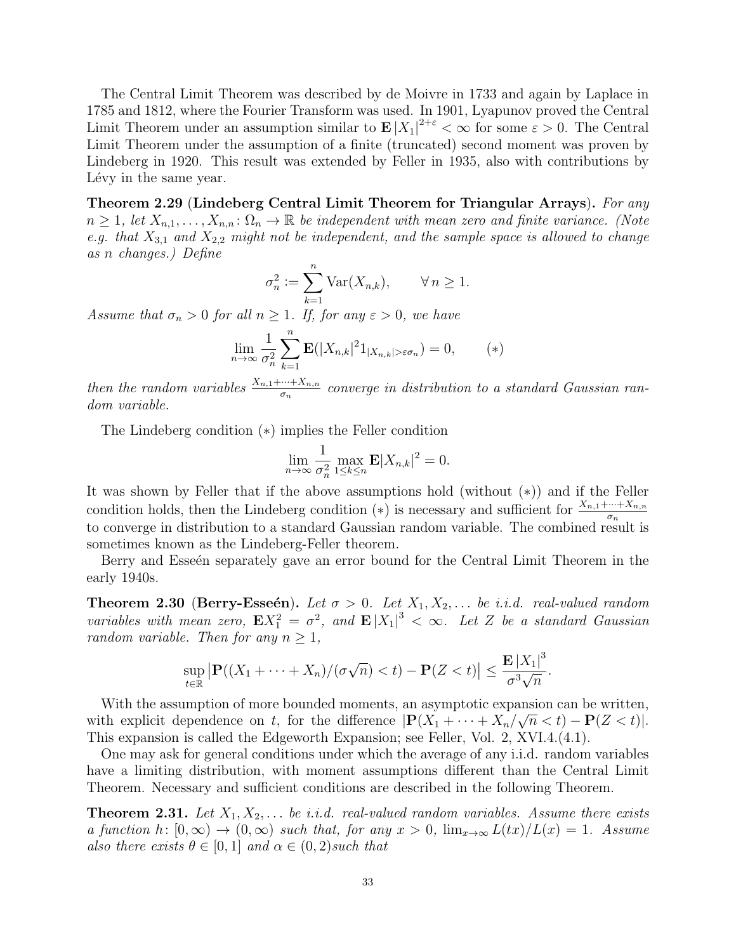The Central Limit Theorem was described by de Moivre in 1733 and again by Laplace in 1785 and 1812, where the Fourier Transform was used. In 1901, Lyapunov proved the Central Limit Theorem under an assumption similar to  $\mathbf{E}|X_1|^{2+\varepsilon} < \infty$  for some  $\varepsilon > 0$ . The Central Limit Theorem under the assumption of a finite (truncated) second moment was proven by Lindeberg in 1920. This result was extended by Feller in 1935, also with contributions by Lévy in the same year.

Theorem 2.29 (Lindeberg Central Limit Theorem for Triangular Arrays). For any  $n \geq 1$ , let  $X_{n,1}, \ldots, X_{n,n} : \Omega_n \to \mathbb{R}$  be independent with mean zero and finite variance. (Note e.g. that  $X_{3,1}$  and  $X_{2,2}$  might not be independent, and the sample space is allowed to change as n changes.) Define

$$
\sigma_n^2 := \sum_{k=1}^n \text{Var}(X_{n,k}), \qquad \forall n \ge 1.
$$

Assume that  $\sigma_n > 0$  for all  $n \geq 1$ . If, for any  $\varepsilon > 0$ , we have

$$
\lim_{n \to \infty} \frac{1}{\sigma_n^2} \sum_{k=1}^n \mathbf{E}(|X_{n,k}|^2 1_{|X_{n,k}| > \varepsilon \sigma_n}) = 0, \qquad (*)
$$

then the random variables  $\frac{X_{n,1} + \dots + X_{n,n}}{\sigma_n}$  converge in distribution to a standard Gaussian random variable.

The Lindeberg condition (∗) implies the Feller condition

$$
\lim_{n \to \infty} \frac{1}{\sigma_n^2} \max_{1 \le k \le n} \mathbf{E} |X_{n,k}|^2 = 0.
$$

It was shown by Feller that if the above assumptions hold (without (∗)) and if the Feller condition holds, then the Lindeberg condition (\*) is necessary and sufficient for  $\frac{X_{n,1} + \dots + X_{n,n}}{\sigma_n}$ to converge in distribution to a standard Gaussian random variable. The combined result is sometimes known as the Lindeberg-Feller theorem.

Berry and Esseén separately gave an error bound for the Central Limit Theorem in the early 1940s.

**Theorem 2.30 (Berry-Esseén).** Let  $\sigma > 0$ . Let  $X_1, X_2, \ldots$  be i.i.d. real-valued random variables with mean zero,  $\mathbf{E} X_1^2 = \sigma^2$ , and  $\mathbf{E} |X_1|^3 < \infty$ . Let Z be a standard Gaussian random variable. Then for any  $n \geq 1$ ,

$$
\sup_{t\in\mathbb{R}}\left|\mathbf{P}((X_1+\cdots+X_n)/(\sigma\sqrt{n})
$$

With the assumption of more bounded moments, an asymptotic expansion can be written, with explicit dependence on t, for the difference  $|\mathbf{P}(X_1 + \cdots + X_n/\sqrt{n} < t) - \mathbf{P}(Z < t)|$ . This expansion is called the Edgeworth Expansion; see Feller, Vol. 2, XVI.4.(4.1).

One may ask for general conditions under which the average of any i.i.d. random variables have a limiting distribution, with moment assumptions different than the Central Limit Theorem. Necessary and sufficient conditions are described in the following Theorem.

**Theorem 2.31.** Let  $X_1, X_2, \ldots$  be i.i.d. real-valued random variables. Assume there exists a function h:  $[0,\infty) \to (0,\infty)$  such that, for any  $x > 0$ ,  $\lim_{x\to\infty} L(tx)/L(x) = 1$ . Assume also there exists  $\theta \in [0, 1]$  and  $\alpha \in (0, 2)$  such that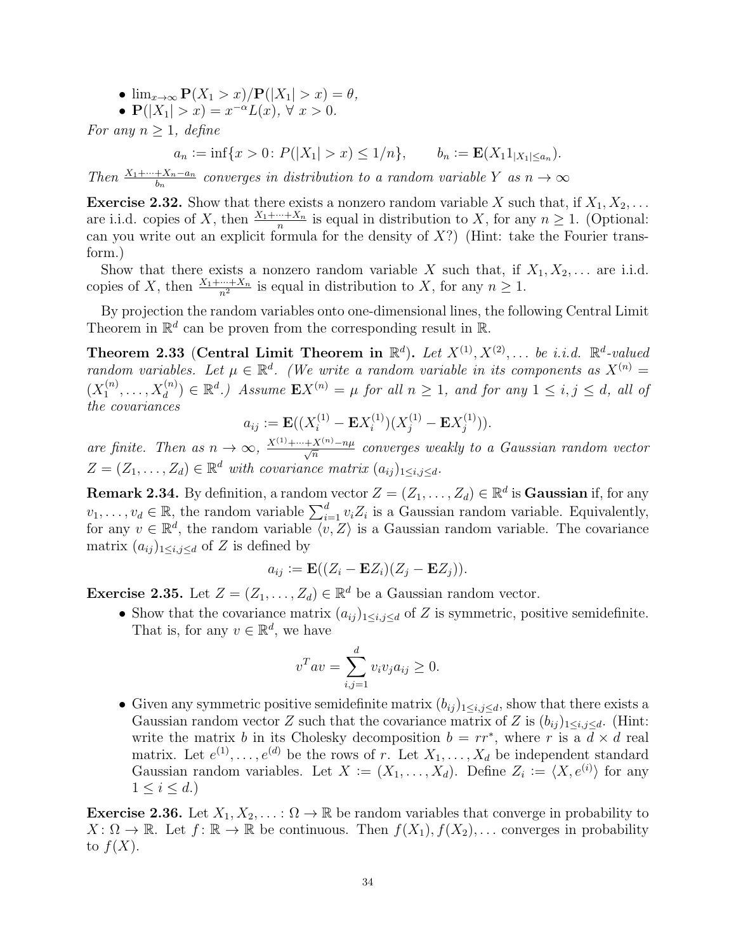- $\lim_{x\to\infty} P(X_1 > x)/P(|X_1| > x) = \theta$ ,
- $P(|X_1| > x) = x^{-\alpha}L(x), \forall x > 0.$

For any  $n \geq 1$ , define

$$
a_n := \inf\{x > 0 \colon P(|X_1| > x) \le 1/n\}, \qquad b_n := \mathbf{E}(X_1 1_{|X_1| \le a_n}).
$$

Then  $\frac{X_1 + \dots + X_n - a_n}{b_n}$  converges in distribution to a random variable Y as  $n \to \infty$ 

**Exercise 2.32.** Show that there exists a nonzero random variable X such that, if  $X_1, X_2, \ldots$ are i.i.d. copies of X, then  $\frac{X_1 + \dots + X_n}{n}$  is equal in distribution to X, for any  $n \ge 1$ . (Optional: can you write out an explicit formula for the density of  $X$ ?) (Hint: take the Fourier transform.)

Show that there exists a nonzero random variable X such that, if  $X_1, X_2, \ldots$  are i.i.d. copies of X, then  $\frac{X_1 + \dots + X_n}{n^2}$  is equal in distribution to X, for any  $n \ge 1$ .

By projection the random variables onto one-dimensional lines, the following Central Limit Theorem in  $\mathbb{R}^d$  can be proven from the corresponding result in  $\mathbb{R}$ .

Theorem 2.33 (Central Limit Theorem in  $\mathbb{R}^d$ ). Let  $X^{(1)}, X^{(2)}, \ldots$  be i.i.d.  $\mathbb{R}^d$ -valued random variables. Let  $\mu \in \mathbb{R}^d$ . (We write a random variable in its components as  $X^{(n)}$  =  $(X_1^{(n)}$  $X_1^{(n)}, \ldots, X_d^{(n)}$   $\in \mathbb{R}^d$ .) Assume  $\mathbf{E} X^{(n)} = \mu$  for all  $n \ge 1$ , and for any  $1 \le i, j \le d$ , all of the covariances

$$
a_{ij} := \mathbf{E}((X_i^{(1)} - \mathbf{E}X_i^{(1)})(X_j^{(1)} - \mathbf{E}X_j^{(1)})).
$$

are finite. Then as  $n \to \infty$ ,  $\frac{X^{(1)} + \dots + X^{(n)} - n\mu}{\sqrt{n}}$  converges weakly to a Gaussian random vector  $Z = (Z_1, \ldots, Z_d) \in \mathbb{R}^d$  with covariance matrix  $(a_{ij})_{1 \leq i,j \leq d}$ .

**Remark 2.34.** By definition, a random vector  $Z = (Z_1, \ldots, Z_d) \in \mathbb{R}^d$  is Gaussian if, for any  $v_1, \ldots, v_d \in \mathbb{R}$ , the random variable  $\sum_{i=1}^d v_i Z_i$  is a Gaussian random variable. Equivalently, for any  $v \in \mathbb{R}^d$ , the random variable  $\langle v, Z \rangle$  is a Gaussian random variable. The covariance matrix  $(a_{ij})_{1\leq i,j\leq d}$  of Z is defined by

$$
a_{ij} := \mathbf{E}((Z_i - \mathbf{E}Z_i)(Z_j - \mathbf{E}Z_j)).
$$

**Exercise 2.35.** Let  $Z = (Z_1, \ldots, Z_d) \in \mathbb{R}^d$  be a Gaussian random vector.

• Show that the covariance matrix  $(a_{ij})_{1\leq i,j\leq d}$  of Z is symmetric, positive semidefinite. That is, for any  $v \in \mathbb{R}^d$ , we have

$$
v^T a v = \sum_{i,j=1}^d v_i v_j a_{ij} \ge 0.
$$

• Given any symmetric positive semidefinite matrix  $(b_{ij})_{1\leq i,j\leq d}$ , show that there exists a Gaussian random vector Z such that the covariance matrix of Z is  $(b_{ii})_{1\le i,j\le d}$ . (Hint: write the matrix b in its Cholesky decomposition  $b = rr^*$ , where r is a  $d \times d$  real matrix. Let  $e^{(1)}, \ldots, e^{(d)}$  be the rows of r. Let  $X_1, \ldots, X_d$  be independent standard Gaussian random variables. Let  $X := (X_1, \ldots, X_d)$ . Define  $Z_i := \langle X, e^{(i)} \rangle$  for any  $1 \leq i \leq d.$ 

**Exercise 2.36.** Let  $X_1, X_2, \ldots : \Omega \to \mathbb{R}$  be random variables that converge in probability to  $X: \Omega \to \mathbb{R}$ . Let  $f: \mathbb{R} \to \mathbb{R}$  be continuous. Then  $f(X_1), f(X_2), \ldots$  converges in probability to  $f(X)$ .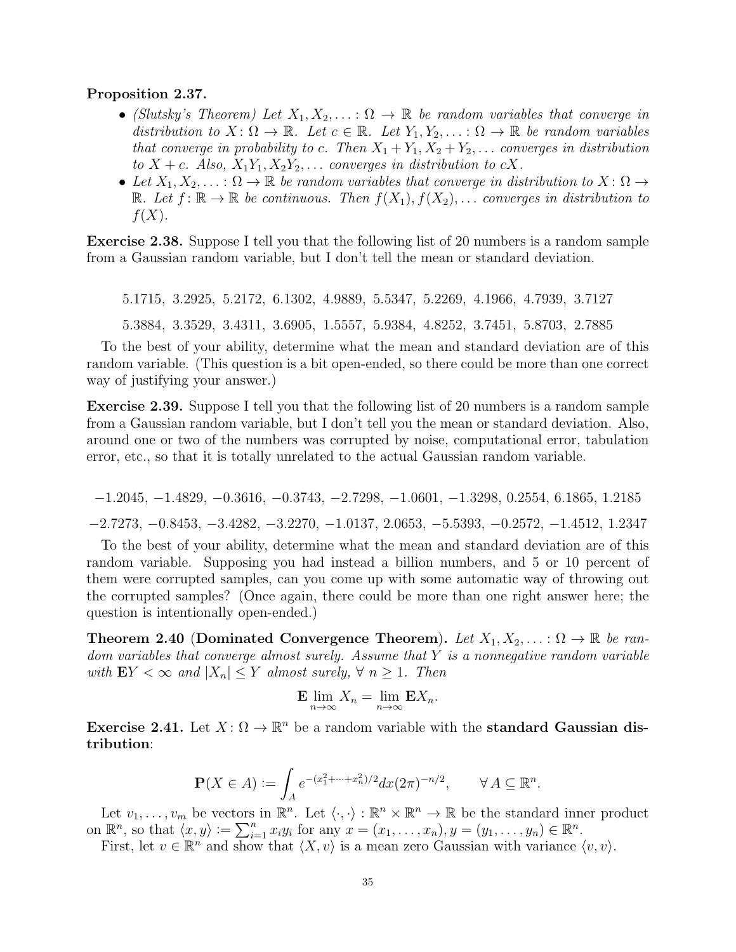## Proposition 2.37.

- (Slutsky's Theorem) Let  $X_1, X_2, \ldots : \Omega \to \mathbb{R}$  be random variables that converge in distribution to  $X: \Omega \to \mathbb{R}$ . Let  $c \in \mathbb{R}$ . Let  $Y_1, Y_2, \ldots : \Omega \to \mathbb{R}$  be random variables that converge in probability to c. Then  $X_1 + Y_1, X_2 + Y_2, \ldots$  converges in distribution to  $X + c$ . Also,  $X_1Y_1, X_2Y_2, \ldots$  converges in distribution to  $cX$ .
- Let  $X_1, X_2, \ldots : \Omega \to \mathbb{R}$  be random variables that converge in distribution to  $X : \Omega \to$ R. Let  $f: \mathbb{R} \to \mathbb{R}$  be continuous. Then  $f(X_1), f(X_2), \ldots$  converges in distribution to  $f(X)$ .

<span id="page-34-0"></span>Exercise 2.38. Suppose I tell you that the following list of 20 numbers is a random sample from a Gaussian random variable, but I don't tell the mean or standard deviation.

5.1715, 3.2925, 5.2172, 6.1302, 4.9889, 5.5347, 5.2269, 4.1966, 4.7939, 3.7127 5.3884, 3.3529, 3.4311, 3.6905, 1.5557, 5.9384, 4.8252, 3.7451, 5.8703, 2.7885

To the best of your ability, determine what the mean and standard deviation are of this random variable. (This question is a bit open-ended, so there could be more than one correct way of justifying your answer.)

Exercise 2.39. Suppose I tell you that the following list of 20 numbers is a random sample from a Gaussian random variable, but I don't tell you the mean or standard deviation. Also, around one or two of the numbers was corrupted by noise, computational error, tabulation error, etc., so that it is totally unrelated to the actual Gaussian random variable.

−1.2045, −1.4829, −0.3616, −0.3743, −2.7298, −1.0601, −1.3298, 0.2554, 6.1865, 1.2185 −2.7273, −0.8453, −3.4282, −3.2270, −1.0137, 2.0653, −5.5393, −0.2572, −1.4512, 1.2347

To the best of your ability, determine what the mean and standard deviation are of this random variable. Supposing you had instead a billion numbers, and 5 or 10 percent of them were corrupted samples, can you come up with some automatic way of throwing out the corrupted samples? (Once again, there could be more than one right answer here; the question is intentionally open-ended.)

**Theorem 2.40 (Dominated Convergence Theorem).** Let  $X_1, X_2, \ldots : \Omega \to \mathbb{R}$  be random variables that converge almost surely. Assume that  $Y$  is a nonnegative random variable with  $EY < \infty$  and  $|X_n| \leq Y$  almost surely,  $\forall n \geq 1$ . Then

$$
\mathbf{E} \lim_{n \to \infty} X_n = \lim_{n \to \infty} \mathbf{E} X_n.
$$

Exercise 2.41. Let  $X: \Omega \to \mathbb{R}^n$  be a random variable with the standard Gaussian distribution:

$$
\mathbf{P}(X \in A) := \int_A e^{-(x_1^2 + \dots + x_n^2)/2} dx (2\pi)^{-n/2}, \qquad \forall A \subseteq \mathbb{R}^n.
$$

Let  $v_1, \ldots, v_m$  be vectors in  $\mathbb{R}^n$ . Let  $\langle \cdot, \cdot \rangle : \mathbb{R}^n \times \mathbb{R}^n \to \mathbb{R}$  be the standard inner product on  $\mathbb{R}^n$ , so that  $\langle x, y \rangle := \sum_{i=1}^n x_i y_i$  for any  $x = (x_1, \ldots, x_n), y = (y_1, \ldots, y_n) \in \mathbb{R}^n$ .

First, let  $v \in \mathbb{R}^n$  and show that  $\langle X, v \rangle$  is a mean zero Gaussian with variance  $\langle v, v \rangle$ .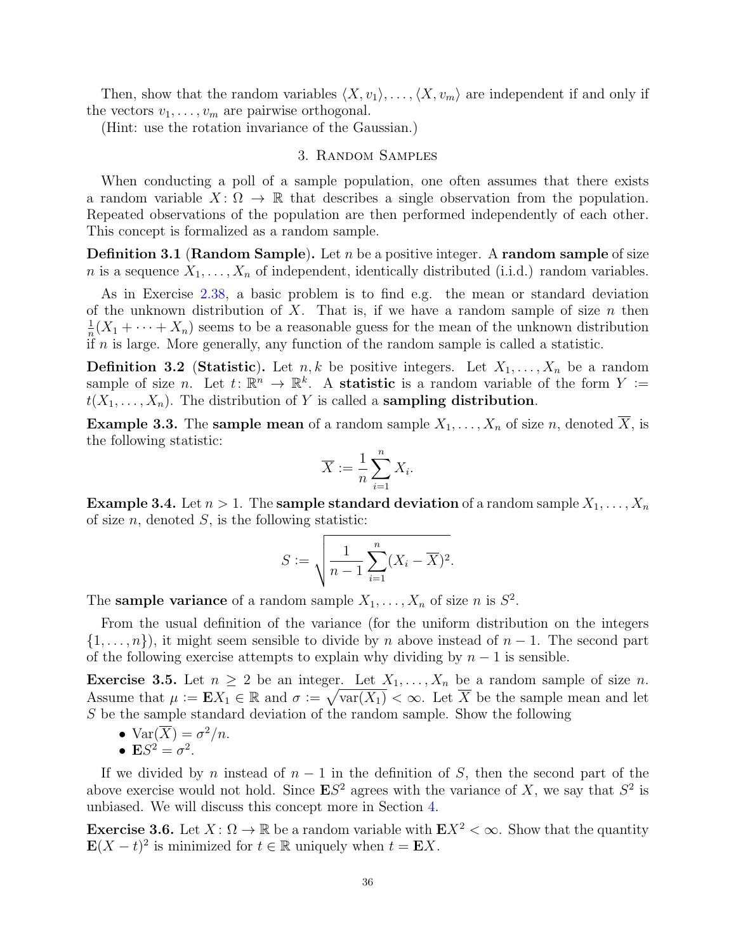Then, show that the random variables  $\langle X, v_1 \rangle, \ldots, \langle X, v_m \rangle$  are independent if and only if the vectors  $v_1, \ldots, v_m$  are pairwise orthogonal.

(Hint: use the rotation invariance of the Gaussian.)

## 3. Random Samples

<span id="page-35-0"></span>When conducting a poll of a sample population, one often assumes that there exists a random variable  $X: \Omega \to \mathbb{R}$  that describes a single observation from the population. Repeated observations of the population are then performed independently of each other. This concept is formalized as a random sample.

**Definition 3.1 (Random Sample).** Let n be a positive integer. A random sample of size *n* is a sequence  $X_1, \ldots, X_n$  of independent, identically distributed (i.i.d.) random variables.

As in Exercise [2.38,](#page-34-0) a basic problem is to find e.g. the mean or standard deviation of the unknown distribution of X. That is, if we have a random sample of size  $n$  then 1  $\frac{1}{n}(X_1 + \cdots + X_n)$  seems to be a reasonable guess for the mean of the unknown distribution if  $n$  is large. More generally, any function of the random sample is called a statistic.

**Definition 3.2** (Statistic). Let  $n, k$  be positive integers. Let  $X_1, \ldots, X_n$  be a random sample of size n. Let  $t: \mathbb{R}^n \to \mathbb{R}^k$ . A **statistic** is a random variable of the form  $Y :=$  $t(X_1, \ldots, X_n)$ . The distribution of Y is called a **sampling distribution**.

**Example 3.3.** The sample mean of a random sample  $X_1, \ldots, X_n$  of size n, denoted  $\overline{X}$ , is the following statistic:

$$
\overline{X} := \frac{1}{n} \sum_{i=1}^{n} X_i.
$$

**Example 3.4.** Let  $n > 1$ . The **sample standard deviation** of a random sample  $X_1, \ldots, X_n$ of size  $n$ , denoted  $S$ , is the following statistic:

$$
S := \sqrt{\frac{1}{n-1} \sum_{i=1}^{n} (X_i - \overline{X})^2}.
$$

The **sample variance** of a random sample  $X_1, \ldots, X_n$  of size *n* is  $S^2$ .

From the usual definition of the variance (for the uniform distribution on the integers  $\{1,\ldots,n\}$ , it might seem sensible to divide by n above instead of  $n-1$ . The second part of the following exercise attempts to explain why dividing by  $n-1$  is sensible.

**Exercise 3.5.** Let  $n \geq 2$  be an integer. Let  $X_1, \ldots, X_n$  be a random sample of size n. Assume that  $\mu := \mathbf{E} X_1 \in \mathbb{R}$  and  $\sigma := \sqrt{\text{var}(X_1)} < \infty$ . Let  $\overline{X}$  be the sample mean and let S be the sample standard deviation of the random sample. Show the following

- $\text{Var}(\overline{X}) = \sigma^2/n$ .
- $\mathbf{E}S^2 = \sigma^2$ .

If we divided by n instead of  $n-1$  in the definition of S, then the second part of the above exercise would not hold. Since  $ES^2$  agrees with the variance of X, we say that  $S^2$  is unbiased. We will discuss this concept more in Section [4.](#page-45-1)

**Exercise 3.6.** Let  $X: \Omega \to \mathbb{R}$  be a random variable with  $EX^2 < \infty$ . Show that the quantity  $\mathbf{E}(X-t)^2$  is minimized for  $t \in \mathbb{R}$  uniquely when  $t = \mathbf{E}X$ .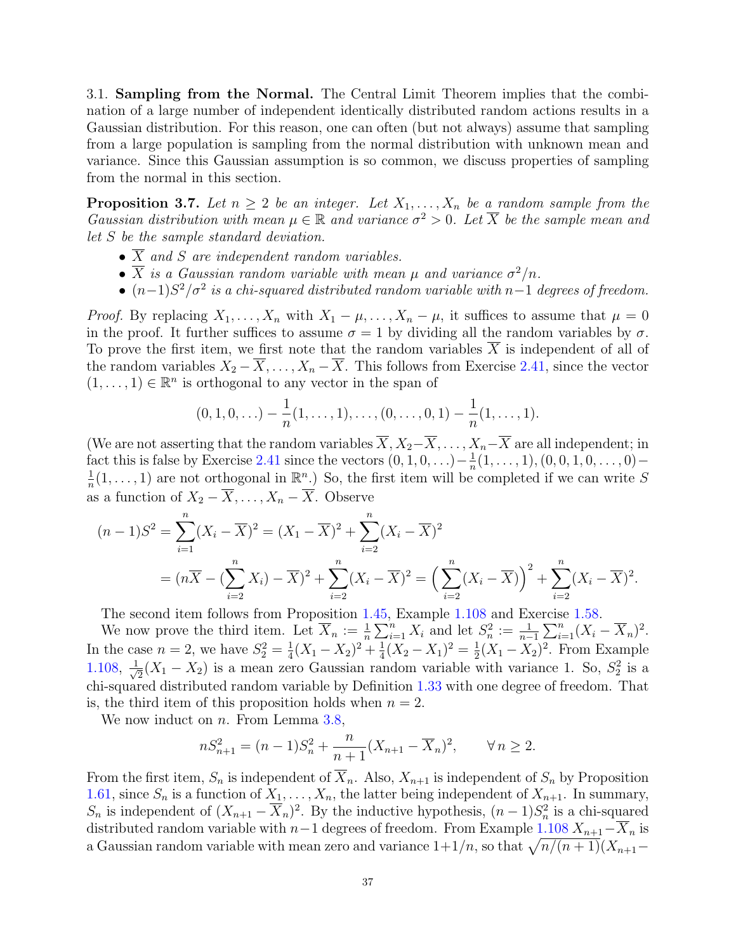3.1. Sampling from the Normal. The Central Limit Theorem implies that the combination of a large number of independent identically distributed random actions results in a Gaussian distribution. For this reason, one can often (but not always) assume that sampling from a large population is sampling from the normal distribution with unknown mean and variance. Since this Gaussian assumption is so common, we discuss properties of sampling from the normal in this section.

<span id="page-36-0"></span>**Proposition 3.7.** Let  $n \geq 2$  be an integer. Let  $X_1, \ldots, X_n$  be a random sample from the Gaussian distribution with mean  $\mu \in \mathbb{R}$  and variance  $\sigma^2 > 0$ . Let  $\overline{X}$  be the sample mean and let S be the sample standard deviation.

- $\overline{X}$  and S are independent random variables.
- $\overline{X}$  is a Gaussian random variable with mean  $\mu$  and variance  $\sigma^2/n$ .
- $(n-1)S^2/\sigma^2$  is a chi-squared distributed random variable with n–1 degrees of freedom.

*Proof.* By replacing  $X_1, \ldots, X_n$  with  $X_1 - \mu, \ldots, X_n - \mu$ , it suffices to assume that  $\mu = 0$ in the proof. It further suffices to assume  $\sigma = 1$  by dividing all the random variables by  $\sigma$ . To prove the first item, we first note that the random variables  $\overline{X}$  is independent of all of the random variables  $X_2 - \overline{X}, \ldots, X_n - \overline{X}$ . This follows from Exercise [2.41,](#page-34-0) since the vector  $(1, \ldots, 1) \in \mathbb{R}^n$  is orthogonal to any vector in the span of

$$
(0,1,0,\ldots)-\frac{1}{n}(1,\ldots,1),\ldots,(0,\ldots,0,1)-\frac{1}{n}(1,\ldots,1).
$$

(We are not asserting that the random variables  $\overline{X}, X_2-\overline{X}, \ldots, X_n-\overline{X}$  are all independent; in fact this is false by Exercise [2.41](#page-34-0) since the vectors  $(0, 1, 0, \ldots) - \frac{1}{n}$  $\frac{1}{n}(1,\ldots,1), (0,0,1,0,\ldots,0)-$ 1  $\frac{1}{n}(1,\ldots,1)$  are not orthogonal in  $\mathbb{R}^n$ .) So, the first item will be completed if we can write S as a function of  $X_2 - \overline{X}, \ldots, X_n - \overline{X}$ . Observe

$$
(n-1)S^{2} = \sum_{i=1}^{n} (X_{i} - \overline{X})^{2} = (X_{1} - \overline{X})^{2} + \sum_{i=2}^{n} (X_{i} - \overline{X})^{2}
$$
  
= 
$$
(n\overline{X} - (\sum_{i=2}^{n} X_{i}) - \overline{X})^{2} + \sum_{i=2}^{n} (X_{i} - \overline{X})^{2} = (\sum_{i=2}^{n} (X_{i} - \overline{X}))^{2} + \sum_{i=2}^{n} (X_{i} - \overline{X})^{2}.
$$

The second item follows from Proposition [1.45,](#page-10-0) Example [1.108](#page-24-0) and Exercise [1.58.](#page-13-0)

We now prove the third item. Let  $\overline{X}_n := \frac{1}{n}$  $\frac{1}{n}\sum_{i=1}^n X_i$  and let  $S_n^2 := \frac{1}{n-1}$  $\frac{1}{n-1}\sum_{i=1}^{n}(X_i-\overline{X}_n)^2$ . In the case  $n=2$ , we have  $S_2^2=\frac{1}{4}$  $\frac{1}{4}(X_1 - X_2)^2 + \frac{1}{4}$  $\frac{1}{4}(X_2 - X_1)^2 = \frac{1}{2}$  $\frac{1}{2}(X_1 - X_2)^2$ . From Example  $1.108, \frac{1}{\sqrt{2}}$  $1.108, \frac{1}{\sqrt{2}}$  $\frac{1}{2}(X_1 - X_2)$  is a mean zero Gaussian random variable with variance 1. So,  $S_2^2$  is a chi-squared distributed random variable by Definition [1.33](#page-7-0) with one degree of freedom. That is, the third item of this proposition holds when  $n = 2$ .

We now induct on  $n$ . From Lemma [3.8,](#page-37-0)

$$
nS_{n+1}^{2} = (n-1)S_{n}^{2} + \frac{n}{n+1}(X_{n+1} - \overline{X}_{n})^{2}, \qquad \forall n \ge 2.
$$

From the first item,  $S_n$  is independent of  $\overline{X}_n$ . Also,  $X_{n+1}$  is independent of  $S_n$  by Proposition [1.61,](#page-13-1) since  $S_n$  is a function of  $X_1, \ldots, X_n$ , the latter being independent of  $X_{n+1}$ . In summary,  $S_n$  is independent of  $(X_{n+1} - \overline{X}_n)^2$ . By the inductive hypothesis,  $(n-1)S_n^2$  is a chi-squared distributed random variable with  $n-1$  degrees of freedom. From Example  $1.108 X_{n+1}-\overline{X}_n$  $1.108 X_{n+1}-\overline{X}_n$  is a Gaussian random variable with mean zero and variance  $1+1/n$ , so that  $\sqrt{n/(n+1)}(X_{n+1}-$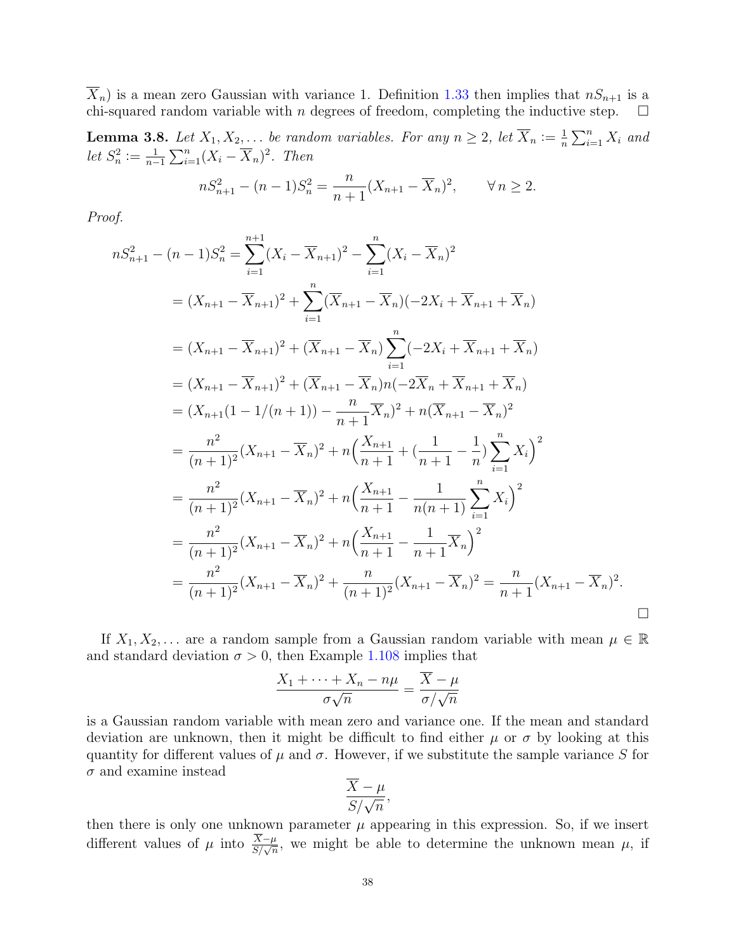$\overline{X}_n$ ) is a mean zero Gaussian with variance 1. Definition [1.33](#page-7-0) then implies that  $nS_{n+1}$  is a chi-squared random variable with n degrees of freedom, completing the inductive step.  $\Box$ 

<span id="page-37-0"></span>**Lemma 3.8.** Let  $X_1, X_2, \ldots$  be random variables. For any  $n \geq 2$ , let  $\overline{X}_n := \frac{1}{n}$  $\frac{1}{n} \sum_{i=1}^{n} X_i$  and let  $S_n^2 := \frac{1}{n-1}$  $\frac{1}{n-1}\sum_{i=1}^n (X_i - \overline{X}_n)^2$ . Then

$$
nS_{n+1}^2 - (n-1)S_n^2 = \frac{n}{n+1}(X_{n+1} - \overline{X}_n)^2, \qquad \forall n \ge 2.
$$

Proof.

 $\boldsymbol{n}$ 

$$
S_{n+1}^{2} - (n-1)S_{n}^{2} = \sum_{i=1}^{n+1} (X_{i} - \overline{X}_{n+1})^{2} - \sum_{i=1}^{n} (X_{i} - \overline{X}_{n})^{2}
$$
  
\n
$$
= (X_{n+1} - \overline{X}_{n+1})^{2} + \sum_{i=1}^{n} (\overline{X}_{n+1} - \overline{X}_{n}) (-2X_{i} + \overline{X}_{n+1} + \overline{X}_{n})
$$
  
\n
$$
= (X_{n+1} - \overline{X}_{n+1})^{2} + (\overline{X}_{n+1} - \overline{X}_{n}) \sum_{i=1}^{n} (-2X_{i} + \overline{X}_{n+1} + \overline{X}_{n})
$$
  
\n
$$
= (X_{n+1} - \overline{X}_{n+1})^{2} + (\overline{X}_{n+1} - \overline{X}_{n})n(-2\overline{X}_{n} + \overline{X}_{n+1} + \overline{X}_{n})
$$
  
\n
$$
= (X_{n+1}(1 - 1/(n+1)) - \frac{n}{n+1} \overline{X}_{n})^{2} + n(\overline{X}_{n+1} - \overline{X}_{n})^{2}
$$
  
\n
$$
= \frac{n^{2}}{(n+1)^{2}} (X_{n+1} - \overline{X}_{n})^{2} + n(\frac{X_{n+1}}{n+1} + (\frac{1}{n+1} - \frac{1}{n}) \sum_{i=1}^{n} X_{i})^{2}
$$
  
\n
$$
= \frac{n^{2}}{(n+1)^{2}} (X_{n+1} - \overline{X}_{n})^{2} + n(\frac{X_{n+1}}{n+1} - \frac{1}{n(n+1)} \sum_{i=1}^{n} X_{i})^{2}
$$
  
\n
$$
= \frac{n^{2}}{(n+1)^{2}} (X_{n+1} - \overline{X}_{n})^{2} + n(\frac{X_{n+1}}{n+1} - \frac{1}{n+1} \overline{X}_{n})^{2}
$$
  
\n
$$
= \frac{n^{2}}{(n+1)^{2}} (X_{n+1} - \overline{X}_{n})^{2} + \frac{n}{(n+1)^{2}} (X_{n+1} - \overline{X}_{n
$$

If  $X_1, X_2, \ldots$  are a random sample from a Gaussian random variable with mean  $\mu \in \mathbb{R}$ and standard deviation  $\sigma > 0$ , then Example [1.108](#page-24-0) implies that

$$
\frac{X_1 + \dots + X_n - n\mu}{\sigma\sqrt{n}} = \frac{X - \mu}{\sigma/\sqrt{n}}
$$

is a Gaussian random variable with mean zero and variance one. If the mean and standard deviation are unknown, then it might be difficult to find either  $\mu$  or  $\sigma$  by looking at this quantity for different values of  $\mu$  and  $\sigma$ . However, if we substitute the sample variance S for  $\sigma$  and examine instead

$$
\frac{X-\mu}{S/\sqrt{n}},
$$

then there is only one unknown parameter  $\mu$  appearing in this expression. So, if we insert different values of  $\mu$  into  $\frac{X-\mu}{S/\sqrt{n}}$ , we might be able to determine the unknown mean  $\mu$ , if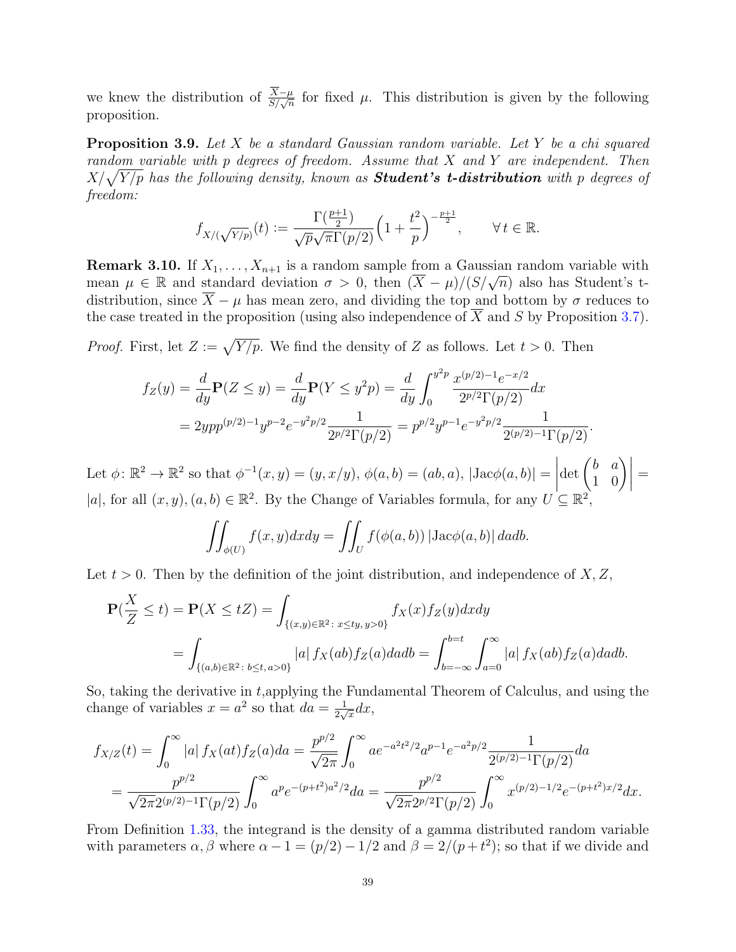we knew the distribution of  $\frac{X-\mu}{S/\sqrt{n}}$  for fixed  $\mu$ . This distribution is given by the following proposition.

**Proposition 3.9.** Let X be a standard Gaussian random variable. Let Y be a chi squared random variable with  $p$  degrees of freedom. Assume that  $X$  and  $Y$  are independent. Then  $X/\sqrt{Y/p}$  has the following density, known as  $\boldsymbol{Student's}$  t-distribution with  $p$  degrees of freedom:

$$
f_{X/(\sqrt{Y/p})}(t) := \frac{\Gamma(\frac{p+1}{2})}{\sqrt{p}\sqrt{\pi}\Gamma(p/2)} \Big(1 + \frac{t^2}{p}\Big)^{-\frac{p+1}{2}}, \qquad \forall \, t \in \mathbb{R}.
$$

**Remark 3.10.** If  $X_1, \ldots, X_{n+1}$  is a random sample from a Gaussian random variable with **NEMARE 3.10.** If  $A_1, \ldots, A_{n+1}$  is a random sample from a Gaussian random variable with mean  $\mu \in \mathbb{R}$  and standard deviation  $\sigma > 0$ , then  $(\overline{X} - \mu)/(S/\sqrt{n})$  also has Student's tdistribution, since  $\overline{X} - \mu$  has mean zero, and dividing the top and bottom by  $\sigma$  reduces to the case treated in the proposition (using also independence of  $\overline{X}$  and S by Proposition [3.7\)](#page-36-0).

*Proof.* First, let  $Z := \sqrt{Y/p}$ . We find the density of Z as follows. Let  $t > 0$ . Then

$$
f_Z(y) = \frac{d}{dy} \mathbf{P}(Z \le y) = \frac{d}{dy} \mathbf{P}(Y \le y^2 p) = \frac{d}{dy} \int_0^{y^2 p} \frac{x^{(p/2)-1} e^{-x/2}}{2^{p/2} \Gamma(p/2)} dx
$$
  
=  $2ypp^{(p/2)-1} y^{p-2} e^{-y^2 p/2} \frac{1}{2^{p/2} \Gamma(p/2)} = p^{p/2} y^{p-1} e^{-y^2 p/2} \frac{1}{2^{(p/2)-1} \Gamma(p/2)}.$ 

Let  $\phi: \mathbb{R}^2 \to \mathbb{R}^2$  so that  $\phi^{-1}(x, y) = (y, x/y), \phi(a, b) = (ab, a), |Jac\phi(a, b)| =$  $\begin{array}{c} \begin{array}{c} \begin{array}{c} \begin{array}{c} \end{array} \\ \end{array} \\ \begin{array}{c} \end{array} \end{array} \end{array}$  $\det\begin{pmatrix} b & a \\ 1 & 0 \end{pmatrix}$  = |a|, for all  $(x, y)$ ,  $(a, b) \in \mathbb{R}^2$ . By the Change of Variables formula, for any  $U \subseteq \mathbb{R}^2$ ,

$$
\iint_{\phi(U)} f(x, y) dx dy = \iint_U f(\phi(a, b)) |\text{Jac}\phi(a, b)| da db.
$$

Let  $t > 0$ . Then by the definition of the joint distribution, and independence of  $X, Z$ ,

$$
\mathbf{P}(\frac{X}{Z} \le t) = \mathbf{P}(X \le tZ) = \int_{\{(x,y)\in\mathbb{R}^2\colon x \le ty, y>0\}} f_X(x) f_Z(y) dx dy
$$
  
= 
$$
\int_{\{(a,b)\in\mathbb{R}^2\colon b\le t, a>0\}} |a| f_X(ab) f_Z(a) dadb = \int_{b=-\infty}^{b=t} \int_{a=0}^{\infty} |a| f_X(ab) f_Z(a) dadb.
$$

So, taking the derivative in t,applying the Fundamental Theorem of Calculus, and using the change of variables  $x = a^2$  so that  $da = \frac{1}{2a}$  $\frac{1}{2\sqrt{x}}dx,$ 

$$
f_{X/Z}(t) = \int_0^\infty |a| f_X(at) f_Z(a) da = \frac{p^{p/2}}{\sqrt{2\pi}} \int_0^\infty a e^{-a^2 t^2/2} a^{p-1} e^{-a^2 p/2} \frac{1}{2^{(p/2)-1} \Gamma(p/2)} da
$$
  
= 
$$
\frac{p^{p/2}}{\sqrt{2\pi} 2^{(p/2)-1} \Gamma(p/2)} \int_0^\infty a^p e^{-(p+t^2)a^2/2} da = \frac{p^{p/2}}{\sqrt{2\pi} 2^{p/2} \Gamma(p/2)} \int_0^\infty x^{(p/2)-1/2} e^{-(p+t^2)x/2} dx.
$$

From Definition [1.33,](#page-7-0) the integrand is the density of a gamma distributed random variable with parameters  $\alpha$ ,  $\beta$  where  $\alpha - 1 = (p/2) - 1/2$  and  $\beta = 2/(p + t^2)$ ; so that if we divide and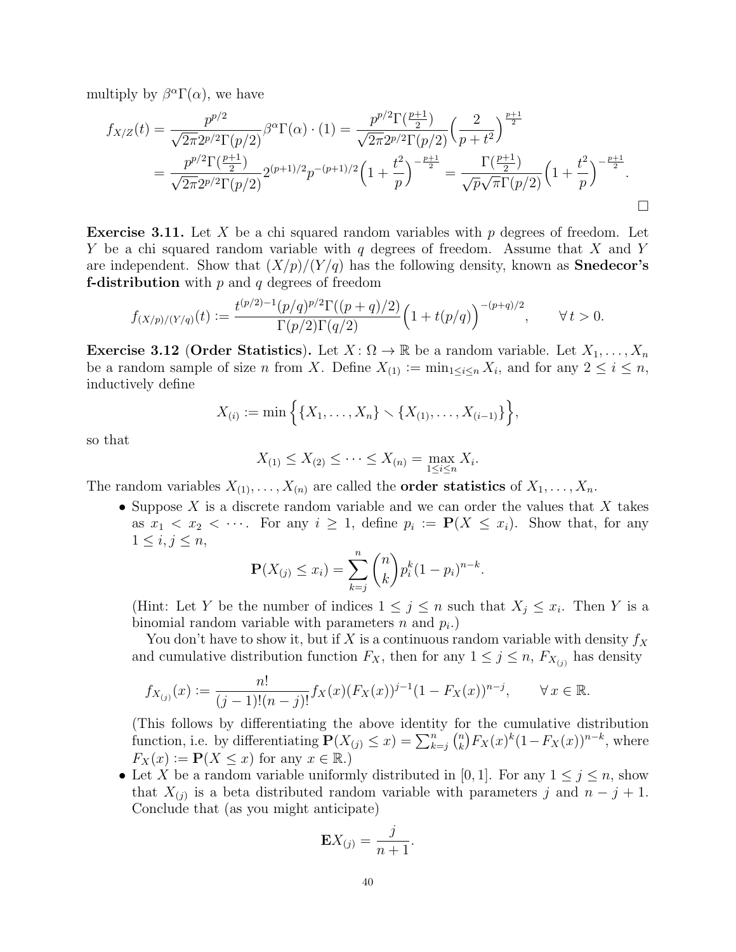multiply by  $\beta^{\alpha} \Gamma(\alpha)$ , we have

$$
f_{X/Z}(t) = \frac{p^{p/2}}{\sqrt{2\pi}2^{p/2}\Gamma(p/2)} \beta^{\alpha}\Gamma(\alpha) \cdot (1) = \frac{p^{p/2}\Gamma(\frac{p+1}{2})}{\sqrt{2\pi}2^{p/2}\Gamma(p/2)} \left(\frac{2}{p+t^2}\right)^{\frac{p+1}{2}}
$$
  
= 
$$
\frac{p^{p/2}\Gamma(\frac{p+1}{2})}{\sqrt{2\pi}2^{p/2}\Gamma(p/2)} 2^{(p+1)/2}p^{-(p+1)/2} \left(1+\frac{t^2}{p}\right)^{-\frac{p+1}{2}} = \frac{\Gamma(\frac{p+1}{2})}{\sqrt{p}\sqrt{\pi}\Gamma(p/2)} \left(1+\frac{t^2}{p}\right)^{-\frac{p+1}{2}}.
$$

**Exercise 3.11.** Let X be a chi squared random variables with p degrees of freedom. Let Y be a chi squared random variable with q degrees of freedom. Assume that X and Y are independent. Show that  $(X/p)/(Y/q)$  has the following density, known as **Snedecor's f-distribution** with  $p$  and  $q$  degrees of freedom

$$
f_{(X/p)/(Y/q)}(t) := \frac{t^{(p/2)-1}(p/q)^{p/2}\Gamma((p+q)/2)}{\Gamma(p/2)\Gamma(q/2)} \Big(1+t(p/q)\Big)^{-(p+q)/2}, \qquad \forall \, t > 0.
$$

**Exercise 3.12 (Order Statistics).** Let  $X: \Omega \to \mathbb{R}$  be a random variable. Let  $X_1, \ldots, X_n$ be a random sample of size *n* from X. Define  $X_{(1)} \coloneqq \min_{1 \leq i \leq n} X_i$ , and for any  $2 \leq i \leq n$ , inductively define

$$
X_{(i)} := \min\{ \{X_1, \ldots, X_n\} \setminus \{X_{(1)}, \ldots, X_{(i-1)}\} \},
$$

so that

$$
X_{(1)} \le X_{(2)} \le \cdots \le X_{(n)} = \max_{1 \le i \le n} X_i.
$$

The random variables  $X_{(1)}, \ldots, X_{(n)}$  are called the **order statistics** of  $X_1, \ldots, X_n$ .

• Suppose X is a discrete random variable and we can order the values that X takes as  $x_1 < x_2 < \cdots$ . For any  $i \geq 1$ , define  $p_i := \mathbf{P}(X \leq x_i)$ . Show that, for any  $1 \leq i, j \leq n$ ,

$$
\mathbf{P}(X_{(j)} \le x_i) = \sum_{k=j}^{n} {n \choose k} p_i^{k} (1-p_i)^{n-k}.
$$

(Hint: Let Y be the number of indices  $1 \leq j \leq n$  such that  $X_j \leq x_i$ . Then Y is a binomial random variable with parameters  $n$  and  $p_i$ .)

You don't have to show it, but if X is a continuous random variable with density  $f_X$ and cumulative distribution function  $F_X$ , then for any  $1 \leq j \leq n$ ,  $F_{X_{(j)}}$  has density

$$
f_{X_{(j)}}(x) := \frac{n!}{(j-1)!(n-j)!} f_X(x) (F_X(x))^{j-1} (1 - F_X(x))^{n-j}, \qquad \forall x \in \mathbb{R}.
$$

(This follows by differentiating the above identity for the cumulative distribution function, i.e. by differentiating  $\mathbf{P}(X_{(j)} \leq x) = \sum_{k=j}^{n} {n \choose k}$  $\binom{n}{k} F_X(x)^k (1 - F_X(x))^{n-k}$ , where  $F_X(x) := \mathbf{P}(X \leq x)$  for any  $x \in \mathbb{R}$ .)

• Let X be a random variable uniformly distributed in [0, 1]. For any  $1 \leq j \leq n$ , show that  $X_{(j)}$  is a beta distributed random variable with parameters j and  $n - j + 1$ . Conclude that (as you might anticipate)

$$
\mathbf{E}X_{(j)} = \frac{j}{n+1}.
$$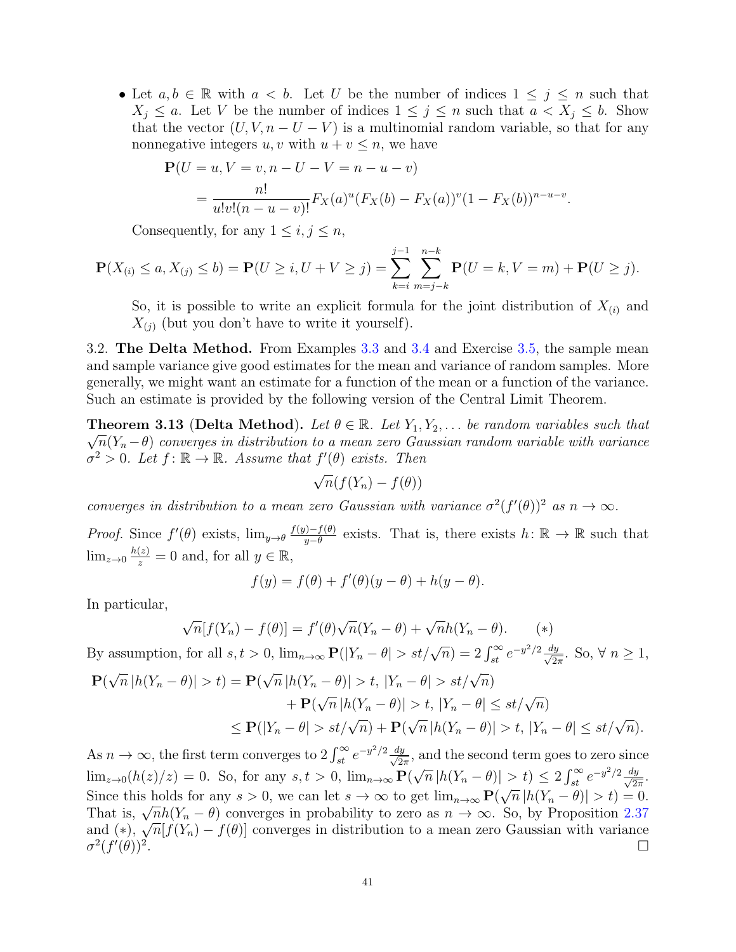• Let  $a, b \in \mathbb{R}$  with  $a < b$ . Let U be the number of indices  $1 \leq j \leq n$  such that  $X_j \leq a$ . Let V be the number of indices  $1 \leq j \leq n$  such that  $a < X_j \leq b$ . Show that the vector  $(U, V, n - U - V)$  is a multinomial random variable, so that for any nonnegative integers  $u, v$  with  $u + v \leq n$ , we have

$$
\mathbf{P}(U = u, V = v, n - U - V = n - u - v)
$$
  
= 
$$
\frac{n!}{u!v!(n - u - v)!} F_X(a)^u (F_X(b) - F_X(a))^v (1 - F_X(b))^{n - u - v}.
$$

Consequently, for any  $1 \leq i, j \leq n$ ,

$$
\mathbf{P}(X_{(i)} \le a, X_{(j)} \le b) = \mathbf{P}(U \ge i, U + V \ge j) = \sum_{k=i}^{j-1} \sum_{m=j-k}^{n-k} \mathbf{P}(U = k, V = m) + \mathbf{P}(U \ge j).
$$

So, it is possible to write an explicit formula for the joint distribution of  $X_{(i)}$  and  $X_{(i)}$  (but you don't have to write it yourself).

3.2. The Delta Method. From Examples [3.3](#page-35-0) and [3.4](#page-35-1) and Exercise [3.5,](#page-35-2) the sample mean and sample variance give good estimates for the mean and variance of random samples. More generally, we might want an estimate for a function of the mean or a function of the variance. Such an estimate is provided by the following version of the Central Limit Theorem.

<span id="page-40-0"></span>**Theorem 3.13 (Delta Method).** Let  $\theta \in \mathbb{R}$ . Let  $Y_1, Y_2, \ldots$  be random variables such that  $\sqrt{n}(Y_n-\theta)$  converges in distribution to a mean zero Gaussian random variable with variance  $\sigma^2 > 0$ . Let  $f: \mathbb{R} \to \mathbb{R}$ . Assume that  $f'(\theta)$  exists. Then

$$
\sqrt{n}(f(Y_n)-f(\theta))
$$

converges in distribution to a mean zero Gaussian with variance  $\sigma^2(f'(\theta))^2$  as  $n \to \infty$ .

*Proof.* Since  $f'(\theta)$  exists,  $\lim_{y\to\theta} \frac{f(y)-f(\theta)}{y-\theta}$  $y^{-\frac{f(\theta)}{g-\theta}}$  exists. That is, there exists  $h: \mathbb{R} \to \mathbb{R}$  such that  $\lim_{z\to 0} \frac{h(z)}{z} = 0$  and, for all  $y \in \mathbb{R}$ ,

$$
f(y) = f(\theta) + f'(\theta)(y - \theta) + h(y - \theta).
$$

In particular,

$$
\sqrt{n}[f(Y_n) - f(\theta)] = f'(\theta)\sqrt{n}(Y_n - \theta) + \sqrt{n}h(Y_n - \theta). \tag{*}
$$

By assumption, for all  $s, t > 0$ ,  $\lim_{n \to \infty} \mathbf{P}(|Y_n - \theta| > st/\sqrt{n}) = 2 \int_{st}^{\infty} e^{-y^2/2} \frac{dy}{\sqrt{2\pi}}$ . So,  $\forall n \ge 1$ ,  ${\bf P}($ √  $\sqrt{n} |h(Y_n - \theta)| > t, |Y_n - \theta| > st/\sqrt{n}$ 

$$
\begin{aligned} \mathbf{P}(\sqrt{n}|h(Y_n - \theta)| > t) &= \mathbf{P}(\sqrt{n}|h(Y_n - \theta)| > t, |Y_n - \theta| > st/\sqrt{n}) \\ &+ \mathbf{P}(\sqrt{n}|h(Y_n - \theta)| > t, |Y_n - \theta| \le st/\sqrt{n}) \\ &\le \mathbf{P}(|Y_n - \theta| > st/\sqrt{n}) + \mathbf{P}(\sqrt{n}|h(Y_n - \theta)| > t, |Y_n - \theta| \le st/\sqrt{n}). \end{aligned}
$$

As  $n \to \infty$ , the first term converges to  $2 \int_{st}^{\infty} e^{-y^2/2} \frac{dy}{\sqrt{2\pi}}$ , and the second term goes to zero since  $\lim_{z\to 0}(h(z)/z) = 0$ . So, for any  $s, t > 0$ ,  $\lim_{n\to\infty} P(\mathcal{C})$ √  $\overline{n} |h(Y_n - \theta)| > t) \leq 2 \int_{st}^{\infty} e^{-y^2/2} \frac{dy}{\sqrt{2\pi}}.$ Since this holds for any  $s > 0$ , we can let  $s \to \infty$  to get  $\lim_{n \to \infty} \mathbf{P}(\sqrt{n} |h(Y_n - \theta)| > t) = 0$ . Since this holds for any  $s > 0$ , we can let  $s \to \infty$  to get  $\lim_{n\to\infty} \mathbf{P}(\sqrt{n} |n(r_n - \sigma)| > t) = 0$ .<br>That is,  $\sqrt{n}h(Y_n - \theta)$  converges in probability to zero as  $n \to \infty$ . So, by Proposition [2.37](#page-34-1) That is,  $\sqrt{n}[(Y_n - \theta)]$  converges in probability to zero as  $n \to \infty$ . So, by Proposition 2.57 and (\*),  $\sqrt{n}[f(Y_n) - f(\theta)]$  converges in distribution to a mean zero Gaussian with variance  $\sigma^2(f'(\theta))^2$ .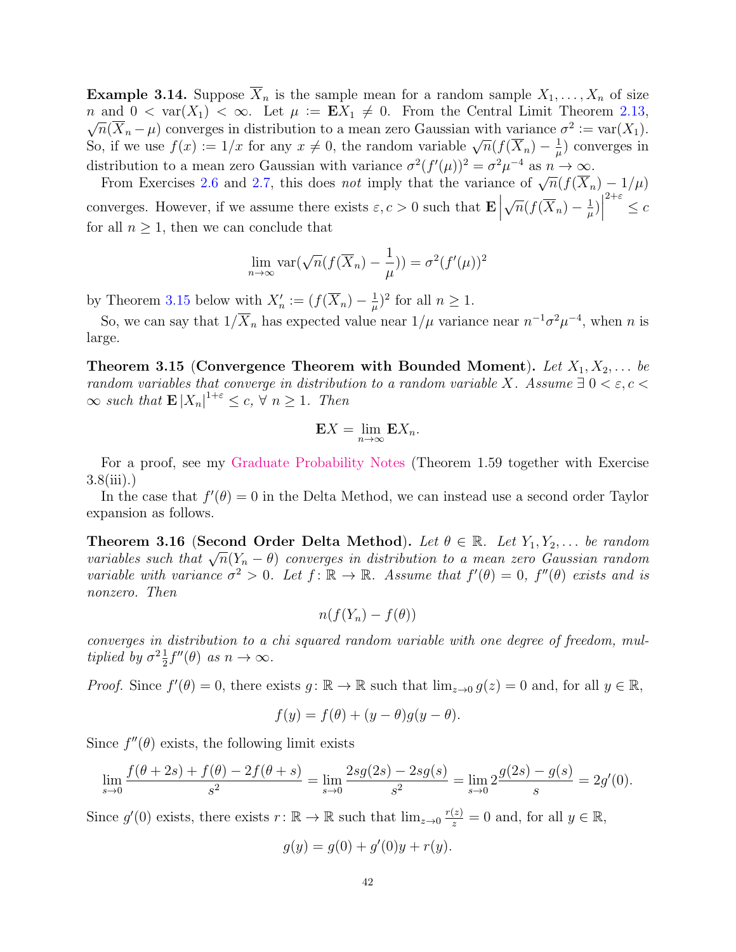**Example 3.14.** Suppose  $\overline{X}_n$  is the sample mean for a random sample  $X_1, \ldots, X_n$  of size n and  $0 < \text{var}(X_1) < \infty$ . Let  $\mu := \mathbf{E} X_1 \neq 0$ . From the Central Limit Theorem [2.13,](#page-28-0)  $\overline{n}(\overline{X}_n - \mu)$  converges in distribution to a mean zero Gaussian with variance  $\sigma^2 := \text{var}(X_1)$ .  $\sqrt{n}(\Lambda_n - \mu)$  converges in distribution to a mean zero Gaussian with variance So, if we use  $f(x) := 1/x$  for any  $x \neq 0$ , the random variable  $\sqrt{n}(f(\overline{X}_n) - \frac{1}{n})$  $\frac{1}{\mu}$ ) converges in distribution to a mean zero Gaussian with variance  $\sigma^2(f'(\mu))^2 = \sigma^2 \mu^{-4}$  as  $n \to \infty$ .

From Exercises [2.6](#page-26-0) and [2.7,](#page-26-1) this does *not* imply that the variance of  $\sqrt{n}(f(\overline{X}_n) - 1/\mu)$ converges. However, if we assume there exists  $\varepsilon, c > 0$  such that  $\mathbf{E}$ √  $\overline{n}(f(\overline{X}_n) - \frac{1}{n})$  $\frac{1}{\mu}\Big)$  $2+\varepsilon$   $\leq$   $c$ for all  $n \geq 1$ , then we can conclude that

$$
\lim_{n \to \infty} \text{var}(\sqrt{n}(f(\overline{X}_n) - \frac{1}{\mu})) = \sigma^2(f'(\mu))^2
$$

by Theorem [3.15](#page-41-0) below with  $X'_n := (f(\overline{X}_n) - \frac{1}{\mu})$  $(\frac{1}{\mu})^2$  for all  $n \geq 1$ .

So, we can say that  $1/\overline{X}_n$  has expected value near  $1/\mu$  variance near  $n^{-1}\sigma^2\mu^{-4}$ , when n is large.

<span id="page-41-0"></span>Theorem 3.15 (Convergence Theorem with Bounded Moment). Let  $X_1, X_2, \ldots$  be random variables that converge in distribution to a random variable X. Assume  $\exists 0 < \varepsilon, c <$  $\infty$  such that  $\mathbf{E}|X_n|^{1+\varepsilon} \leq c, \forall n \geq 1$ . Then

$$
\mathbf{E}X = \lim_{n \to \infty} \mathbf{E}X_n.
$$

For a proof, see my [Graduate Probability Notes](http://www.stevenheilman.org/~heilman/teach/60850.pdf) (Theorem 1.59 together with Exercise 3.8(iii).)

In the case that  $f'(\theta) = 0$  in the Delta Method, we can instead use a second order Taylor expansion as follows.

<span id="page-41-1"></span>**Theorem 3.16 (Second Order Delta Method).** Let  $\theta \in \mathbb{R}$ . Let  $Y_1, Y_2, \ldots$  be random **Theorem 3.10** (Second Order Denta Method). Let  $v \in \mathbb{R}$ . Let  $I_1, I_2, \ldots$  be random variables such that  $\sqrt{n}(Y_n - \theta)$  converges in distribution to a mean zero Gaussian random variable with variance  $\sigma^2 > 0$ . Let  $f: \mathbb{R} \to \mathbb{R}$ . Assume that  $f'(\theta) = 0$ ,  $f''(\theta)$  exists and is nonzero. Then

$$
n(f(Y_n) - f(\theta))
$$

converges in distribution to a chi squared random variable with one degree of freedom, multiplied by  $\sigma^2 \frac{1}{2}$  $\frac{1}{2}f''(\theta)$  as  $n \to \infty$ .

*Proof.* Since  $f'(\theta) = 0$ , there exists  $g: \mathbb{R} \to \mathbb{R}$  such that  $\lim_{z\to 0} g(z) = 0$  and, for all  $y \in \mathbb{R}$ ,

$$
f(y) = f(\theta) + (y - \theta)g(y - \theta).
$$

Since  $f''(\theta)$  exists, the following limit exists

$$
\lim_{s \to 0} \frac{f(\theta + 2s) + f(\theta) - 2f(\theta + s)}{s^2} = \lim_{s \to 0} \frac{2sg(2s) - 2sg(s)}{s^2} = \lim_{s \to 0} 2\frac{g(2s) - g(s)}{s} = 2g'(0).
$$

Since  $g'(0)$  exists, there exists  $r: \mathbb{R} \to \mathbb{R}$  such that  $\lim_{z\to 0} \frac{r(z)}{z} = 0$  and, for all  $y \in \mathbb{R}$ ,

$$
g(y) = g(0) + g'(0)y + r(y).
$$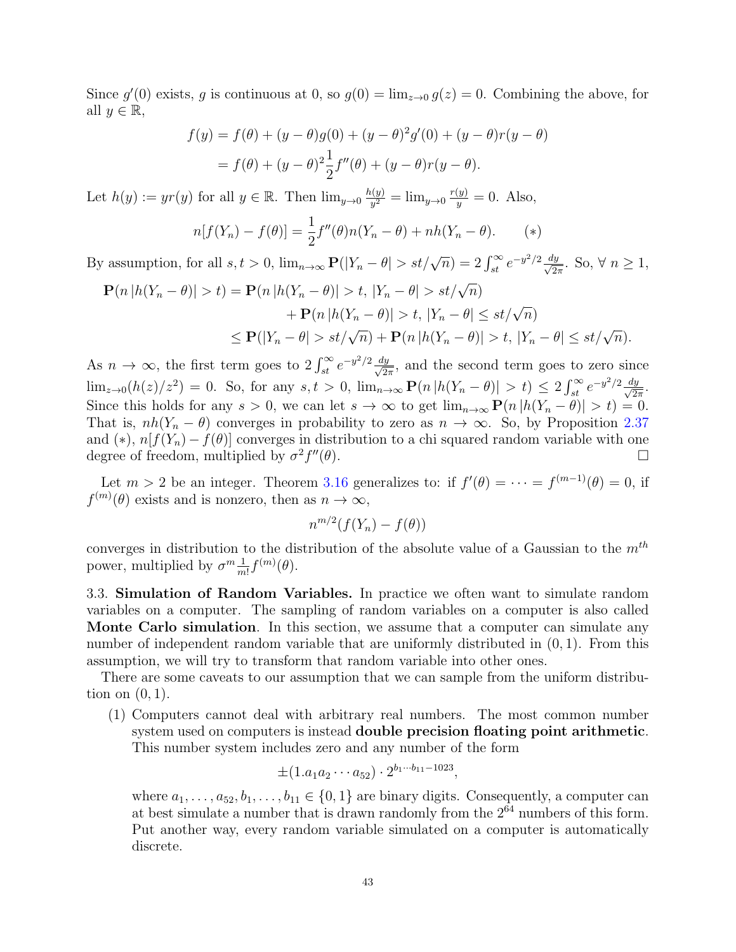Since  $g'(0)$  exists, g is continuous at 0, so  $g(0) = \lim_{z\to 0} g(z) = 0$ . Combining the above, for all  $y \in \mathbb{R}$ ,

$$
f(y) = f(\theta) + (y - \theta)g(0) + (y - \theta)^2 g'(0) + (y - \theta)r(y - \theta)
$$
  
=  $f(\theta) + (y - \theta)^2 \frac{1}{2} f''(\theta) + (y - \theta)r(y - \theta)$ .

Let  $h(y) \coloneqq yr(y)$  for all  $y \in \mathbb{R}$ . Then  $\lim_{y\to 0} \frac{h(y)}{y^2}$  $y^{(y)}_y = \lim_{y \to 0} \frac{r(y)}{y} = 0.$  Also,

$$
n[f(Y_n) - f(\theta)] = \frac{1}{2}f''(\theta)n(Y_n - \theta) + nh(Y_n - \theta).
$$
 (\*)

By assumption, for all  $s, t > 0$ ,  $\lim_{n \to \infty} \mathbf{P}(|Y_n - \theta| > st/\sqrt{n}) = 2 \int_{st}^{\infty} e^{-y^2/2} \frac{dy}{\sqrt{2\pi}}$ . So,  $\forall n \ge 1$ ,

$$
\mathbf{P}(n|h(Y_n - \theta)| > t) = \mathbf{P}(n|h(Y_n - \theta)| > t, |Y_n - \theta| > st/\sqrt{n})
$$
  
+ 
$$
\mathbf{P}(n|h(Y_n - \theta)| > t, |Y_n - \theta| \le st/\sqrt{n})
$$
  

$$
\le \mathbf{P}(|Y_n - \theta| > st/\sqrt{n}) + \mathbf{P}(n|h(Y_n - \theta)| > t, |Y_n - \theta| \le st/\sqrt{n}).
$$

As  $n \to \infty$ , the first term goes to  $2 \int_{st}^{\infty} e^{-y^2/2} \frac{dy}{\sqrt{2\pi}}$ , and the second term goes to zero since  $\lim_{z\to 0}(h(z)/z^2) = 0$ . So, for any  $s, t > 0$ ,  $\lim_{n\to\infty} P(n|h(Y_n - \theta)| > t) \leq 2 \int_{st}^{\infty} e^{-y^2/2} \frac{dy}{\sqrt{2\pi}}$ . Since this holds for any  $s > 0$ , we can let  $s \to \infty$  to get  $\lim_{n\to\infty} P(n|h(Y_n - \tilde{\theta})| > t) = 0$ . That is,  $nh(Y_n - \theta)$  converges in probability to zero as  $n \to \infty$ . So, by Proposition [2.37](#page-34-1) and (\*),  $n[f(Y_n) - f(\theta)]$  converges in distribution to a chi squared random variable with one degree of freedom, multiplied by  $\sigma^2 f$  $\mathcal{O}(\theta)$ .

Let  $m > 2$  be an integer. Theorem [3.16](#page-41-1) generalizes to: if  $f'(\theta) = \cdots = f^{(m-1)}(\theta) = 0$ , if  $f^{(m)}(\theta)$  exists and is nonzero, then as  $n \to \infty$ ,

$$
n^{m/2}(f(Y_n) - f(\theta))
$$

converges in distribution to the distribution of the absolute value of a Gaussian to the  $m^{th}$ power, multiplied by  $\sigma^m \frac{1}{m}$  $\frac{1}{m!}f^{(m)}(\theta).$ 

3.3. Simulation of Random Variables. In practice we often want to simulate random variables on a computer. The sampling of random variables on a computer is also called Monte Carlo simulation. In this section, we assume that a computer can simulate any number of independent random variable that are uniformly distributed in  $(0, 1)$ . From this assumption, we will try to transform that random variable into other ones.

There are some caveats to our assumption that we can sample from the uniform distribution on  $(0, 1)$ .

(1) Computers cannot deal with arbitrary real numbers. The most common number system used on computers is instead double precision floating point arithmetic. This number system includes zero and any number of the form

$$
\pm (1.a_1a_2\cdots a_{52})\cdot 2^{b_1\cdots b_{11}-1023},
$$

where  $a_1, \ldots, a_{52}, b_1, \ldots, b_{11} \in \{0, 1\}$  are binary digits. Consequently, a computer can at best simulate a number that is drawn randomly from the  $2^{64}$  numbers of this form. Put another way, every random variable simulated on a computer is automatically discrete.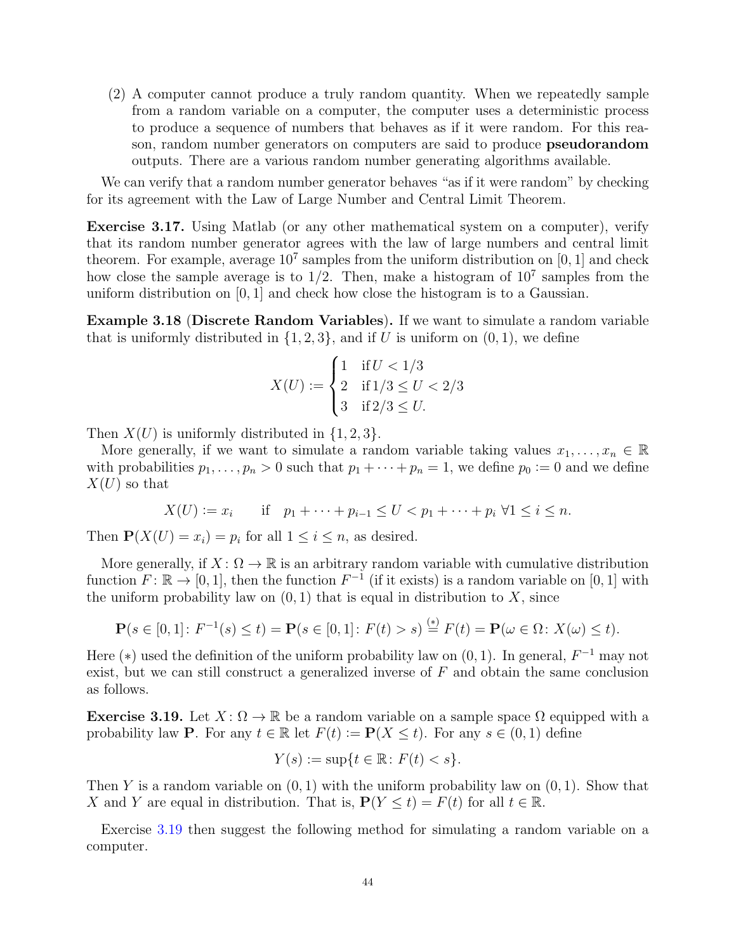(2) A computer cannot produce a truly random quantity. When we repeatedly sample from a random variable on a computer, the computer uses a deterministic process to produce a sequence of numbers that behaves as if it were random. For this reason, random number generators on computers are said to produce pseudorandom outputs. There are a various random number generating algorithms available.

We can verify that a random number generator behaves "as if it were random" by checking for its agreement with the Law of Large Number and Central Limit Theorem.

Exercise 3.17. Using Matlab (or any other mathematical system on a computer), verify that its random number generator agrees with the law of large numbers and central limit theorem. For example, average  $10^7$  samples from the uniform distribution on [0, 1] and check how close the sample average is to  $1/2$ . Then, make a histogram of  $10^7$  samples from the uniform distribution on [0, 1] and check how close the histogram is to a Gaussian.

Example 3.18 (Discrete Random Variables). If we want to simulate a random variable that is uniformly distributed in  $\{1, 2, 3\}$ , and if U is uniform on  $(0, 1)$ , we define

$$
X(U) := \begin{cases} 1 & \text{if } U < 1/3 \\ 2 & \text{if } 1/3 \le U < 2/3 \\ 3 & \text{if } 2/3 \le U. \end{cases}
$$

Then  $X(U)$  is uniformly distributed in  $\{1, 2, 3\}$ .

More generally, if we want to simulate a random variable taking values  $x_1, \ldots, x_n \in \mathbb{R}$ with probabilities  $p_1, \ldots, p_n > 0$  such that  $p_1 + \cdots + p_n = 1$ , we define  $p_0 := 0$  and we define  $X(U)$  so that

$$
X(U) := x_i
$$
 if  $p_1 + \cdots + p_{i-1} \leq U < p_1 + \cdots + p_i \ \forall 1 \leq i \leq n$ .

Then  $\mathbf{P}(X(U) = x_i) = p_i$  for all  $1 \leq i \leq n$ , as desired.

More generally, if  $X: \Omega \to \mathbb{R}$  is an arbitrary random variable with cumulative distribution function  $F: \mathbb{R} \to [0, 1]$ , then the function  $F^{-1}$  (if it exists) is a random variable on [0, 1] with the uniform probability law on  $(0, 1)$  that is equal in distribution to X, since

$$
\mathbf{P}(s \in [0,1]: F^{-1}(s) \le t) = \mathbf{P}(s \in [0,1]: F(t) > s) \stackrel{(*)}{=} F(t) = \mathbf{P}(\omega \in \Omega: X(\omega) \le t).
$$

Here (\*) used the definition of the uniform probability law on  $(0, 1)$ . In general,  $F^{-1}$  may not exist, but we can still construct a generalized inverse of  $F$  and obtain the same conclusion as follows.

<span id="page-43-0"></span>**Exercise 3.19.** Let  $X: \Omega \to \mathbb{R}$  be a random variable on a sample space  $\Omega$  equipped with a probability law **P**. For any  $t \in \mathbb{R}$  let  $F(t) := \mathbf{P}(X \leq t)$ . For any  $s \in (0, 1)$  define

$$
Y(s) := \sup\{t \in \mathbb{R} \colon F(t) < s\}.
$$

Then Y is a random variable on  $(0, 1)$  with the uniform probability law on  $(0, 1)$ . Show that X and Y are equal in distribution. That is,  $P(Y \le t) = F(t)$  for all  $t \in \mathbb{R}$ .

Exercise [3.19](#page-43-0) then suggest the following method for simulating a random variable on a computer.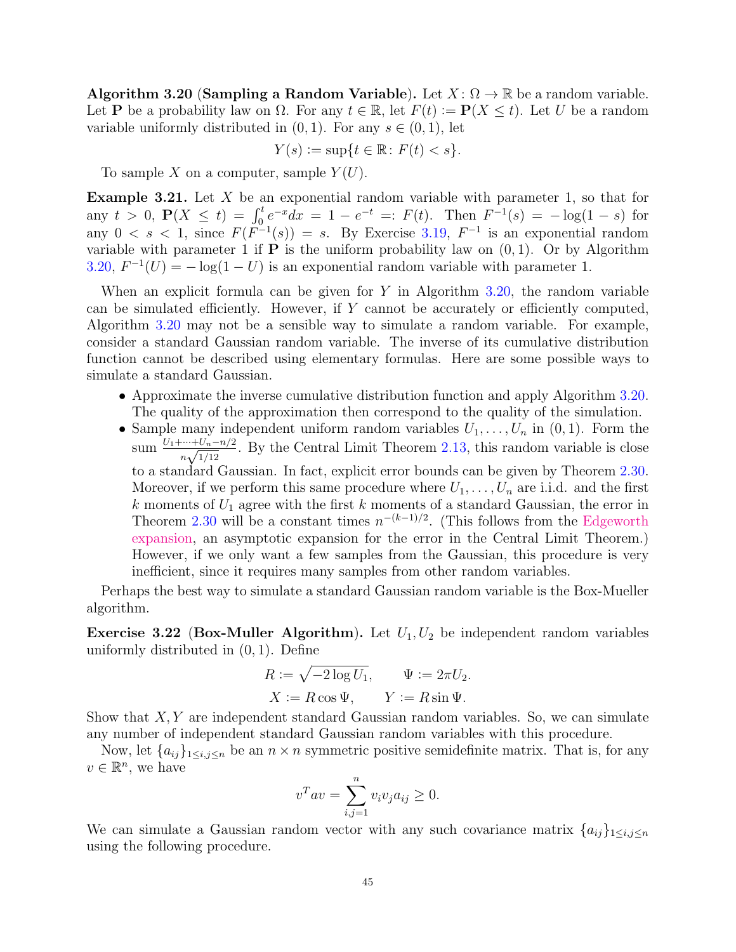<span id="page-44-0"></span>Algorithm 3.20 (Sampling a Random Variable). Let  $X: \Omega \to \mathbb{R}$  be a random variable. Let **P** be a probability law on  $\Omega$ . For any  $t \in \mathbb{R}$ , let  $F(t) := \mathbf{P}(X \leq t)$ . Let U be a random variable uniformly distributed in  $(0, 1)$ . For any  $s \in (0, 1)$ , let

$$
Y(s) := \sup\{t \in \mathbb{R} \colon F(t) < s\}.
$$

To sample X on a computer, sample  $Y(U)$ .

**Example 3.21.** Let  $X$  be an exponential random variable with parameter 1, so that for any  $t > 0$ ,  $P(X \le t) = \int_0^t e^{-x} dx = 1 - e^{-t} =: F(t)$ . Then  $F^{-1}(s) = -\log(1-s)$  for any  $0 < s < 1$ , since  $F(F^{-1}(s)) = s$ . By Exercise [3.19,](#page-43-0)  $F^{-1}$  is an exponential random variable with parameter 1 if  $P$  is the uniform probability law on  $(0, 1)$ . Or by Algorithm [3.20,](#page-44-0)  $F^{-1}(U) = -\log(1-U)$  is an exponential random variable with parameter 1.

When an explicit formula can be given for  $Y$  in Algorithm [3.20,](#page-44-0) the random variable can be simulated efficiently. However, if  $Y$  cannot be accurately or efficiently computed, Algorithm [3.20](#page-44-0) may not be a sensible way to simulate a random variable. For example, consider a standard Gaussian random variable. The inverse of its cumulative distribution function cannot be described using elementary formulas. Here are some possible ways to simulate a standard Gaussian.

- Approximate the inverse cumulative distribution function and apply Algorithm [3.20.](#page-44-0) The quality of the approximation then correspond to the quality of the simulation.
- Sample many independent uniform random variables  $U_1, \ldots, U_n$  in  $(0, 1)$ . Form the sum  $\frac{U_1 + \dots + U_n - n/2}{\sqrt{1/10}}$  $\frac{m+U_n-n/2}{n\sqrt{1/12}}$ . By the Central Limit Theorem [2.13,](#page-28-0) this random variable is close to a standard Gaussian. In fact, explicit error bounds can be given by Theorem [2.30.](#page-32-0) Moreover, if we perform this same procedure where  $U_1, \ldots, U_n$  are i.i.d. and the first k moments of  $U_1$  agree with the first k moments of a standard Gaussian, the error in Theorem [2.30](#page-32-0) will be a constant times  $n^{-(k-1)/2}$ . (This follows from the [Edgeworth](https://en.wikipedia.org/wiki/Edgeworth_series) [expansion,](https://en.wikipedia.org/wiki/Edgeworth_series) an asymptotic expansion for the error in the Central Limit Theorem.) However, if we only want a few samples from the Gaussian, this procedure is very inefficient, since it requires many samples from other random variables.

Perhaps the best way to simulate a standard Gaussian random variable is the Box-Mueller algorithm.

**Exercise 3.22 (Box-Muller Algorithm).** Let  $U_1, U_2$  be independent random variables uniformly distributed in (0, 1). Define

$$
R := \sqrt{-2\log U_1}, \qquad \Psi := 2\pi U_2.
$$
  

$$
X := R\cos\Psi, \qquad Y := R\sin\Psi.
$$

Show that  $X, Y$  are independent standard Gaussian random variables. So, we can simulate any number of independent standard Gaussian random variables with this procedure.

Now, let  $\{a_{ij}\}_{1\leq i,j\leq n}$  be an  $n\times n$  symmetric positive semidefinite matrix. That is, for any  $v \in \mathbb{R}^n$ , we have

$$
v^T a v = \sum_{i,j=1}^n v_i v_j a_{ij} \ge 0.
$$

We can simulate a Gaussian random vector with any such covariance matrix  $\{a_{ij}\}_{1\leq i,j\leq n}$ using the following procedure.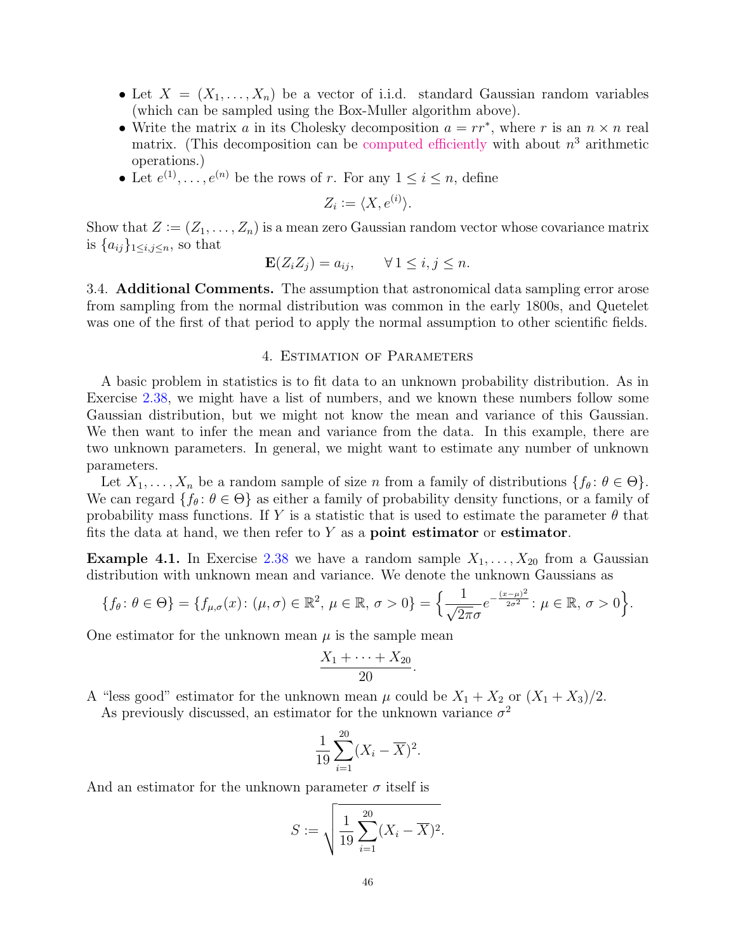- Let  $X = (X_1, \ldots, X_n)$  be a vector of i.i.d. standard Gaussian random variables (which can be sampled using the Box-Muller algorithm above).
- Write the matrix a in its Cholesky decomposition  $a = rr^*$ , where r is an  $n \times n$  real matrix. (This decomposition can be [computed efficiently](https://en.wikipedia.org/wiki/Cholesky_decomposition#The_Cholesky_algorithm) with about  $n<sup>3</sup>$  arithmetic operations.)
- Let  $e^{(1)}, \ldots, e^{(n)}$  be the rows of r. For any  $1 \leq i \leq n$ , define

$$
Z_i := \langle X, e^{(i)} \rangle.
$$

Show that  $Z := (Z_1, \ldots, Z_n)$  is a mean zero Gaussian random vector whose covariance matrix is  $\{a_{ij}\}_{1\leq i,j\leq n}$ , so that

$$
\mathbf{E}(Z_i Z_j) = a_{ij}, \qquad \forall \, 1 \le i, j \le n.
$$

3.4. Additional Comments. The assumption that astronomical data sampling error arose from sampling from the normal distribution was common in the early 1800s, and Quetelet was one of the first of that period to apply the normal assumption to other scientific fields.

# 4. Estimation of Parameters

<span id="page-45-0"></span>A basic problem in statistics is to fit data to an unknown probability distribution. As in Exercise [2.38,](#page-34-2) we might have a list of numbers, and we known these numbers follow some Gaussian distribution, but we might not know the mean and variance of this Gaussian. We then want to infer the mean and variance from the data. In this example, there are two unknown parameters. In general, we might want to estimate any number of unknown parameters.

Let  $X_1, \ldots, X_n$  be a random sample of size n from a family of distributions  $\{f_\theta : \theta \in \Theta\}$ . We can regard  $\{f_\theta: \theta \in \Theta\}$  as either a family of probability density functions, or a family of probability mass functions. If Y is a statistic that is used to estimate the parameter  $\theta$  that fits the data at hand, we then refer to  $Y$  as a **point estimator** or **estimator**.

**Example 4.1.** In Exercise [2.38](#page-34-2) we have a random sample  $X_1, \ldots, X_{20}$  from a Gaussian distribution with unknown mean and variance. We denote the unknown Gaussians as

$$
\{f_{\theta}\colon \theta\in\Theta\}=\{f_{\mu,\sigma}(x)\colon (\mu,\sigma)\in\mathbb{R}^2, \ \mu\in\mathbb{R}, \sigma>0\}=\Big\{\frac{1}{\sqrt{2\pi}\sigma}e^{-\frac{(x-\mu)^2}{2\sigma^2}}: \ \mu\in\mathbb{R}, \sigma>0\Big\}.
$$

One estimator for the unknown mean  $\mu$  is the sample mean

$$
\frac{X_1+\cdots+X_{20}}{20}.
$$

A "less good" estimator for the unknown mean  $\mu$  could be  $X_1 + X_2$  or  $(X_1 + X_3)/2$ .

As previously discussed, an estimator for the unknown variance  $\sigma^2$ 

$$
\frac{1}{19} \sum_{i=1}^{20} (X_i - \overline{X})^2.
$$

And an estimator for the unknown parameter  $\sigma$  itself is

$$
S := \sqrt{\frac{1}{19} \sum_{i=1}^{20} (X_i - \overline{X})^2}.
$$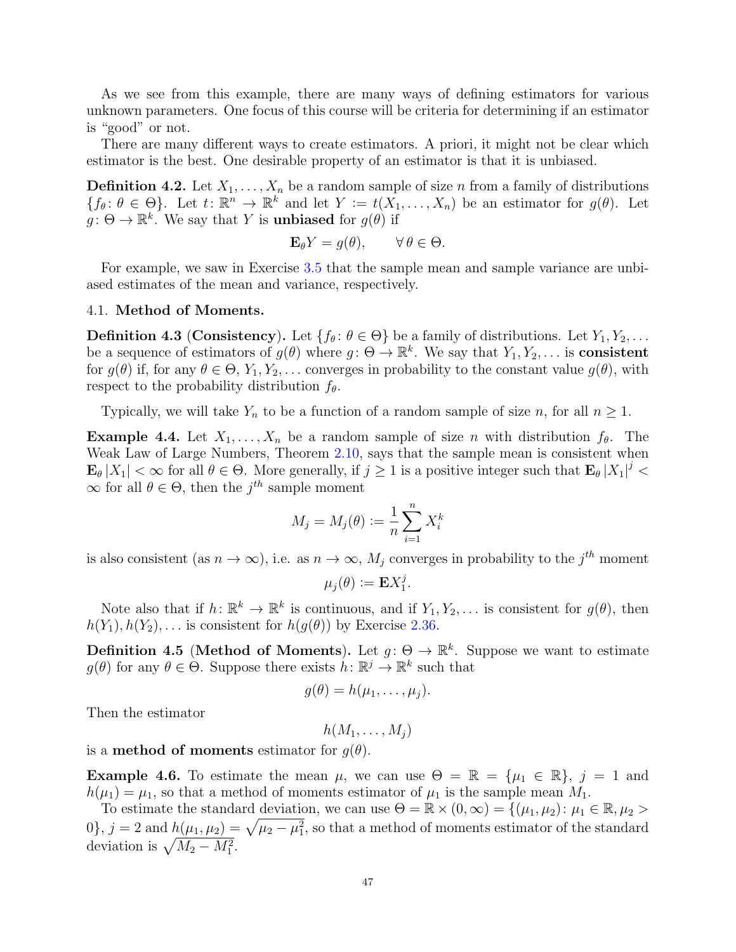As we see from this example, there are many ways of defining estimators for various unknown parameters. One focus of this course will be criteria for determining if an estimator is "good" or not.

There are many different ways to create estimators. A priori, it might not be clear which estimator is the best. One desirable property of an estimator is that it is unbiased.

**Definition 4.2.** Let  $X_1, \ldots, X_n$  be a random sample of size n from a family of distributions  ${f_{\theta} : \theta \in \Theta}$ . Let  $t: \mathbb{R}^n \to \mathbb{R}^k$  and let  $Y := t(X_1, \ldots, X_n)$  be an estimator for  $g(\theta)$ . Let  $g: \Theta \to \mathbb{R}^k$ . We say that Y is **unbiased** for  $g(\theta)$  if

$$
\mathbf{E}_{\theta} Y = g(\theta), \qquad \forall \, \theta \in \Theta.
$$

For example, we saw in Exercise [3.5](#page-35-2) that the sample mean and sample variance are unbiased estimates of the mean and variance, respectively.

### 4.1. Method of Moments.

**Definition 4.3 (Consistency).** Let  $\{f_\theta: \theta \in \Theta\}$  be a family of distributions. Let  $Y_1, Y_2, \ldots$ be a sequence of estimators of  $g(\theta)$  where  $g: \Theta \to \mathbb{R}^k$ . We say that  $Y_1, Y_2, \ldots$  is **consistent** for  $g(\theta)$  if, for any  $\theta \in \Theta$ ,  $Y_1, Y_2, \ldots$  converges in probability to the constant value  $g(\theta)$ , with respect to the probability distribution  $f_{\theta}$ .

Typically, we will take  $Y_n$  to be a function of a random sample of size n, for all  $n \geq 1$ .

<span id="page-46-0"></span>**Example 4.4.** Let  $X_1, \ldots, X_n$  be a random sample of size n with distribution  $f_\theta$ . The Weak Law of Large Numbers, Theorem [2.10,](#page-27-0) says that the sample mean is consistent when  $\mathbf{E}_{\theta}|X_1| < \infty$  for all  $\theta \in \Theta$ . More generally, if  $j \geq 1$  is a positive integer such that  $\mathbf{E}_{\theta}|X_1|^j < \infty$  $\infty$  for all  $\theta \in \Theta$ , then the  $j^{th}$  sample moment

$$
M_j = M_j(\theta) := \frac{1}{n} \sum_{i=1}^n X_i^k
$$

is also consistent (as  $n \to \infty$ ), i.e. as  $n \to \infty$ ,  $M_j$  converges in probability to the j<sup>th</sup> moment

$$
\mu_j(\theta) \mathrel{\mathop:}= \mathbf{E} X_1^j.
$$

Note also that if  $h: \mathbb{R}^k \to \mathbb{R}^k$  is continuous, and if  $Y_1, Y_2, \ldots$  is consistent for  $g(\theta)$ , then  $h(Y_1), h(Y_2), \ldots$  is consistent for  $h(g(\theta))$  by Exercise [2.36.](#page-33-0)

**Definition 4.5 (Method of Moments).** Let  $g: \Theta \to \mathbb{R}^k$ . Suppose we want to estimate  $g(\theta)$  for any  $\theta \in \Theta$ . Suppose there exists  $h: \mathbb{R}^j \to \mathbb{R}^k$  such that

$$
g(\theta)=h(\mu_1,\ldots,\mu_j).
$$

Then the estimator

$$
h(M_1,\ldots,M_j)
$$

is a **method of moments** estimator for  $q(\theta)$ .

**Example 4.6.** To estimate the mean  $\mu$ , we can use  $\Theta = \mathbb{R} = {\mu_1 \in \mathbb{R}}, j = 1$  and  $h(\mu_1) = \mu_1$ , so that a method of moments estimator of  $\mu_1$  is the sample mean  $M_1$ .

To estimate the standard deviation, we can use  $\Theta = \mathbb{R} \times (0, \infty) = \{(\mu_1, \mu_2) : \mu_1 \in \mathbb{R}, \mu_2 > \emptyset\}$  $(0)$ ,  $j = 2$  and  $h(\mu_1, \mu_2) = \sqrt{\mu_2 - \mu_1^2}$ , so that a method of moments estimator of the standard deviation is  $\sqrt{M_2 - M_1^2}$ .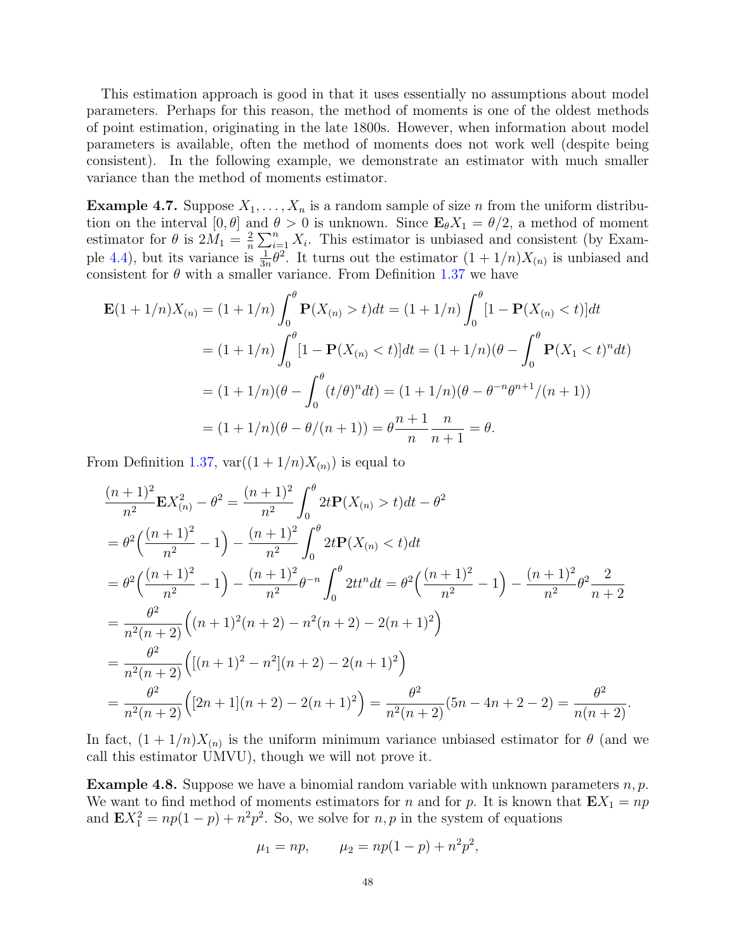This estimation approach is good in that it uses essentially no assumptions about model parameters. Perhaps for this reason, the method of moments is one of the oldest methods of point estimation, originating in the late 1800s. However, when information about model parameters is available, often the method of moments does not work well (despite being consistent). In the following example, we demonstrate an estimator with much smaller variance than the method of moments estimator.

**Example 4.7.** Suppose  $X_1, \ldots, X_n$  is a random sample of size n from the uniform distribution on the interval  $[0, \theta]$  and  $\theta > 0$  is unknown. Since  $\mathbf{E}_{\theta}X_1 = \theta/2$ , a method of moment estimator for  $\theta$  is  $2M_1 = \frac{2}{n}$  $\frac{2}{n}\sum_{i=1}^{n} X_i$ . This estimator is unbiased and consistent (by Exam-ple [4.4\)](#page-46-0), but its variance is  $\frac{1}{3n}\theta^2$ . It turns out the estimator  $(1+1/n)X_{(n)}$  is unbiased and consistent for  $\theta$  with a smaller variance. From Definition [1.37](#page-9-0) we have

$$
\mathbf{E}(1+1/n)X_{(n)} = (1+1/n)\int_0^{\theta} \mathbf{P}(X_{(n)} > t)dt = (1+1/n)\int_0^{\theta} [1 - \mathbf{P}(X_{(n)} < t)]dt
$$
  
=  $(1+1/n)\int_0^{\theta} [1 - \mathbf{P}(X_{(n)} < t)]dt = (1+1/n)(\theta - \int_0^{\theta} \mathbf{P}(X_1 < t)^n dt)$   
=  $(1+1/n)(\theta - \int_0^{\theta} (t/\theta)^n dt) = (1+1/n)(\theta - \theta^{-n}\theta^{n+1}/(n+1))$   
=  $(1+1/n)(\theta - \theta/(n+1)) = \theta \frac{n+1}{n} \frac{n}{n+1} = \theta.$ 

From Definition [1.37,](#page-9-0)  $var((1 + 1/n)X_{(n)})$  is equal to

$$
\frac{(n+1)^2}{n^2} \mathbf{E} X_{(n)}^2 - \theta^2 = \frac{(n+1)^2}{n^2} \int_0^{\theta} 2t \mathbf{P}(X_{(n)} > t) dt - \theta^2
$$
  
\n
$$
= \theta^2 \Big( \frac{(n+1)^2}{n^2} - 1 \Big) - \frac{(n+1)^2}{n^2} \int_0^{\theta} 2t \mathbf{P}(X_{(n)} < t) dt
$$
  
\n
$$
= \theta^2 \Big( \frac{(n+1)^2}{n^2} - 1 \Big) - \frac{(n+1)^2}{n^2} \theta^{-n} \int_0^{\theta} 2t t^n dt = \theta^2 \Big( \frac{(n+1)^2}{n^2} - 1 \Big) - \frac{(n+1)^2}{n^2} \theta^2 \frac{2}{n+2}
$$
  
\n
$$
= \frac{\theta^2}{n^2 (n+2)} \Big( (n+1)^2 (n+2) - n^2 (n+2) - 2(n+1)^2 \Big)
$$
  
\n
$$
= \frac{\theta^2}{n^2 (n+2)} \Big( [(n+1)^2 - n^2] (n+2) - 2(n+1)^2 \Big)
$$
  
\n
$$
= \frac{\theta^2}{n^2 (n+2)} \Big( [2n+1] (n+2) - 2(n+1)^2 \Big) = \frac{\theta^2}{n^2 (n+2)} (5n - 4n + 2 - 2) = \frac{\theta^2}{n (n+2)}.
$$

In fact,  $(1 + 1/n)X_{(n)}$  is the uniform minimum variance unbiased estimator for  $\theta$  (and we call this estimator UMVU), though we will not prove it.

**Example 4.8.** Suppose we have a binomial random variable with unknown parameters  $n, p$ . We want to find method of moments estimators for n and for p. It is known that  $\mathbf{E}X_1 = np$ and  $\mathbf{E}X_1^2 = np(1-p) + n^2p^2$ . So, we solve for  $n, p$  in the system of equations

$$
\mu_1 = np,
$$
\n $\mu_2 = np(1-p) + n^2p^2,$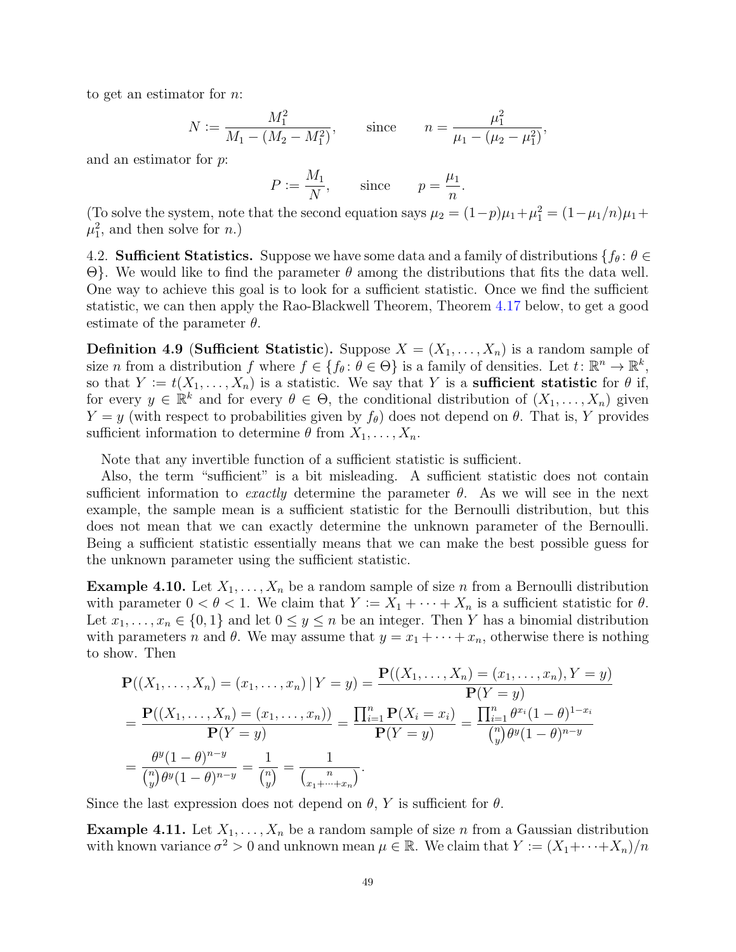to get an estimator for n:

$$
N := \frac{M_1^2}{M_1 - (M_2 - M_1^2)},
$$
 since 
$$
n = \frac{\mu_1^2}{\mu_1 - (\mu_2 - \mu_1^2)},
$$

and an estimator for p:

$$
P := \frac{M_1}{N}, \qquad \text{since} \qquad p = \frac{\mu_1}{n}.
$$

(To solve the system, note that the second equation says  $\mu_2 = (1-p)\mu_1 + \mu_1^2 = (1-\mu_1/n)\mu_1 +$  $\mu_1^2$ , and then solve for *n*.)

4.2. **Sufficient Statistics.** Suppose we have some data and a family of distributions  $\{f_\theta: \theta \in$ Θ}. We would like to find the parameter θ among the distributions that fits the data well. One way to achieve this goal is to look for a sufficient statistic. Once we find the sufficient statistic, we can then apply the Rao-Blackwell Theorem, Theorem [4.17](#page-51-0) below, to get a good estimate of the parameter  $\theta$ .

**Definition 4.9 (Sufficient Statistic).** Suppose  $X = (X_1, \ldots, X_n)$  is a random sample of size n from a distribution f where  $f \in \{f_\theta : \theta \in \Theta\}$  is a family of densities. Let  $t \colon \mathbb{R}^n \to \mathbb{R}^k$ , so that  $Y := t(X_1, \ldots, X_n)$  is a statistic. We say that Y is a sufficient statistic for  $\theta$  if, for every  $y \in \mathbb{R}^k$  and for every  $\theta \in \Theta$ , the conditional distribution of  $(X_1, \ldots, X_n)$  given  $Y = y$  (with respect to probabilities given by  $f_{\theta}$ ) does not depend on  $\theta$ . That is, Y provides sufficient information to determine  $\theta$  from  $X_1, \ldots, X_n$ .

Note that any invertible function of a sufficient statistic is sufficient.

Also, the term "sufficient" is a bit misleading. A sufficient statistic does not contain sufficient information to exactly determine the parameter  $\theta$ . As we will see in the next example, the sample mean is a sufficient statistic for the Bernoulli distribution, but this does not mean that we can exactly determine the unknown parameter of the Bernoulli. Being a sufficient statistic essentially means that we can make the best possible guess for the unknown parameter using the sufficient statistic.

**Example 4.10.** Let  $X_1, \ldots, X_n$  be a random sample of size n from a Bernoulli distribution with parameter  $0 < \theta < 1$ . We claim that  $Y := X_1 + \cdots + X_n$  is a sufficient statistic for  $\theta$ . Let  $x_1, \ldots, x_n \in \{0,1\}$  and let  $0 \le y \le n$  be an integer. Then Y has a binomial distribution with parameters n and  $\theta$ . We may assume that  $y = x_1 + \cdots + x_n$ , otherwise there is nothing to show. Then

$$
\mathbf{P}((X_1, ..., X_n) = (x_1, ..., x_n) | Y = y) = \frac{\mathbf{P}((X_1, ..., X_n) = (x_1, ..., x_n), Y = y)}{\mathbf{P}(Y = y)}
$$

$$
= \frac{\mathbf{P}((X_1, ..., X_n) = (x_1, ..., x_n))}{\mathbf{P}(Y = y)} = \frac{\prod_{i=1}^n \mathbf{P}(X_i = x_i)}{\mathbf{P}(Y = y)} = \frac{\prod_{i=1}^n \theta^{x_i} (1 - \theta)^{1 - x_i}}{\binom{n}{y} \theta^{y} (1 - \theta)^{n - y}}
$$

$$
= \frac{\theta^{y} (1 - \theta)^{n - y}}{\binom{n}{y} \theta^{y} (1 - \theta)^{n - y}} = \frac{1}{\binom{n}{y}} = \frac{1}{\binom{n}{x_1 + \dots + x_n}}.
$$

Since the last expression does not depend on  $\theta$ , Y is sufficient for  $\theta$ .

<span id="page-48-0"></span>**Example 4.11.** Let  $X_1, \ldots, X_n$  be a random sample of size n from a Gaussian distribution with known variance  $\sigma^2 > 0$  and unknown mean  $\mu \in \mathbb{R}$ . We claim that  $Y := (X_1 + \cdots + X_n)/n$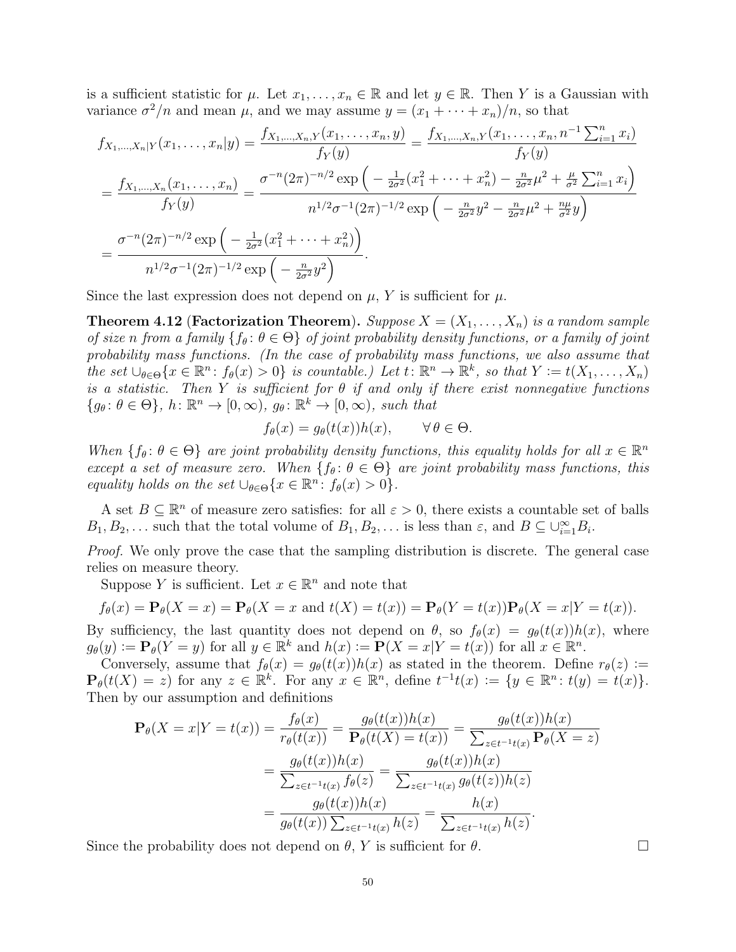is a sufficient statistic for  $\mu$ . Let  $x_1, \ldots, x_n \in \mathbb{R}$  and let  $y \in \mathbb{R}$ . Then Y is a Gaussian with variance  $\sigma^2/n$  and mean  $\mu$ , and we may assume  $y = (x_1 + \cdots + x_n)/n$ , so that

$$
f_{X_1,...,X_n|Y}(x_1,...,x_n|y) = \frac{f_{X_1,...,X_n,Y}(x_1,...,x_n,y)}{f_Y(y)} = \frac{f_{X_1,...,X_n,Y}(x_1,...,x_n,n^{-1}\sum_{i=1}^n x_i)}{f_Y(y)}
$$
  
= 
$$
\frac{f_{X_1,...,X_n}(x_1,...,x_n)}{f_Y(y)} = \frac{\sigma^{-n}(2\pi)^{-n/2} \exp\left(-\frac{1}{2\sigma^2}(x_1^2 + \dots + x_n^2) - \frac{n}{2\sigma^2}\mu^2 + \frac{\mu}{\sigma^2}\sum_{i=1}^n x_i\right)}{n^{1/2}\sigma^{-1}(2\pi)^{-1/2} \exp\left(-\frac{n}{2\sigma^2}y^2 - \frac{n}{2\sigma^2}\mu^2 + \frac{n\mu}{\sigma^2}y\right)}
$$
  
= 
$$
\frac{\sigma^{-n}(2\pi)^{-n/2} \exp\left(-\frac{1}{2\sigma^2}(x_1^2 + \dots + x_n^2)\right)}{n^{1/2}\sigma^{-1}(2\pi)^{-1/2} \exp\left(-\frac{n}{2\sigma^2}y^2\right)}.
$$

Since the last expression does not depend on  $\mu$ , Y is sufficient for  $\mu$ .

**Theorem 4.12 (Factorization Theorem).** Suppose  $X = (X_1, \ldots, X_n)$  is a random sample of size n from a family  $\{f_\theta: \theta \in \Theta\}$  of joint probability density functions, or a family of joint probability mass functions. (In the case of probability mass functions, we also assume that the set  $\bigcup_{\theta \in \Theta} \{x \in \mathbb{R}^n : f_{\theta}(x) > 0\}$  is countable.) Let  $t : \mathbb{R}^n \to \mathbb{R}^k$ , so that  $Y := t(X_1, \ldots, X_n)$ is a statistic. Then Y is sufficient for  $\theta$  if and only if there exist nonnegative functions  ${g_{\theta} : \theta \in \Theta}, h : \mathbb{R}^n \to [0, \infty), g_{\theta} : \mathbb{R}^k \to [0, \infty), \text{ such that}$ 

$$
f_{\theta}(x) = g_{\theta}(t(x))h(x), \qquad \forall \theta \in \Theta.
$$

When  $\{f_\theta: \theta \in \Theta\}$  are joint probability density functions, this equality holds for all  $x \in \mathbb{R}^n$ except a set of measure zero. When  $\{f_\theta : \theta \in \Theta\}$  are joint probability mass functions, this equality holds on the set  $\bigcup_{\theta \in \Theta} \{x \in \mathbb{R}^n : f_{\theta}(x) > 0\}.$ 

A set  $B \subseteq \mathbb{R}^n$  of measure zero satisfies: for all  $\varepsilon > 0$ , there exists a countable set of balls  $B_1, B_2, \ldots$  such that the total volume of  $B_1, B_2, \ldots$  is less than  $\varepsilon$ , and  $B \subseteq \bigcup_{i=1}^{\infty} B_i$ .

Proof. We only prove the case that the sampling distribution is discrete. The general case relies on measure theory.

Suppose Y is sufficient. Let  $x \in \mathbb{R}^n$  and note that

$$
f_{\theta}(x) = \mathbf{P}_{\theta}(X = x) = \mathbf{P}_{\theta}(X = x \text{ and } t(X) = t(x)) = \mathbf{P}_{\theta}(Y = t(x))\mathbf{P}_{\theta}(X = x|Y = t(x)).
$$

By sufficiency, the last quantity does not depend on  $\theta$ , so  $f_{\theta}(x) = g_{\theta}(t(x))h(x)$ , where  $g_{\theta}(y) := \mathbf{P}_{\theta}(Y = y)$  for all  $y \in \mathbb{R}^k$  and  $h(x) := \mathbf{P}(X = x | Y = t(x))$  for all  $x \in \mathbb{R}^n$ .

Conversely, assume that  $f_{\theta}(x) = g_{\theta}(t(x))h(x)$  as stated in the theorem. Define  $r_{\theta}(z) :=$  $\mathbf{P}_{\theta}(t(X) = z)$  for any  $z \in \mathbb{R}^k$ . For any  $x \in \mathbb{R}^n$ , define  $t^{-1}t(x) := \{y \in \mathbb{R}^n : t(y) = t(x)\}.$ Then by our assumption and definitions

$$
\mathbf{P}_{\theta}(X = x | Y = t(x)) = \frac{f_{\theta}(x)}{r_{\theta}(t(x))} = \frac{g_{\theta}(t(x))h(x)}{\mathbf{P}_{\theta}(t(X) = t(x))} = \frac{g_{\theta}(t(x))h(x)}{\sum_{z \in t^{-1}t(x)} \mathbf{P}_{\theta}(X = z)}
$$

$$
= \frac{g_{\theta}(t(x))h(x)}{\sum_{z \in t^{-1}t(x)} f_{\theta}(z)} = \frac{g_{\theta}(t(x))h(x)}{\sum_{z \in t^{-1}t(x)} g_{\theta}(t(z))h(z)}
$$

$$
= \frac{g_{\theta}(t(x))h(x)}{g_{\theta}(t(x))\sum_{z \in t^{-1}t(x)} h(z)} = \frac{h(x)}{\sum_{z \in t^{-1}t(x)} h(z)}.
$$

Since the probability does not depend on  $\theta$ , Y is sufficient for  $\theta$ .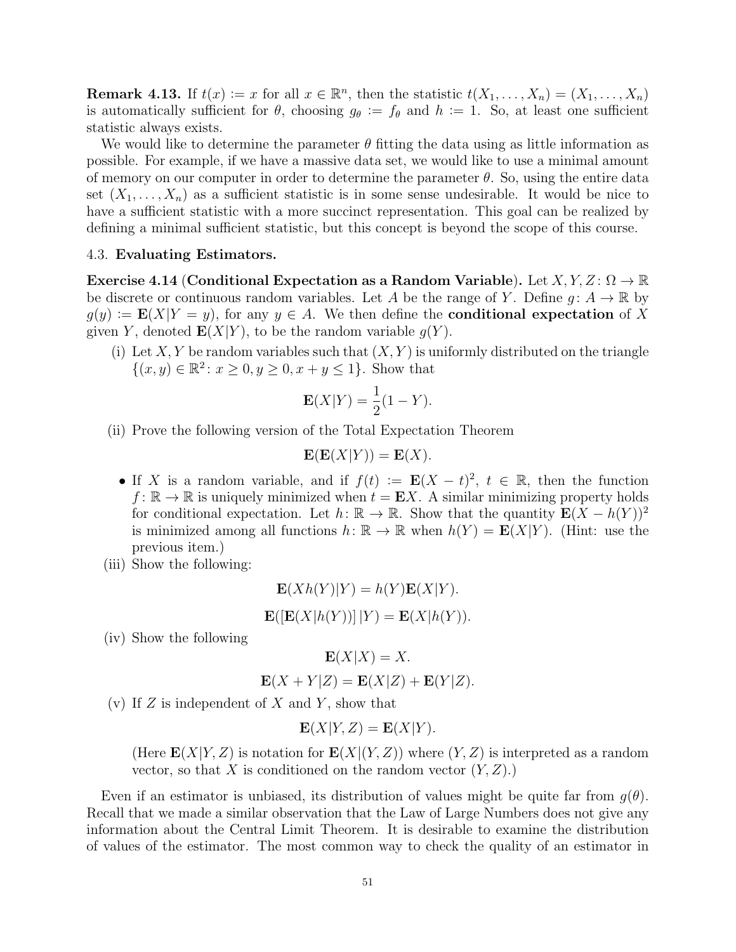**Remark 4.13.** If  $t(x) := x$  for all  $x \in \mathbb{R}^n$ , then the statistic  $t(X_1, \ldots, X_n) = (X_1, \ldots, X_n)$ is automatically sufficient for  $\theta$ , choosing  $g_{\theta} := f_{\theta}$  and  $h := 1$ . So, at least one sufficient statistic always exists.

We would like to determine the parameter  $\theta$  fitting the data using as little information as possible. For example, if we have a massive data set, we would like to use a minimal amount of memory on our computer in order to determine the parameter  $\theta$ . So, using the entire data set  $(X_1, \ldots, X_n)$  as a sufficient statistic is in some sense undesirable. It would be nice to have a sufficient statistic with a more succinct representation. This goal can be realized by defining a minimal sufficient statistic, but this concept is beyond the scope of this course.

### 4.3. Evaluating Estimators.

<span id="page-50-0"></span>Exercise 4.14 (Conditional Expectation as a Random Variable). Let  $X, Y, Z \colon \Omega \to \mathbb{R}$ be discrete or continuous random variables. Let A be the range of Y. Define  $q: A \to \mathbb{R}$  by  $g(y) := \mathbf{E}(X|Y = y)$ , for any  $y \in A$ . We then define the **conditional expectation** of X given Y, denoted  $E(X|Y)$ , to be the random variable  $q(Y)$ .

(i) Let X, Y be random variables such that  $(X, Y)$  is uniformly distributed on the triangle  $\{(x, y) \in \mathbb{R}^2 : x \ge 0, y \ge 0, x + y \le 1\}.$  Show that

$$
\mathbf{E}(X|Y) = \frac{1}{2}(1 - Y).
$$

(ii) Prove the following version of the Total Expectation Theorem

$$
\mathbf{E}(\mathbf{E}(X|Y)) = \mathbf{E}(X).
$$

- If X is a random variable, and if  $f(t) := \mathbf{E}(X t)^2$ ,  $t \in \mathbb{R}$ , then the function  $f: \mathbb{R} \to \mathbb{R}$  is uniquely minimized when  $t = \mathbf{E} X$ . A similar minimizing property holds for conditional expectation. Let  $h: \mathbb{R} \to \mathbb{R}$ . Show that the quantity  $\mathbf{E}(X - h(Y))^2$ is minimized among all functions  $h: \mathbb{R} \to \mathbb{R}$  when  $h(Y) = \mathbf{E}(X|Y)$ . (Hint: use the previous item.)
- (iii) Show the following:

$$
\mathbf{E}(Xh(Y)|Y) = h(Y)\mathbf{E}(X|Y).
$$
  

$$
\mathbf{E}([\mathbf{E}(X|h(Y))]|Y) = \mathbf{E}(X|h(Y)).
$$

(iv) Show the following

$$
\mathbf{E}(X|X) = X.
$$
  

$$
\mathbf{E}(X+Y|Z) = \mathbf{E}(X|Z) + \mathbf{E}(Y|Z).
$$

(v) If  $Z$  is independent of  $X$  and  $Y$ , show that

$$
\mathbf{E}(X|Y,Z) = \mathbf{E}(X|Y).
$$

(Here  $\mathbf{E}(X|Y,Z)$  is notation for  $\mathbf{E}(X|(Y,Z))$  where  $(Y,Z)$  is interpreted as a random vector, so that X is conditioned on the random vector  $(Y, Z)$ .

Even if an estimator is unbiased, its distribution of values might be quite far from  $q(\theta)$ . Recall that we made a similar observation that the Law of Large Numbers does not give any information about the Central Limit Theorem. It is desirable to examine the distribution of values of the estimator. The most common way to check the quality of an estimator in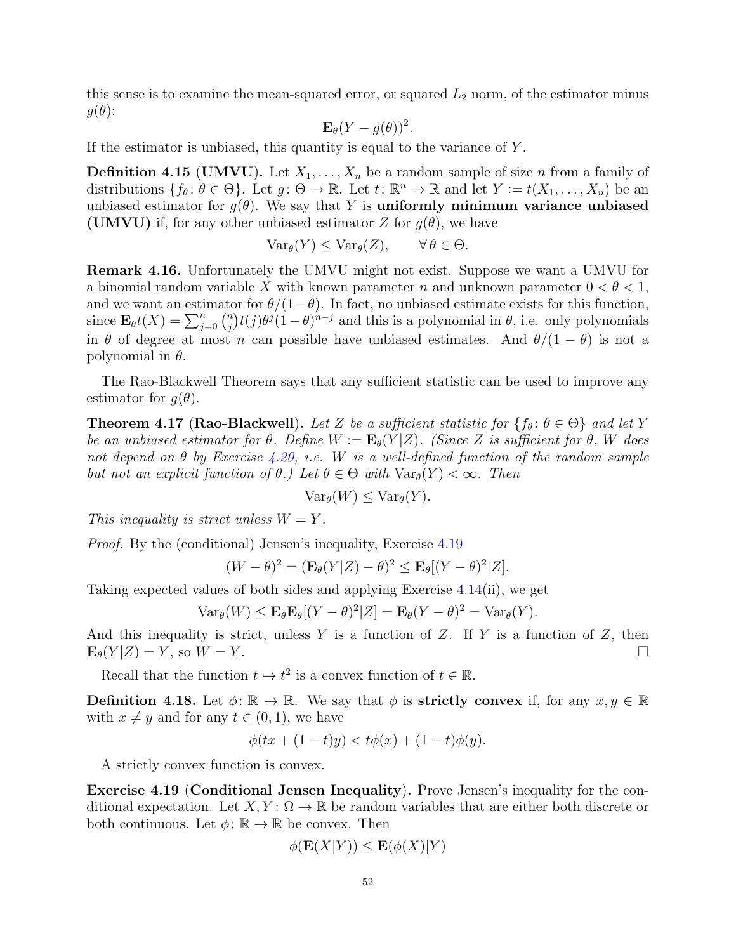this sense is to examine the mean-squared error, or squared  $L_2$  norm, of the estimator minus  $g(\theta)$ :

$$
\mathbf{E}_{\theta}(Y-g(\theta))^2.
$$

If the estimator is unbiased, this quantity is equal to the variance of  $Y$ .

**Definition 4.15 (UMVU).** Let  $X_1, \ldots, X_n$  be a random sample of size n from a family of distributions  $\{f_\theta: \theta \in \Theta\}$ . Let  $g: \Theta \to \mathbb{R}$ . Let  $t: \mathbb{R}^n \to \mathbb{R}$  and let  $Y := t(X_1, \ldots, X_n)$  be an unbiased estimator for  $g(\theta)$ . We say that Y is uniformly minimum variance unbiased (UMVU) if, for any other unbiased estimator Z for  $g(\theta)$ , we have

$$
\text{Var}_{\theta}(Y) \leq \text{Var}_{\theta}(Z), \qquad \forall \, \theta \in \Theta.
$$

Remark 4.16. Unfortunately the UMVU might not exist. Suppose we want a UMVU for a binomial random variable X with known parameter n and unknown parameter  $0 < \theta < 1$ , and we want an estimator for  $\theta/(1-\theta)$ . In fact, no unbiased estimate exists for this function, since  $\mathbf{E}_{\theta}t(X) = \sum_{j=0}^{n} {n \choose j}$  $\int_{j}^{n} (j) \theta^{j} (1 - \theta)^{n-j}$  and this is a polynomial in  $\theta$ , i.e. only polynomials in  $\theta$  of degree at most n can possible have unbiased estimates. And  $\theta/(1-\theta)$  is not a polynomial in  $\theta$ .

The Rao-Blackwell Theorem says that any sufficient statistic can be used to improve any estimator for  $q(\theta)$ .

<span id="page-51-0"></span>**Theorem 4.17 (Rao-Blackwell).** Let Z be a sufficient statistic for  $\{f_{\theta} : \theta \in \Theta\}$  and let Y be an unbiased estimator for  $\theta$ . Define  $W := \mathbf{E}_{\theta}(Y|Z)$ . (Since Z is sufficient for  $\theta$ , W does not depend on  $\theta$  by Exercise [4.20,](#page-52-0) i.e. W is a well-defined function of the random sample but not an explicit function of  $\theta$ .) Let  $\theta \in \Theta$  with  $\text{Var}_{\theta}(Y) < \infty$ . Then

$$
\text{Var}_{\theta}(W) \leq \text{Var}_{\theta}(Y).
$$

This inequality is strict unless  $W = Y$ .

Proof. By the (conditional) Jensen's inequality, Exercise [4.19](#page-51-1)

$$
(W - \theta)^2 = (\mathbf{E}_{\theta}(Y|Z) - \theta)^2 \le \mathbf{E}_{\theta}[(Y - \theta)^2|Z].
$$

Taking expected values of both sides and applying Exercise [4.14\(](#page-50-0)ii), we get

$$
\text{Var}_{\theta}(W) \le \mathbf{E}_{\theta} \mathbf{E}_{\theta} [(Y - \theta)^2 | Z] = \mathbf{E}_{\theta} (Y - \theta)^2 = \text{Var}_{\theta} (Y).
$$

And this inequality is strict, unless Y is a function of Z. If Y is a function of Z, then  $\mathbf{E}_{\theta}(Y|Z) = Y$ , so  $W = Y$ .

Recall that the function  $t \mapsto t^2$  is a convex function of  $t \in \mathbb{R}$ .

**Definition 4.18.** Let  $\phi: \mathbb{R} \to \mathbb{R}$ . We say that  $\phi$  is **strictly convex** if, for any  $x, y \in \mathbb{R}$ with  $x \neq y$  and for any  $t \in (0,1)$ , we have

$$
\phi(tx + (1-t)y) < t\phi(x) + (1-t)\phi(y).
$$

A strictly convex function is convex.

<span id="page-51-1"></span>Exercise 4.19 (Conditional Jensen Inequality). Prove Jensen's inequality for the conditional expectation. Let  $X, Y: \Omega \to \mathbb{R}$  be random variables that are either both discrete or both continuous. Let  $\phi: \mathbb{R} \to \mathbb{R}$  be convex. Then

$$
\phi(\mathbf{E}(X|Y)) \le \mathbf{E}(\phi(X)|Y)
$$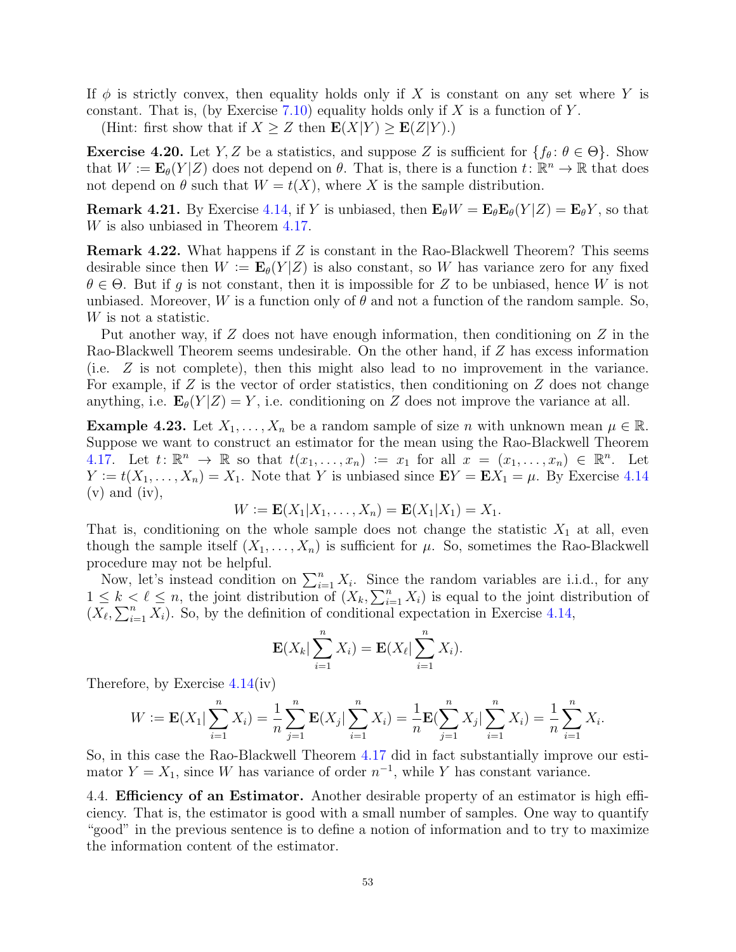If  $\phi$  is strictly convex, then equality holds only if X is constant on any set where Y is constant. That is, (by Exercise [7.10\)](#page-92-0) equality holds only if  $X$  is a function of  $Y$ .

(Hint: first show that if  $X \geq Z$  then  $\mathbf{E}(X|Y) \geq \mathbf{E}(Z|Y)$ .)

<span id="page-52-0"></span>**Exercise 4.20.** Let Y, Z be a statistics, and suppose Z is sufficient for  $\{f_{\theta} : \theta \in \Theta\}$ . Show that  $W := \mathbf{E}_{\theta}(Y|Z)$  does not depend on  $\theta$ . That is, there is a function  $t: \mathbb{R}^n \to \mathbb{R}$  that does not depend on  $\theta$  such that  $W = t(X)$ , where X is the sample distribution.

**Remark 4.21.** By Exercise [4.14,](#page-50-0) if Y is unbiased, then  $\mathbf{E}_{\theta}W = \mathbf{E}_{\theta}\mathbf{E}_{\theta}(Y|Z) = \mathbf{E}_{\theta}Y$ , so that W is also unbiased in Theorem [4.17.](#page-51-0)

Remark 4.22. What happens if Z is constant in the Rao-Blackwell Theorem? This seems desirable since then  $W := \mathbf{E}_{\theta}(Y|Z)$  is also constant, so W has variance zero for any fixed  $\theta \in \Theta$ . But if q is not constant, then it is impossible for Z to be unbiased, hence W is not unbiased. Moreover, W is a function only of  $\theta$  and not a function of the random sample. So, W is not a statistic.

Put another way, if  $Z$  does not have enough information, then conditioning on  $Z$  in the Rao-Blackwell Theorem seems undesirable. On the other hand, if Z has excess information (i.e. Z is not complete), then this might also lead to no improvement in the variance. For example, if  $Z$  is the vector of order statistics, then conditioning on  $Z$  does not change anything, i.e.  $\mathbf{E}_{\theta}(Y|Z) = Y$ , i.e. conditioning on Z does not improve the variance at all.

**Example 4.23.** Let  $X_1, \ldots, X_n$  be a random sample of size n with unknown mean  $\mu \in \mathbb{R}$ . Suppose we want to construct an estimator for the mean using the Rao-Blackwell Theorem [4.17.](#page-51-0) Let  $t: \mathbb{R}^n \to \mathbb{R}$  so that  $t(x_1,\ldots,x_n) := x_1$  for all  $x = (x_1,\ldots,x_n) \in \mathbb{R}^n$ . Let  $Y := t(X_1, \ldots, X_n) = X_1$ . Note that Y is unbiased since  $\mathbf{E}Y = \mathbf{E}X_1 = \mu$ . By Exercise [4.14](#page-50-0)  $(v)$  and  $(iv)$ ,

$$
W := \mathbf{E}(X_1 | X_1, \dots, X_n) = \mathbf{E}(X_1 | X_1) = X_1.
$$

That is, conditioning on the whole sample does not change the statistic  $X_1$  at all, even though the sample itself  $(X_1, \ldots, X_n)$  is sufficient for  $\mu$ . So, sometimes the Rao-Blackwell procedure may not be helpful.

Now, let's instead condition on  $\sum_{i=1}^{n} X_i$ . Since the random variables are i.i.d., for any  $1 \leq k \leq \ell \leq n$ , the joint distribution of  $(X_k, \sum_{i=1}^n X_i)$  is equal to the joint distribution of  $(\overline{X}_{\ell}, \sum_{i=1}^{n} \overline{X}_{i})$ . So, by the definition of conditional expectation in Exercise [4.14,](#page-50-0)

$$
\mathbf{E}(X_k|\sum_{i=1}^n X_i) = \mathbf{E}(X_\ell|\sum_{i=1}^n X_i).
$$

Therefore, by Exercise [4.14\(](#page-50-0)iv)

$$
W := \mathbf{E}(X_1 | \sum_{i=1}^n X_i) = \frac{1}{n} \sum_{j=1}^n \mathbf{E}(X_j | \sum_{i=1}^n X_i) = \frac{1}{n} \mathbf{E}(\sum_{j=1}^n X_j | \sum_{i=1}^n X_i) = \frac{1}{n} \sum_{i=1}^n X_i.
$$

So, in this case the Rao-Blackwell Theorem [4.17](#page-51-0) did in fact substantially improve our estimator  $Y = X_1$ , since W has variance of order  $n^{-1}$ , while Y has constant variance.

4.4. Efficiency of an Estimator. Another desirable property of an estimator is high efficiency. That is, the estimator is good with a small number of samples. One way to quantify "good" in the previous sentence is to define a notion of information and to try to maximize the information content of the estimator.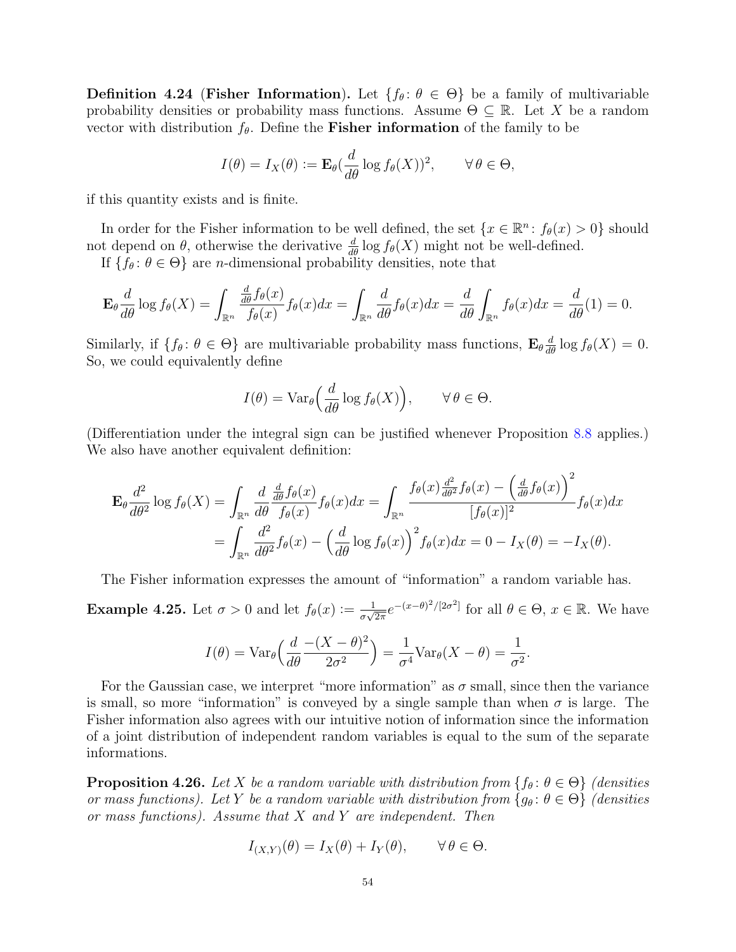**Definition 4.24 (Fisher Information).** Let  $\{f_\theta: \theta \in \Theta\}$  be a family of multivariable probability densities or probability mass functions. Assume  $\Theta \subseteq \mathbb{R}$ . Let X be a random vector with distribution  $f_{\theta}$ . Define the **Fisher information** of the family to be

$$
I(\theta) = I_X(\theta) := \mathbf{E}_{\theta}(\frac{d}{d\theta}\log f_{\theta}(X))^2, \qquad \forall \theta \in \Theta,
$$

if this quantity exists and is finite.

In order for the Fisher information to be well defined, the set  $\{x \in \mathbb{R}^n : f_{\theta}(x) > 0\}$  should not depend on  $\theta$ , otherwise the derivative  $\frac{d}{d\theta} \log f_{\theta}(X)$  might not be well-defined.

If  $\{f_\theta: \theta \in \Theta\}$  are *n*-dimensional probability densities, note that

$$
\mathbf{E}_{\theta} \frac{d}{d\theta} \log f_{\theta}(X) = \int_{\mathbb{R}^n} \frac{\frac{d}{d\theta} f_{\theta}(x)}{f_{\theta}(x)} f_{\theta}(x) dx = \int_{\mathbb{R}^n} \frac{d}{d\theta} f_{\theta}(x) dx = \frac{d}{d\theta} \int_{\mathbb{R}^n} f_{\theta}(x) dx = \frac{d}{d\theta} (1) = 0.
$$

Similarly, if  $\{f_\theta: \theta \in \Theta\}$  are multivariable probability mass functions,  $\mathbf{E}_{\theta} \frac{d}{d\theta} \log f_{\theta}(X) = 0$ . So, we could equivalently define

$$
I(\theta) = \text{Var}_{\theta}\Big(\frac{d}{d\theta}\log f_{\theta}(X)\Big), \qquad \forall \,\theta \in \Theta.
$$

(Differentiation under the integral sign can be justified whenever Proposition [8.8](#page-96-0) applies.) We also have another equivalent definition:

$$
\mathbf{E}_{\theta} \frac{d^2}{d\theta^2} \log f_{\theta}(X) = \int_{\mathbb{R}^n} \frac{d}{d\theta} \frac{\frac{d}{d\theta} f_{\theta}(x)}{f_{\theta}(x)} f_{\theta}(x) dx = \int_{\mathbb{R}^n} \frac{f_{\theta}(x) \frac{d^2}{d\theta^2} f_{\theta}(x) - \left(\frac{d}{d\theta} f_{\theta}(x)\right)^2}{[f_{\theta}(x)]^2} f_{\theta}(x) dx
$$
  
= 
$$
\int_{\mathbb{R}^n} \frac{d^2}{d\theta^2} f_{\theta}(x) - \left(\frac{d}{d\theta} \log f_{\theta}(x)\right)^2 f_{\theta}(x) dx = 0 - I_X(\theta) = -I_X(\theta).
$$

The Fisher information expresses the amount of "information" a random variable has.

<span id="page-53-1"></span>**Example 4.25.** Let  $\sigma > 0$  and let  $f_{\theta}(x) := \frac{1}{\sigma \sqrt{x}}$  $\frac{1}{\sigma\sqrt{2\pi}}e^{-(x-\theta)^2/[2\sigma^2]}$  for all  $\theta \in \Theta$ ,  $x \in \mathbb{R}$ . We have

$$
I(\theta) = \text{Var}_{\theta}\left(\frac{d}{d\theta} \frac{-(X-\theta)^2}{2\sigma^2}\right) = \frac{1}{\sigma^4} \text{Var}_{\theta}(X-\theta) = \frac{1}{\sigma^2}.
$$

For the Gaussian case, we interpret "more information" as  $\sigma$  small, since then the variance is small, so more "information" is conveyed by a single sample than when  $\sigma$  is large. The Fisher information also agrees with our intuitive notion of information since the information of a joint distribution of independent random variables is equal to the sum of the separate informations.

<span id="page-53-0"></span>**Proposition 4.26.** Let X be a random variable with distribution from  $\{f_\theta: \theta \in \Theta\}$  (densities or mass functions). Let Y be a random variable with distribution from  $\{g_{\theta} : \theta \in \Theta\}$  (densities or mass functions). Assume that X and Y are independent. Then

$$
I_{(X,Y)}(\theta) = I_X(\theta) + I_Y(\theta), \qquad \forall \, \theta \in \Theta.
$$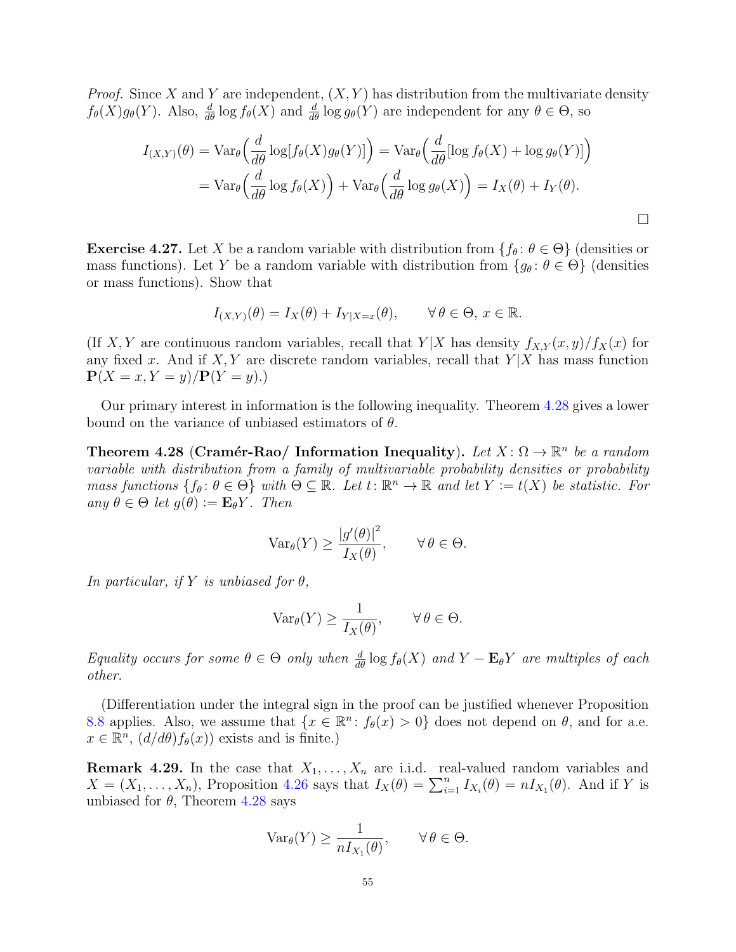*Proof.* Since X and Y are independent,  $(X, Y)$  has distribution from the multivariate density  $f_{\theta}(X)g_{\theta}(Y)$ . Also,  $\frac{d}{d\theta}\log f_{\theta}(X)$  and  $\frac{d}{d\theta}\log g_{\theta}(Y)$  are independent for any  $\theta \in \Theta$ , so

$$
I_{(X,Y)}(\theta) = \text{Var}_{\theta}\left(\frac{d}{d\theta}\log[f_{\theta}(X)g_{\theta}(Y)]\right) = \text{Var}_{\theta}\left(\frac{d}{d\theta}[\log f_{\theta}(X) + \log g_{\theta}(Y)]\right)
$$
  
= 
$$
\text{Var}_{\theta}\left(\frac{d}{d\theta}\log f_{\theta}(X)\right) + \text{Var}_{\theta}\left(\frac{d}{d\theta}\log g_{\theta}(X)\right) = I_X(\theta) + I_Y(\theta).
$$

**Exercise 4.27.** Let X be a random variable with distribution from  $\{f_\theta: \theta \in \Theta\}$  (densities or mass functions). Let Y be a random variable with distribution from  $\{g_\theta : \theta \in \Theta\}$  (densities or mass functions). Show that

$$
I_{(X,Y)}(\theta) = I_X(\theta) + I_{Y|X=x}(\theta), \qquad \forall \theta \in \Theta, x \in \mathbb{R}.
$$

(If X, Y are continuous random variables, recall that  $Y|X$  has density  $f_{X,Y}(x, y)/f_X(x)$  for any fixed x. And if  $X, Y$  are discrete random variables, recall that  $Y|X$  has mass function  ${\bf P}(X = x, Y = y)/{\bf P}(Y = y).$ 

Our primary interest in information is the following inequality. Theorem [4.28](#page-54-0) gives a lower bound on the variance of unbiased estimators of  $\theta$ .

<span id="page-54-0"></span>Theorem 4.28 (Cramér-Rao/ Information Inequality). Let  $X: \Omega \to \mathbb{R}^n$  be a random variable with distribution from a family of multivariable probability densities or probability mass functions  $\{f_\theta: \theta \in \Theta\}$  with  $\Theta \subseteq \mathbb{R}$ . Let  $t \colon \mathbb{R}^n \to \mathbb{R}$  and let  $Y := t(X)$  be statistic. For any  $\theta \in \Theta$  let  $q(\theta) := \mathbf{E}_{\theta} Y$ . Then

$$
\text{Var}_{\theta}(Y) \ge \frac{|g'(\theta)|^2}{I_X(\theta)}, \quad \forall \, \theta \in \Theta.
$$

In particular, if Y is unbiased for  $\theta$ ,

$$
\text{Var}_{\theta}(Y) \ge \frac{1}{I_X(\theta)}, \qquad \forall \, \theta \in \Theta.
$$

Equality occurs for some  $\theta \in \Theta$  only when  $\frac{d}{d\theta} \log f_{\theta}(X)$  and  $Y - \mathbf{E}_{\theta} Y$  are multiples of each other.

(Differentiation under the integral sign in the proof can be justified whenever Proposition [8.8](#page-96-0) applies. Also, we assume that  $\{x \in \mathbb{R}^n : f_{\theta}(x) > 0\}$  does not depend on  $\theta$ , and for a.e.  $x \in \mathbb{R}^n$ ,  $(d/d\theta) f_{\theta}(x)$  exists and is finite.)

**Remark 4.29.** In the case that  $X_1, \ldots, X_n$  are i.i.d. real-valued random variables and  $X = (X_1, \ldots, X_n)$ , Proposition [4.26](#page-53-0) says that  $I_X(\theta) = \sum_{i=1}^n I_{X_i}(\theta) = nI_{X_1}(\theta)$ . And if Y is unbiased for  $\theta$ , Theorem [4.28](#page-54-0) says

$$
\text{Var}_{\theta}(Y) \ge \frac{1}{n I_{X_1}(\theta)}, \qquad \forall \, \theta \in \Theta.
$$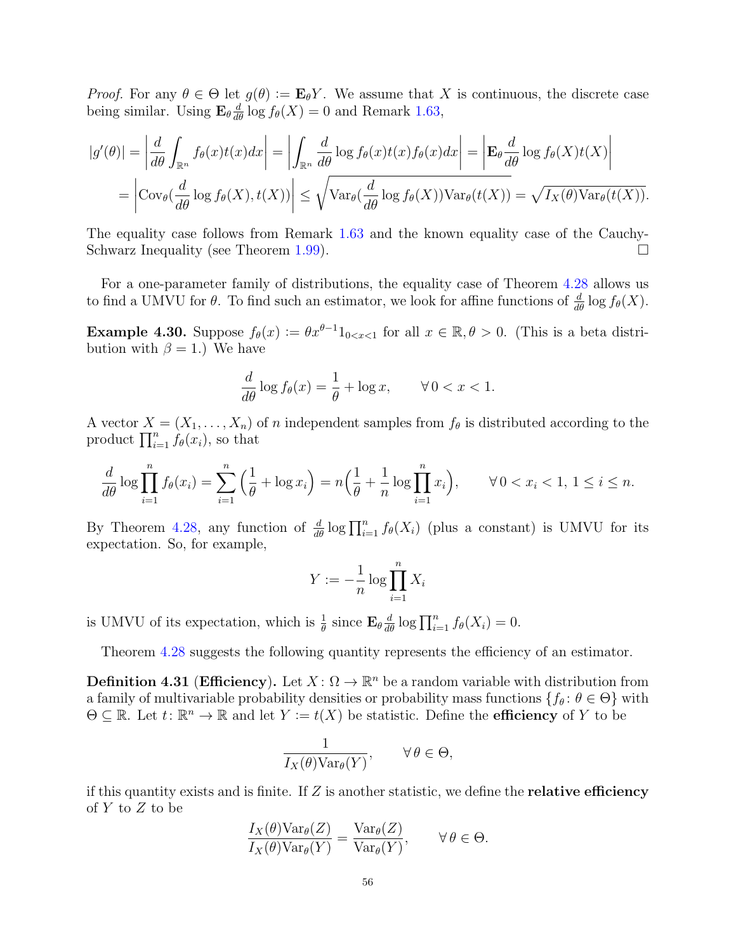*Proof.* For any  $\theta \in \Theta$  let  $g(\theta) := \mathbf{E}_{\theta} Y$ . We assume that X is continuous, the discrete case being similar. Using  $\mathbf{E}_{\theta} \frac{d}{d\theta} \log f_{\theta}(X) = 0$  and Remark [1.63,](#page-14-0)

$$
|g'(\theta)| = \left| \frac{d}{d\theta} \int_{\mathbb{R}^n} f_{\theta}(x)t(x)dx \right| = \left| \int_{\mathbb{R}^n} \frac{d}{d\theta} \log f_{\theta}(x)t(x) f_{\theta}(x)dx \right| = \left| \mathbf{E}_{\theta} \frac{d}{d\theta} \log f_{\theta}(X)t(X) \right|
$$
  
=  $\left| \text{Cov}_{\theta}(\frac{d}{d\theta} \log f_{\theta}(X), t(X)) \right| \le \sqrt{\text{Var}_{\theta}(\frac{d}{d\theta} \log f_{\theta}(X)) \text{Var}_{\theta}(t(X))} = \sqrt{I_X(\theta) \text{Var}_{\theta}(t(X))}.$ 

The equality case follows from Remark [1.63](#page-14-0) and the known equality case of the Cauchy-Schwarz Inequality (see Theorem [1.99\)](#page-22-0).

For a one-parameter family of distributions, the equality case of Theorem [4.28](#page-54-0) allows us to find a UMVU for  $\theta$ . To find such an estimator, we look for affine functions of  $\frac{d}{d\theta} \log f_{\theta}(X)$ .

**Example 4.30.** Suppose  $f_{\theta}(x) := \theta x^{\theta-1} 1_{0 \le x \le 1}$  for all  $x \in \mathbb{R}, \theta > 0$ . (This is a beta distribution with  $\beta = 1$ .) We have

$$
\frac{d}{d\theta}\log f_{\theta}(x) = \frac{1}{\theta} + \log x, \qquad \forall \, 0 < x < 1.
$$

A vector  $X = (X_1, \ldots, X_n)$  of n independent samples from  $f_\theta$  is distributed according to the product  $\prod_{i=1}^n f_\theta(x_i)$ , so that

$$
\frac{d}{d\theta} \log \prod_{i=1}^{n} f_{\theta}(x_i) = \sum_{i=1}^{n} \left( \frac{1}{\theta} + \log x_i \right) = n \left( \frac{1}{\theta} + \frac{1}{n} \log \prod_{i=1}^{n} x_i \right), \qquad \forall \, 0 < x_i < 1, \, 1 \leq i \leq n.
$$

By Theorem [4.28,](#page-54-0) any function of  $\frac{d}{d\theta} \log \prod_{i=1}^n f_\theta(X_i)$  (plus a constant) is UMVU for its expectation. So, for example,

$$
Y := -\frac{1}{n} \log \prod_{i=1}^{n} X_i
$$

is UMVU of its expectation, which is  $\frac{1}{\theta}$  since  $\mathbf{E}_{\theta} \frac{d}{d\theta} \log \prod_{i=1}^{n} f_{\theta}(X_i) = 0$ .

Theorem [4.28](#page-54-0) suggests the following quantity represents the efficiency of an estimator.

**Definition 4.31 (Efficiency).** Let  $X: \Omega \to \mathbb{R}^n$  be a random variable with distribution from a family of multivariable probability densities or probability mass functions  $\{f_\theta: \theta \in \Theta\}$  with  $\Theta \subseteq \mathbb{R}$ . Let  $t \colon \mathbb{R}^n \to \mathbb{R}$  and let  $Y := t(X)$  be statistic. Define the **efficiency** of Y to be

$$
\frac{1}{I_X(\theta)\text{Var}_{\theta}(Y)}, \qquad \forall \, \theta \in \Theta,
$$

if this quantity exists and is finite. If  $Z$  is another statistic, we define the **relative efficiency** of Y to Z to be

$$
\frac{I_X(\theta)\text{Var}_{\theta}(Z)}{I_X(\theta)\text{Var}_{\theta}(Y)} = \frac{\text{Var}_{\theta}(Z)}{\text{Var}_{\theta}(Y)}, \qquad \forall \theta \in \Theta.
$$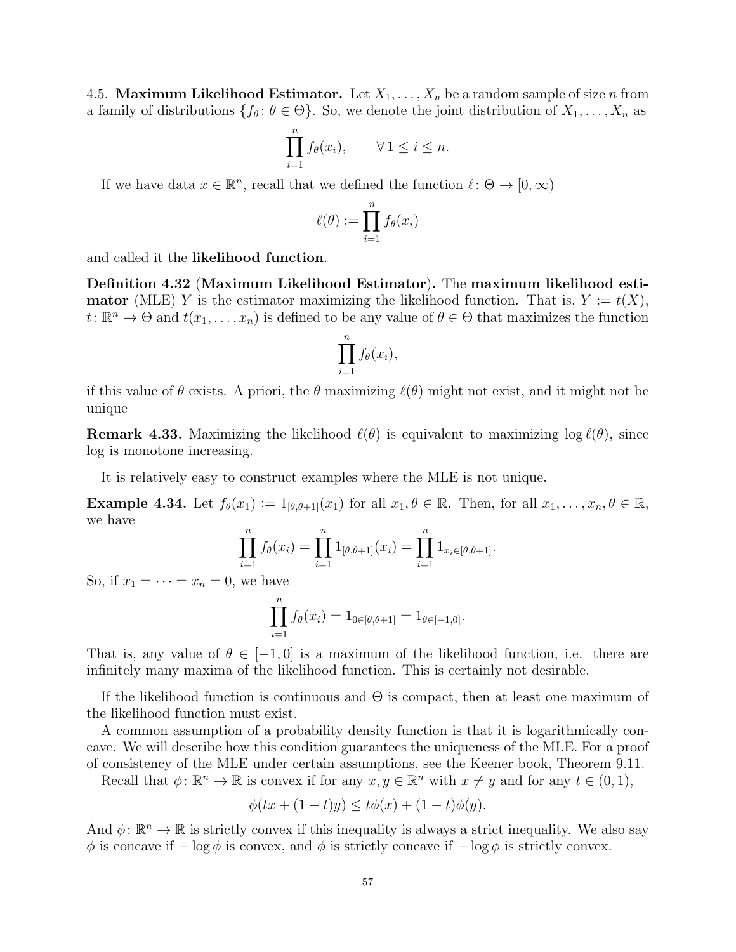4.5. **Maximum Likelihood Estimator.** Let  $X_1, \ldots, X_n$  be a random sample of size *n* from a family of distributions  $\{f_\theta: \theta \in \Theta\}$ . So, we denote the joint distribution of  $X_1, \ldots, X_n$  as

$$
\prod_{i=1}^n f_\theta(x_i), \qquad \forall \, 1 \leq i \leq n.
$$

If we have data  $x \in \mathbb{R}^n$ , recall that we defined the function  $\ell : \Theta \to [0, \infty)$ 

$$
\ell(\theta) := \prod_{i=1}^n f_{\theta}(x_i)
$$

and called it the likelihood function.

Definition 4.32 (Maximum Likelihood Estimator). The maximum likelihood esti**mator** (MLE) Y is the estimator maximizing the likelihood function. That is,  $Y := t(X)$ ,  $t \colon \mathbb{R}^n \to \Theta$  and  $t(x_1, \ldots, x_n)$  is defined to be any value of  $\theta \in \Theta$  that maximizes the function

$$
\prod_{i=1}^n f_{\theta}(x_i),
$$

if this value of  $\theta$  exists. A priori, the  $\theta$  maximizing  $\ell(\theta)$  might not exist, and it might not be unique

**Remark 4.33.** Maximizing the likelihood  $\ell(\theta)$  is equivalent to maximizing log  $\ell(\theta)$ , since log is monotone increasing.

It is relatively easy to construct examples where the MLE is not unique.

<span id="page-56-0"></span>**Example 4.34.** Let  $f_{\theta}(x_1) := 1_{[\theta, \theta+1]}(x_1)$  for all  $x_1, \theta \in \mathbb{R}$ . Then, for all  $x_1, \ldots, x_n, \theta \in \mathbb{R}$ , we have

$$
\prod_{i=1}^{n} f_{\theta}(x_i) = \prod_{i=1}^{n} 1_{[\theta,\theta+1]}(x_i) = \prod_{i=1}^{n} 1_{x_i \in [\theta,\theta+1]}.
$$

So, if  $x_1 = \cdots = x_n = 0$ , we have

$$
\prod_{i=1}^n f_{\theta}(x_i) = 1_{0 \in [\theta, \theta+1]} = 1_{\theta \in [-1,0]}.
$$

That is, any value of  $\theta \in [-1, 0]$  is a maximum of the likelihood function, i.e. there are infinitely many maxima of the likelihood function. This is certainly not desirable.

If the likelihood function is continuous and  $\Theta$  is compact, then at least one maximum of the likelihood function must exist.

A common assumption of a probability density function is that it is logarithmically concave. We will describe how this condition guarantees the uniqueness of the MLE. For a proof of consistency of the MLE under certain assumptions, see the Keener book, Theorem 9.11.

Recall that  $\phi \colon \mathbb{R}^n \to \mathbb{R}$  is convex if for any  $x, y \in \mathbb{R}^n$  with  $x \neq y$  and for any  $t \in (0, 1)$ ,

$$
\phi(tx + (1 - t)y) \le t\phi(x) + (1 - t)\phi(y).
$$

And  $\phi: \mathbb{R}^n \to \mathbb{R}$  is strictly convex if this inequality is always a strict inequality. We also say  $\phi$  is concave if  $-\log \phi$  is convex, and  $\phi$  is strictly concave if  $-\log \phi$  is strictly convex.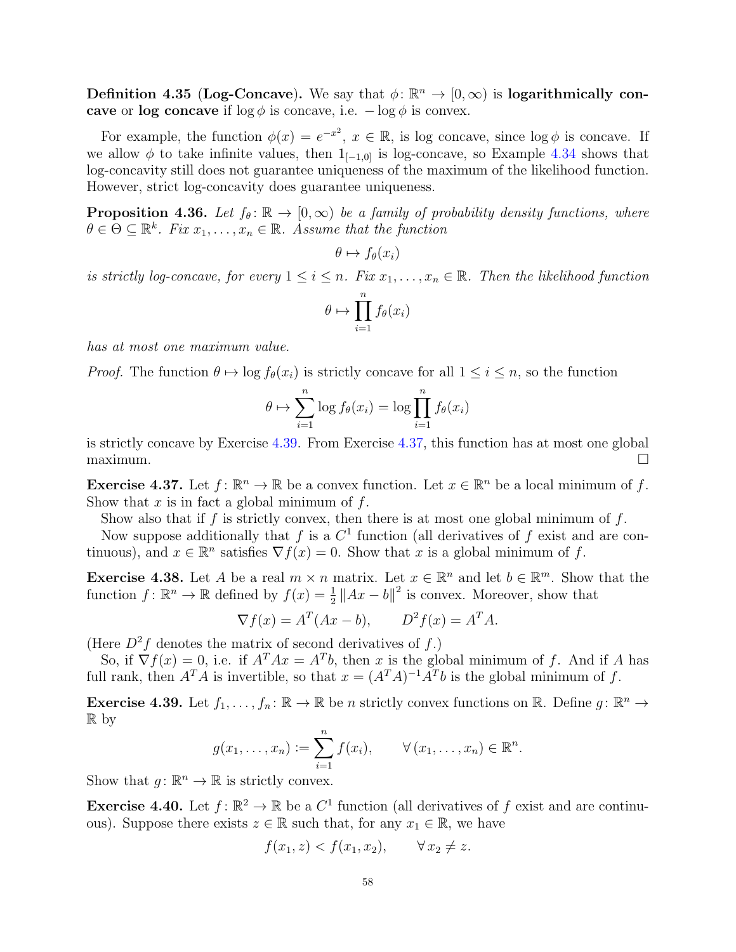Definition 4.35 (Log-Concave). We say that  $\phi \colon \mathbb{R}^n \to [0, \infty)$  is logarithmically concave or log concave if  $\log \phi$  is concave, i.e.  $-\log \phi$  is convex.

For example, the function  $\phi(x) = e^{-x^2}$ ,  $x \in \mathbb{R}$ , is log concave, since  $\log \phi$  is concave. If we allow  $\phi$  to take infinite values, then  $1_{[-1,0]}$  is log-concave, so Example [4.34](#page-56-0) shows that log-concavity still does not guarantee uniqueness of the maximum of the likelihood function. However, strict log-concavity does guarantee uniqueness.

**Proposition 4.36.** Let  $f_{\theta} : \mathbb{R} \to [0, \infty)$  be a family of probability density functions, where  $\theta \in \Theta \subseteq \mathbb{R}^k$ . Fix  $x_1, \ldots, x_n \in \mathbb{R}$ . Assume that the function

 $\theta \mapsto f_{\theta}(x_i)$ 

is strictly log-concave, for every  $1 \leq i \leq n$ . Fix  $x_1, \ldots, x_n \in \mathbb{R}$ . Then the likelihood function

$$
\theta \mapsto \prod_{i=1}^n f_\theta(x_i)
$$

has at most one maximum value.

*Proof.* The function  $\theta \mapsto \log f_{\theta}(x_i)$  is strictly concave for all  $1 \leq i \leq n$ , so the function

$$
\theta \mapsto \sum_{i=1}^{n} \log f_{\theta}(x_i) = \log \prod_{i=1}^{n} f_{\theta}(x_i)
$$

is strictly concave by Exercise [4.39.](#page-57-0) From Exercise [4.37,](#page-57-1) this function has at most one global  $maximum.$ 

<span id="page-57-1"></span>**Exercise 4.37.** Let  $f: \mathbb{R}^n \to \mathbb{R}$  be a convex function. Let  $x \in \mathbb{R}^n$  be a local minimum of f. Show that  $x$  is in fact a global minimum of  $f$ .

Show also that if f is strictly convex, then there is at most one global minimum of f.

Now suppose additionally that f is a  $C<sup>1</sup>$  function (all derivatives of f exist and are continuous), and  $x \in \mathbb{R}^n$  satisfies  $\nabla f(x) = 0$ . Show that x is a global minimum of f.

**Exercise 4.38.** Let A be a real  $m \times n$  matrix. Let  $x \in \mathbb{R}^n$  and let  $b \in \mathbb{R}^m$ . Show that the function  $f: \mathbb{R}^n \to \mathbb{R}$  defined by  $f(x) = \frac{1}{2} ||Ax - b||^2$  is convex. Moreover, show that

$$
\nabla f(x) = A^T (Ax - b), \qquad D^2 f(x) = A^T A.
$$

(Here  $D^2f$  denotes the matrix of second derivatives of f.)

So, if  $\nabla f(x) = 0$ , i.e. if  $A^T A x = A^T b$ , then x is the global minimum of f. And if A has full rank, then  $A^T A$  is invertible, so that  $x = (A^T A)^{-1} A^T b$  is the global minimum of f.

<span id="page-57-0"></span>**Exercise 4.39.** Let  $f_1, \ldots, f_n : \mathbb{R} \to \mathbb{R}$  be n strictly convex functions on  $\mathbb{R}$ . Define  $g : \mathbb{R}^n \to$ R by

$$
g(x_1,\ldots,x_n):=\sum_{i=1}^n f(x_i), \qquad \forall (x_1,\ldots,x_n)\in\mathbb{R}^n.
$$

Show that  $g: \mathbb{R}^n \to \mathbb{R}$  is strictly convex.

**Exercise 4.40.** Let  $f: \mathbb{R}^2 \to \mathbb{R}$  be a  $C^1$  function (all derivatives of f exist and are continuous). Suppose there exists  $z \in \mathbb{R}$  such that, for any  $x_1 \in \mathbb{R}$ , we have

$$
f(x_1, z) < f(x_1, x_2), \quad \forall x_2 \neq z.
$$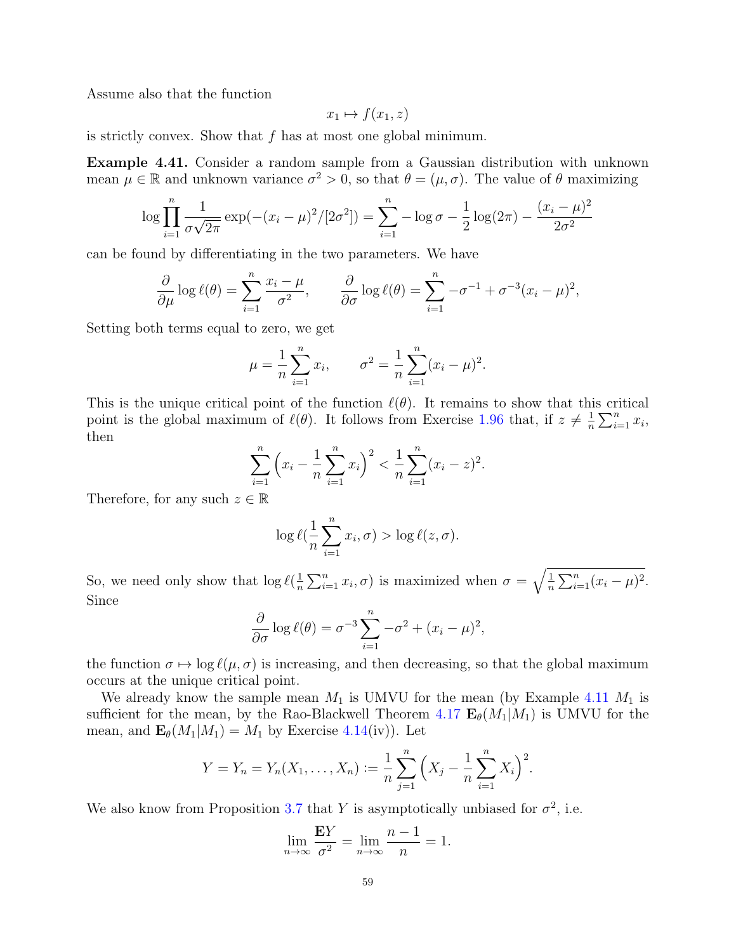Assume also that the function

$$
x_1 \mapsto f(x_1, z)
$$

is strictly convex. Show that f has at most one global minimum.

Example 4.41. Consider a random sample from a Gaussian distribution with unknown mean  $\mu \in \mathbb{R}$  and unknown variance  $\sigma^2 > 0$ , so that  $\theta = (\mu, \sigma)$ . The value of  $\theta$  maximizing

$$
\log \prod_{i=1}^{n} \frac{1}{\sigma \sqrt{2\pi}} \exp(-(x_i - \mu)^2 / [2\sigma^2]) = \sum_{i=1}^{n} -\log \sigma - \frac{1}{2} \log(2\pi) - \frac{(x_i - \mu)^2}{2\sigma^2}
$$

can be found by differentiating in the two parameters. We have

$$
\frac{\partial}{\partial \mu} \log \ell(\theta) = \sum_{i=1}^n \frac{x_i - \mu}{\sigma^2}, \qquad \frac{\partial}{\partial \sigma} \log \ell(\theta) = \sum_{i=1}^n -\sigma^{-1} + \sigma^{-3} (x_i - \mu)^2,
$$

Setting both terms equal to zero, we get

$$
\mu = \frac{1}{n} \sum_{i=1}^{n} x_i
$$
,  $\sigma^2 = \frac{1}{n} \sum_{i=1}^{n} (x_i - \mu)^2$ .

This is the unique critical point of the function  $\ell(\theta)$ . It remains to show that this critical point is the global maximum of  $\ell(\theta)$ . It follows from Exercise [1.96](#page-21-0) that, if  $z \neq \frac{1}{n}$  $\frac{1}{n} \sum_{i=1}^n x_i,$ then

$$
\sum_{i=1}^{n} \left( x_i - \frac{1}{n} \sum_{i=1}^{n} x_i \right)^2 < \frac{1}{n} \sum_{i=1}^{n} (x_i - z)^2.
$$

Therefore, for any such  $z \in \mathbb{R}$ 

$$
\log \ell(\frac{1}{n}\sum_{i=1}^n x_i, \sigma) > \log \ell(z, \sigma).
$$

So, we need only show that  $\log \ell(\frac{1}{n})$  $\frac{1}{n}\sum_{i=1}^{n}x_i,\sigma)$  is maximized when  $\sigma=\sqrt{\frac{1}{n}}$  $\frac{1}{n} \sum_{i=1}^{n} (x_i - \mu)^2$ . Since

$$
\frac{\partial}{\partial \sigma} \log \ell(\theta) = \sigma^{-3} \sum_{i=1}^{n} -\sigma^2 + (x_i - \mu)^2,
$$

the function  $\sigma \mapsto \log \ell(\mu, \sigma)$  is increasing, and then decreasing, so that the global maximum occurs at the unique critical point.

We already know the sample mean  $M_1$  is UMVU for the mean (by Example [4.11](#page-48-0)  $M_1$  is sufficient for the mean, by the Rao-Blackwell Theorem [4.17](#page-51-0)  $\mathbf{E}_{\theta}(M_1|M_1)$  is UMVU for the mean, and  $\mathbf{E}_{\theta}(M_1|M_1) = M_1$  by Exercise [4.14\(](#page-50-0)iv)). Let

$$
Y = Y_n = Y_n(X_1, \dots, X_n) := \frac{1}{n} \sum_{j=1}^n \left( X_j - \frac{1}{n} \sum_{i=1}^n X_i \right)^2.
$$

We also know from Proposition [3.7](#page-36-0) that Y is asymptotically unbiased for  $\sigma^2$ , i.e.

$$
\lim_{n \to \infty} \frac{EY}{\sigma^2} = \lim_{n \to \infty} \frac{n-1}{n} = 1.
$$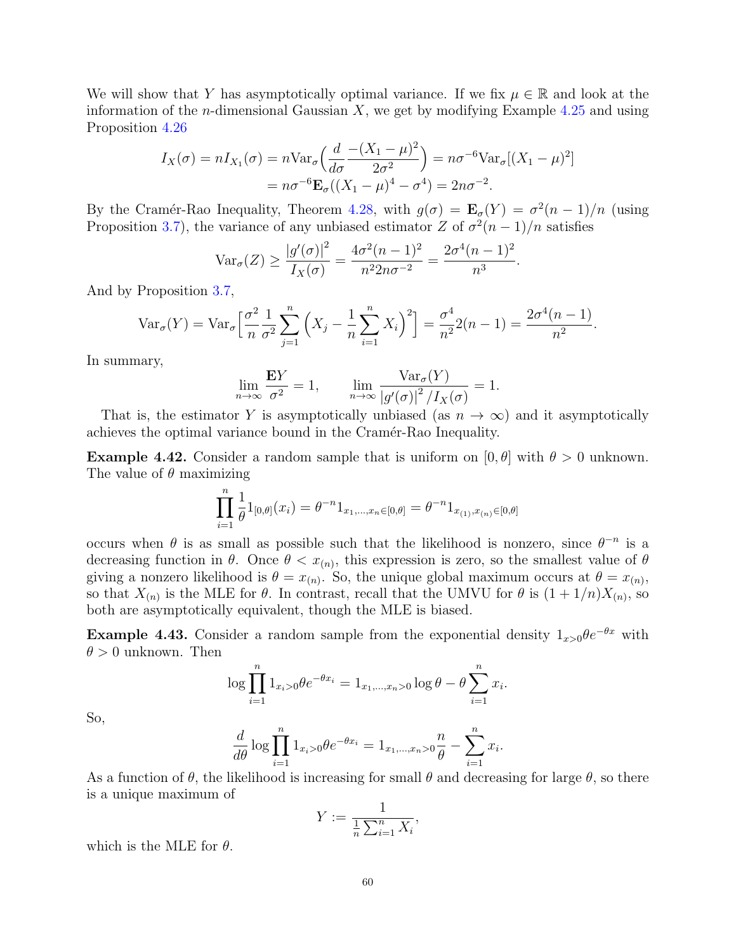We will show that Y has asymptotically optimal variance. If we fix  $\mu \in \mathbb{R}$  and look at the information of the *n*-dimensional Gaussian  $X$ , we get by modifying Example [4.25](#page-53-1) and using Proposition [4.26](#page-53-0)

$$
I_X(\sigma) = nI_{X_1}(\sigma) = n\text{Var}_{\sigma}\left(\frac{d}{d\sigma}\frac{-(X_1 - \mu)^2}{2\sigma^2}\right) = n\sigma^{-6}\text{Var}_{\sigma}[(X_1 - \mu)^2]
$$
  
=  $n\sigma^{-6}\mathbf{E}_{\sigma}((X_1 - \mu)^4 - \sigma^4) = 2n\sigma^{-2}.$ 

By the Cramér-Rao Inequality, Theorem [4.28,](#page-54-0) with  $g(\sigma) = \mathbf{E}_{\sigma}(Y) = \sigma^2(n-1)/n$  (using Proposition [3.7\)](#page-36-0), the variance of any unbiased estimator Z of  $\sigma^2(n-1)/n$  satisfies

$$
\text{Var}_{\sigma}(Z) \ge \frac{|g'(\sigma)|^2}{I_X(\sigma)} = \frac{4\sigma^2(n-1)^2}{n^2 2n\sigma^{-2}} = \frac{2\sigma^4(n-1)^2}{n^3}.
$$

And by Proposition [3.7,](#page-36-0)

$$
\text{Var}_{\sigma}(Y) = \text{Var}_{\sigma}\left[\frac{\sigma^2}{n}\frac{1}{\sigma^2}\sum_{j=1}^n \left(X_j - \frac{1}{n}\sum_{i=1}^n X_i\right)^2\right] = \frac{\sigma^4}{n^2}2(n-1) = \frac{2\sigma^4(n-1)}{n^2}.
$$

In summary,

$$
\lim_{n \to \infty} \frac{\mathbf{E}Y}{\sigma^2} = 1, \qquad \lim_{n \to \infty} \frac{\text{Var}_{\sigma}(Y)}{|g'(\sigma)|^2 / I_X(\sigma)} = 1.
$$

That is, the estimator Y is asymptotically unbiased (as  $n \to \infty$ ) and it asymptotically achieves the optimal variance bound in the Cramér-Rao Inequality.

**Example 4.42.** Consider a random sample that is uniform on  $[0, \theta]$  with  $\theta > 0$  unknown. The value of  $\theta$  maximizing

$$
\prod_{i=1}^{n} \frac{1}{\theta} 1_{[0,\theta]}(x_i) = \theta^{-n} 1_{x_1,\dots,x_n \in [0,\theta]} = \theta^{-n} 1_{x_{(1)},x_{(n)} \in [0,\theta]}
$$

occurs when  $\theta$  is as small as possible such that the likelihood is nonzero, since  $\theta^{-n}$  is a decreasing function in  $\theta$ . Once  $\theta < x_{(n)}$ , this expression is zero, so the smallest value of  $\theta$ giving a nonzero likelihood is  $\theta = x_{(n)}$ . So, the unique global maximum occurs at  $\theta = x_{(n)}$ , so that  $X_{(n)}$  is the MLE for  $\theta$ . In contrast, recall that the UMVU for  $\theta$  is  $(1+1/n)X_{(n)}$ , so both are asymptotically equivalent, though the MLE is biased.

**Example 4.43.** Consider a random sample from the exponential density  $1_{x>0} \theta e^{-\theta x}$  with  $\theta > 0$  unknown. Then

$$
\log \prod_{i=1}^{n} 1_{x_i>0} \theta e^{-\theta x_i} = 1_{x_1,\dots,x_n>0} \log \theta - \theta \sum_{i=1}^{n} x_i.
$$

So,

$$
\frac{d}{d\theta} \log \prod_{i=1}^{n} 1_{x_i > 0} \theta e^{-\theta x_i} = 1_{x_1, ..., x_n > 0} \frac{n}{\theta} - \sum_{i=1}^{n} x_i.
$$

As a function of  $\theta$ , the likelihood is increasing for small  $\theta$  and decreasing for large  $\theta$ , so there is a unique maximum of

$$
Y:=\frac{1}{\frac{1}{n}\sum_{i=1}^n X_i},
$$

which is the MLE for  $\theta$ .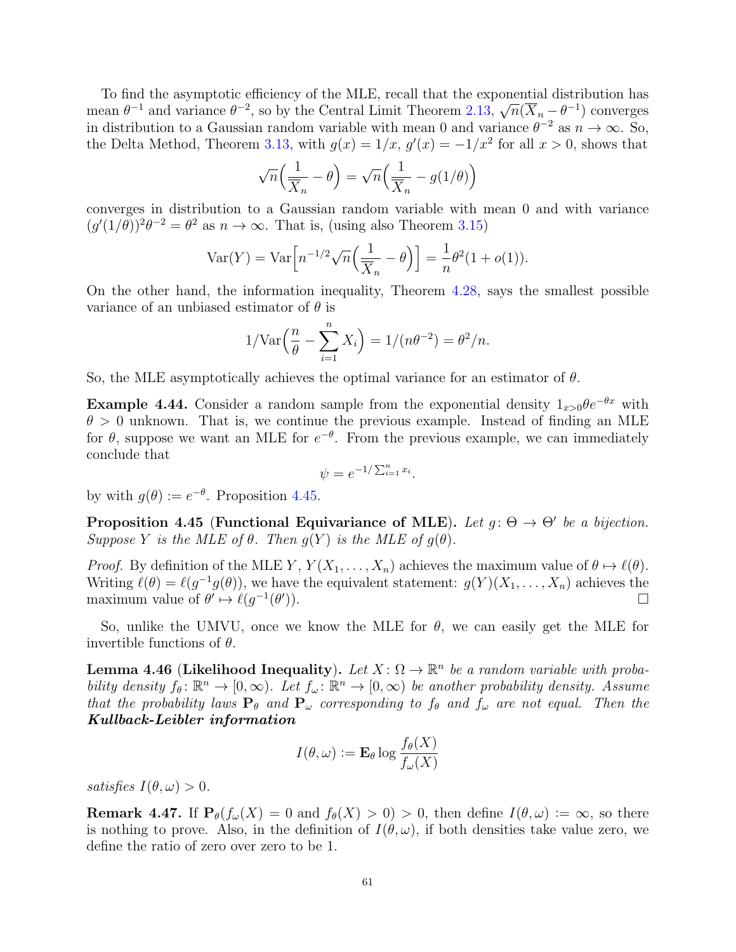To find the asymptotic efficiency of the MLE, recall that the exponential distribution has mean  $\theta^{-1}$  and variance  $\theta^{-2}$ , so by the Central Limit Theorem [2.13,](#page-28-0)  $\overline{\mathcal{O}}$  $\overline{n}(\overline{X}_n - \theta^{-1})$  converges in distribution to a Gaussian random variable with mean 0 and variance  $\theta^{-2}$  as  $n \to \infty$ . So, the Delta Method, Theorem [3.13,](#page-40-0) with  $g(x) = 1/x$ ,  $g'(x) = -1/x^2$  for all  $x > 0$ , shows that

$$
\sqrt{n}\Big(\frac{1}{\overline{X}_n}-\theta\Big)=\sqrt{n}\Big(\frac{1}{\overline{X}_n}-g(1/\theta)\Big)
$$

converges in distribution to a Gaussian random variable with mean 0 and with variance  $(g'(1/\theta))^2\theta^{-2} = \theta^2$  as  $n \to \infty$ . That is, (using also Theorem [3.15\)](#page-41-0)

$$
\text{Var}(Y) = \text{Var}\Big[n^{-1/2}\sqrt{n}\Big(\frac{1}{\overline{X}_n} - \theta\Big)\Big] = \frac{1}{n}\theta^2(1 + o(1)).
$$

On the other hand, the information inequality, Theorem [4.28,](#page-54-0) says the smallest possible variance of an unbiased estimator of  $\theta$  is

$$
1/\text{Var}\left(\frac{n}{\theta} - \sum_{i=1}^{n} X_i\right) = 1/(n\theta^{-2}) = \theta^2/n.
$$

So, the MLE asymptotically achieves the optimal variance for an estimator of  $\theta$ .

**Example 4.44.** Consider a random sample from the exponential density  $1_{x>0} \theta e^{-\theta x}$  with  $\theta > 0$  unknown. That is, we continue the previous example. Instead of finding an MLE for  $\theta$ , suppose we want an MLE for  $e^{-\theta}$ . From the previous example, we can immediately conclude that

$$
\psi = e^{-1/\sum_{i=1}^n x_i}.
$$

by with  $g(\theta) := e^{-\theta}$ . Proposition [4.45.](#page-60-0)

<span id="page-60-0"></span>Proposition 4.45 (Functional Equivariance of MLE). Let  $g: \Theta \to \Theta'$  be a bijection. Suppose Y is the MLE of  $\theta$ . Then  $g(Y)$  is the MLE of  $g(\theta)$ .

*Proof.* By definition of the MLE Y,  $Y(X_1, ..., X_n)$  achieves the maximum value of  $\theta \mapsto \ell(\theta)$ . Writing  $\ell(\theta) = \ell(g^{-1}g(\theta))$ , we have the equivalent statement:  $g(Y)(X_1, \ldots, X_n)$  achieves the maximum value of  $\theta' \mapsto \ell(g^{-1}(\theta'))$ )).  $\qquad \qquad \Box$ 

So, unlike the UMVU, once we know the MLE for  $\theta$ , we can easily get the MLE for invertible functions of  $\theta$ .

<span id="page-60-1"></span>**Lemma 4.46 (Likelihood Inequality).** Let  $X: \Omega \to \mathbb{R}^n$  be a random variable with probability density  $f_{\theta} \colon \mathbb{R}^n \to [0,\infty)$ . Let  $f_{\omega} \colon \mathbb{R}^n \to [0,\infty)$  be another probability density. Assume that the probability laws  $P_\theta$  and  $P_\omega$  corresponding to  $f_\theta$  and  $f_\omega$  are not equal. Then the Kullback-Leibler information

$$
I(\theta,\omega) := \mathbf{E}_{\theta} \log \frac{f_{\theta}(X)}{f_{\omega}(X)}
$$

satisfies  $I(\theta, \omega) > 0$ .

**Remark 4.47.** If  $P_{\theta}(f_{\omega}(X) = 0 \text{ and } f_{\theta}(X) > 0) > 0$ , then define  $I(\theta, \omega) := \infty$ , so there is nothing to prove. Also, in the definition of  $I(\theta,\omega)$ , if both densities take value zero, we define the ratio of zero over zero to be 1.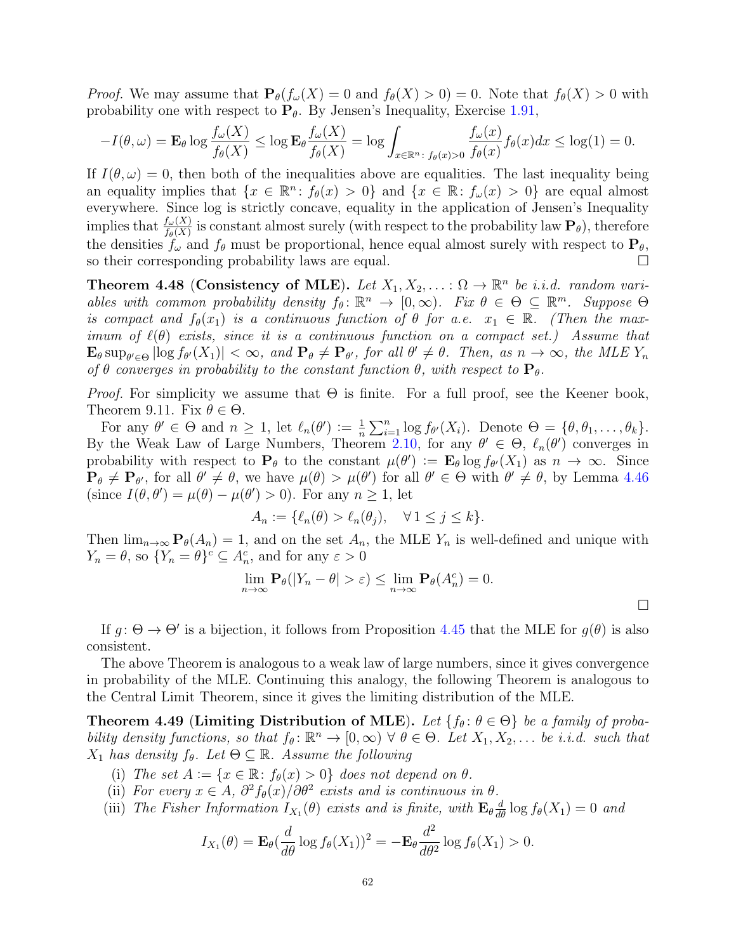*Proof.* We may assume that  $P_{\theta}(f_{\omega}(X) = 0 \text{ and } f_{\theta}(X) > 0) = 0$ . Note that  $f_{\theta}(X) > 0$  with probability one with respect to  $P_{\theta}$ . By Jensen's Inequality, Exercise [1.91,](#page-21-1)

$$
-I(\theta,\omega) = \mathbf{E}_{\theta} \log \frac{f_{\omega}(X)}{f_{\theta}(X)} \le \log \mathbf{E}_{\theta} \frac{f_{\omega}(X)}{f_{\theta}(X)} = \log \int_{x \in \mathbb{R}^n} \frac{f_{\omega}(x)}{f_{\theta}(x) > 0} f_{\theta}(x) dx \le \log(1) = 0.
$$

If  $I(\theta,\omega) = 0$ , then both of the inequalities above are equalities. The last inequality being an equality implies that  $\{x \in \mathbb{R}^n : f_\theta(x) > 0\}$  and  $\{x \in \mathbb{R} : f_\omega(x) > 0\}$  are equal almost everywhere. Since log is strictly concave, equality in the application of Jensen's Inequality implies that  $\frac{f_\omega(X)}{f_\theta(X)}$  is constant almost surely (with respect to the probability law  $\mathbf{P}_\theta$ ), therefore the densities  $f_{\omega}$  and  $f_{\theta}$  must be proportional, hence equal almost surely with respect to  $\mathbf{P}_{\theta}$ , so their corresponding probability laws are equal.

Theorem 4.48 (Consistency of MLE). Let  $X_1, X_2, \ldots : \Omega \to \mathbb{R}^n$  be i.i.d. random variables with common probability density  $f_{\theta} \colon \mathbb{R}^n \to [0,\infty)$ . Fix  $\theta \in \Theta \subseteq \mathbb{R}^m$ . Suppose  $\Theta$ is compact and  $f_{\theta}(x_1)$  is a continuous function of  $\theta$  for a.e.  $x_1 \in \mathbb{R}$ . (Then the maximum of  $\ell(\theta)$  exists, since it is a continuous function on a compact set.) Assume that  $\mathbf{E}_{\theta} \sup_{\theta' \in \Theta} |\log f_{\theta'}(X_1)| < \infty$ , and  $\mathbf{P}_{\theta} \neq \mathbf{P}_{\theta'}$ , for all  $\theta' \neq \theta$ . Then, as  $n \to \infty$ , the MLE  $Y_n$ of  $\theta$  converges in probability to the constant function  $\theta$ , with respect to  $P_{\theta}$ .

*Proof.* For simplicity we assume that  $\Theta$  is finite. For a full proof, see the Keener book, Theorem 9.11. Fix  $\theta \in \Theta$ .

For any  $\theta' \in \Theta$  and  $n \geq 1$ , let  $\ell_n(\theta') := \frac{1}{n}$  $\frac{1}{n} \sum_{i=1}^{n} \log f_{\theta}(X_i)$ . Denote  $\Theta = {\theta, \theta_1, \dots, \theta_k}.$ By the Weak Law of Large Numbers, Theorem [2.10,](#page-27-0) for any  $\theta' \in \Theta$ ,  $\ell_n(\theta')$  converges in probability with respect to  $P_{\theta}$  to the constant  $\mu(\theta') := \mathbf{E}_{\theta} \log f_{\theta'}(X_1)$  as  $n \to \infty$ . Since  $\mathbf{P}_{\theta} \neq \mathbf{P}_{\theta}$ , for all  $\theta' \neq \theta$ , we have  $\mu(\theta) > \mu(\theta')$  for all  $\theta' \in \Theta$  with  $\theta' \neq \theta$ , by Lemma [4.46](#page-60-1) (since  $I(\theta, \theta') = \mu(\theta) - \mu(\theta') > 0$ ). For any  $n \ge 1$ , let

$$
A_n := \{ \ell_n(\theta) > \ell_n(\theta_j), \quad \forall \, 1 \le j \le k \}.
$$

Then  $\lim_{n\to\infty} \mathbf{P}_{\theta}(A_n) = 1$ , and on the set  $A_n$ , the MLE  $Y_n$  is well-defined and unique with  $Y_n = \theta$ , so  $\{Y_n = \theta\}^c \subseteq A_n^c$ , and for any  $\varepsilon > 0$ 

$$
\lim_{n \to \infty} \mathbf{P}_{\theta}(|Y_n - \theta| > \varepsilon) \le \lim_{n \to \infty} \mathbf{P}_{\theta}(A_n^c) = 0.
$$

If  $g: \Theta \to \Theta'$  is a bijection, it follows from Proposition [4.45](#page-60-0) that the MLE for  $g(\theta)$  is also consistent.

The above Theorem is analogous to a weak law of large numbers, since it gives convergence in probability of the MLE. Continuing this analogy, the following Theorem is analogous to the Central Limit Theorem, since it gives the limiting distribution of the MLE.

Theorem 4.49 (Limiting Distribution of MLE). Let  $\{f_\theta: \theta \in \Theta\}$  be a family of probability density functions, so that  $f_{\theta} \colon \mathbb{R}^n \to [0, \infty)$   $\forall \ \theta \in \Theta$ . Let  $X_1, X_2, \dots$  be i.i.d. such that  $X_1$  has density  $f_\theta$ . Let  $\Theta \subseteq \mathbb{R}$ . Assume the following

- (i) The set  $A := \{x \in \mathbb{R} : f_{\theta}(x) > 0\}$  does not depend on  $\theta$ .
- (ii) For every  $x \in A$ ,  $\partial^2 f_{\theta}(x) / \partial \theta^2$  exists and is continuous in  $\theta$ .
- (iii) The Fisher Information  $I_{X_1}(\theta)$  exists and is finite, with  $\mathbf{E}_{\theta} \frac{d}{d\theta} \log f_{\theta}(X_1) = 0$  and

$$
I_{X_1}(\theta) = \mathbf{E}_{\theta} \left( \frac{d}{d\theta} \log f_{\theta}(X_1) \right)^2 = -\mathbf{E}_{\theta} \frac{d^2}{d\theta^2} \log f_{\theta}(X_1) > 0.
$$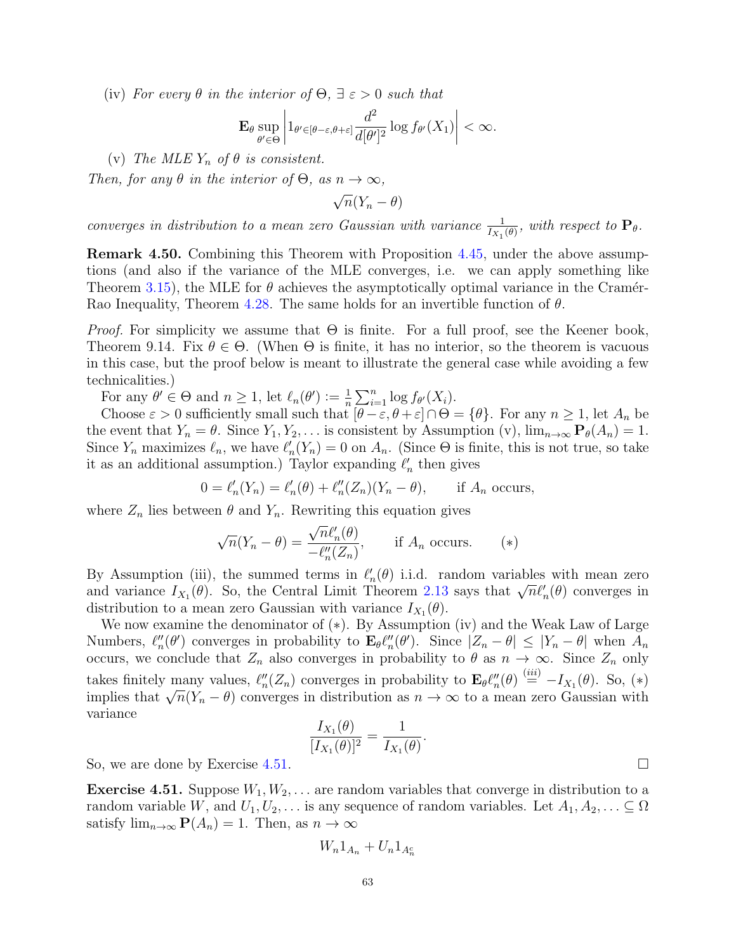(iv) For every  $\theta$  in the interior of  $\Theta$ ,  $\exists \varepsilon > 0$  such that

$$
\mathbf{E}_{\theta} \sup_{\theta' \in \Theta} \left| 1_{\theta' \in [\theta - \varepsilon, \theta + \varepsilon]} \frac{d^2}{d[\theta']^2} \log f_{\theta'}(X_1) \right| < \infty.
$$

(v) The MLE  $Y_n$  of  $\theta$  is consistent.

Then, for any  $\theta$  in the interior of  $\Theta$ , as  $n \to \infty$ ,

√  $\overline{n}(Y_n - \theta)$ 

converges in distribution to a mean zero Gaussian with variance  $\frac{1}{I_{X_1}(\theta)}$ , with respect to  $\mathbf{P}_{\theta}$ .

Remark 4.50. Combining this Theorem with Proposition [4.45,](#page-60-0) under the above assumptions (and also if the variance of the MLE converges, i.e. we can apply something like Theorem [3.15\)](#page-41-0), the MLE for  $\theta$  achieves the asymptotically optimal variance in the Cramér-Rao Inequality, Theorem [4.28.](#page-54-0) The same holds for an invertible function of  $\theta$ .

*Proof.* For simplicity we assume that  $\Theta$  is finite. For a full proof, see the Keener book, Theorem 9.14. Fix  $\theta \in \Theta$ . (When  $\Theta$  is finite, it has no interior, so the theorem is vacuous in this case, but the proof below is meant to illustrate the general case while avoiding a few technicalities.)

For any  $\theta' \in \Theta$  and  $n \geq 1$ , let  $\ell_n(\theta') := \frac{1}{n}$  $\frac{1}{n} \sum_{i=1}^n \log f_{\theta'}(X_i).$ 

Choose  $\varepsilon > 0$  sufficiently small such that  $[\theta - \varepsilon, \theta + \varepsilon] \cap \Theta = {\theta}$ . For any  $n \ge 1$ , let  $A_n$  be the event that  $Y_n = \theta$ . Since  $Y_1, Y_2, \ldots$  is consistent by Assumption (v),  $\lim_{n\to\infty} \mathbf{P}_{\theta}(A_n) = 1$ . Since  $Y_n$  maximizes  $\ell_n$ , we have  $\ell'_n(Y_n) = 0$  on  $A_n$ . (Since  $\Theta$  is finite, this is not true, so take it as an additional assumption.) Taylor expanding  $\ell'_n$  then gives

$$
0 = \ell'_n(Y_n) = \ell'_n(\theta) + \ell''_n(Z_n)(Y_n - \theta), \quad \text{if } A_n \text{ occurs,}
$$

where  $Z_n$  lies between  $\theta$  and  $Y_n$ . Rewriting this equation gives

$$
\sqrt{n}(Y_n - \theta) = \frac{\sqrt{n}\ell'_n(\theta)}{-\ell''_n(Z_n)}, \quad \text{if } A_n \text{ occurs.} \quad (*)
$$

By Assumption (iii), the summed terms in  $\ell'_n(\theta)$  i.i.d. random variables with mean zero by Assumption (iii), the summed terms in  $\ell_n(\theta)$  1.1.d. random variables with mean zero and variance  $I_{X_1}(\theta)$ . So, the Central Limit Theorem [2.13](#page-28-0) says that  $\sqrt{n}\ell'_n(\theta)$  converges in distribution to a mean zero Gaussian with variance  $I_{X_1}(\theta)$ .

We now examine the denominator of (∗). By Assumption (iv) and the Weak Law of Large Numbers,  $\ell''_n(\theta')$  converges in probability to  $\mathbf{E}_{\theta} \ell''_n(\theta')$ . Since  $|Z_n - \theta| \leq |Y_n - \theta|$  when  $A_n$ occurs, we conclude that  $Z_n$  also converges in probability to  $\theta$  as  $n \to \infty$ . Since  $Z_n$  only takes finitely many values,  $\ell''_n(Z_n)$  converges in probability to  $\mathbf{E}_{\theta} \ell''_n(\theta) \stackrel{(iii)}{=} -I_{X_1}(\theta)$ . So,  $(*)$ takes inhere many values,  $\ell_n(Z_n)$  converges in probability to  $\mathbf{E}_{\theta} \ell_n(\sigma) = -i_{X_1}(\sigma)$ . So,  $(*)$ <br>implies that  $\sqrt{n}(Y_n - \theta)$  converges in distribution as  $n \to \infty$  to a mean zero Gaussian with variance

$$
\frac{I_{X_1}(\theta)}{[I_{X_1}(\theta)]^2} = \frac{1}{I_{X_1}(\theta)}.
$$

So, we are done by Exercise [4.51.](#page-62-0)

<span id="page-62-0"></span>**Exercise 4.51.** Suppose  $W_1, W_2, \ldots$  are random variables that converge in distribution to a random variable W, and  $U_1, U_2, \ldots$  is any sequence of random variables. Let  $A_1, A_2, \ldots \subseteq \Omega$ satisfy  $\lim_{n\to\infty} \mathbf{P}(A_n) = 1$ . Then, as  $n \to \infty$ 

$$
W_n 1_{A_n} + U_n 1_{A_n^c}
$$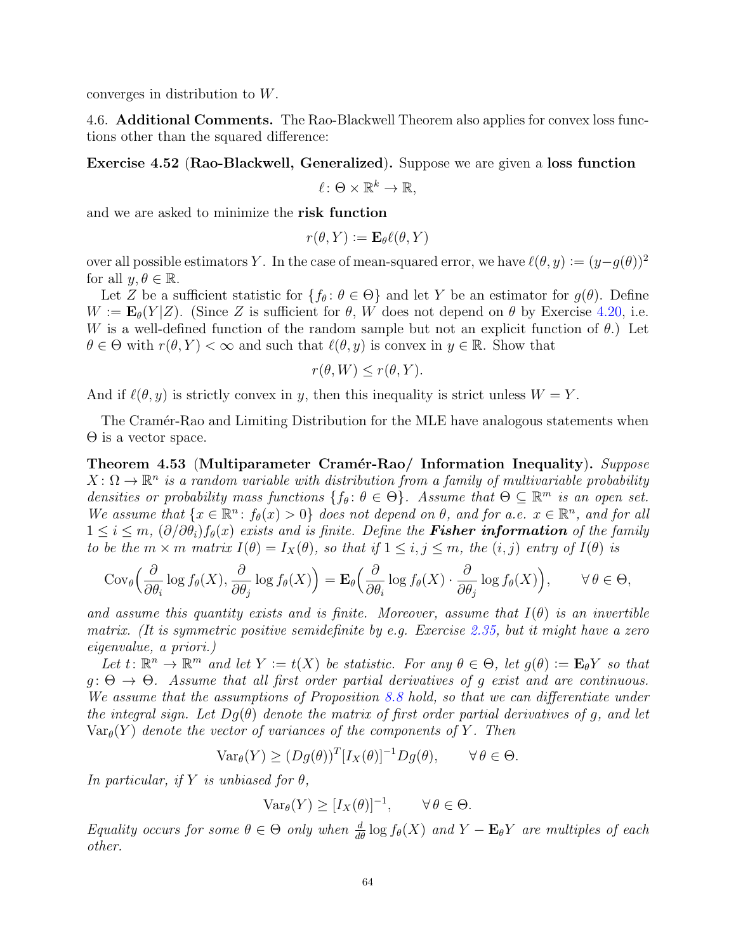converges in distribution to W.

4.6. Additional Comments. The Rao-Blackwell Theorem also applies for convex loss functions other than the squared difference:

Exercise 4.52 (Rao-Blackwell, Generalized). Suppose we are given a loss function

 $\ell \colon \Theta \times \mathbb{R}^k \to \mathbb{R},$ 

and we are asked to minimize the risk function

$$
r(\theta, Y) \coloneqq \mathbf{E}_{\theta} \ell(\theta, Y)
$$

over all possible estimators Y. In the case of mean-squared error, we have  $\ell(\theta, y) := (y - g(\theta))^2$ for all  $y, \theta \in \mathbb{R}$ .

Let Z be a sufficient statistic for  $\{f_\theta: \theta \in \Theta\}$  and let Y be an estimator for  $g(\theta)$ . Define  $W := \mathbf{E}_{\theta}(Y|Z)$ . (Since Z is sufficient for  $\theta$ , W does not depend on  $\theta$  by Exercise [4.20,](#page-52-0) i.e. W is a well-defined function of the random sample but not an explicit function of  $\theta$ .) Let  $\theta \in \Theta$  with  $r(\theta, Y) < \infty$  and such that  $\ell(\theta, y)$  is convex in  $y \in \mathbb{R}$ . Show that

$$
r(\theta, W) \le r(\theta, Y).
$$

And if  $\ell(\theta, y)$  is strictly convex in y, then this inequality is strict unless  $W = Y$ .

The Cramér-Rao and Limiting Distribution for the MLE have analogous statements when Θ is a vector space.

Theorem 4.53 (Multiparameter Cramér-Rao/ Information Inequality). Suppose  $X\colon\Omega\to\mathbb{R}^n$  is a random variable with distribution from a family of multivariable probability densities or probability mass functions  $\{f_\theta: \theta \in \Theta\}$ . Assume that  $\Theta \subseteq \mathbb{R}^m$  is an open set. We assume that  $\{x \in \mathbb{R}^n : f_\theta(x) > 0\}$  does not depend on  $\theta$ , and for a.e.  $x \in \mathbb{R}^n$ , and for all  $1 \leq i \leq m$ ,  $(\partial/\partial \theta_i) f_{\theta}(x)$  exists and is finite. Define the **Fisher information** of the family to be the  $m \times m$  matrix  $I(\theta) = I_X(\theta)$ , so that if  $1 \leq i, j \leq m$ , the  $(i, j)$  entry of  $I(\theta)$  is

$$
Cov_{\theta}\left(\frac{\partial}{\partial \theta_i}\log f_{\theta}(X),\frac{\partial}{\partial \theta_j}\log f_{\theta}(X)\right) = \mathbf{E}_{\theta}\left(\frac{\partial}{\partial \theta_i}\log f_{\theta}(X)\cdot \frac{\partial}{\partial \theta_j}\log f_{\theta}(X)\right), \qquad \forall \theta \in \Theta,
$$

and assume this quantity exists and is finite. Moreover, assume that  $I(\theta)$  is an invertible matrix. (It is symmetric positive semidefinite by e.g. Exercise [2.35,](#page-33-1) but it might have a zero eigenvalue, a priori.)

Let  $t: \mathbb{R}^n \to \mathbb{R}^m$  and let  $Y := t(X)$  be statistic. For any  $\theta \in \Theta$ , let  $g(\theta) := \mathbf{E}_{\theta} Y$  so that  $g: \Theta \to \Theta$ . Assume that all first order partial derivatives of g exist and are continuous. We assume that the assumptions of Proposition [8.8](#page-96-0) hold, so that we can differentiate under the integral sign. Let  $Dg(\theta)$  denote the matrix of first order partial derivatives of g, and let  $\text{Var}_{\theta}(Y)$  denote the vector of variances of the components of Y. Then

$$
\text{Var}_{\theta}(Y) \ge (Dg(\theta))^T[I_X(\theta)]^{-1}Dg(\theta), \qquad \forall \theta \in \Theta.
$$

In particular, if Y is unbiased for  $\theta$ ,

$$
\text{Var}_{\theta}(Y) \ge [I_X(\theta)]^{-1}, \qquad \forall \, \theta \in \Theta.
$$

Equality occurs for some  $\theta \in \Theta$  only when  $\frac{d}{d\theta} \log f_{\theta}(X)$  and  $Y - \mathbf{E}_{\theta} Y$  are multiples of each other.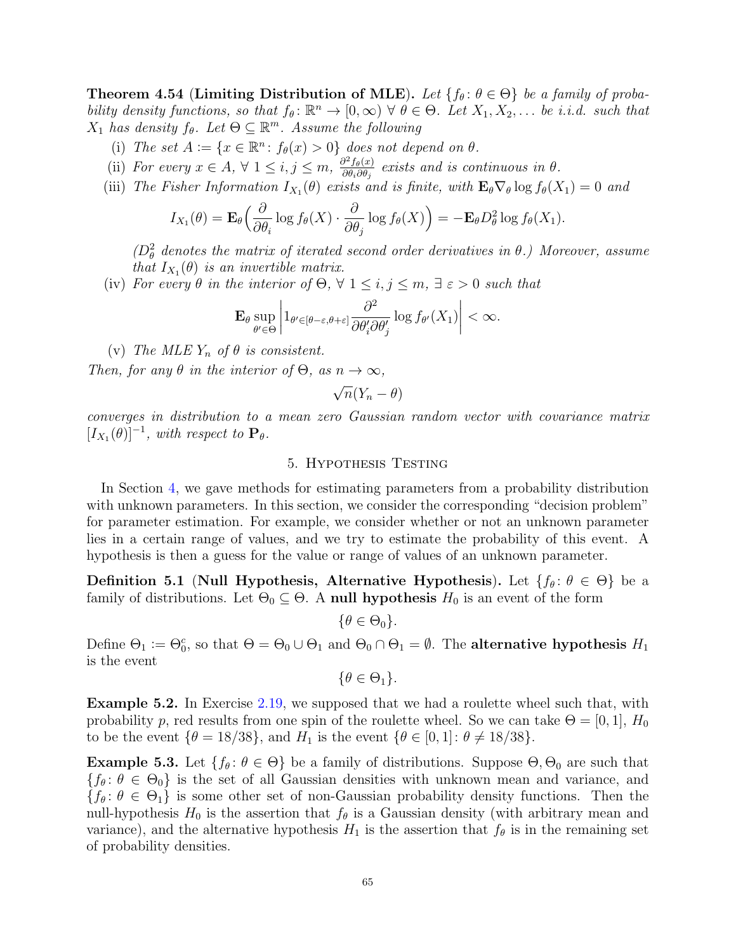**Theorem 4.54 (Limiting Distribution of MLE).** Let  $\{f_\theta: \theta \in \Theta\}$  be a family of probability density functions, so that  $f_{\theta} \colon \mathbb{R}^n \to [0, \infty)$   $\forall \ \theta \in \Theta$ . Let  $X_1, X_2, \dots$  be i.i.d. such that  $X_1$  has density  $f_\theta$ . Let  $\Theta \subseteq \mathbb{R}^m$ . Assume the following

- (i) The set  $A := \{x \in \mathbb{R}^n : f_{\theta}(x) > 0\}$  does not depend on  $\theta$ .
- (ii) For every  $x \in A$ ,  $\forall$  1  $\leq i, j \leq m$ ,  $\frac{\partial^2 f_{\theta}(x)}{\partial \theta \cdot \partial \theta}$  $\frac{\partial^2 f_{\theta}(x)}{\partial \theta_i \partial \theta_j}$  exists and is continuous in  $\theta$ .
- (iii) The Fisher Information  $I_{X_1}(\theta)$  exists and is finite, with  $\mathbf{E}_{\theta} \nabla_{\theta} \log f_{\theta}(X_1) = 0$  and

$$
I_{X_1}(\theta) = \mathbf{E}_{\theta}\Big(\frac{\partial}{\partial \theta_i} \log f_{\theta}(X) \cdot \frac{\partial}{\partial \theta_j} \log f_{\theta}(X)\Big) = -\mathbf{E}_{\theta} D_{\theta}^2 \log f_{\theta}(X_1).
$$

 $(D<sub>\theta</sub><sup>2</sup>$  denotes the matrix of iterated second order derivatives in  $\theta$ .) Moreover, assume that  $I_{X_1}(\theta)$  is an invertible matrix.

(iv) For every  $\theta$  in the interior of  $\Theta$ ,  $\forall$  1  $\leq$  i,  $j \leq m$ ,  $\exists \varepsilon > 0$  such that

$$
\mathbf{E}_{\theta} \sup_{\theta' \in \Theta} \left| 1_{\theta' \in [\theta - \varepsilon, \theta + \varepsilon]} \frac{\partial^2}{\partial \theta'_i \partial \theta'_j} \log f_{\theta'}(X_1) \right| < \infty.
$$

(v) The MLE  $Y_n$  of  $\theta$  is consistent.

Then, for any  $\theta$  in the interior of  $\Theta$ , as  $n \to \infty$ ,

$$
\sqrt{n}(Y_n-\theta)
$$

converges in distribution to a mean zero Gaussian random vector with covariance matrix  $[I_{X_1}(\theta)]^{-1}$ , with respect to  $\mathbf{P}_{\theta}$ .

#### 5. Hypothesis Testing

In Section [4,](#page-45-0) we gave methods for estimating parameters from a probability distribution with unknown parameters. In this section, we consider the corresponding "decision problem" for parameter estimation. For example, we consider whether or not an unknown parameter lies in a certain range of values, and we try to estimate the probability of this event. A hypothesis is then a guess for the value or range of values of an unknown parameter.

Definition 5.1 (Null Hypothesis, Alternative Hypothesis). Let  $\{f_\theta: \theta \in \Theta\}$  be a family of distributions. Let  $\Theta_0 \subseteq \Theta$ . A null hypothesis  $H_0$  is an event of the form

$$
\{\theta\in\Theta_0\}.
$$

Define  $\Theta_1 := \Theta_0^c$ , so that  $\Theta = \Theta_0 \cup \Theta_1$  and  $\Theta_0 \cap \Theta_1 = \emptyset$ . The **alternative hypothesis**  $H_1$ is the event

 $\{\theta \in \Theta_1\}.$ 

Example 5.2. In Exercise [2.19,](#page-29-0) we supposed that we had a roulette wheel such that, with probability p, red results from one spin of the roulette wheel. So we can take  $\Theta = [0, 1], H_0$ to be the event  $\{\theta = 18/38\}$ , and  $H_1$  is the event  $\{\theta \in [0,1]: \theta \neq 18/38\}$ .

**Example 5.3.** Let  $\{f_\theta: \theta \in \Theta\}$  be a family of distributions. Suppose  $\Theta$ ,  $\Theta_0$  are such that  ${f_{\theta} : \theta \in \Theta_0}$  is the set of all Gaussian densities with unknown mean and variance, and  ${f_{\theta} : \theta \in \Theta_1}$  is some other set of non-Gaussian probability density functions. Then the null-hypothesis  $H_0$  is the assertion that  $f_\theta$  is a Gaussian density (with arbitrary mean and variance), and the alternative hypothesis  $H_1$  is the assertion that  $f_\theta$  is in the remaining set of probability densities.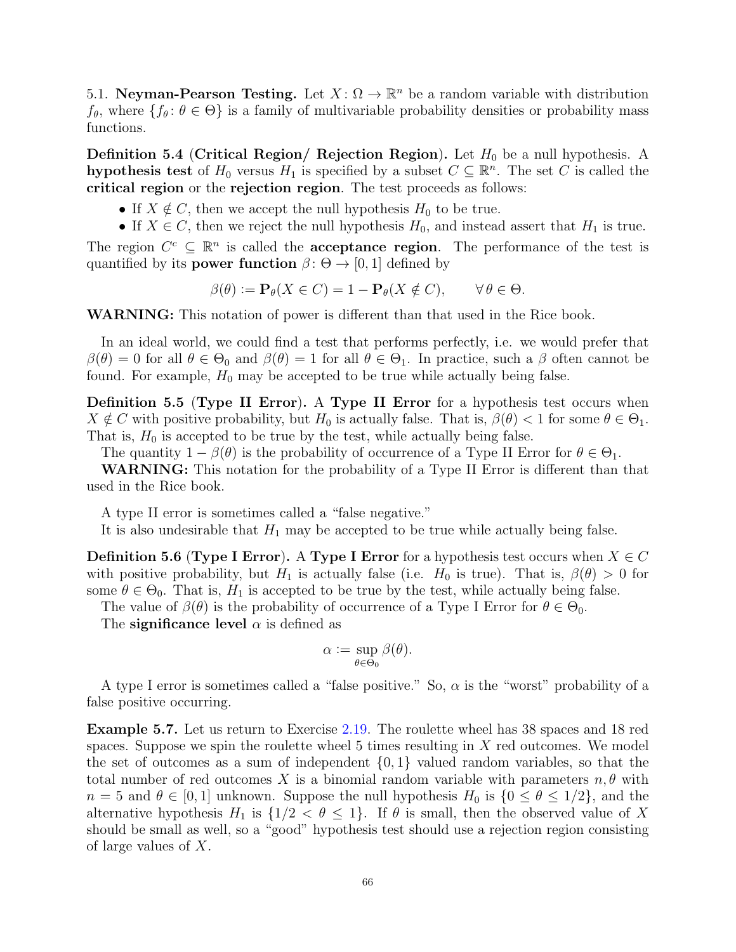5.1. Neyman-Pearson Testing. Let  $X: \Omega \to \mathbb{R}^n$  be a random variable with distribution  $f_{\theta}$ , where  $\{f_{\theta} : \theta \in \Theta\}$  is a family of multivariable probability densities or probability mass functions.

**Definition 5.4 (Critical Region/ Rejection Region).** Let  $H_0$  be a null hypothesis. A hypothesis test of  $H_0$  versus  $H_1$  is specified by a subset  $C \subseteq \mathbb{R}^n$ . The set C is called the critical region or the rejection region. The test proceeds as follows:

- If  $X \notin C$ , then we accept the null hypothesis  $H_0$  to be true.
- If  $X \in C$ , then we reject the null hypothesis  $H_0$ , and instead assert that  $H_1$  is true.

The region  $C^c \subseteq \mathbb{R}^n$  is called the **acceptance region**. The performance of the test is quantified by its **power function**  $\beta$ :  $\Theta \rightarrow [0, 1]$  defined by

$$
\beta(\theta) := \mathbf{P}_{\theta}(X \in C) = 1 - \mathbf{P}_{\theta}(X \notin C), \qquad \forall \theta \in \Theta.
$$

WARNING: This notation of power is different than that used in the Rice book.

In an ideal world, we could find a test that performs perfectly, i.e. we would prefer that  $\beta(\theta) = 0$  for all  $\theta \in \Theta_0$  and  $\beta(\theta) = 1$  for all  $\theta \in \Theta_1$ . In practice, such a  $\beta$  often cannot be found. For example,  $H_0$  may be accepted to be true while actually being false.

Definition 5.5 (Type II Error). A Type II Error for a hypothesis test occurs when  $X \notin C$  with positive probability, but  $H_0$  is actually false. That is,  $\beta(\theta) < 1$  for some  $\theta \in \Theta_1$ . That is,  $H_0$  is accepted to be true by the test, while actually being false.

The quantity  $1 - \beta(\theta)$  is the probability of occurrence of a Type II Error for  $\theta \in \Theta_1$ .

WARNING: This notation for the probability of a Type II Error is different than that used in the Rice book.

A type II error is sometimes called a "false negative."

It is also undesirable that  $H_1$  may be accepted to be true while actually being false.

**Definition 5.6 (Type I Error).** A Type I Error for a hypothesis test occurs when  $X \in C$ with positive probability, but  $H_1$  is actually false (i.e.  $H_0$  is true). That is,  $\beta(\theta) > 0$  for some  $\theta \in \Theta_0$ . That is,  $H_1$  is accepted to be true by the test, while actually being false.

The value of  $\beta(\theta)$  is the probability of occurrence of a Type I Error for  $\theta \in \Theta_0$ .

The significance level  $\alpha$  is defined as

$$
\alpha := \sup_{\theta \in \Theta_0} \beta(\theta).
$$

A type I error is sometimes called a "false positive." So,  $\alpha$  is the "worst" probability of a false positive occurring.

<span id="page-65-0"></span>Example 5.7. Let us return to Exercise [2.19.](#page-29-0) The roulette wheel has 38 spaces and 18 red spaces. Suppose we spin the roulette wheel  $5$  times resulting in  $X$  red outcomes. We model the set of outcomes as a sum of independent  $\{0, 1\}$  valued random variables, so that the total number of red outcomes X is a binomial random variable with parameters  $n, \theta$  with  $n = 5$  and  $\theta \in [0, 1]$  unknown. Suppose the null hypothesis  $H_0$  is  $\{0 \le \theta \le 1/2\}$ , and the alternative hypothesis  $H_1$  is  $\{1/2 < \theta \leq 1\}$ . If  $\theta$  is small, then the observed value of X should be small as well, so a "good" hypothesis test should use a rejection region consisting of large values of X.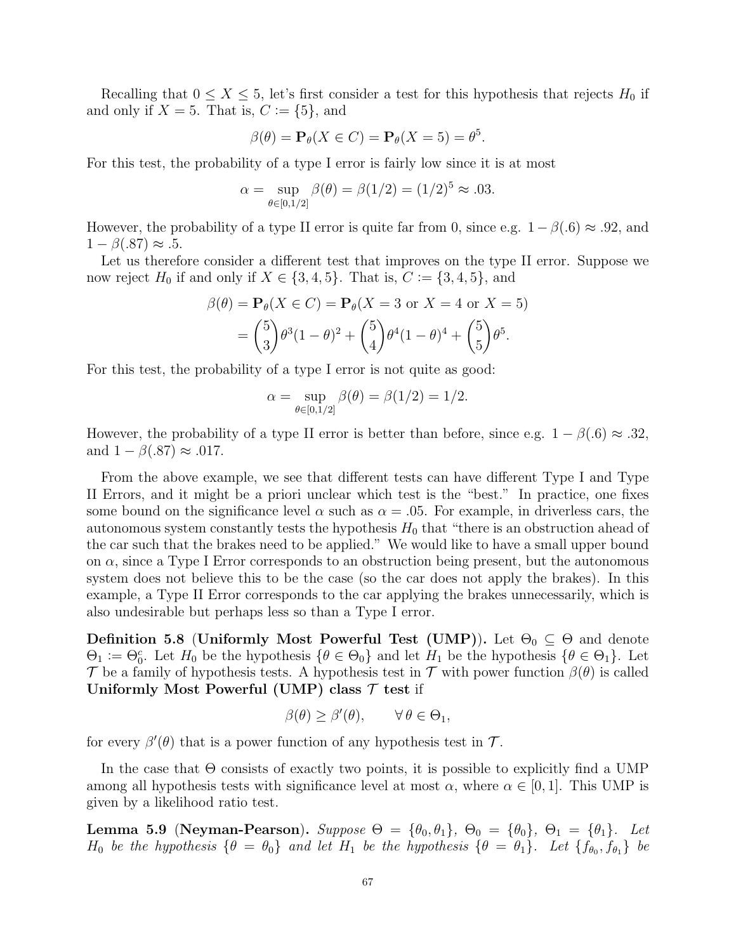Recalling that  $0 \le X \le 5$ , let's first consider a test for this hypothesis that rejects  $H_0$  if and only if  $X = 5$ . That is,  $C := \{5\}$ , and

$$
\beta(\theta) = \mathbf{P}_{\theta}(X \in C) = \mathbf{P}_{\theta}(X = 5) = \theta^{5}.
$$

For this test, the probability of a type I error is fairly low since it is at most

$$
\alpha = \sup_{\theta \in [0, 1/2]} \beta(\theta) = \beta(1/2) = (1/2)^5 \approx .03.
$$

However, the probability of a type II error is quite far from 0, since e.g.  $1 - \beta(0.6) \approx 0.92$ , and  $1 - \beta(.87) \approx .5.$ 

Let us therefore consider a different test that improves on the type II error. Suppose we now reject  $H_0$  if and only if  $X \in \{3,4,5\}$ . That is,  $C := \{3,4,5\}$ , and

$$
\beta(\theta) = \mathbf{P}_{\theta}(X \in C) = \mathbf{P}_{\theta}(X = 3 \text{ or } X = 4 \text{ or } X = 5)
$$

$$
= {5 \choose 3} \theta^3 (1 - \theta)^2 + {5 \choose 4} \theta^4 (1 - \theta)^4 + {5 \choose 5} \theta^5.
$$

For this test, the probability of a type I error is not quite as good:

$$
\alpha = \sup_{\theta \in [0, 1/2]} \beta(\theta) = \beta(1/2) = 1/2.
$$

However, the probability of a type II error is better than before, since e.g.  $1 - \beta(0.6) \approx 0.32$ , and  $1 - \beta(.87) \approx .017$ .

From the above example, we see that different tests can have different Type I and Type II Errors, and it might be a priori unclear which test is the "best." In practice, one fixes some bound on the significance level  $\alpha$  such as  $\alpha = 0.05$ . For example, in driverless cars, the autonomous system constantly tests the hypothesis  $H_0$  that "there is an obstruction ahead of the car such that the brakes need to be applied." We would like to have a small upper bound on  $\alpha$ , since a Type I Error corresponds to an obstruction being present, but the autonomous system does not believe this to be the case (so the car does not apply the brakes). In this example, a Type II Error corresponds to the car applying the brakes unnecessarily, which is also undesirable but perhaps less so than a Type I error.

Definition 5.8 (Uniformly Most Powerful Test (UMP)). Let  $\Theta_0 \subseteq \Theta$  and denote  $\Theta_1 := \Theta_0^c$ . Let  $H_0$  be the hypothesis  $\{\theta \in \Theta_0\}$  and let  $H_1$  be the hypothesis  $\{\theta \in \Theta_1\}$ . Let T be a family of hypothesis tests. A hypothesis test in T with power function  $\beta(\theta)$  is called Uniformly Most Powerful (UMP) class  $\mathcal T$  test if

$$
\beta(\theta) \ge \beta'(\theta), \qquad \forall \, \theta \in \Theta_1,
$$

for every  $\beta'(\theta)$  that is a power function of any hypothesis test in T.

In the case that Θ consists of exactly two points, it is possible to explicitly find a UMP among all hypothesis tests with significance level at most  $\alpha$ , where  $\alpha \in [0, 1]$ . This UMP is given by a likelihood ratio test.

<span id="page-66-0"></span>Lemma 5.9 (Neyman-Pearson). Suppose  $\Theta = {\theta_0, \theta_1}, \Theta_0 = {\theta_0}, \Theta_1 = {\theta_1}.$  Let  $H_0$  be the hypothesis  $\{\theta = \theta_0\}$  and let  $H_1$  be the hypothesis  $\{\theta = \theta_1\}$ . Let  $\{f_{\theta_0}, f_{\theta_1}\}$  be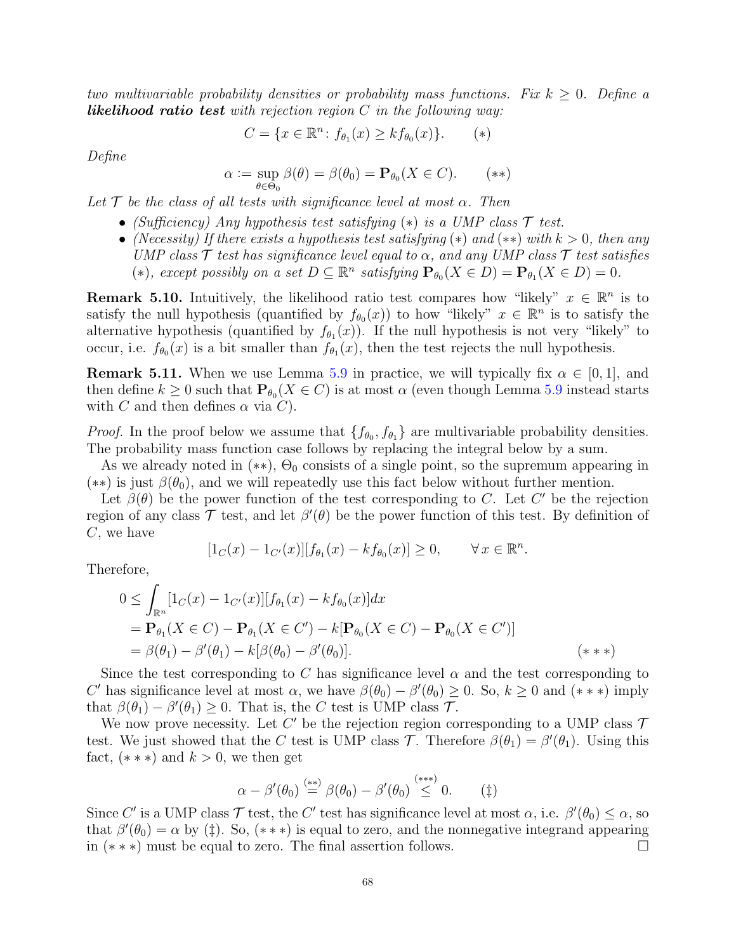two multivariable probability densities or probability mass functions. Fix  $k \geq 0$ . Define a **likelihood ratio test** with rejection region  $C$  in the following way:

$$
C = \{ x \in \mathbb{R}^n \colon f_{\theta_1}(x) \ge k f_{\theta_0}(x) \}.
$$
 (\*)

Define

$$
\alpha := \sup_{\theta \in \Theta_0} \beta(\theta) = \beta(\theta_0) = \mathbf{P}_{\theta_0}(X \in C). \quad (*)
$$

Let  $\mathcal T$  be the class of all tests with significance level at most  $\alpha$ . Then

- (Sufficiency) Any hypothesis test satisfying  $(*)$  is a UMP class  $\mathcal T$  test.
- (Necessity) If there exists a hypothesis test satisfying (\*) and (\*\*) with  $k > 0$ , then any UMP class  $\mathcal T$  test has significance level equal to  $\alpha$ , and any UMP class  $\mathcal T$  test satisfies (\*), except possibly on a set  $D \subseteq \mathbb{R}^n$  satisfying  $\mathbf{P}_{\theta_0}(X \in D) = \mathbf{P}_{\theta_1}(X \in D) = 0$ .

**Remark 5.10.** Intuitively, the likelihood ratio test compares how "likely"  $x \in \mathbb{R}^n$  is to satisfy the null hypothesis (quantified by  $f_{\theta_0}(x)$ ) to how "likely"  $x \in \mathbb{R}^n$  is to satisfy the alternative hypothesis (quantified by  $f_{\theta_1}(x)$ ). If the null hypothesis is not very "likely" to occur, i.e.  $f_{\theta_0}(x)$  is a bit smaller than  $f_{\theta_1}(x)$ , then the test rejects the null hypothesis.

**Remark 5.11.** When we use Lemma [5.9](#page-66-0) in practice, we will typically fix  $\alpha \in [0,1]$ , and then define  $k \geq 0$  such that  $\mathbf{P}_{\theta_0}(X \in C)$  is at most  $\alpha$  (even though Lemma [5.9](#page-66-0) instead starts with C and then defines  $\alpha$  via C).

*Proof.* In the proof below we assume that  $\{f_{\theta_0}, f_{\theta_1}\}\$ are multivariable probability densities. The probability mass function case follows by replacing the integral below by a sum.

As we already noted in  $(**)$ ,  $\Theta_0$  consists of a single point, so the supremum appearing in (\*\*) is just  $\beta(\theta_0)$ , and we will repeatedly use this fact below without further mention.

Let  $\beta(\theta)$  be the power function of the test corresponding to C. Let C' be the rejection region of any class  $\mathcal T$  test, and let  $\beta'(\theta)$  be the power function of this test. By definition of C, we have

$$
[1_C(x) - 1_{C'}(x)][f_{\theta_1}(x) - kf_{\theta_0}(x)] \ge 0, \qquad \forall x \in \mathbb{R}^n.
$$

Therefore,

$$
0 \leq \int_{\mathbb{R}^n} [1_C(x) - 1_{C'}(x)][f_{\theta_1}(x) - kf_{\theta_0}(x)]dx
$$
  
=  $\mathbf{P}_{\theta_1}(X \in C) - \mathbf{P}_{\theta_1}(X \in C') - k[\mathbf{P}_{\theta_0}(X \in C) - \mathbf{P}_{\theta_0}(X \in C')]$   
=  $\beta(\theta_1) - \beta'(\theta_1) - k[\beta(\theta_0) - \beta'(\theta_0)].$  (\* \*\*)

Since the test corresponding to C has significance level  $\alpha$  and the test corresponding to C' has significance level at most  $\alpha$ , we have  $\beta(\theta_0) - \beta'(\theta_0) \geq 0$ . So,  $k \geq 0$  and  $(***)$  imply that  $\beta(\theta_1) - \beta'(\theta_1) \geq 0$ . That is, the C test is UMP class T.

We now prove necessity. Let  $C'$  be the rejection region corresponding to a UMP class  $\mathcal T$ test. We just showed that the C test is UMP class  $\mathcal{T}$ . Therefore  $\beta(\theta_1) = \beta'(\theta_1)$ . Using this fact,  $(***)$  and  $k > 0$ , we then get

$$
\alpha - \beta'(\theta_0) \stackrel{(**)}{=} \beta(\theta_0) - \beta'(\theta_0) \stackrel{(***)}{\leq} 0. \tag{1}
$$

Since C' is a UMP class  $\mathcal T$  test, the C' test has significance level at most  $\alpha$ , i.e.  $\beta'(\theta_0) \leq \alpha$ , so that  $\beta'(\theta_0) = \alpha$  by (‡). So, (\*\*\*) is equal to zero, and the nonnegative integrand appearing in (∗ ∗ ∗) must be equal to zero. The final assertion follows.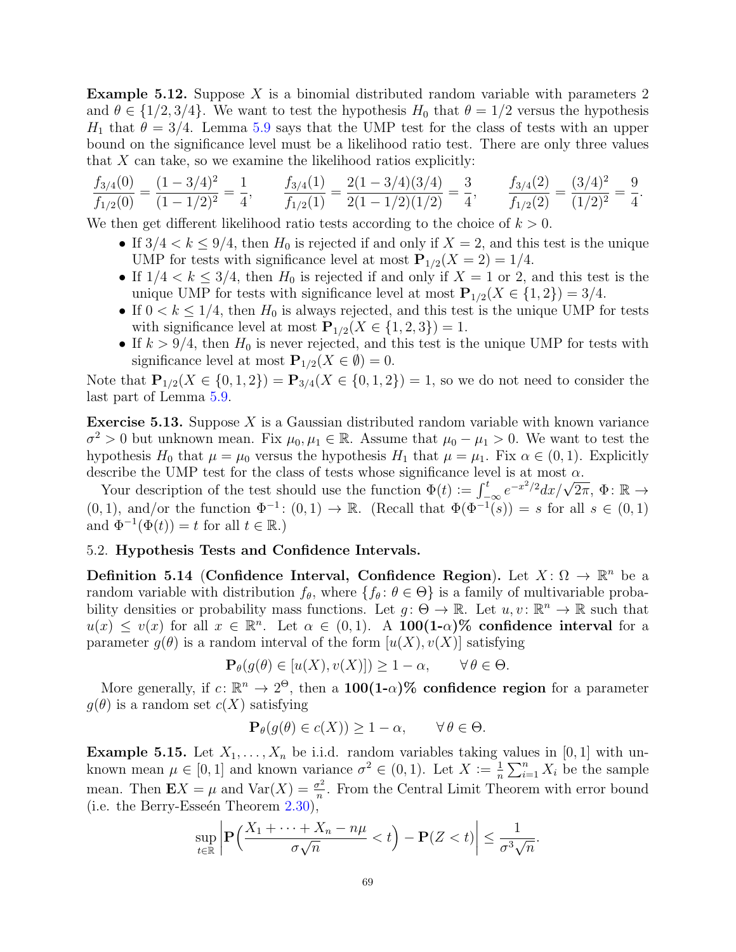**Example 5.12.** Suppose X is a binomial distributed random variable with parameters 2 and  $\theta \in \{1/2, 3/4\}$ . We want to test the hypothesis  $H_0$  that  $\theta = 1/2$  versus the hypothesis  $H_1$  that  $\theta = 3/4$ . Lemma [5.9](#page-66-0) says that the UMP test for the class of tests with an upper bound on the significance level must be a likelihood ratio test. There are only three values that  $X$  can take, so we examine the likelihood ratios explicitly:

$$
\frac{f_{3/4}(0)}{f_{1/2}(0)} = \frac{(1-3/4)^2}{(1-1/2)^2} = \frac{1}{4}, \qquad \frac{f_{3/4}(1)}{f_{1/2}(1)} = \frac{2(1-3/4)(3/4)}{2(1-1/2)(1/2)} = \frac{3}{4}, \qquad \frac{f_{3/4}(2)}{f_{1/2}(2)} = \frac{(3/4)^2}{(1/2)^2} = \frac{9}{4}.
$$

We then get different likelihood ratio tests according to the choice of  $k > 0$ .

- If  $3/4 < k \leq 9/4$ , then  $H_0$  is rejected if and only if  $X = 2$ , and this test is the unique UMP for tests with significance level at most  $P_{1/2}(X = 2) = 1/4$ .
- If  $1/4 < k \leq 3/4$ , then  $H_0$  is rejected if and only if  $X = 1$  or 2, and this test is the unique UMP for tests with significance level at most  $P_{1/2}(X \in \{1,2\}) = 3/4$ .
- If  $0 < k \leq 1/4$ , then  $H_0$  is always rejected, and this test is the unique UMP for tests with significance level at most  $\mathbf{P}_{1/2}(X \in \{1,2,3\}) = 1$ .
- If  $k > 9/4$ , then  $H_0$  is never rejected, and this test is the unique UMP for tests with significance level at most  $\mathbf{P}_{1/2}(X \in \emptyset) = 0$ .

Note that  $P_{1/2}(X \in \{0,1,2\}) = P_{3/4}(X \in \{0,1,2\}) = 1$ , so we do not need to consider the last part of Lemma [5.9.](#page-66-0)

**Exercise 5.13.** Suppose  $X$  is a Gaussian distributed random variable with known variance  $\sigma^2 > 0$  but unknown mean. Fix  $\mu_0, \mu_1 \in \mathbb{R}$ . Assume that  $\mu_0 - \mu_1 > 0$ . We want to test the hypothesis  $H_0$  that  $\mu = \mu_0$  versus the hypothesis  $H_1$  that  $\mu = \mu_1$ . Fix  $\alpha \in (0, 1)$ . Explicitly describe the UMP test for the class of tests whose significance level is at most  $\alpha$ .

Scribe the UNIP test for the class of tests whose significance level is at most  $\alpha$ .<br>Your description of the test should use the function  $\Phi(t) := \int_{-\infty}^{t} e^{-x^2/2} dx / \sqrt{2\pi}, \Phi \colon \mathbb{R} \to$  $(0, 1)$ , and/or the function  $\Phi^{-1}$ :  $(0, 1) \to \mathbb{R}$ . (Recall that  $\Phi(\Phi^{-1}(s)) = s$  for all  $s \in (0, 1)$ and  $\Phi^{-1}(\Phi(t)) = t$  for all  $t \in \mathbb{R}$ .)

# 5.2. Hypothesis Tests and Confidence Intervals.

Definition 5.14 (Confidence Interval, Confidence Region). Let  $X: \Omega \to \mathbb{R}^n$  be a random variable with distribution  $f_{\theta}$ , where  $\{f_{\theta} : \theta \in \Theta\}$  is a family of multivariable probability densities or probability mass functions. Let  $g: \Theta \to \mathbb{R}$ . Let  $u, v: \mathbb{R}^n \to \mathbb{R}$  such that  $u(x) \leq v(x)$  for all  $x \in \mathbb{R}^n$ . Let  $\alpha \in (0,1)$ . A 100(1- $\alpha$ )% confidence interval for a parameter  $g(\theta)$  is a random interval of the form  $[u(X), v(X)]$  satisfying

$$
\mathbf{P}_{\theta}(g(\theta) \in [u(X), v(X)]) \ge 1 - \alpha, \qquad \forall \theta \in \Theta.
$$

More generally, if  $c: \mathbb{R}^n \to 2^{\Theta}$ , then a  $100(1-\alpha)\%$  confidence region for a parameter  $g(\theta)$  is a random set  $c(X)$  satisfying

$$
\mathbf{P}_{\theta}(g(\theta) \in c(X)) \ge 1 - \alpha, \qquad \forall \theta \in \Theta.
$$

**Example 5.15.** Let  $X_1, \ldots, X_n$  be i.i.d. random variables taking values in [0, 1] with unknown mean  $\mu \in [0, 1]$  and known variance  $\sigma^2 \in (0, 1)$ . Let  $X := \frac{1}{n}$  $\frac{1}{n}\sum_{i=1}^n X_i$  be the sample mean. Then  $\mathbf{E}X = \mu$  and  $\text{Var}(X) = \frac{\sigma^2}{n}$  $\frac{\tau^2}{n}$ . From the Central Limit Theorem with error bound (i.e. the Berry-Esseén Theorem  $2.30$ ),

$$
\sup_{t\in\mathbb{R}}\left|\mathbf{P}\left(\frac{X_1+\dots+X_n-n\mu}{\sigma\sqrt{n}}
$$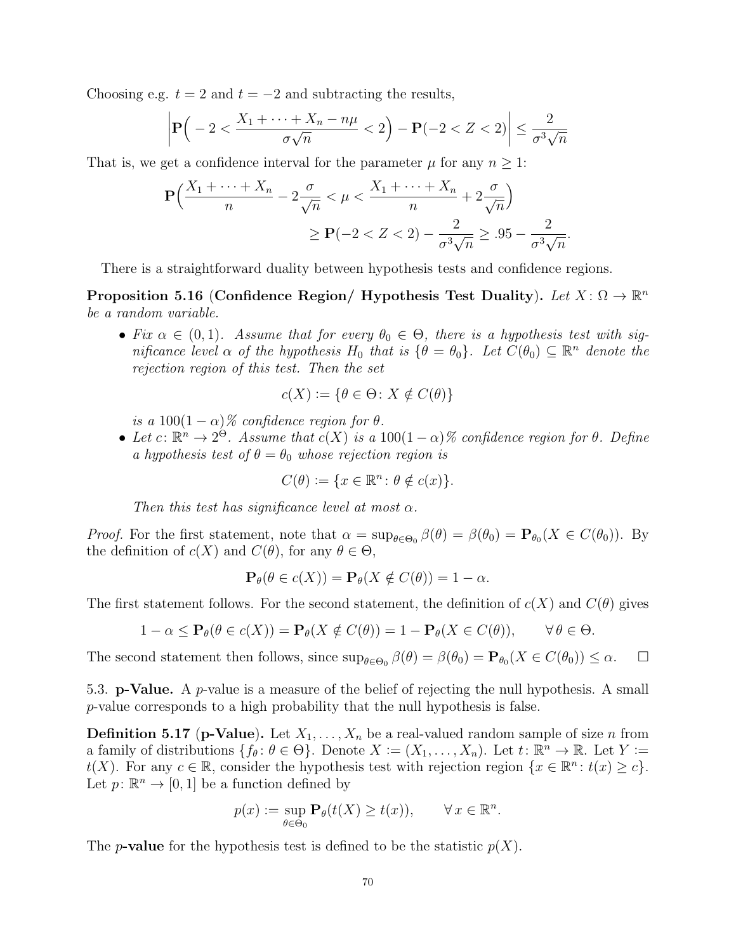Choosing e.g.  $t = 2$  and  $t = -2$  and subtracting the results,

$$
\left| \mathbf{P} \Big( -2 < \frac{X_1 + \dots + X_n - n\mu}{\sigma \sqrt{n}} < 2 \Big) - \mathbf{P}(-2 < Z < 2) \right| \le \frac{2}{\sigma^3 \sqrt{n}}
$$

That is, we get a confidence interval for the parameter  $\mu$  for any  $n \geq 1$ :

$$
\mathbf{P}\left(\frac{X_1 + \dots + X_n}{n} - 2\frac{\sigma}{\sqrt{n}} < \mu < \frac{X_1 + \dots + X_n}{n} + 2\frac{\sigma}{\sqrt{n}}\right) \ge \mathbf{P}(-2 < Z < 2) - \frac{2}{\sigma^3\sqrt{n}} \ge .95 - \frac{2}{\sigma^3\sqrt{n}}.
$$

There is a straightforward duality between hypothesis tests and confidence regions.

Proposition 5.16 (Confidence Region/ Hypothesis Test Duality). Let  $X: \Omega \to \mathbb{R}^n$ be a random variable.

• Fix  $\alpha \in (0,1)$ . Assume that for every  $\theta_0 \in \Theta$ , there is a hypothesis test with significance level  $\alpha$  of the hypothesis  $H_0$  that is  $\{\theta = \theta_0\}$ . Let  $C(\theta_0) \subseteq \mathbb{R}^n$  denote the rejection region of this test. Then the set

$$
c(X) := \{ \theta \in \Theta \colon X \notin C(\theta) \}
$$

is a  $100(1-\alpha)\%$  confidence region for  $\theta$ .

• Let  $c: \mathbb{R}^n \to 2^{\Theta}$ . Assume that  $c(X)$  is a  $100(1-\alpha)\%$  confidence region for  $\theta$ . Define a hypothesis test of  $\theta = \theta_0$  whose rejection region is

$$
C(\theta) := \{ x \in \mathbb{R}^n : \theta \notin c(x) \}.
$$

Then this test has significance level at most  $\alpha$ .

*Proof.* For the first statement, note that  $\alpha = \sup_{\theta \in \Theta_0} \beta(\theta) = \beta(\theta_0) = \mathbf{P}_{\theta_0}(X \in C(\theta_0)).$  By the definition of  $c(X)$  and  $C(\theta)$ , for any  $\theta \in \Theta$ ,

$$
\mathbf{P}_{\theta}(\theta \in c(X)) = \mathbf{P}_{\theta}(X \notin C(\theta)) = 1 - \alpha.
$$

The first statement follows. For the second statement, the definition of  $c(X)$  and  $C(\theta)$  gives

$$
1 - \alpha \le \mathbf{P}_{\theta}(\theta \in c(X)) = \mathbf{P}_{\theta}(X \notin C(\theta)) = 1 - \mathbf{P}_{\theta}(X \in C(\theta)), \qquad \forall \theta \in \Theta.
$$

The second statement then follows, since  $\sup_{\theta \in \Theta_0} \beta(\theta) = \beta(\theta_0) = \mathbf{P}_{\theta_0}(X \in C(\theta_0)) \leq \alpha$ .  $\Box$ 

5.3. **p-Value.** A *p*-value is a measure of the belief of rejecting the null hypothesis. A small p-value corresponds to a high probability that the null hypothesis is false.

**Definition 5.17 (p-Value).** Let  $X_1, \ldots, X_n$  be a real-valued random sample of size n from a family of distributions  $\{f_\theta: \theta \in \Theta\}$ . Denote  $X := (X_1, \ldots, X_n)$ . Let  $t: \mathbb{R}^n \to \mathbb{R}$ . Let  $Y :=$  $t(X)$ . For any  $c \in \mathbb{R}$ , consider the hypothesis test with rejection region  $\{x \in \mathbb{R}^n : t(x) \geq c\}$ . Let  $p: \mathbb{R}^n \to [0, 1]$  be a function defined by

$$
p(x) := \sup_{\theta \in \Theta_0} \mathbf{P}_{\theta}(t(X) \ge t(x)), \qquad \forall x \in \mathbb{R}^n.
$$

The *p*-value for the hypothesis test is defined to be the statistic  $p(X)$ .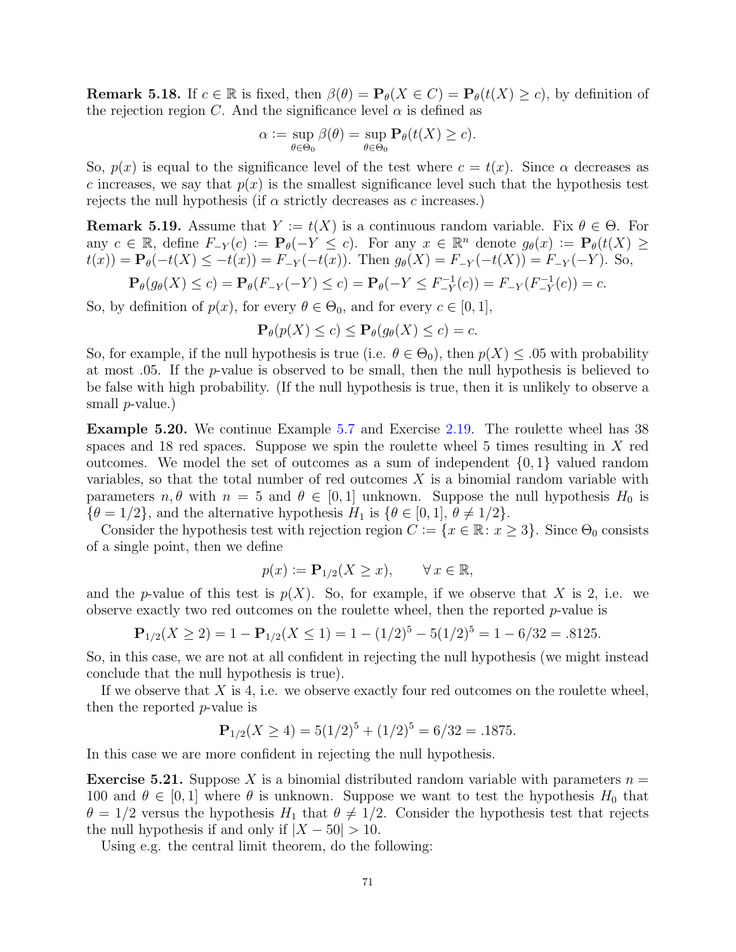**Remark 5.18.** If  $c \in \mathbb{R}$  is fixed, then  $\beta(\theta) = \mathbf{P}_{\theta}(X \in C) = \mathbf{P}_{\theta}(t(X) \geq c)$ , by definition of the rejection region C. And the significance level  $\alpha$  is defined as

$$
\alpha := \sup_{\theta \in \Theta_0} \beta(\theta) = \sup_{\theta \in \Theta_0} \mathbf{P}_{\theta}(t(X) \ge c).
$$

So,  $p(x)$  is equal to the significance level of the test where  $c = t(x)$ . Since  $\alpha$  decreases as c increases, we say that  $p(x)$  is the smallest significance level such that the hypothesis test rejects the null hypothesis (if  $\alpha$  strictly decreases as c increases.)

**Remark 5.19.** Assume that  $Y := t(X)$  is a continuous random variable. Fix  $\theta \in \Theta$ . For any  $c \in \mathbb{R}$ , define  $F_{-Y}(c) := \mathbf{P}_{\theta}(-Y \leq c)$ . For any  $x \in \mathbb{R}^n$  denote  $g_{\theta}(x) := \mathbf{P}_{\theta}(t(X)) \geq$  $t(x) = \mathbf{P}_{\theta}(-t(X) \leq -t(x)) = F_{-Y}(-t(x))$ . Then  $g_{\theta}(X) = F_{-Y}(-t(X)) = F_{-Y}(-Y)$ . So,

$$
\mathbf{P}_{\theta}(g_{\theta}(X) \le c) = \mathbf{P}_{\theta}(F_{-Y}(-Y) \le c) = \mathbf{P}_{\theta}(-Y \le F_{-Y}^{-1}(c)) = F_{-Y}(F_{-Y}^{-1}(c)) = c.
$$

So, by definition of  $p(x)$ , for every  $\theta \in \Theta_0$ , and for every  $c \in [0,1]$ ,

$$
\mathbf{P}_{\theta}(p(X) \le c) \le \mathbf{P}_{\theta}(g_{\theta}(X) \le c) = c.
$$

So, for example, if the null hypothesis is true (i.e.  $\theta \in \Theta_0$ ), then  $p(X) \leq .05$  with probability at most .05. If the p-value is observed to be small, then the null hypothesis is believed to be false with high probability. (If the null hypothesis is true, then it is unlikely to observe a small *p*-value.)

Example 5.20. We continue Example [5.7](#page-65-0) and Exercise [2.19.](#page-29-0) The roulette wheel has 38 spaces and 18 red spaces. Suppose we spin the roulette wheel 5 times resulting in  $X$  red outcomes. We model the set of outcomes as a sum of independent  $\{0, 1\}$  valued random variables, so that the total number of red outcomes  $X$  is a binomial random variable with parameters  $n, \theta$  with  $n = 5$  and  $\theta \in [0, 1]$  unknown. Suppose the null hypothesis  $H_0$  is  $\{\theta = 1/2\}$ , and the alternative hypothesis  $H_1$  is  $\{\theta \in [0,1], \theta \neq 1/2\}$ .

Consider the hypothesis test with rejection region  $C := \{x \in \mathbb{R} : x \geq 3\}$ . Since  $\Theta_0$  consists of a single point, then we define

$$
p(x) := \mathbf{P}_{1/2}(X \ge x), \qquad \forall x \in \mathbb{R},
$$

and the p-value of this test is  $p(X)$ . So, for example, if we observe that X is 2, i.e. we observe exactly two red outcomes on the roulette wheel, then the reported  $p$ -value is

$$
\mathbf{P}_{1/2}(X \ge 2) = 1 - \mathbf{P}_{1/2}(X \le 1) = 1 - (1/2)^5 - 5(1/2)^5 = 1 - 6/32 = .8125.
$$

So, in this case, we are not at all confident in rejecting the null hypothesis (we might instead conclude that the null hypothesis is true).

If we observe that  $X$  is 4, i.e. we observe exactly four red outcomes on the roulette wheel, then the reported p-value is

$$
\mathbf{P}_{1/2}(X \ge 4) = 5(1/2)^5 + (1/2)^5 = 6/32 = .1875.
$$

In this case we are more confident in rejecting the null hypothesis.

**Exercise 5.21.** Suppose X is a binomial distributed random variable with parameters  $n =$ 100 and  $\theta \in [0,1]$  where  $\theta$  is unknown. Suppose we want to test the hypothesis  $H_0$  that  $\theta = 1/2$  versus the hypothesis  $H_1$  that  $\theta \neq 1/2$ . Consider the hypothesis test that rejects the null hypothesis if and only if  $|X - 50| > 10$ .

Using e.g. the central limit theorem, do the following: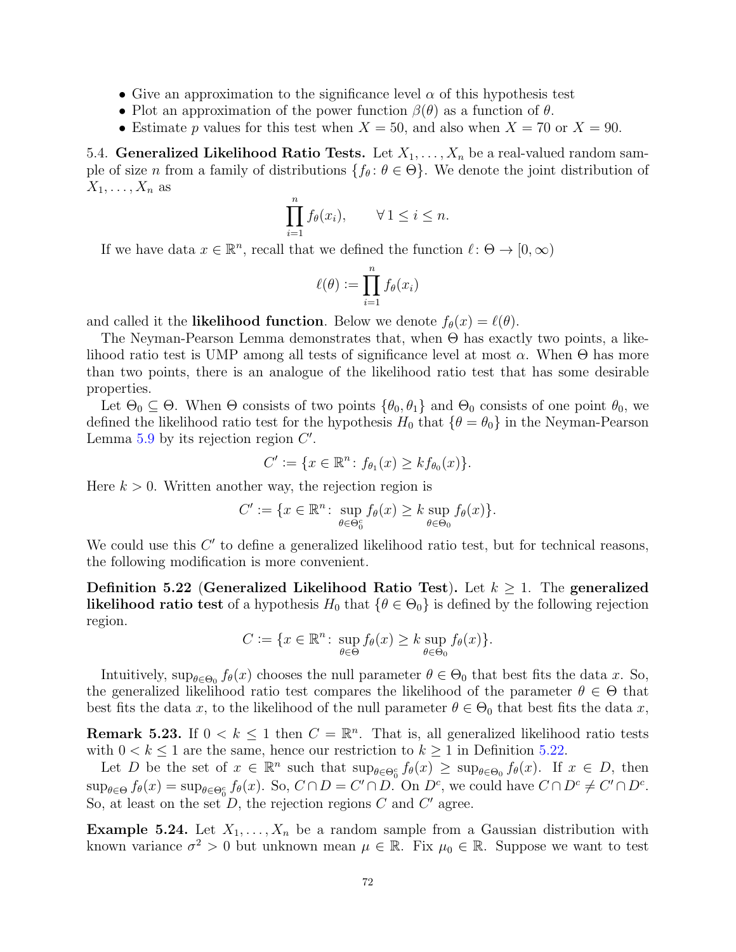- Give an approximation to the significance level  $\alpha$  of this hypothesis test
- Plot an approximation of the power function  $\beta(\theta)$  as a function of  $\theta$ .
- Estimate p values for this test when  $X = 50$ , and also when  $X = 70$  or  $X = 90$ .

5.4. Generalized Likelihood Ratio Tests. Let  $X_1, \ldots, X_n$  be a real-valued random sample of size n from a family of distributions  $\{f_\theta: \theta \in \Theta\}$ . We denote the joint distribution of  $X_1, \ldots, X_n$  as

$$
\prod_{i=1}^{n} f_{\theta}(x_i), \qquad \forall \, 1 \leq i \leq n.
$$

If we have data  $x \in \mathbb{R}^n$ , recall that we defined the function  $\ell : \Theta \to [0, \infty)$ 

$$
\ell(\theta) := \prod_{i=1}^n f_{\theta}(x_i)
$$

and called it the **likelihood function**. Below we denote  $f_{\theta}(x) = \ell(\theta)$ .

The Neyman-Pearson Lemma demonstrates that, when  $\Theta$  has exactly two points, a likelihood ratio test is UMP among all tests of significance level at most  $\alpha$ . When  $\Theta$  has more than two points, there is an analogue of the likelihood ratio test that has some desirable properties.

Let  $\Theta_0 \subseteq \Theta$ . When  $\Theta$  consists of two points  $\{\theta_0, \theta_1\}$  and  $\Theta_0$  consists of one point  $\theta_0$ , we defined the likelihood ratio test for the hypothesis  $H_0$  that  $\{\theta = \theta_0\}$  in the Neyman-Pearson Lemma  $5.9$  by its rejection region  $C'$ .

$$
C' := \{ x \in \mathbb{R}^n \colon f_{\theta_1}(x) \geq k f_{\theta_0}(x) \}.
$$

Here  $k > 0$ . Written another way, the rejection region is

$$
C' := \{ x \in \mathbb{R}^n \colon \sup_{\theta \in \Theta_0^c} f_{\theta}(x) \ge k \sup_{\theta \in \Theta_0} f_{\theta}(x) \}.
$$

We could use this  $C'$  to define a generalized likelihood ratio test, but for technical reasons, the following modification is more convenient.

<span id="page-71-0"></span>Definition 5.22 (Generalized Likelihood Ratio Test). Let  $k \geq 1$ . The generalized likelihood ratio test of a hypothesis  $H_0$  that  $\{\theta \in \Theta_0\}$  is defined by the following rejection region.

$$
C := \{ x \in \mathbb{R}^n \colon \sup_{\theta \in \Theta} f_{\theta}(x) \ge k \sup_{\theta \in \Theta_0} f_{\theta}(x) \}.
$$

Intuitively,  $\sup_{\theta \in \Theta_0} f_{\theta}(x)$  chooses the null parameter  $\theta \in \Theta_0$  that best fits the data x. So, the generalized likelihood ratio test compares the likelihood of the parameter  $\theta \in \Theta$  that best fits the data x, to the likelihood of the null parameter  $\theta \in \Theta_0$  that best fits the data x,

**Remark 5.23.** If  $0 \le k \le 1$  then  $C = \mathbb{R}^n$ . That is, all generalized likelihood ratio tests with  $0 < k \leq 1$  are the same, hence our restriction to  $k \geq 1$  in Definition [5.22.](#page-71-0)

Let D be the set of  $x \in \mathbb{R}^n$  such that  $\sup_{\theta \in \Theta_0^c} f_{\theta}(x) \geq \sup_{\theta \in \Theta_0} f_{\theta}(x)$ . If  $x \in D$ , then  $\sup_{\theta \in \Theta} f_{\theta}(x) = \sup_{\theta \in \Theta_0^c} f_{\theta}(x)$ . So,  $C \cap D = C' \cap D$ . On  $D^c$ , we could have  $C \cap D^c \neq C' \cap D^c$ . So, at least on the set  $D$ , the rejection regions C and C' agree.

**Example 5.24.** Let  $X_1, \ldots, X_n$  be a random sample from a Gaussian distribution with known variance  $\sigma^2 > 0$  but unknown mean  $\mu \in \mathbb{R}$ . Fix  $\mu_0 \in \mathbb{R}$ . Suppose we want to test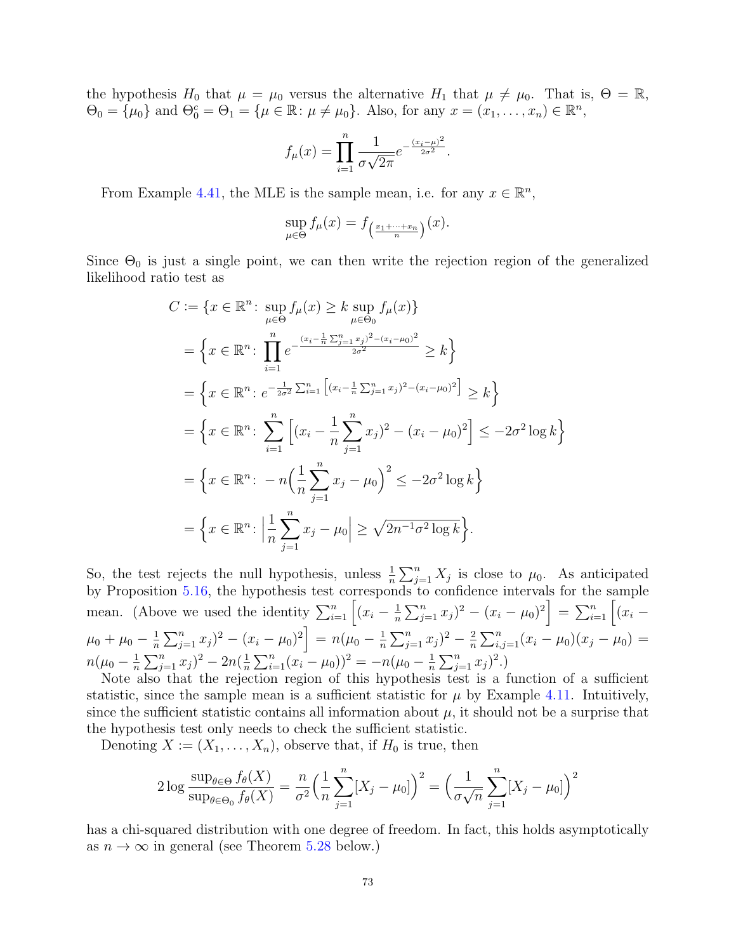the hypothesis  $H_0$  that  $\mu = \mu_0$  versus the alternative  $H_1$  that  $\mu \neq \mu_0$ . That is,  $\Theta = \mathbb{R}$ ,  $\Theta_0 = {\mu_0}$  and  $\Theta_0^c = \Theta_1 = {\mu \in \mathbb{R} : \mu \neq \mu_0}.$  Also, for any  $x = (x_1, \dots, x_n) \in \mathbb{R}^n$ ,

$$
f_{\mu}(x) = \prod_{i=1}^{n} \frac{1}{\sigma\sqrt{2\pi}} e^{-\frac{(x_i - \mu)^2}{2\sigma^2}}.
$$

From Example [4.41,](#page-58-0) the MLE is the sample mean, i.e. for any  $x \in \mathbb{R}^n$ ,

$$
\sup_{\mu \in \Theta} f_{\mu}(x) = f_{\left(\frac{x_1 + \dots + x_n}{n}\right)}(x).
$$

Since  $\Theta_0$  is just a single point, we can then write the rejection region of the generalized likelihood ratio test as

$$
C := \{x \in \mathbb{R}^n : \sup_{\mu \in \Theta} f_{\mu}(x) \ge k \sup_{\mu \in \Theta_0} f_{\mu}(x)\}
$$
  
\n
$$
= \left\{x \in \mathbb{R}^n : \prod_{i=1}^n e^{-\frac{(x_i - \frac{1}{n}\sum_{j=1}^n x_j)^2 - (x_i - \mu_0)^2}{2\sigma^2}} \ge k\right\}
$$
  
\n
$$
= \left\{x \in \mathbb{R}^n : e^{-\frac{1}{2\sigma^2}\sum_{i=1}^n \left[(x_i - \frac{1}{n}\sum_{j=1}^n x_j)^2 - (x_i - \mu_0)^2\right]} \ge k\right\}
$$
  
\n
$$
= \left\{x \in \mathbb{R}^n : \sum_{i=1}^n \left[(x_i - \frac{1}{n}\sum_{j=1}^n x_j)^2 - (x_i - \mu_0)^2\right] \le -2\sigma^2 \log k\right\}
$$
  
\n
$$
= \left\{x \in \mathbb{R}^n : -n\left(\frac{1}{n}\sum_{j=1}^n x_j - \mu_0\right)^2 \le -2\sigma^2 \log k\right\}
$$
  
\n
$$
= \left\{x \in \mathbb{R}^n : \left|\frac{1}{n}\sum_{j=1}^n x_j - \mu_0\right| \ge \sqrt{2n^{-1}\sigma^2 \log k}\right\}.
$$

So, the test rejects the null hypothesis, unless  $\frac{1}{n} \sum_{j=1}^{n} X_j$  is close to  $\mu_0$ . As anticipated by Proposition [5.16,](#page-69-0) the hypothesis test corresponds to confidence intervals for the sample mean. (Above we used the identity  $\sum_{i=1}^{n} \left[ (x_i - \frac{1}{n}) \right]$  $\frac{1}{n}\sum_{j=1}^n x_j)^2 - (x_i - \mu_0)^2$  =  $\sum_{i=1}^n \left[ (x_i \mu_0+\mu_0-\frac{1}{n}$  $\frac{1}{n}\sum_{j=1}^n x_j)^2 - (x_i - \mu_0)^2$  =  $n(\mu_0 - \frac{1}{n})$  $\frac{1}{n}\sum_{j=1}^n x_j^2 - \frac{2}{n}$  $\frac{2}{n}\sum_{i,j=1}^n(x_i-\mu_0)(x_j-\mu_0)=$  $n(\mu_0 - \frac{1}{n})$  $\frac{1}{n}\sum_{j=1}^n x_j)^2 - 2n(\frac{1}{n})$  $\frac{1}{n}\sum_{i=1}^n(x_i - \mu_0))^2 = -n(\mu_0 - \frac{1}{n})$  $\frac{1}{n} \sum_{j=1}^{n} x_j$ <sup>2</sup>.)

Note also that the rejection region of this hypothesis test is a function of a sufficient statistic, since the sample mean is a sufficient statistic for  $\mu$  by Example [4.11.](#page-48-0) Intuitively, since the sufficient statistic contains all information about  $\mu$ , it should not be a surprise that the hypothesis test only needs to check the sufficient statistic.

Denoting  $X := (X_1, \ldots, X_n)$ , observe that, if  $H_0$  is true, then

$$
2\log \frac{\sup_{\theta \in \Theta} f_{\theta}(X)}{\sup_{\theta \in \Theta_0} f_{\theta}(X)} = \frac{n}{\sigma^2} \Big(\frac{1}{n} \sum_{j=1}^n [X_j - \mu_0]\Big)^2 = \Big(\frac{1}{\sigma\sqrt{n}} \sum_{j=1}^n [X_j - \mu_0]\Big)^2
$$

has a chi-squared distribution with one degree of freedom. In fact, this holds asymptotically as  $n \to \infty$  in general (see Theorem [5.28](#page-78-0) below.)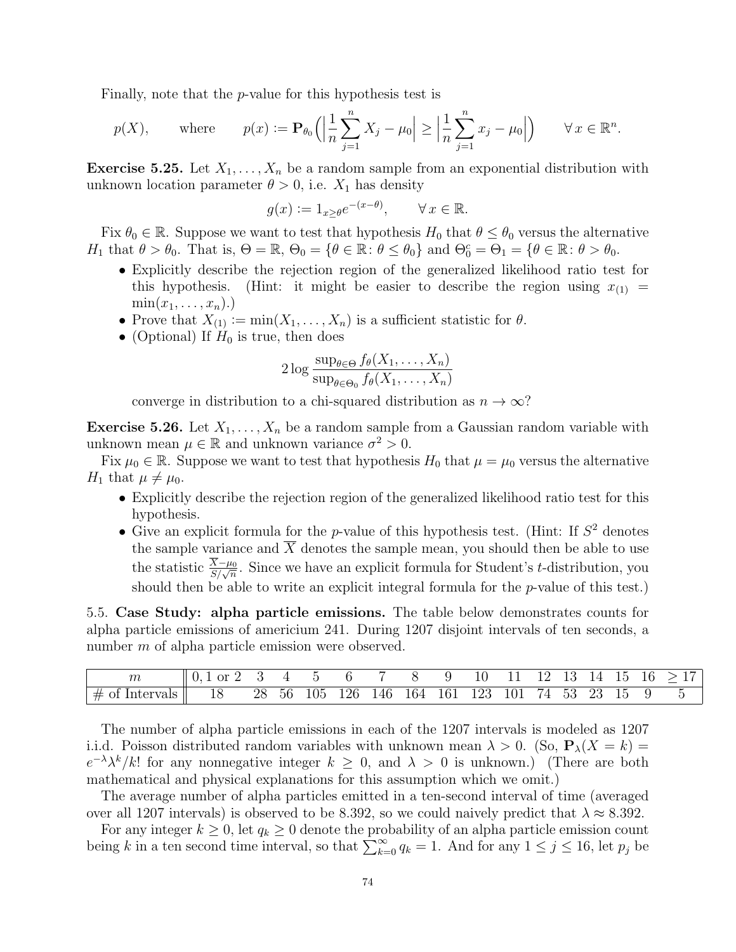Finally, note that the p-value for this hypothesis test is

$$
p(X)
$$
, where  $p(x) := \mathbf{P}_{\theta_0} \left( \left| \frac{1}{n} \sum_{j=1}^n X_j - \mu_0 \right| \ge \left| \frac{1}{n} \sum_{j=1}^n x_j - \mu_0 \right| \right) \quad \forall x \in \mathbb{R}^n$ .

**Exercise 5.25.** Let  $X_1, \ldots, X_n$  be a random sample from an exponential distribution with unknown location parameter  $\theta > 0$ , i.e.  $X_1$  has density

$$
g(x) := 1_{x \ge \theta} e^{-(x-\theta)}, \qquad \forall \, x \in \mathbb{R}.
$$

Fix  $\theta_0 \in \mathbb{R}$ . Suppose we want to test that hypothesis  $H_0$  that  $\theta \leq \theta_0$  versus the alternative H<sub>1</sub> that  $\theta > \theta_0$ . That is,  $\Theta = \mathbb{R}$ ,  $\Theta_0 = \{ \theta \in \mathbb{R} : \theta \leq \theta_0 \}$  and  $\Theta_0^c = \Theta_1 = \{ \theta \in \mathbb{R} : \theta > \theta_0 \}$ .

- Explicitly describe the rejection region of the generalized likelihood ratio test for this hypothesis. (Hint: it might be easier to describe the region using  $x_{(1)} =$  $\min(x_1,\ldots,x_n).$
- Prove that  $X_{(1)} := min(X_1, \ldots, X_n)$  is a sufficient statistic for  $\theta$ .
- (Optional) If  $H_0$  is true, then does

$$
2 \log \frac{\sup_{\theta \in \Theta} f_{\theta}(X_1, \dots, X_n)}{\sup_{\theta \in \Theta_0} f_{\theta}(X_1, \dots, X_n)}
$$

converge in distribution to a chi-squared distribution as  $n \to \infty$ ?

**Exercise 5.26.** Let  $X_1, \ldots, X_n$  be a random sample from a Gaussian random variable with unknown mean  $\mu \in \mathbb{R}$  and unknown variance  $\sigma^2 > 0$ .

Fix  $\mu_0 \in \mathbb{R}$ . Suppose we want to test that hypothesis  $H_0$  that  $\mu = \mu_0$  versus the alternative  $H_1$  that  $\mu \neq \mu_0$ .

- Explicitly describe the rejection region of the generalized likelihood ratio test for this hypothesis.
- Give an explicit formula for the  $p$ -value of this hypothesis test. (Hint: If  $S<sup>2</sup>$  denotes the sample variance and  $X$  denotes the sample mean, you should then be able to use the statistic  $\frac{X-\mu_0}{S/\sqrt{n}}$ . Since we have an explicit formula for Student's t-distribution, you should then be able to write an explicit integral formula for the  $p$ -value of this test.)

5.5. Case Study: alpha particle emissions. The table below demonstrates counts for alpha particle emissions of americium 241. During 1207 disjoint intervals of ten seconds, a number m of alpha particle emission were observed.

|                                                                          | $\parallel 0.1 \text{ or } 2 \quad 3 \quad 4 \quad 5 \quad 6 \quad 7 \quad 8 \quad 9 \quad 10 \quad 11 \quad 12 \quad 13 \quad 14 \quad 15 \quad 16 \quad >17$ |  |  |  |  |  |  |  |  |
|--------------------------------------------------------------------------|----------------------------------------------------------------------------------------------------------------------------------------------------------------|--|--|--|--|--|--|--|--|
| $\#$ of Intervals   18 28 56 105 126 146 164 161 123 101 74 53 23 15 9 5 |                                                                                                                                                                |  |  |  |  |  |  |  |  |

The number of alpha particle emissions in each of the 1207 intervals is modeled as 1207 i.i.d. Poisson distributed random variables with unknown mean  $\lambda > 0$ . (So,  $P_{\lambda}(X = k)$ )  $e^{-\lambda} \lambda^k / k!$  for any nonnegative integer  $k \geq 0$ , and  $\lambda > 0$  is unknown.) (There are both mathematical and physical explanations for this assumption which we omit.)

The average number of alpha particles emitted in a ten-second interval of time (averaged over all 1207 intervals) is observed to be 8.392, so we could naively predict that  $\lambda \approx 8.392$ .

For any integer  $k \geq 0$ , let  $q_k \geq 0$  denote the probability of an alpha particle emission count being k in a ten second time interval, so that  $\sum_{k=0}^{\infty} q_k = 1$ . And for any  $1 \le j \le 16$ , let  $p_j$  be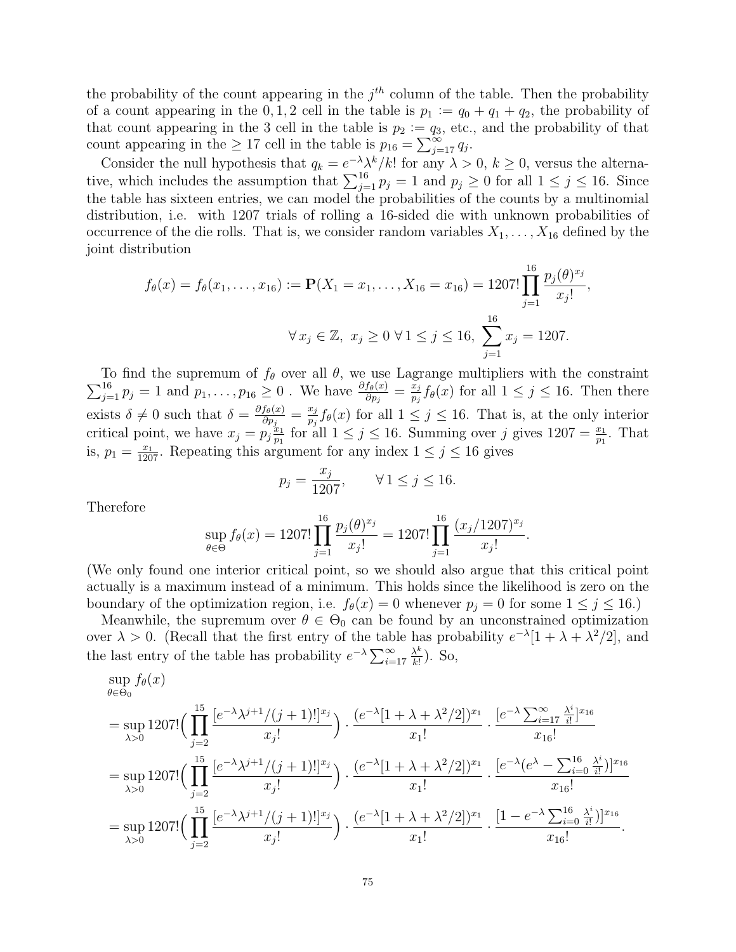the probability of the count appearing in the  $j<sup>th</sup>$  column of the table. Then the probability of a count appearing in the 0, 1, 2 cell in the table is  $p_1 := q_0 + q_1 + q_2$ , the probability of that count appearing in the 3 cell in the table is  $p_2 := q_3$ , etc., and the probability of that count appearing in the  $\geq 17$  cell in the table is  $p_{16} = \sum_{j=17}^{\infty} q_j$ .

Consider the null hypothesis that  $q_k = e^{-\lambda} \lambda^k / k!$  for any  $\lambda > 0, k \ge 0$ , versus the alternative, which includes the assumption that  $\sum_{j=1}^{16} p_j = 1$  and  $p_j \ge 0$  for all  $1 \le j \le 16$ . Since the table has sixteen entries, we can model the probabilities of the counts by a multinomial distribution, i.e. with 1207 trials of rolling a 16-sided die with unknown probabilities of occurrence of the die rolls. That is, we consider random variables  $X_1, \ldots, X_{16}$  defined by the joint distribution

$$
f_{\theta}(x) = f_{\theta}(x_1, \dots, x_{16}) := \mathbf{P}(X_1 = x_1, \dots, X_{16} = x_{16}) = 1207! \prod_{j=1}^{16} \frac{p_j(\theta)^{x_j}}{x_j!},
$$
  

$$
\forall x_j \in \mathbb{Z}, \ x_j \ge 0 \ \forall 1 \le j \le 16, \ \sum_{j=1}^{16} x_j = 1207.
$$

 $\sum$ To find the supremum of  $f_{\theta}$  over all  $\theta$ , we use Lagrange multipliers with the constraint  $\frac{16}{16}$   $p_j = 1$  and  $p_1, \ldots, p_{16} \geq 0$ . We have  $\frac{\partial f_{\theta}(x)}{\partial p_j} = \frac{x_j}{p_j} f_{\theta}(x)$  for all  $1 \leq j \leq 16$ . Then there  $\frac{x_j}{p_j} f_\theta(x)$  for all  $1 \leq j \leq 16$ . Then there exists  $\delta \neq 0$  such that  $\delta = \frac{\partial f_{\theta}(x)}{\partial p_{\theta}}$  $\frac{f_{\theta}(x)}{\partial p_j} = \frac{x_j}{p_j}$  $\frac{x_j}{p_j} f_{\theta}(x)$  for all  $1 \leq j \leq 16$ . That is, at the only interior critical point, we have  $x_j = p_j \frac{x_1}{n_1}$  $\frac{x_1}{p_1}$  for all  $1 \leq j \leq 16$ . Summing over j gives  $1207 = \frac{x_1}{p_1}$ . That is,  $p_1 = \frac{x_1}{1207}$ . Repeating this argument for any index  $1 \le j \le 16$  gives

$$
p_j = \frac{x_j}{1207}
$$
,  $\forall 1 \le j \le 16$ .

Therefore

$$
\sup_{\theta \in \Theta} f_{\theta}(x) = 1207! \prod_{j=1}^{16} \frac{p_j(\theta)^{x_j}}{x_j!} = 1207! \prod_{j=1}^{16} \frac{(x_j/1207)^{x_j}}{x_j!}.
$$

(We only found one interior critical point, so we should also argue that this critical point actually is a maximum instead of a minimum. This holds since the likelihood is zero on the boundary of the optimization region, i.e.  $f_{\theta}(x) = 0$  whenever  $p_j = 0$  for some  $1 \leq j \leq 16$ .)

Meanwhile, the supremum over  $\theta \in \Theta_0$  can be found by an unconstrained optimization over  $\lambda > 0$ . (Recall that the first entry of the table has probability  $e^{-\lambda} [1 + \lambda + \lambda^2/2]$ , and the last entry of the table has probability  $e^{-\lambda} \sum_{i=17}^{\infty}$  $\lambda^k$  $\frac{\lambda^{\kappa}}{k!}$ ). So,

$$
\sup_{\theta \in \Theta_0} f_{\theta}(x)
$$
\n
$$
= \sup_{\lambda > 0} 1207! \Big( \prod_{j=2}^{15} \frac{[e^{-\lambda} \lambda^{j+1}/(j+1)!]^{x_j}}{x_j!} \Big) \cdot \frac{(e^{-\lambda} [1 + \lambda + \lambda^2/2])^{x_1}}{x_1!} \cdot \frac{[e^{-\lambda} \sum_{i=17}^{\infty} \frac{\lambda^i}{i!}]^{x_{16}}}{x_{16}!}
$$
\n
$$
= \sup_{\lambda > 0} 1207! \Big( \prod_{j=2}^{15} \frac{[e^{-\lambda} \lambda^{j+1}/(j+1)!]^{x_j}}{x_j!} \Big) \cdot \frac{(e^{-\lambda} [1 + \lambda + \lambda^2/2])^{x_1}}{x_1!} \cdot \frac{[e^{-\lambda} (e^{\lambda} - \sum_{i=0}^{16} \frac{\lambda^i}{i!})]^{x_{16}}}{x_{16}!}
$$
\n
$$
= \sup_{\lambda > 0} 1207! \Big( \prod_{j=2}^{15} \frac{[e^{-\lambda} \lambda^{j+1}/(j+1)!]^{x_j}}{x_j!} \Big) \cdot \frac{(e^{-\lambda} [1 + \lambda + \lambda^2/2])^{x_1}}{x_1!} \cdot \frac{[1 - e^{-\lambda} \sum_{i=0}^{16} \frac{\lambda^i}{i!})]^{x_{16}}}{x_{16}!}.
$$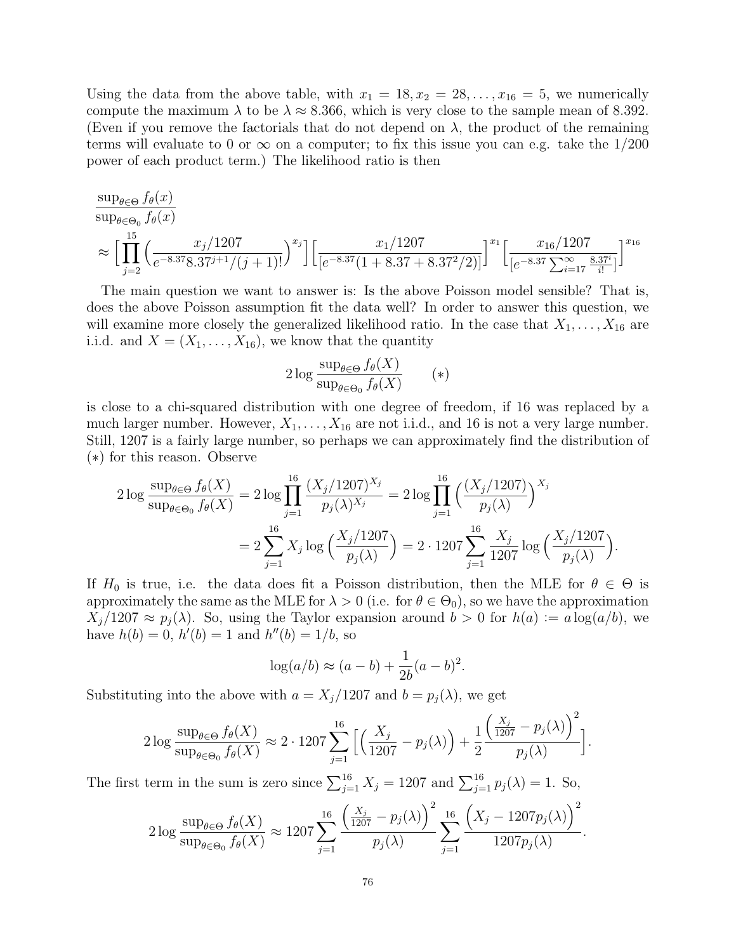Using the data from the above table, with  $x_1 = 18, x_2 = 28, \ldots, x_{16} = 5$ , we numerically compute the maximum  $\lambda$  to be  $\lambda \approx 8.366$ , which is very close to the sample mean of 8.392. (Even if you remove the factorials that do not depend on  $\lambda$ , the product of the remaining terms will evaluate to 0 or  $\infty$  on a computer; to fix this issue you can e.g. take the 1/200 power of each product term.) The likelihood ratio is then

$$
\sup_{\theta \in \Theta_0} f_{\theta}(x)
$$
\n
$$
\approx \left[ \prod_{j=2}^{15} \left( \frac{x_j/1207}{e^{-8.37}8.37^{j+1}/(j+1)!} \right)^{x_j} \right] \left[ \frac{x_1/1207}{[e^{-8.37}(1+8.37+8.37^{2}/2)]} \right]^{x_1} \left[ \frac{x_{16}/1207}{[e^{-8.37} \sum_{i=17}^{\infty} \frac{8.37^{i}}{i!}]} \right]^{x_{16}}
$$

The main question we want to answer is: Is the above Poisson model sensible? That is, does the above Poisson assumption fit the data well? In order to answer this question, we will examine more closely the generalized likelihood ratio. In the case that  $X_1, \ldots, X_{16}$  are i.i.d. and  $X = (X_1, \ldots, X_{16})$ , we know that the quantity

$$
2\log \frac{\sup_{\theta \in \Theta} f_{\theta}(X)}{\sup_{\theta \in \Theta_0} f_{\theta}(X)} \qquad (*)
$$

is close to a chi-squared distribution with one degree of freedom, if 16 was replaced by a much larger number. However,  $X_1, \ldots, X_{16}$  are not i.i.d., and 16 is not a very large number. Still, 1207 is a fairly large number, so perhaps we can approximately find the distribution of (∗) for this reason. Observe

$$
2\log \frac{\sup_{\theta \in \Theta} f_{\theta}(X)}{\sup_{\theta \in \Theta_0} f_{\theta}(X)} = 2\log \prod_{j=1}^{16} \frac{(X_j/1207)^{X_j}}{p_j(\lambda)^{X_j}} = 2\log \prod_{j=1}^{16} \left(\frac{(X_j/1207)}{p_j(\lambda)}\right)^{X_j}
$$

$$
= 2\sum_{j=1}^{16} X_j \log \left(\frac{X_j/1207}{p_j(\lambda)}\right) = 2 \cdot 1207 \sum_{j=1}^{16} \frac{X_j}{1207} \log \left(\frac{X_j/1207}{p_j(\lambda)}\right).
$$

If  $H_0$  is true, i.e. the data does fit a Poisson distribution, then the MLE for  $\theta \in \Theta$  is approximately the same as the MLE for  $\lambda > 0$  (i.e. for  $\theta \in \Theta_0$ ), so we have the approximation  $X_i/1207 \approx p_i(\lambda)$ . So, using the Taylor expansion around  $b > 0$  for  $h(a) := a \log(a/b)$ , we have  $h(b) = 0$ ,  $h'(b) = 1$  and  $h''(b) = 1/b$ , so

$$
log(a/b) \approx (a - b) + \frac{1}{2b}(a - b)^2.
$$

Substituting into the above with  $a = X_j/1207$  and  $b = p_j(\lambda)$ , we get

$$
2\log \frac{\sup_{\theta \in \Theta} f_{\theta}(X)}{\sup_{\theta \in \Theta_0} f_{\theta}(X)} \approx 2 \cdot 1207 \sum_{j=1}^{16} \Big[ \Big( \frac{X_j}{1207} - p_j(\lambda) \Big) + \frac{1}{2} \frac{\Big( \frac{X_j}{1207} - p_j(\lambda) \Big)^2}{p_j(\lambda)} \Big].
$$

The first term in the sum is zero since  $\sum_{j=1}^{16} X_j = 1207$  and  $\sum_{j=1}^{16} p_j(\lambda) = 1$ . So,

$$
2 \log \frac{\sup_{\theta \in \Theta} f_{\theta}(X)}{\sup_{\theta \in \Theta_0} f_{\theta}(X)} \approx 1207 \sum_{j=1}^{16} \frac{\left(\frac{X_j}{1207} - p_j(\lambda)\right)^2}{p_j(\lambda)} \sum_{j=1}^{16} \frac{\left(X_j - 1207p_j(\lambda)\right)^2}{1207p_j(\lambda)}
$$

.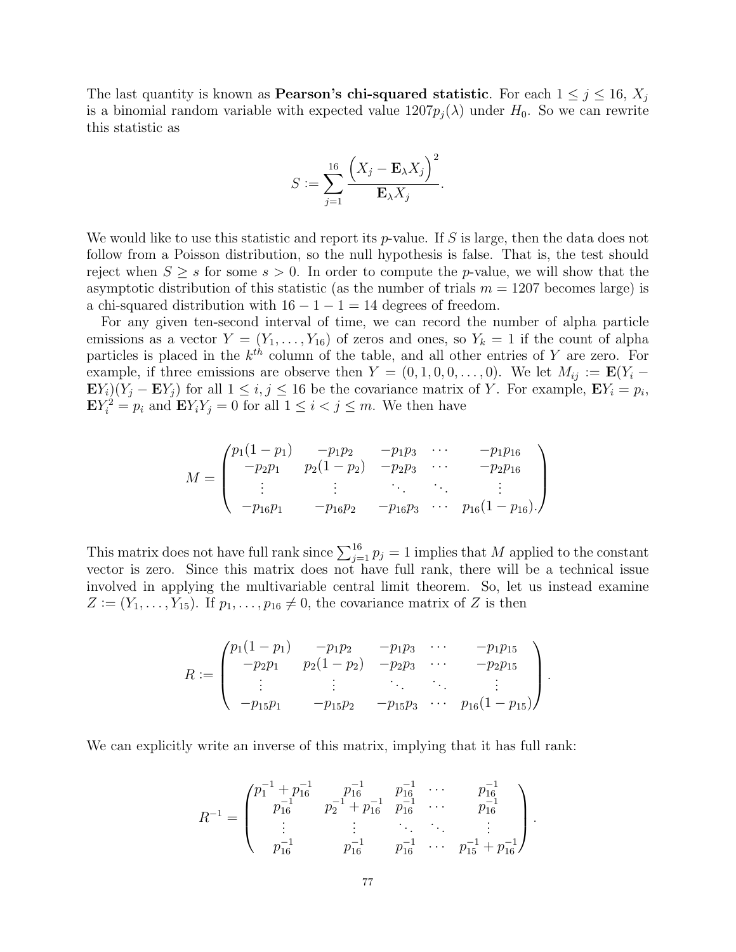The last quantity is known as **Pearson's chi-squared statistic**. For each  $1 \leq j \leq 16$ ,  $X_j$ is a binomial random variable with expected value  $1207p_i(\lambda)$  under  $H_0$ . So we can rewrite this statistic as

$$
S := \sum_{j=1}^{16} \frac{\left(X_j - \mathbf{E}_{\lambda} X_j\right)^2}{\mathbf{E}_{\lambda} X_j}.
$$

We would like to use this statistic and report its  $p$ -value. If S is large, then the data does not follow from a Poisson distribution, so the null hypothesis is false. That is, the test should reject when  $S \geq s$  for some  $s > 0$ . In order to compute the *p*-value, we will show that the asymptotic distribution of this statistic (as the number of trials  $m = 1207$  becomes large) is a chi-squared distribution with  $16 - 1 - 1 = 14$  degrees of freedom.

For any given ten-second interval of time, we can record the number of alpha particle emissions as a vector  $Y = (Y_1, \ldots, Y_{16})$  of zeros and ones, so  $Y_k = 1$  if the count of alpha particles is placed in the  $k^{th}$  column of the table, and all other entries of Y are zero. For example, if three emissions are observe then  $Y = (0, 1, 0, 0, \ldots, 0)$ . We let  $M_{ij} := \mathbf{E}(Y_i \mathbf{E}[Y_i](Y_j - \mathbf{E}[Y_j])$  for all  $1 \leq i, j \leq 16$  be the covariance matrix of Y. For example,  $\mathbf{E}[Y_i] = p_i$ ,  $\mathbf{E} Y_i^2 = p_i$  and  $\mathbf{E} Y_i Y_j = 0$  for all  $1 \leq i < j \leq m$ . We then have

$$
M = \begin{pmatrix} p_1(1-p_1) & -p_1p_2 & -p_1p_3 & \cdots & -p_1p_{16} \\ -p_2p_1 & p_2(1-p_2) & -p_2p_3 & \cdots & -p_2p_{16} \\ \vdots & \vdots & \ddots & \vdots & \vdots \\ -p_{16}p_1 & -p_{16}p_2 & -p_{16}p_3 & \cdots & p_{16}(1-p_{16}). \end{pmatrix}
$$

This matrix does not have full rank since  $\sum_{j=1}^{16} p_j = 1$  implies that M applied to the constant vector is zero. Since this matrix does not have full rank, there will be a technical issue involved in applying the multivariable central limit theorem. So, let us instead examine  $Z := (Y_1, \ldots, Y_{15})$ . If  $p_1, \ldots, p_{16} \neq 0$ , the covariance matrix of Z is then

$$
R := \begin{pmatrix} p_1(1-p_1) & -p_1p_2 & -p_1p_3 & \cdots & -p_1p_{15} \\ -p_2p_1 & p_2(1-p_2) & -p_2p_3 & \cdots & -p_2p_{15} \\ \vdots & \vdots & \ddots & \vdots & \vdots \\ -p_{15}p_1 & -p_{15}p_2 & -p_{15}p_3 & \cdots & p_{16}(1-p_{15}) \end{pmatrix}.
$$

We can explicitly write an inverse of this matrix, implying that it has full rank:

$$
R^{-1} = \begin{pmatrix} p_1^{-1} + p_{16}^{-1} & p_{16}^{-1} & p_{16}^{-1} & \cdots & p_{16}^{-1} \\ p_{16}^{-1} & p_2^{-1} + p_{16}^{-1} & p_{16}^{-1} & \cdots & p_{16}^{-1} \\ \vdots & \vdots & \ddots & \vdots & \vdots \\ p_{16}^{-1} & p_{16}^{-1} & p_{16}^{-1} & \cdots & p_{15}^{-1} + p_{16}^{-1} \end{pmatrix}.
$$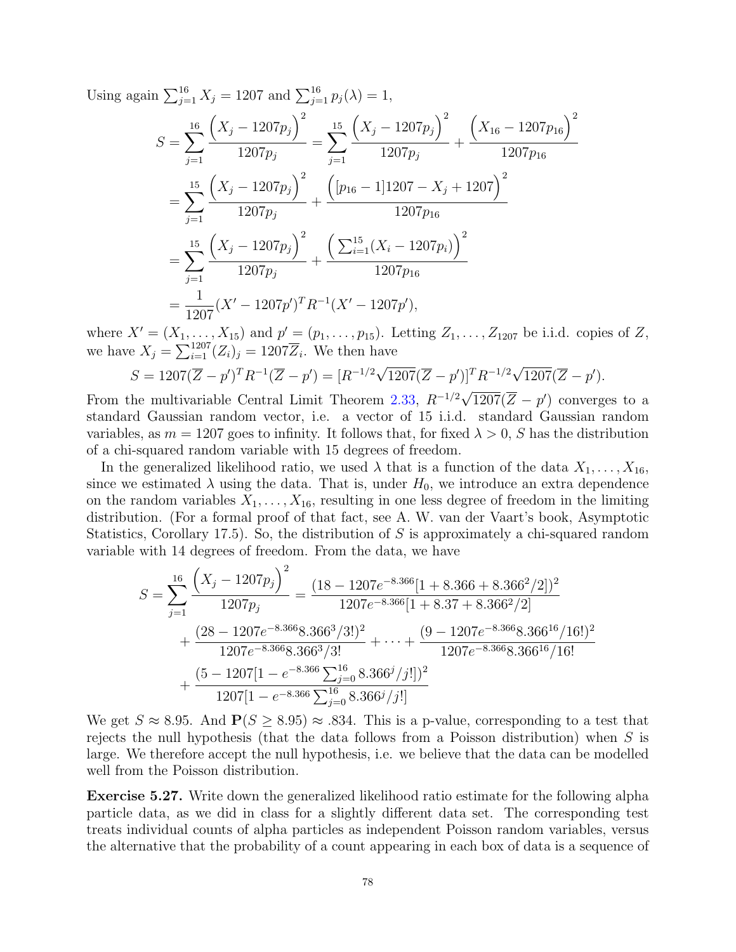Using again  $\sum_{j=1}^{16} X_j = 1207$  and  $\sum_{j=1}^{16} p_j(\lambda) = 1$ ,

$$
S = \sum_{j=1}^{16} \frac{\left(X_j - 1207p_j\right)^2}{1207p_j} = \sum_{j=1}^{15} \frac{\left(X_j - 1207p_j\right)^2}{1207p_j} + \frac{\left(X_{16} - 1207p_{16}\right)^2}{1207p_{16}}
$$
  
= 
$$
\sum_{j=1}^{15} \frac{\left(X_j - 1207p_j\right)^2}{1207p_j} + \frac{\left([p_{16} - 1]1207 - X_j + 1207\right)^2}{1207p_{16}}
$$
  
= 
$$
\sum_{j=1}^{15} \frac{\left(X_j - 1207p_j\right)^2}{1207p_j} + \frac{\left(\sum_{i=1}^{15} (X_i - 1207p_i)\right)^2}{1207p_{16}}
$$
  
= 
$$
\frac{1}{1207}(X' - 1207p')^T R^{-1} (X' - 1207p'),
$$

where  $X' = (X_1, ..., X_{15})$  and  $p' = (p_1, ..., p_{15})$ . Letting  $Z_1, ..., Z_{1207}$  be i.i.d. copies of  $Z$ , we have  $X_j = \sum_{i=1}^{1207} (Z_i)_j = 1207\overline{Z}_i$ . We then have

$$
S = 1207(\overline{Z} - p')^T R^{-1}(\overline{Z} - p') = [R^{-1/2}\sqrt{1207}(\overline{Z} - p')]^T R^{-1/2}\sqrt{1207}(\overline{Z} - p').
$$

From the multivariable Central Limit Theorem [2.33,](#page-33-0)  $R^{-1/2}$  $\overline{1207}(\overline{Z}-p')$  converges to a standard Gaussian random vector, i.e. a vector of 15 i.i.d. standard Gaussian random variables, as  $m = 1207$  goes to infinity. It follows that, for fixed  $\lambda > 0$ , S has the distribution of a chi-squared random variable with 15 degrees of freedom.

In the generalized likelihood ratio, we used  $\lambda$  that is a function of the data  $X_1, \ldots, X_{16}$ , since we estimated  $\lambda$  using the data. That is, under  $H_0$ , we introduce an extra dependence on the random variables  $X_1, \ldots, X_{16}$ , resulting in one less degree of freedom in the limiting distribution. (For a formal proof of that fact, see A. W. van der Vaart's book, Asymptotic Statistics, Corollary 17.5). So, the distribution of S is approximately a chi-squared random variable with 14 degrees of freedom. From the data, we have

$$
S = \sum_{j=1}^{16} \frac{\left(X_j - 1207p_j\right)^2}{1207p_j} = \frac{(18 - 1207e^{-8.366}[1 + 8.366 + 8.366^2/2])^2}{1207e^{-8.366}[1 + 8.37 + 8.366^2/2]} + \frac{(28 - 1207e^{-8.366}8.366^3/3!)^2}{1207e^{-8.366}8.366^3/3!} + \dots + \frac{(9 - 1207e^{-8.366}8.366^{16}/16!)^2}{1207e^{-8.366}8.366^{16}/16!} + \frac{(5 - 1207[1 - e^{-8.366} \sum_{j=0}^{16} 8.366^j/j!])^2}{1207[1 - e^{-8.366} \sum_{j=0}^{16} 8.366^j/j!]}
$$

We get  $S \approx 8.95$ . And  $P(S > 8.95) \approx .834$ . This is a p-value, corresponding to a test that rejects the null hypothesis (that the data follows from a Poisson distribution) when  $S$  is large. We therefore accept the null hypothesis, i.e. we believe that the data can be modelled well from the Poisson distribution.

Exercise 5.27. Write down the generalized likelihood ratio estimate for the following alpha particle data, as we did in class for a slightly different data set. The corresponding test treats individual counts of alpha particles as independent Poisson random variables, versus the alternative that the probability of a count appearing in each box of data is a sequence of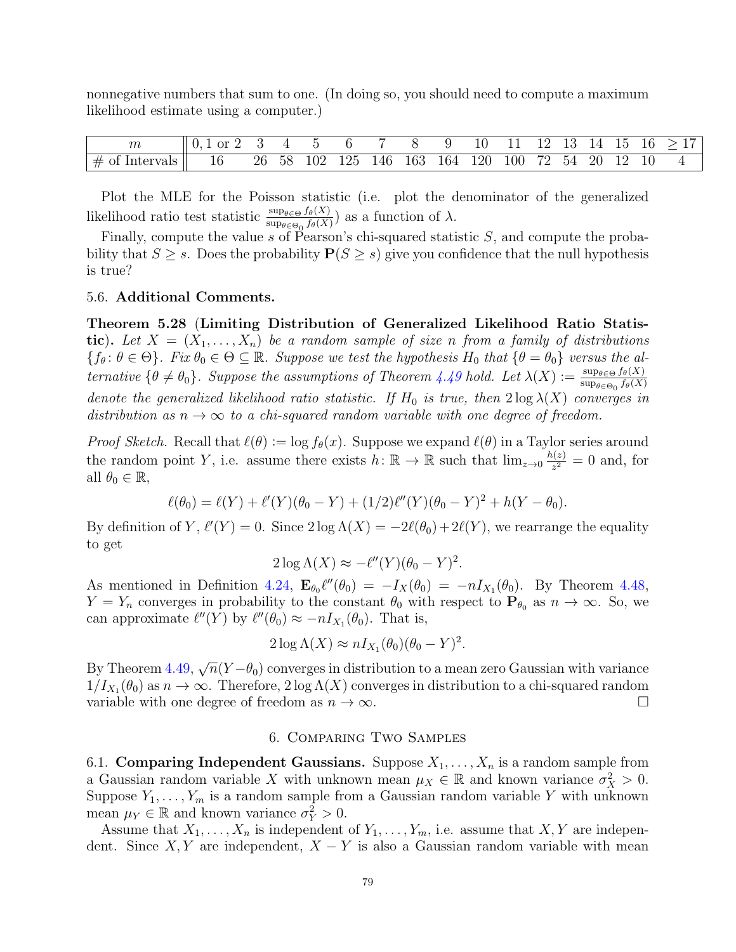nonnegative numbers that sum to one. (In doing so, you should need to compute a maximum likelihood estimate using a computer.)

| $\,m$                | Ωr |    |    |     |     |     |     |     | ∸   |     |    |     |           | , In |  |
|----------------------|----|----|----|-----|-----|-----|-----|-----|-----|-----|----|-----|-----------|------|--|
| $\#$ of<br>Intervals | 16 | 26 | 58 | 102 | 125 | 146 | 163 | 164 | 120 | 100 | 72 | -54 | <b>20</b> |      |  |

Plot the MLE for the Poisson statistic (i.e. plot the denominator of the generalized likelihood ratio test statistic  $\frac{\sup_{\theta \in \Theta} f_{\theta}(X)}{\sup_{\theta \in \Theta_0} f_{\theta}(X)}$  as a function of  $\lambda$ .

Finally, compute the value s of Pearson's chi-squared statistic  $S$ , and compute the probability that  $S \geq s$ . Does the probability  $P(S \geq s)$  give you confidence that the null hypothesis is true?

### 5.6. Additional Comments.

<span id="page-78-0"></span>Theorem 5.28 (Limiting Distribution of Generalized Likelihood Ratio Statistic). Let  $X = (X_1, \ldots, X_n)$  be a random sample of size n from a family of distributions  ${f_{\theta} : \theta \in \Theta}$ . Fix  $\theta_0 \in \Theta \subseteq \mathbb{R}$ . Suppose we test the hypothesis  $H_0$  that  ${\theta = \theta_0}$  versus the alternative  $\{\theta \neq \theta_0\}$ . Suppose the assumptions of Theorem [4.49](#page-61-0) hold. Let  $\lambda(X) := \frac{\sup_{\theta \in \Theta} f_{\theta}(X)}{\sup_{\theta \in \Theta} f_{\theta}(X)}$  $\sup_{\theta \in \Theta_0} f_{\theta}(X)$ denote the generalized likelihood ratio statistic. If  $H_0$  is true, then  $2 \log \lambda(X)$  converges in distribution as  $n \to \infty$  to a chi-squared random variable with one degree of freedom.

*Proof Sketch.* Recall that  $\ell(\theta) := \log f_{\theta}(x)$ . Suppose we expand  $\ell(\theta)$  in a Taylor series around the random point Y, i.e. assume there exists  $h: \mathbb{R} \to \mathbb{R}$  such that  $\lim_{z\to 0} \frac{h(z)}{z^2}$  $\frac{\partial(z)}{\partial z^2} = 0$  and, for all  $\theta_0 \in \mathbb{R}$ ,

$$
\ell(\theta_0) = \ell(Y) + \ell'(Y)(\theta_0 - Y) + (1/2)\ell''(Y)(\theta_0 - Y)^2 + h(Y - \theta_0).
$$

By definition of Y,  $\ell'(Y) = 0$ . Since  $2 \log \Lambda(X) = -2\ell(\theta_0) + 2\ell(Y)$ , we rearrange the equality to get

$$
2\log\Lambda(X) \approx -\ell''(Y)(\theta_0 - Y)^2.
$$

As mentioned in Definition [4.24,](#page-53-0)  $\mathbf{E}_{\theta_0} \ell''(\theta_0) = -I_X(\theta_0) = -nI_{X_1}(\theta_0)$ . By Theorem [4.48,](#page-61-1)  $Y = Y_n$  converges in probability to the constant  $\theta_0$  with respect to  $P_{\theta_0}$  as  $n \to \infty$ . So, we can approximate  $\ell''(Y)$  by  $\ell''(\theta_0) \approx -nI_{X_1}(\theta_0)$ . That is,

$$
2\log \Lambda(X) \approx n I_{X_1}(\theta_0)(\theta_0 - Y)^2.
$$

By Theorem [4.49,](#page-61-0) √  $\overline{n}(Y - \theta_0)$  converges in distribution to a mean zero Gaussian with variance  $1/I_{X_1}(\theta_0)$  as  $n \to \infty$ . Therefore,  $2 \log \Lambda(X)$  converges in distribution to a chi-squared random variable with one degree of freedom as  $n \to \infty$ .

## 6. Comparing Two Samples

<span id="page-78-1"></span>6.1. Comparing Independent Gaussians. Suppose  $X_1, \ldots, X_n$  is a random sample from a Gaussian random variable X with unknown mean  $\mu_X \in \mathbb{R}$  and known variance  $\sigma_X^2 > 0$ . Suppose  $Y_1, \ldots, Y_m$  is a random sample from a Gaussian random variable Y with unknown mean  $\mu_Y \in \mathbb{R}$  and known variance  $\sigma_Y^2 > 0$ .

Assume that  $X_1, \ldots, X_n$  is independent of  $Y_1, \ldots, Y_m$ , i.e. assume that  $X, Y$  are independent. Since  $X, Y$  are independent,  $X - Y$  is also a Gaussian random variable with mean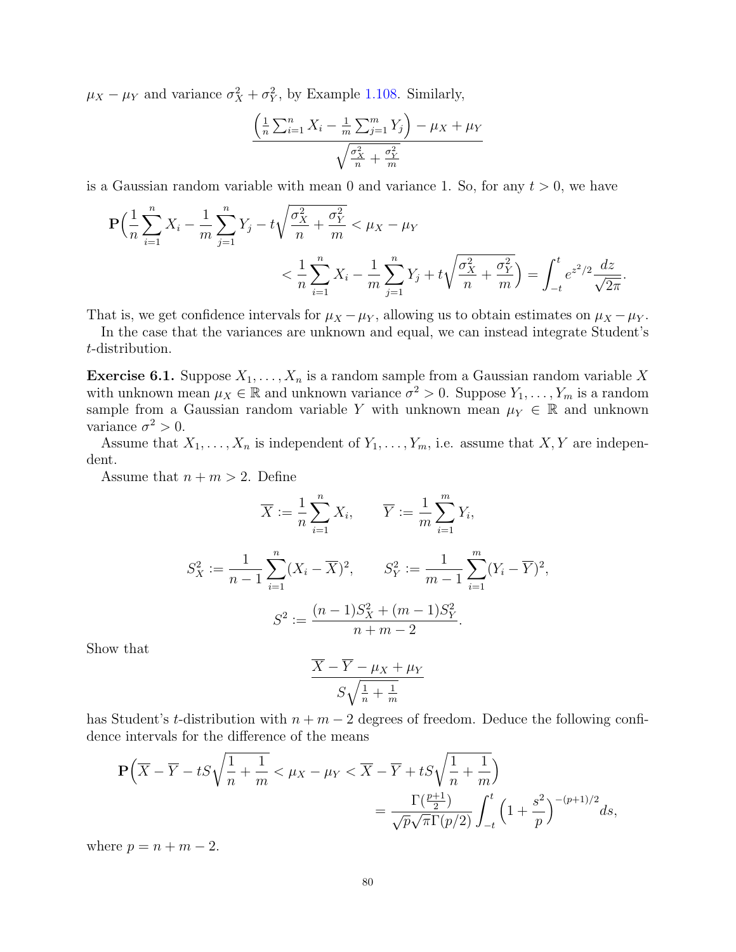$\mu_X - \mu_Y$  and variance  $\sigma_X^2 + \sigma_Y^2$ , by Example [1.108.](#page-24-0) Similarly,

$$
\frac{\left(\frac{1}{n}\sum_{i=1}^{n}X_{i}-\frac{1}{m}\sum_{j=1}^{m}Y_{j}\right)-\mu_{X}+\mu_{Y}}{\sqrt{\frac{\sigma_{X}^{2}}{n}+\frac{\sigma_{Y}^{2}}{m}}}
$$

is a Gaussian random variable with mean 0 and variance 1. So, for any  $t > 0$ , we have

$$
\mathbf{P}\left(\frac{1}{n}\sum_{i=1}^{n}X_{i}-\frac{1}{m}\sum_{j=1}^{n}Y_{j}-t\sqrt{\frac{\sigma_{X}^{2}}{n}+\frac{\sigma_{Y}^{2}}{m}}<\mu_{X}-\mu_{Y}
$$
  

$$
<\frac{1}{n}\sum_{i=1}^{n}X_{i}-\frac{1}{m}\sum_{j=1}^{n}Y_{j}+t\sqrt{\frac{\sigma_{X}^{2}}{n}+\frac{\sigma_{Y}^{2}}{m}}\right)=\int_{-t}^{t}e^{z^{2}/2}\frac{dz}{\sqrt{2\pi}}
$$

.

That is, we get confidence intervals for  $\mu_X - \mu_Y$ , allowing us to obtain estimates on  $\mu_X - \mu_Y$ .

In the case that the variances are unknown and equal, we can instead integrate Student's t-distribution.

<span id="page-79-0"></span>**Exercise 6.1.** Suppose  $X_1, \ldots, X_n$  is a random sample from a Gaussian random variable X with unknown mean  $\mu_X \in \mathbb{R}$  and unknown variance  $\sigma^2 > 0$ . Suppose  $Y_1, \ldots, Y_m$  is a random sample from a Gaussian random variable Y with unknown mean  $\mu_Y \in \mathbb{R}$  and unknown variance  $\sigma^2 > 0$ .

Assume that  $X_1, \ldots, X_n$  is independent of  $Y_1, \ldots, Y_m$ , i.e. assume that  $X, Y$  are independent.

Assume that  $n + m > 2$ . Define

$$
\overline{X} := \frac{1}{n} \sum_{i=1}^{n} X_i, \qquad \overline{Y} := \frac{1}{m} \sum_{i=1}^{m} Y_i,
$$
  

$$
S_X^2 := \frac{1}{n-1} \sum_{i=1}^{n} (X_i - \overline{X})^2, \qquad S_Y^2 := \frac{1}{m-1} \sum_{i=1}^{m} (Y_i - \overline{Y})^2,
$$
  

$$
S^2 := \frac{(n-1)S_X^2 + (m-1)S_Y^2}{n+m-2}.
$$

Show that

$$
\frac{\overline{X} - \overline{Y} - \mu_X + \mu_Y}{S\sqrt{\frac{1}{n} + \frac{1}{m}}}
$$

has Student's t-distribution with  $n + m - 2$  degrees of freedom. Deduce the following confidence intervals for the difference of the means

$$
\mathbf{P}\left(\overline{X} - \overline{Y} - tS\sqrt{\frac{1}{n} + \frac{1}{m}} < \mu_X - \mu_Y < \overline{X} - \overline{Y} + tS\sqrt{\frac{1}{n} + \frac{1}{m}}\right) = \frac{\Gamma(\frac{p+1}{2})}{\sqrt{p}\sqrt{\pi}\Gamma(p/2)} \int_{-t}^{t} \left(1 + \frac{s^2}{p}\right)^{-(p+1)/2} ds,
$$

where  $p = n + m - 2$ .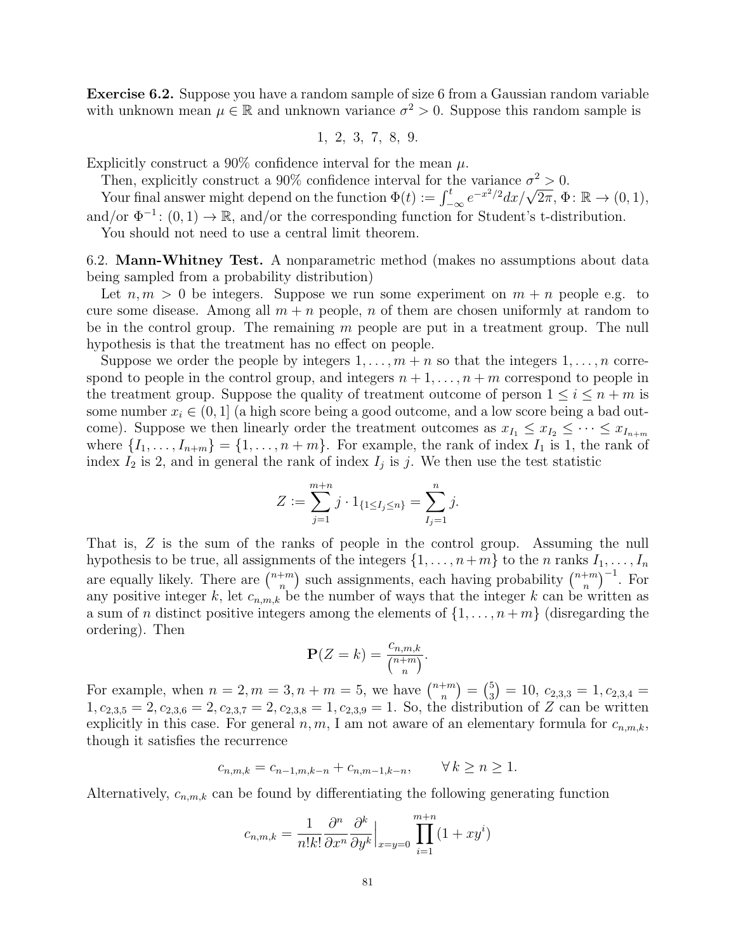Exercise 6.2. Suppose you have a random sample of size 6 from a Gaussian random variable with unknown mean  $\mu \in \mathbb{R}$  and unknown variance  $\sigma^2 > 0$ . Suppose this random sample is

$$
1, 2, 3, 7, 8, 9.
$$

Explicitly construct a 90% confidence interval for the mean  $\mu$ .

Then, explicitly construct a 90% confidence interval for the variance  $\sigma^2 > 0$ .

Then, explicitly construct a 90% connuence interval for the variance  $\sigma^2 > 0$ .<br>Your final answer might depend on the function  $\Phi(t) := \int_{-\infty}^{t} e^{-x^2/2} dx / \sqrt{2\pi}, \Phi \colon \mathbb{R} \to (0, 1)$ , and/or  $\Phi^{-1}$ :  $(0,1) \to \mathbb{R}$ , and/or the corresponding function for Student's t-distribution.

You should not need to use a central limit theorem.

6.2. Mann-Whitney Test. A nonparametric method (makes no assumptions about data being sampled from a probability distribution)

Let  $n, m > 0$  be integers. Suppose we run some experiment on  $m + n$  people e.g. to cure some disease. Among all  $m + n$  people, n of them are chosen uniformly at random to be in the control group. The remaining m people are put in a treatment group. The null hypothesis is that the treatment has no effect on people.

Suppose we order the people by integers  $1, \ldots, m+n$  so that the integers  $1, \ldots, n$  correspond to people in the control group, and integers  $n+1,\ldots,n+m$  correspond to people in the treatment group. Suppose the quality of treatment outcome of person  $1 \leq i \leq n+m$  is some number  $x_i \in (0,1]$  (a high score being a good outcome, and a low score being a bad outcome). Suppose we then linearly order the treatment outcomes as  $x_{I_1} \leq x_{I_2} \leq \cdots \leq x_{I_{n+m}}$ where  $\{I_1, \ldots, I_{n+m}\} = \{1, \ldots, n+m\}$ . For example, the rank of index  $I_1$  is 1, the rank of index  $I_2$  is 2, and in general the rank of index  $I_j$  is j. We then use the test statistic

$$
Z := \sum_{j=1}^{m+n} j \cdot 1_{\{1 \le I_j \le n\}} = \sum_{I_j=1}^n j.
$$

That is, Z is the sum of the ranks of people in the control group. Assuming the null hypothesis to be true, all assignments of the integers  $\{1, \ldots, n+m\}$  to the n ranks  $I_1, \ldots, I_n$ are equally likely. There are  $\binom{n+m}{n}$  $\binom{m}{n}$  such assignments, each having probability  $\binom{n+m}{n}$  $\binom{+m}{n}^{-1}$ . For any positive integer k, let  $c_{n,m,k}$  be the number of ways that the integer k can be written as a sum of *n* distinct positive integers among the elements of  $\{1, \ldots, n+m\}$  (disregarding the ordering). Then

$$
\mathbf{P}(Z=k) = \frac{c_{n,m,k}}{\binom{n+m}{n}}.
$$

For example, when  $n = 2, m = 3, n + m = 5$ , we have  $\binom{n+m}{n}$  $\binom{m}{n} = \binom{5}{3}$  $\binom{5}{3} = 10, \ c_{2,3,3} = 1, c_{2,3,4} =$  $1, c_{2,3,5} = 2, c_{2,3,6} = 2, c_{2,3,7} = 2, c_{2,3,8} = 1, c_{2,3,9} = 1$ . So, the distribution of Z can be written explicitly in this case. For general  $n, m$ , I am not aware of an elementary formula for  $c_{n,m,k}$ , though it satisfies the recurrence

$$
c_{n,m,k} = c_{n-1,m,k-n} + c_{n,m-1,k-n}, \qquad \forall k \ge n \ge 1.
$$

Alternatively,  $c_{n,m,k}$  can be found by differentiating the following generating function

$$
c_{n,m,k} = \frac{1}{n!k!} \frac{\partial^n}{\partial x^n} \frac{\partial^k}{\partial y^k} \Big|_{x=y=0} \prod_{i=1}^{m+n} (1+xy^i)
$$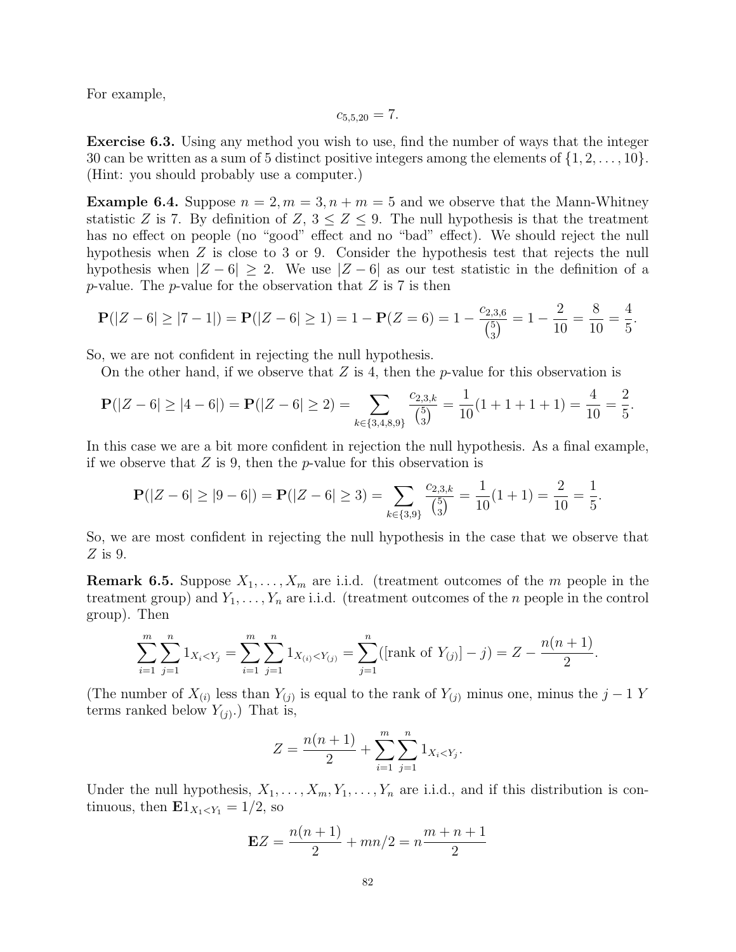For example,

$$
c_{5,5,20} = 7.
$$

Exercise 6.3. Using any method you wish to use, find the number of ways that the integer 30 can be written as a sum of 5 distinct positive integers among the elements of  $\{1, 2, \ldots, 10\}$ . (Hint: you should probably use a computer.)

**Example 6.4.** Suppose  $n = 2, m = 3, n + m = 5$  and we observe that the Mann-Whitney statistic Z is 7. By definition of Z,  $3 \le Z \le 9$ . The null hypothesis is that the treatment has no effect on people (no "good" effect and no "bad" effect). We should reject the null hypothesis when Z is close to 3 or 9. Consider the hypothesis test that rejects the null hypothesis when  $|Z - 6| \geq 2$ . We use  $|Z - 6|$  as our test statistic in the definition of a p-value. The p-value for the observation that  $Z$  is  $7$  is then

$$
\mathbf{P}(|Z-6| \ge |7-1|) = \mathbf{P}(|Z-6| \ge 1) = 1 - \mathbf{P}(Z=6) = 1 - \frac{c_{2,3,6}}{\binom{5}{3}} = 1 - \frac{2}{10} = \frac{8}{10} = \frac{4}{5}.
$$

So, we are not confident in rejecting the null hypothesis.

On the other hand, if we observe that  $Z$  is 4, then the p-value for this observation is

$$
\mathbf{P}(|Z-6| \ge |4-6|) = \mathbf{P}(|Z-6| \ge 2) = \sum_{k \in \{3,4,8,9\}} \frac{c_{2,3,k}}{\binom{5}{3}} = \frac{1}{10}(1+1+1+1) = \frac{4}{10} = \frac{2}{5}.
$$

In this case we are a bit more confident in rejection the null hypothesis. As a final example, if we observe that  $Z$  is 9, then the p-value for this observation is

$$
\mathbf{P}(|Z - 6| \ge |9 - 6|) = \mathbf{P}(|Z - 6| \ge 3) = \sum_{k \in \{3, 9\}} \frac{c_{2,3,k}}{\binom{5}{3}} = \frac{1}{10}(1 + 1) = \frac{2}{10} = \frac{1}{5}
$$

.

So, we are most confident in rejecting the null hypothesis in the case that we observe that  $Z$  is 9.

**Remark 6.5.** Suppose  $X_1, \ldots, X_m$  are i.i.d. (treatment outcomes of the m people in the treatment group) and  $Y_1, \ldots, Y_n$  are i.i.d. (treatment outcomes of the n people in the control group). Then

$$
\sum_{i=1}^{m} \sum_{j=1}^{n} 1_{X_i < Y_j} = \sum_{i=1}^{m} \sum_{j=1}^{n} 1_{X_{(i)} < Y_{(j)}} = \sum_{j=1}^{n} (\text{rank of } Y_{(j)}] - j) = Z - \frac{n(n+1)}{2}.
$$

(The number of  $X_{(i)}$  less than  $Y_{(j)}$  is equal to the rank of  $Y_{(j)}$  minus one, minus the  $j-1$  Y terms ranked below  $Y_{(j)}$ .) That is,

$$
Z = \frac{n(n+1)}{2} + \sum_{i=1}^{m} \sum_{j=1}^{n} 1_{X_i < Y_j}.
$$

Under the null hypothesis,  $X_1, \ldots, X_m, Y_1, \ldots, Y_n$  are i.i.d., and if this distribution is continuous, then  $\mathbf{E}1_{X_1\leq Y_1}=1/2$ , so

$$
EZ = \frac{n(n+1)}{2} + mn/2 = n\frac{m+n+1}{2}
$$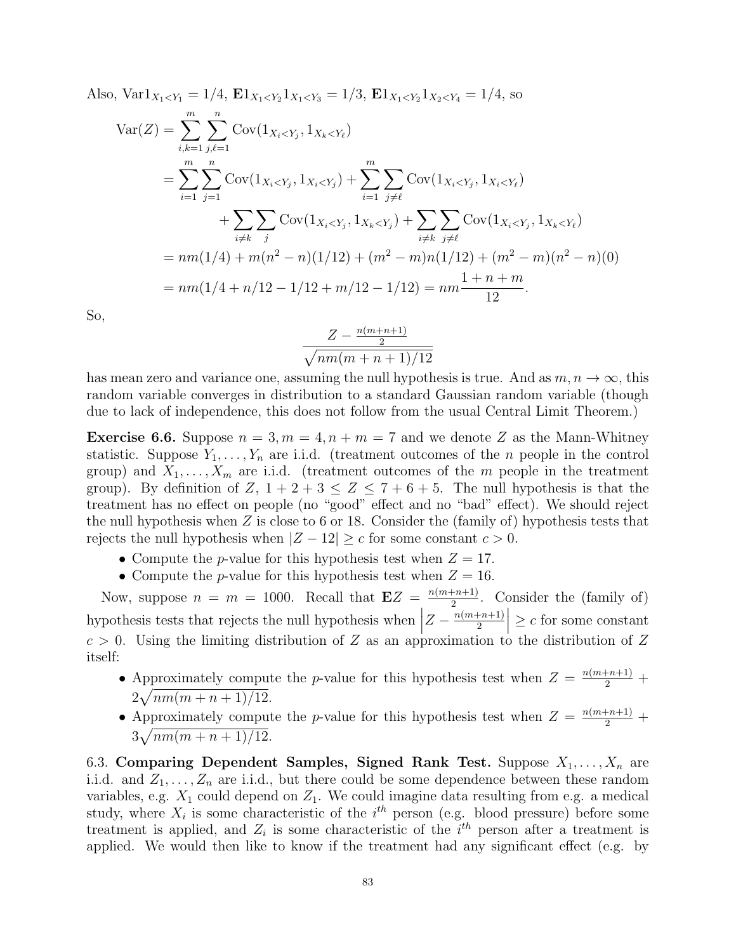Also, 
$$
\text{Var1}_{X_1 < Y_1} = 1/4
$$
,  $\mathbf{E1}_{X_1 < Y_2} 1_{X_1 < Y_3} = 1/3$ ,  $\mathbf{E1}_{X_1 < Y_2} 1_{X_2 < Y_4} = 1/4$ , so

$$
\begin{split} \text{Var}(Z) &= \sum_{i,k=1}^{m} \sum_{j,\ell=1}^{n} \text{Cov}(1_{X_i < Y_j}, 1_{X_k < Y_\ell}) \\ &= \sum_{i=1}^{m} \sum_{j=1}^{n} \text{Cov}(1_{X_i < Y_j}, 1_{X_i < Y_j}) + \sum_{i=1}^{m} \sum_{j \neq \ell} \text{Cov}(1_{X_i < Y_j}, 1_{X_i < Y_\ell}) \\ &+ \sum_{i \neq k} \sum_{j} \text{Cov}(1_{X_i < Y_j}, 1_{X_k < Y_j}) + \sum_{i \neq k} \sum_{j \neq \ell} \text{Cov}(1_{X_i < Y_j}, 1_{X_k < Y_\ell}) \\ &= nm(1/4) + m(n^2 - n)(1/12) + (m^2 - m)n(1/12) + (m^2 - m)(n^2 - n)(0) \\ &= nm(1/4 + n/12 - 1/12 + m/12 - 1/12) = nm \frac{1 + n + m}{12} .\end{split}
$$

So,

$$
\frac{Z - \frac{n(m+n+1)}{2}}{\sqrt{nm(m+n+1)/12}}
$$

has mean zero and variance one, assuming the null hypothesis is true. And as  $m, n \to \infty$ , this random variable converges in distribution to a standard Gaussian random variable (though due to lack of independence, this does not follow from the usual Central Limit Theorem.)

**Exercise 6.6.** Suppose  $n = 3, m = 4, n + m = 7$  and we denote Z as the Mann-Whitney statistic. Suppose  $Y_1, \ldots, Y_n$  are i.i.d. (treatment outcomes of the *n* people in the control group) and  $X_1, \ldots, X_m$  are i.i.d. (treatment outcomes of the m people in the treatment group). By definition of Z,  $1+2+3 \leq Z \leq 7+6+5$ . The null hypothesis is that the treatment has no effect on people (no "good" effect and no "bad" effect). We should reject the null hypothesis when  $Z$  is close to 6 or 18. Consider the (family of) hypothesis tests that rejects the null hypothesis when  $|Z - 12| \ge c$  for some constant  $c > 0$ .

- Compute the *p*-value for this hypothesis test when  $Z = 17$ .
- Compute the *p*-value for this hypothesis test when  $Z = 16$ .

Now, suppose  $n = m = 1000$ . Recall that  $\mathbf{E}Z = \frac{n(m+n+1)}{2}$  $\frac{2^{n+1}}{2}$ . Consider the (family of) hypothesis tests that rejects the null hypothesis when  $\Big|$  $Z-\frac{n(m+n+1)}{2}$ 2  $\geq c$  for some constant  $c > 0$ . Using the limiting distribution of Z as an approximation to the distribution of Z itself:

- Approximately compute the *p*-value for this hypothesis test when  $Z = \frac{n(m+n+1)}{2} +$  $2\sqrt{nm(m+n+1)/12}.$
- Approximately compute the *p*-value for this hypothesis test when  $Z = \frac{n(m+n+1)}{2} +$  $3\sqrt{nm(m+n+1)/12}.$

6.3. Comparing Dependent Samples, Signed Rank Test. Suppose  $X_1, \ldots, X_n$  are i.i.d. and  $Z_1, \ldots, Z_n$  are i.i.d., but there could be some dependence between these random variables, e.g.  $X_1$  could depend on  $Z_1$ . We could imagine data resulting from e.g. a medical study, where  $X_i$  is some characteristic of the  $i^{th}$  person (e.g. blood pressure) before some treatment is applied, and  $Z_i$  is some characteristic of the  $i<sup>th</sup>$  person after a treatment is applied. We would then like to know if the treatment had any significant effect (e.g. by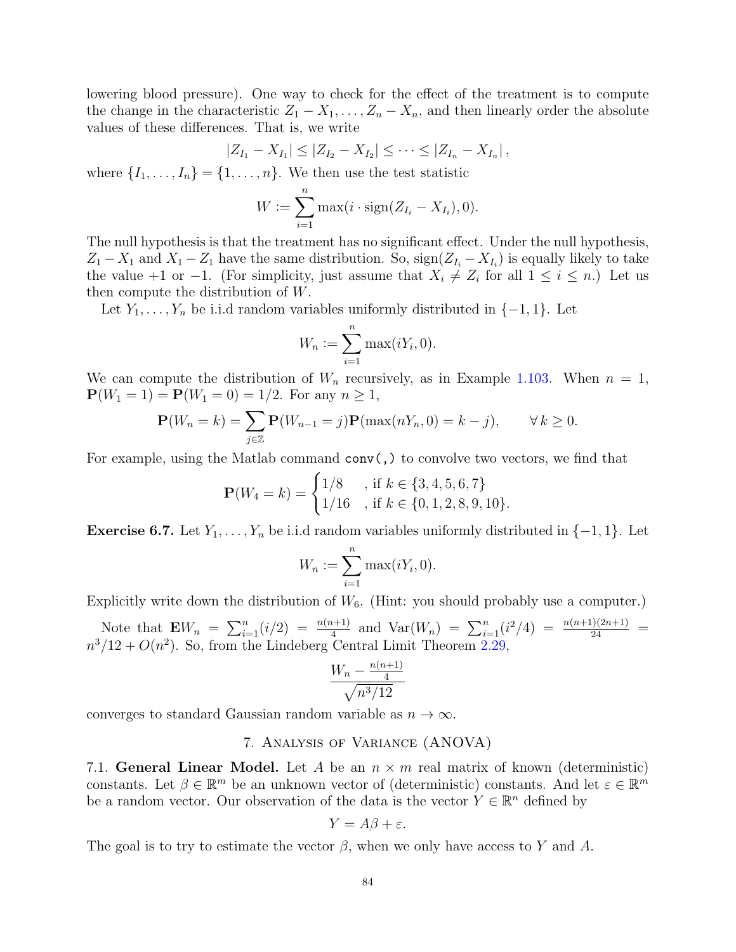lowering blood pressure). One way to check for the effect of the treatment is to compute the change in the characteristic  $Z_1 - X_1, \ldots, Z_n - X_n$ , and then linearly order the absolute values of these differences. That is, we write

$$
|Z_{I_1}-X_{I_1}|\leq |Z_{I_2}-X_{I_2}|\leq \cdots \leq |Z_{I_n}-X_{I_n}|,
$$

where  $\{I_1, \ldots, I_n\} = \{1, \ldots, n\}$ . We then use the test statistic

$$
W := \sum_{i=1}^n \max(i \cdot \operatorname{sign}(Z_{I_i} - X_{I_i}), 0).
$$

The null hypothesis is that the treatment has no significant effect. Under the null hypothesis,  $Z_1 - X_1$  and  $X_1 - Z_1$  have the same distribution. So,  $\text{sign}(Z_{I_i} - X_{I_i})$  is equally likely to take the value +1 or -1. (For simplicity, just assume that  $X_i \neq Z_i$  for all  $1 \leq i \leq n$ .) Let us then compute the distribution of W.

Let  $Y_1, \ldots, Y_n$  be i.i.d random variables uniformly distributed in  $\{-1, 1\}$ . Let

$$
W_n := \sum_{i=1}^n \max(iY_i, 0).
$$

We can compute the distribution of  $W_n$  recursively, as in Example [1.103.](#page-23-0) When  $n = 1$ ,  $P(W_1 = 1) = P(W_1 = 0) = 1/2$ . For any  $n \ge 1$ ,

$$
\mathbf{P}(W_n = k) = \sum_{j \in \mathbb{Z}} \mathbf{P}(W_{n-1} = j) \mathbf{P}(\max(nY_n, 0) = k - j), \qquad \forall k \ge 0.
$$

For example, using the Matlab command  $conv($ , to convolve two vectors, we find that

$$
\mathbf{P}(W_4 = k) = \begin{cases} 1/8 & , \text{if } k \in \{3, 4, 5, 6, 7\} \\ 1/16 & , \text{if } k \in \{0, 1, 2, 8, 9, 10\}. \end{cases}
$$

**Exercise 6.7.** Let  $Y_1, \ldots, Y_n$  be i.i.d random variables uniformly distributed in  $\{-1, 1\}$ . Let

$$
W_n := \sum_{i=1}^n \max(iY_i, 0).
$$

Explicitly write down the distribution of  $W_6$ . (Hint: you should probably use a computer.)

Note that  $\mathbf{E}W_n = \sum_{i=1}^n (i/2) = \frac{n(n+1)}{4}$  and  $\text{Var}(W_n) = \sum_{i=1}^n (i^2/4) = \frac{n(n+1)(2n+1)}{24} =$  $n^3/12 + O(n^2)$ . So, from the Lindeberg Central Limit Theorem [2.29,](#page-32-0)

$$
\frac{W_n - \frac{n(n+1)}{4}}{\sqrt{n^3/12}}
$$

converges to standard Gaussian random variable as  $n \to \infty$ .

# 7. Analysis of Variance (ANOVA)

7.1. General Linear Model. Let A be an  $n \times m$  real matrix of known (deterministic) constants. Let  $\beta \in \mathbb{R}^m$  be an unknown vector of (deterministic) constants. And let  $\varepsilon \in \mathbb{R}^m$ be a random vector. Our observation of the data is the vector  $Y \in \mathbb{R}^n$  defined by

$$
Y = A\beta + \varepsilon.
$$

The goal is to try to estimate the vector  $\beta$ , when we only have access to Y and A.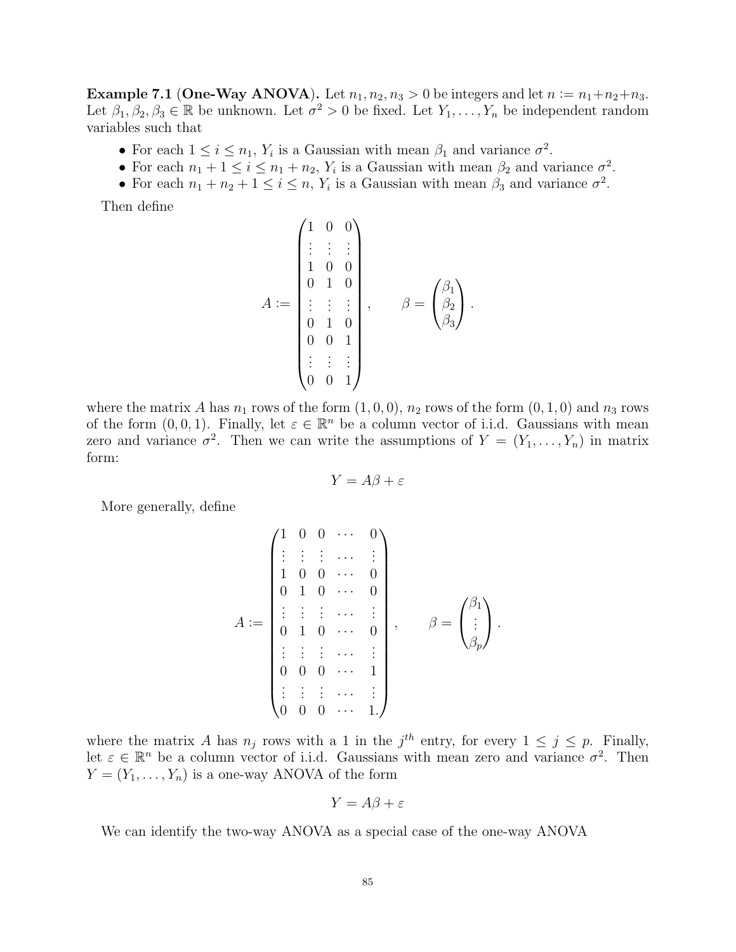Example 7.1 (One-Way ANOVA). Let  $n_1, n_2, n_3 > 0$  be integers and let  $n := n_1 + n_2 + n_3$ . Let  $\beta_1, \beta_2, \beta_3 \in \mathbb{R}$  be unknown. Let  $\sigma^2 > 0$  be fixed. Let  $Y_1, \ldots, Y_n$  be independent random variables such that

- For each  $1 \leq i \leq n_1$ ,  $Y_i$  is a Gaussian with mean  $\beta_1$  and variance  $\sigma^2$ .
- For each  $n_1 + 1 \leq i \leq n_1 + n_2$ ,  $Y_i$  is a Gaussian with mean  $\beta_2$  and variance  $\sigma^2$ .
- For each  $n_1 + n_2 + 1 \le i \le n$ ,  $Y_i$  is a Gaussian with mean  $\beta_3$  and variance  $\sigma^2$ .

Then define

$$
A := \begin{pmatrix} 1 & 0 & 0 \\ \vdots & \vdots & \vdots \\ 1 & 0 & 0 \\ 0 & 1 & 0 \\ \vdots & \vdots & \vdots \\ 0 & 1 & 0 \\ 0 & 0 & 1 \\ \vdots & \vdots & \vdots \\ 0 & 0 & 1 \end{pmatrix}, \qquad \beta = \begin{pmatrix} \beta_1 \\ \beta_2 \\ \beta_3 \end{pmatrix}.
$$

where the matrix A has  $n_1$  rows of the form  $(1, 0, 0)$ ,  $n_2$  rows of the form  $(0, 1, 0)$  and  $n_3$  rows of the form  $(0, 0, 1)$ . Finally, let  $\varepsilon \in \mathbb{R}^n$  be a column vector of i.i.d. Gaussians with mean zero and variance  $\sigma^2$ . Then we can write the assumptions of  $Y = (Y_1, \ldots, Y_n)$  in matrix form:

$$
Y = A\beta + \varepsilon
$$

More generally, define

$$
A := \begin{pmatrix} 1 & 0 & 0 & \cdots & 0 \\ \vdots & \vdots & \vdots & \cdots & \vdots \\ 1 & 0 & 0 & \cdots & 0 \\ 0 & 1 & 0 & \cdots & 0 \\ \vdots & \vdots & \vdots & \cdots & \vdots \\ 0 & 1 & 0 & \cdots & 0 \\ \vdots & \vdots & \vdots & \cdots & \vdots \\ 0 & 0 & 0 & \cdots & 1 \\ \vdots & \vdots & \vdots & \cdots & \vdots \\ 0 & 0 & 0 & \cdots & 1 \end{pmatrix}, \quad \beta = \begin{pmatrix} \beta_1 \\ \vdots \\ \beta_p \end{pmatrix}.
$$

where the matrix A has  $n_j$  rows with a 1 in the  $j^{th}$  entry, for every  $1 \leq j \leq p$ . Finally, let  $\varepsilon \in \mathbb{R}^n$  be a column vector of i.i.d. Gaussians with mean zero and variance  $\sigma^2$ . Then  $Y = (Y_1, \ldots, Y_n)$  is a one-way ANOVA of the form

$$
Y = A\beta + \varepsilon
$$

We can identify the two-way ANOVA as a special case of the one-way ANOVA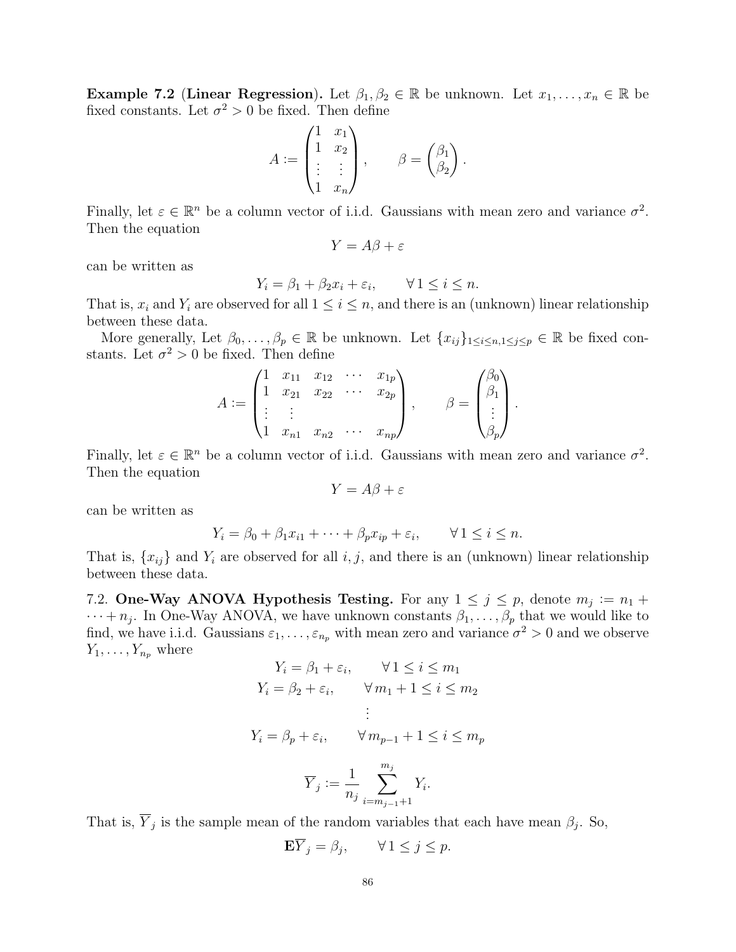<span id="page-85-0"></span>Example 7.2 (Linear Regression). Let  $\beta_1, \beta_2 \in \mathbb{R}$  be unknown. Let  $x_1, \ldots, x_n \in \mathbb{R}$  be fixed constants. Let  $\sigma^2 > 0$  be fixed. Then define

$$
A := \begin{pmatrix} 1 & x_1 \\ 1 & x_2 \\ \vdots & \vdots \\ 1 & x_n \end{pmatrix}, \qquad \beta = \begin{pmatrix} \beta_1 \\ \beta_2 \end{pmatrix}.
$$

Finally, let  $\varepsilon \in \mathbb{R}^n$  be a column vector of i.i.d. Gaussians with mean zero and variance  $\sigma^2$ . Then the equation

$$
Y = A\beta + \varepsilon
$$

can be written as

$$
Y_i = \beta_1 + \beta_2 x_i + \varepsilon_i, \qquad \forall \, 1 \leq i \leq n.
$$

That is,  $x_i$  and  $Y_i$  are observed for all  $1 \leq i \leq n$ , and there is an (unknown) linear relationship between these data.

More generally, Let  $\beta_0, \ldots, \beta_p \in \mathbb{R}$  be unknown. Let  $\{x_{ij}\}_{1 \le i \le n, 1 \le j \le p} \in \mathbb{R}$  be fixed constants. Let  $\sigma^2 > 0$  be fixed. Then define

$$
A := \begin{pmatrix} 1 & x_{11} & x_{12} & \cdots & x_{1p} \\ 1 & x_{21} & x_{22} & \cdots & x_{2p} \\ \vdots & \vdots & & \vdots \\ 1 & x_{n1} & x_{n2} & \cdots & x_{np} \end{pmatrix}, \qquad \beta = \begin{pmatrix} \beta_0 \\ \beta_1 \\ \vdots \\ \beta_p \end{pmatrix}.
$$

Finally, let  $\varepsilon \in \mathbb{R}^n$  be a column vector of i.i.d. Gaussians with mean zero and variance  $\sigma^2$ . Then the equation

$$
Y = A\beta + \varepsilon
$$

can be written as

$$
Y_i = \beta_0 + \beta_1 x_{i1} + \dots + \beta_p x_{ip} + \varepsilon_i, \qquad \forall 1 \le i \le n.
$$

That is,  $\{x_{ij}\}\$ and  $Y_i$  are observed for all  $i, j$ , and there is an (unknown) linear relationship between these data.

7.2. One-Way ANOVA Hypothesis Testing. For any  $1 \leq j \leq p$ , denote  $m_j := n_1 +$  $\cdots + n_j$ . In One-Way ANOVA, we have unknown constants  $\beta_1, \ldots, \beta_p$  that we would like to find, we have i.i.d. Gaussians  $\varepsilon_1, \ldots, \varepsilon_{n_p}$  with mean zero and variance  $\sigma^2 > 0$  and we observe  $Y_1, \ldots, Y_{n_p}$  where

$$
Y_i = \beta_1 + \varepsilon_i, \qquad \forall 1 \le i \le m_1
$$
  
\n
$$
Y_i = \beta_2 + \varepsilon_i, \qquad \forall m_1 + 1 \le i \le m_2
$$
  
\n
$$
\vdots
$$
  
\n
$$
Y_i = \beta_p + \varepsilon_i, \qquad \forall m_{p-1} + 1 \le i \le m_p
$$
  
\n
$$
\overline{Y}_j := \frac{1}{n_j} \sum_{i=m_{j-1}+1}^{m_j} Y_i.
$$

That is,  $\overline{Y}_j$  is the sample mean of the random variables that each have mean  $\beta_j$ . So,

$$
\mathbf{E}\overline{Y}_j = \beta_j, \qquad \forall \, 1 \le j \le p.
$$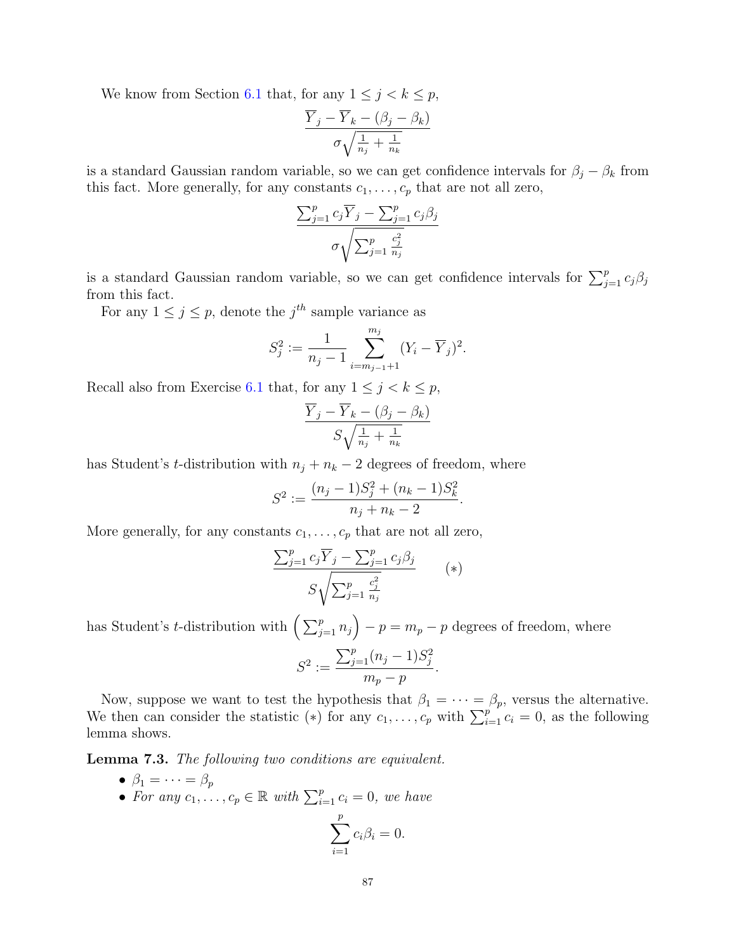We know from Section [6.1](#page-78-1) that, for any  $1 \leq j < k \leq p$ ,

$$
\frac{\overline{Y}_j - \overline{Y}_k - (\beta_j - \beta_k)}{\sigma \sqrt{\frac{1}{n_j} + \frac{1}{n_k}}}
$$

is a standard Gaussian random variable, so we can get confidence intervals for  $\beta_i - \beta_k$  from this fact. More generally, for any constants  $c_1, \ldots, c_p$  that are not all zero,

$$
\frac{\sum_{j=1}^{p} c_j \overline{Y}_j - \sum_{j=1}^{p} c_j \beta_j}{\sigma \sqrt{\sum_{j=1}^{p} \frac{c_j^2}{n_j}}}
$$

is a standard Gaussian random variable, so we can get confidence intervals for  $\sum_{j=1}^{p} c_j \beta_j$ from this fact.

For any  $1 \leq j \leq p$ , denote the  $j^{th}$  sample variance as

$$
S_j^2 := \frac{1}{n_j - 1} \sum_{i=m_{j-1}+1}^{m_j} (Y_i - \overline{Y}_j)^2.
$$

Recall also from Exercise [6.1](#page-79-0) that, for any  $1 \leq j < k \leq p$ ,

$$
\frac{\overline{Y}_j - \overline{Y}_k - (\beta_j - \beta_k)}{S\sqrt{\frac{1}{n_j} + \frac{1}{n_k}}}
$$

has Student's t-distribution with  $n_j + n_k - 2$  degrees of freedom, where

$$
S^{2} := \frac{(n_{j} - 1)S_{j}^{2} + (n_{k} - 1)S_{k}^{2}}{n_{j} + n_{k} - 2}.
$$

More generally, for any constants  $c_1, \ldots, c_p$  that are not all zero,

$$
\frac{\sum_{j=1}^{p} c_j \overline{Y}_j - \sum_{j=1}^{p} c_j \beta_j}{S \sqrt{\sum_{j=1}^{p} \frac{c_j^2}{n_j}}} \qquad (*)
$$

has Student's *t*-distribution with  $\left(\sum_{j=1}^p n_j\right) - p = m_p - p$  degrees of freedom, where  $S^2 :=$  $\sum_{j=1}^{p} (n_j - 1) S_j^2$  $m_p - p$ .

Now, suppose we want to test the hypothesis that  $\beta_1 = \cdots = \beta_p$ , versus the alternative. We then can consider the statistic (\*) for any  $c_1, \ldots, c_p$  with  $\sum_{i=1}^{p} c_i = 0$ , as the following lemma shows.

Lemma 7.3. The following two conditions are equivalent.

- $\beta_1 = \cdots = \beta_p$
- For any  $c_1, \ldots, c_p \in \mathbb{R}$  with  $\sum_{i=1}^p c_i = 0$ , we have

$$
\sum_{i=1}^p c_i \beta_i = 0.
$$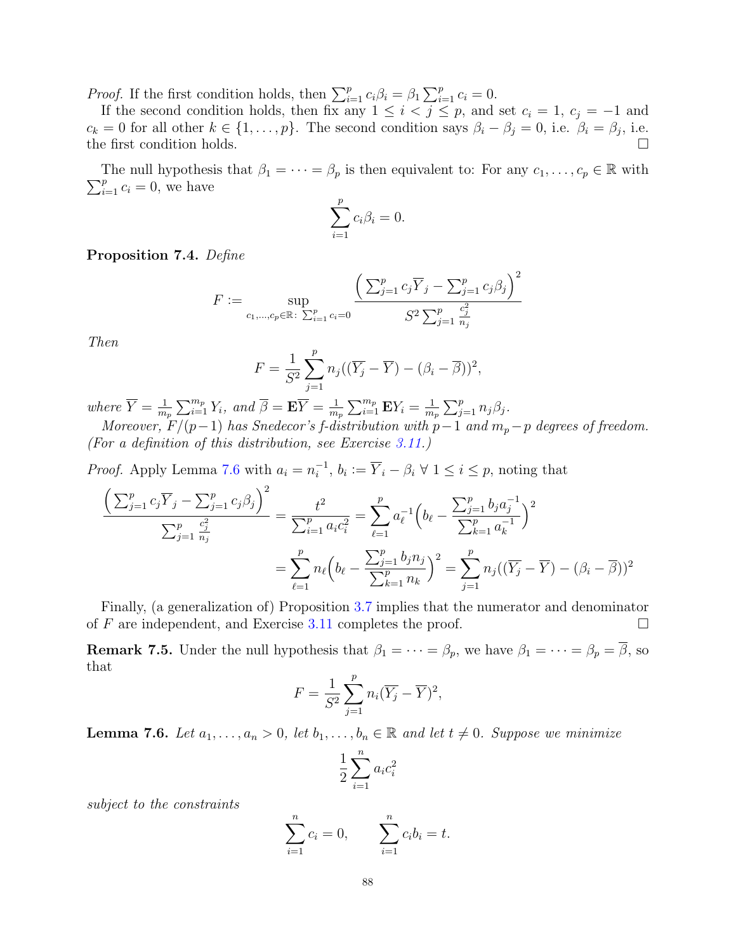*Proof.* If the first condition holds, then  $\sum_{i=1}^{p} c_i \beta_i = \beta_1 \sum_{i=1}^{p} c_i = 0$ .

If the second condition holds, then fix any  $1 \leq i < j \leq p$ , and set  $c_i = 1$ ,  $c_j = -1$  and  $c_k = 0$  for all other  $k \in \{1, ..., p\}$ . The second condition says  $\beta_i - \beta_j = 0$ , i.e.  $\beta_i = \beta_j$ , i.e. the first condition holds.  $\square$ 

 $\sum_{i=1}^{p} c_i = 0$ , we have The null hypothesis that  $\beta_1 = \cdots = \beta_p$  is then equivalent to: For any  $c_1, \ldots, c_p \in \mathbb{R}$  with

$$
\sum_{i=1}^p c_i \beta_i = 0.
$$

Proposition 7.4. Define

$$
F := \sup_{c_1, \dots, c_p \in \mathbb{R} : \sum_{i=1}^p c_i = 0} \frac{\left(\sum_{j=1}^p c_j \overline{Y}_j - \sum_{j=1}^p c_j \beta_j\right)^2}{S^2 \sum_{j=1}^p \frac{c_j^2}{n_j}}
$$

Then

$$
F = \frac{1}{S^2} \sum_{j=1}^p n_j ((\overline{Y}_j - \overline{Y}) - (\beta_i - \overline{\beta}))^2,
$$

where  $\overline{Y} = \frac{1}{m}$  $\frac{1}{m_p}\sum_{i=1}^{m_p} Y_i$ , and  $\overline{\beta} = \mathbf{E}\overline{Y} = \frac{1}{m_p}$  $\frac{1}{m_p}\sum_{i=1}^{m_p}\mathbf{E}Y_i=\frac{1}{m}$  $\frac{1}{m_p} \sum_{j=1}^p n_j \beta_j$ .

Moreover,  $F/(p-1)$  has Snedecor's f-distribution with  $p-1$  and  $m_p-p$  degrees of freedom. (For a definition of this distribution, see Exercise [3.11.](#page-39-0))

*Proof.* Apply Lemma [7.6](#page-87-0) with  $a_i = n_i^{-1}$  $i_i^{-1}, b_i := \overline{Y}_i - \beta_i \ \forall \ 1 \leq i \leq p$ , noting that

$$
\frac{\left(\sum_{j=1}^{p} c_j \overline{Y}_j - \sum_{j=1}^{p} c_j \beta_j\right)^2}{\sum_{j=1}^{p} \frac{c_j^2}{n_j}} = \frac{t^2}{\sum_{i=1}^{p} a_i c_i^2} = \sum_{\ell=1}^{p} a_{\ell}^{-1} \left(b_{\ell} - \frac{\sum_{j=1}^{p} b_j a_j^{-1}}{\sum_{k=1}^{p} a_k^{-1}}\right)^2
$$

$$
= \sum_{\ell=1}^{p} n_{\ell} \left(b_{\ell} - \frac{\sum_{j=1}^{p} b_j n_j}{\sum_{k=1}^{p} n_k}\right)^2 = \sum_{j=1}^{p} n_j (\left(\overline{Y}_j - \overline{Y}\right) - \left(\beta_i - \overline{\beta}\right))^2
$$

Finally, (a generalization of) Proposition [3.7](#page-36-0) implies that the numerator and denominator of  $F$  are independent, and Exercise [3.11](#page-39-0) completes the proof.  $\Box$ 

**Remark 7.5.** Under the null hypothesis that  $\beta_1 = \cdots = \beta_p$ , we have  $\beta_1 = \cdots = \beta_p = \overline{\beta}$ , so that

$$
F = \frac{1}{S^2} \sum_{j=1}^p n_i (\overline{Y}_j - \overline{Y})^2,
$$

<span id="page-87-0"></span>**Lemma 7.6.** Let  $a_1, \ldots, a_n > 0$ , let  $b_1, \ldots, b_n \in \mathbb{R}$  and let  $t \neq 0$ . Suppose we minimize

$$
\frac{1}{2} \sum_{i=1}^{n} a_i c_i^2
$$

subject to the constraints

$$
\sum_{i=1}^{n} c_i = 0, \qquad \sum_{i=1}^{n} c_i b_i = t.
$$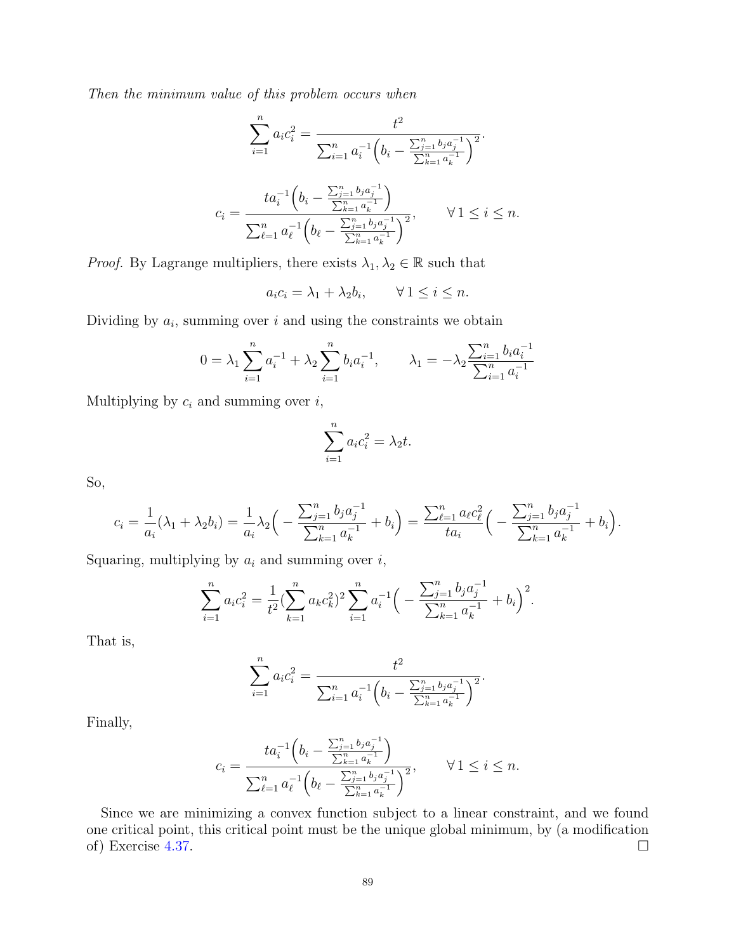Then the minimum value of this problem occurs when

$$
\sum_{i=1}^{n} a_i c_i^2 = \frac{t^2}{\sum_{i=1}^{n} a_i^{-1} \left(b_i - \frac{\sum_{j=1}^{n} b_j a_j^{-1}}{\sum_{k=1}^{n} a_k^{-1}}\right)^2}.
$$

$$
c_i = \frac{t a_i^{-1} \left(b_i - \frac{\sum_{j=1}^{n} b_j a_j^{-1}}{\sum_{k=1}^{n} a_k^{-1}}\right)}{\sum_{\ell=1}^{n} a_\ell^{-1} \left(b_\ell - \frac{\sum_{j=1}^{n} b_j a_j^{-1}}{\sum_{k=1}^{n} a_k^{-1}}\right)^2}, \qquad \forall 1 \le i \le n.
$$

*Proof.* By Lagrange multipliers, there exists  $\lambda_1, \lambda_2 \in \mathbb{R}$  such that

 $a_i c_i = \lambda_1 + \lambda_2 b_i, \qquad \forall \, 1 \leq i \leq n.$ 

Dividing by  $a_i$ , summing over i and using the constraints we obtain

$$
0 = \lambda_1 \sum_{i=1}^n a_i^{-1} + \lambda_2 \sum_{i=1}^n b_i a_i^{-1}, \qquad \lambda_1 = -\lambda_2 \frac{\sum_{i=1}^n b_i a_i^{-1}}{\sum_{i=1}^n a_i^{-1}}
$$

Multiplying by  $c_i$  and summing over  $i$ ,

$$
\sum_{i=1}^{n} a_i c_i^2 = \lambda_2 t.
$$

So,

$$
c_i = \frac{1}{a_i}(\lambda_1 + \lambda_2 b_i) = \frac{1}{a_i} \lambda_2 \left( -\frac{\sum_{j=1}^n b_j a_j^{-1}}{\sum_{k=1}^n a_k^{-1}} + b_i \right) = \frac{\sum_{\ell=1}^n a_\ell c_\ell^2}{t a_i} \left( -\frac{\sum_{j=1}^n b_j a_j^{-1}}{\sum_{k=1}^n a_k^{-1}} + b_i \right).
$$

Squaring, multiplying by  $a_i$  and summing over  $i$ ,

$$
\sum_{i=1}^{n} a_i c_i^2 = \frac{1}{t^2} \left( \sum_{k=1}^{n} a_k c_k^2 \right)^2 \sum_{i=1}^{n} a_i^{-1} \left( -\frac{\sum_{j=1}^{n} b_j a_j^{-1}}{\sum_{k=1}^{n} a_k^{-1}} + b_i \right)^2.
$$

That is,

$$
\sum_{i=1}^{n} a_i c_i^2 = \frac{t^2}{\sum_{i=1}^{n} a_i^{-1} \left(b_i - \frac{\sum_{j=1}^{n} b_j a_j^{-1}}{\sum_{k=1}^{n} a_k^{-1}}\right)^2}.
$$

Finally,

$$
c_i = \frac{t a_i^{-1} \left( b_i - \frac{\sum_{j=1}^n b_j a_j^{-1}}{\sum_{k=1}^n a_k^{-1}} \right)}{\sum_{\ell=1}^n a_\ell^{-1} \left( b_\ell - \frac{\sum_{j=1}^n b_j a_j^{-1}}{\sum_{k=1}^n a_k^{-1}} \right)^2}, \qquad \forall 1 \le i \le n.
$$

Since we are minimizing a convex function subject to a linear constraint, and we found one critical point, this critical point must be the unique global minimum, by (a modification of) Exercise [4.37.](#page-57-0)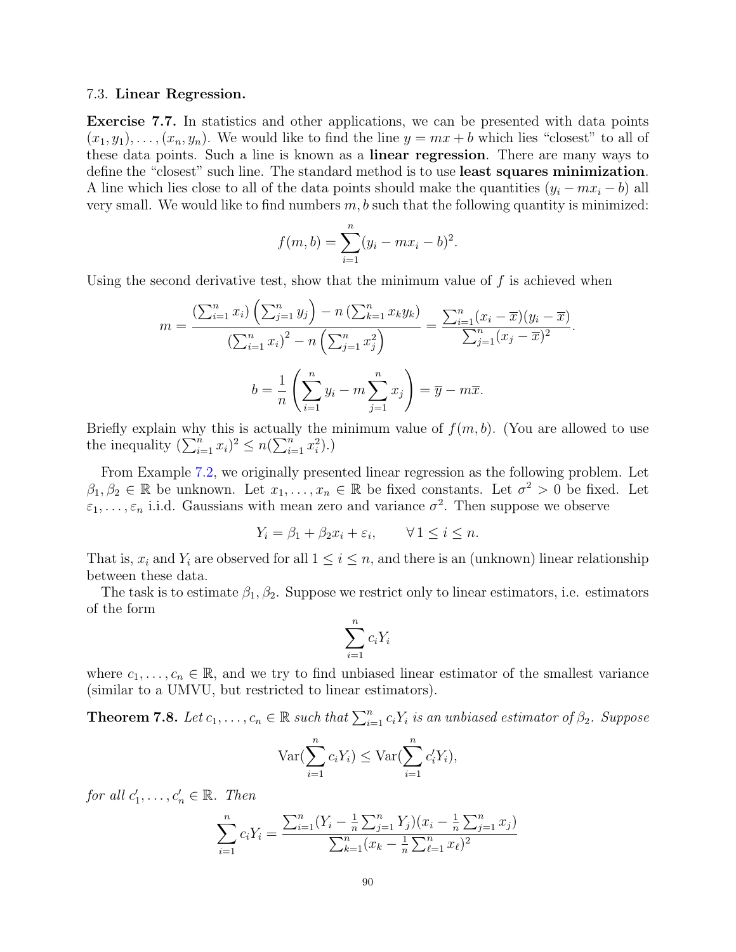#### 7.3. Linear Regression.

Exercise 7.7. In statistics and other applications, we can be presented with data points  $(x_1, y_1), \ldots, (x_n, y_n)$ . We would like to find the line  $y = mx + b$  which lies "closest" to all of these data points. Such a line is known as a linear regression. There are many ways to define the "closest" such line. The standard method is to use least squares minimization. A line which lies close to all of the data points should make the quantities  $(y_i - mx_i - b)$  all very small. We would like to find numbers  $m, b$  such that the following quantity is minimized:

$$
f(m, b) = \sum_{i=1}^{n} (y_i - mx_i - b)^2.
$$

Using the second derivative test, show that the minimum value of  $f$  is achieved when

$$
m = \frac{\left(\sum_{i=1}^{n} x_i\right)\left(\sum_{j=1}^{n} y_j\right) - n\left(\sum_{k=1}^{n} x_k y_k\right)}{\left(\sum_{i=1}^{n} x_i\right)^2 - n\left(\sum_{j=1}^{n} x_j^2\right)} = \frac{\sum_{i=1}^{n} (x_i - \overline{x})(y_i - \overline{x})}{\sum_{j=1}^{n} (x_j - \overline{x})^2}.
$$

$$
b = \frac{1}{n} \left(\sum_{i=1}^{n} y_i - m \sum_{j=1}^{n} x_j\right) = \overline{y} - m\overline{x}.
$$

Briefly explain why this is actually the minimum value of  $f(m, b)$ . (You are allowed to use the inequality  $(\sum_{i=1}^n x_i)^2 \leq n(\sum_{i=1}^n x_i^2)$ .

From Example [7.2,](#page-85-0) we originally presented linear regression as the following problem. Let  $\beta_1, \beta_2 \in \mathbb{R}$  be unknown. Let  $x_1, \ldots, x_n \in \mathbb{R}$  be fixed constants. Let  $\sigma^2 > 0$  be fixed. Let  $\varepsilon_1, \ldots, \varepsilon_n$  i.i.d. Gaussians with mean zero and variance  $\sigma^2$ . Then suppose we observe

$$
Y_i = \beta_1 + \beta_2 x_i + \varepsilon_i, \qquad \forall \, 1 \le i \le n.
$$

That is,  $x_i$  and  $Y_i$  are observed for all  $1 \leq i \leq n$ , and there is an (unknown) linear relationship between these data.

The task is to estimate  $\beta_1, \beta_2$ . Suppose we restrict only to linear estimators, i.e. estimators of the form

$$
\sum_{i=1}^{n} c_i Y_i
$$

where  $c_1, \ldots, c_n \in \mathbb{R}$ , and we try to find unbiased linear estimator of the smallest variance (similar to a UMVU, but restricted to linear estimators).

**Theorem 7.8.** Let  $c_1, \ldots, c_n \in \mathbb{R}$  such that  $\sum_{i=1}^n c_i Y_i$  is an unbiased estimator of  $\beta_2$ . Suppose

$$
\operatorname{Var}(\sum_{i=1}^{n} c_i Y_i) \le \operatorname{Var}(\sum_{i=1}^{n} c'_i Y_i),
$$

for all  $c'_1, \ldots, c'_n \in \mathbb{R}$ . Then

$$
\sum_{i=1}^{n} c_i Y_i = \frac{\sum_{i=1}^{n} (Y_i - \frac{1}{n} \sum_{j=1}^{n} Y_j)(x_i - \frac{1}{n} \sum_{j=1}^{n} x_j)}{\sum_{k=1}^{n} (x_k - \frac{1}{n} \sum_{\ell=1}^{n} x_\ell)^2}
$$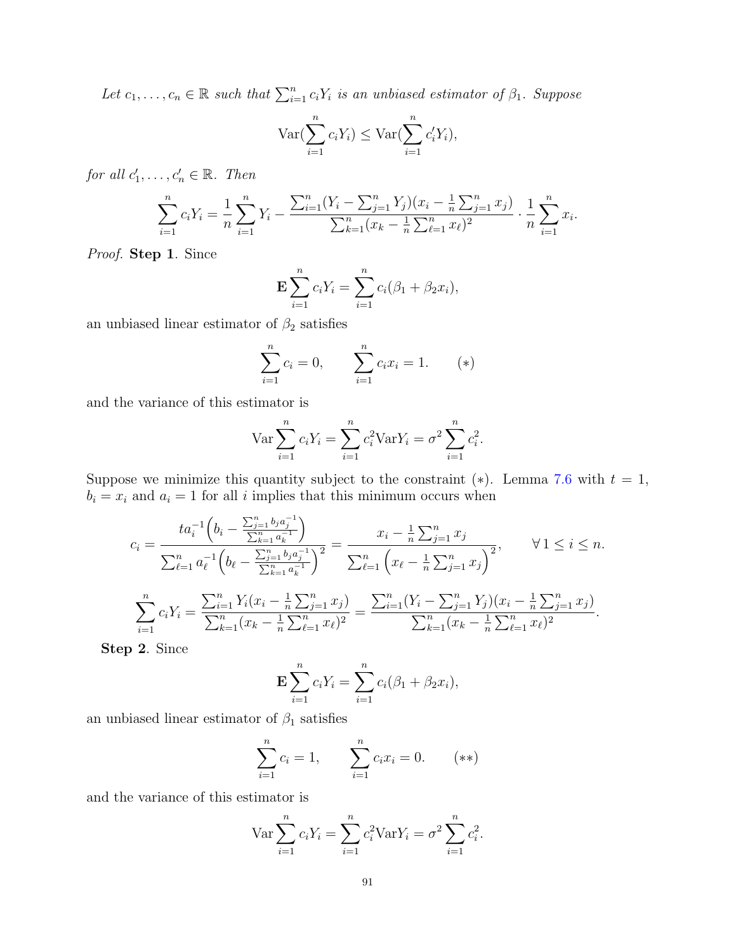Let  $c_1, \ldots, c_n \in \mathbb{R}$  such that  $\sum_{i=1}^n c_i Y_i$  is an unbiased estimator of  $\beta_1$ . Suppose

$$
\operatorname{Var}(\sum_{i=1}^{n} c_i Y_i) \le \operatorname{Var}(\sum_{i=1}^{n} c'_i Y_i),
$$

for all  $c'_1, \ldots, c'_n \in \mathbb{R}$ . Then

$$
\sum_{i=1}^{n} c_i Y_i = \frac{1}{n} \sum_{i=1}^{n} Y_i - \frac{\sum_{i=1}^{n} (Y_i - \sum_{j=1}^{n} Y_j)(x_i - \frac{1}{n} \sum_{j=1}^{n} x_j)}{\sum_{k=1}^{n} (x_k - \frac{1}{n} \sum_{\ell=1}^{n} x_\ell)^2} \cdot \frac{1}{n} \sum_{i=1}^{n} x_i.
$$

Proof. Step 1. Since

$$
\mathbf{E} \sum_{i=1}^{n} c_i Y_i = \sum_{i=1}^{n} c_i (\beta_1 + \beta_2 x_i),
$$

an unbiased linear estimator of  $\beta_2$  satisfies

$$
\sum_{i=1}^{n} c_i = 0, \qquad \sum_{i=1}^{n} c_i x_i = 1. \qquad (*)
$$

and the variance of this estimator is

$$
\text{Var}\sum_{i=1}^{n} c_i Y_i = \sum_{i=1}^{n} c_i^2 \text{Var} Y_i = \sigma^2 \sum_{i=1}^{n} c_i^2.
$$

Suppose we minimize this quantity subject to the constraint  $(*)$ . Lemma [7.6](#page-87-0) with  $t = 1$ ,  $b_i = x_i$  and  $a_i = 1$  for all i implies that this minimum occurs when

$$
c_{i} = \frac{t a_{i}^{-1} \left(b_{i} - \frac{\sum_{j=1}^{n} b_{j} a_{j}^{-1}}{\sum_{k=1}^{n} a_{k}^{-1}}\right)}{\sum_{\ell=1}^{n} a_{\ell}^{-1} \left(b_{\ell} - \frac{\sum_{j=1}^{n} b_{j} a_{j}^{-1}}{\sum_{k=1}^{n} a_{k}^{-1}}\right)^{2}} = \frac{x_{i} - \frac{1}{n} \sum_{j=1}^{n} x_{j}}{\sum_{\ell=1}^{n} \left(x_{\ell} - \frac{1}{n} \sum_{j=1}^{n} x_{j}\right)^{2}}, \qquad \forall 1 \leq i \leq n.
$$

$$
\sum_{i=1}^{n} c_{i} Y_{i} = \frac{\sum_{i=1}^{n} Y_{i} (x_{i} - \frac{1}{n} \sum_{j=1}^{n} x_{j})}{\sum_{k=1}^{n} (x_{k} - \frac{1}{n} \sum_{\ell=1}^{n} x_{\ell})^{2}} = \frac{\sum_{i=1}^{n} (Y_{i} - \sum_{j=1}^{n} Y_{j}) (x_{i} - \frac{1}{n} \sum_{j=1}^{n} x_{j})}{\sum_{k=1}^{n} (x_{k} - \frac{1}{n} \sum_{\ell=1}^{n} x_{\ell})^{2}}.
$$

Step 2. Since

$$
\mathbf{E} \sum_{i=1}^{n} c_i Y_i = \sum_{i=1}^{n} c_i (\beta_1 + \beta_2 x_i),
$$

an unbiased linear estimator of  $\beta_1$  satisfies

$$
\sum_{i=1}^{n} c_i = 1, \qquad \sum_{i=1}^{n} c_i x_i = 0. \qquad (**)
$$

and the variance of this estimator is

$$
\text{Var}\sum_{i=1}^{n}c_iY_i = \sum_{i=1}^{n}c_i^2\text{Var}Y_i = \sigma^2\sum_{i=1}^{n}c_i^2.
$$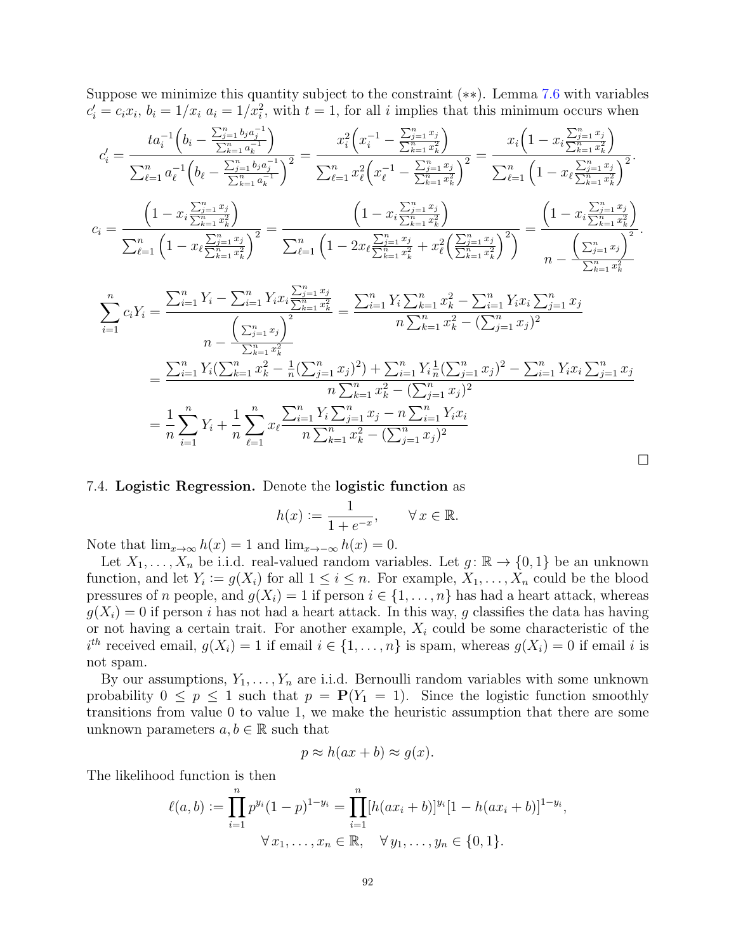Suppose we minimize this quantity subject to the constraint (∗∗). Lemma [7.6](#page-87-0) with variables  $c_i' = c_i x_i, b_i = 1/x_i$   $a_i = 1/x_i^2$ , with  $t = 1$ , for all i implies that this minimum occurs when

$$
c'_{i} = \frac{ta_{i}^{-1}\left(b_{i} - \frac{\sum_{j=1}^{n}b_{j}a_{j}^{-1}}{\sum_{k=1}^{n}a_{k}^{-1}}\right)}{\sum_{\ell=1}^{n}a_{\ell}^{-1}\left(b_{\ell} - \frac{\sum_{j=1}^{n}b_{j}a_{j}^{-1}}{\sum_{k=1}^{n}a_{k}^{-1}}\right)^{2}} = \frac{x_{i}^{2}\left(x_{i}^{-1} - \frac{\sum_{j=1}^{n}x_{j}}{\sum_{k=1}^{n}x_{k}^{2}}\right)}{\sum_{\ell=1}^{n}x_{\ell}\left(x_{\ell}^{-1} - \frac{\sum_{j=1}^{n}x_{j}}{\sum_{k=1}^{n}x_{k}^{2}}\right)^{2}} = \frac{x_{i}\left(1 - x_{i}\frac{\sum_{j=1}^{n}x_{j}}{\sum_{k=1}^{n}x_{k}^{2}}\right)}{\sum_{\ell=1}^{n}\left(1 - x_{\ell}\frac{\sum_{j=1}^{n}x_{j}}{\sum_{k=1}^{n}x_{k}^{2}}\right)^{2}}.
$$

$$
c_{i} = \frac{\left(1 - x_{i}\frac{\sum_{j=1}^{n}x_{j}}{\sum_{k=1}^{n}x_{k}^{2}}\right)}{\sum_{\ell=1}^{n}\left(1 - x_{\ell}\frac{\sum_{j=1}^{n}x_{j}}{\sum_{k=1}^{n}x_{k}^{2}}\right)^{2}} = \frac{\left(1 - x_{i}\frac{\sum_{j=1}^{n}x_{j}}{\sum_{k=1}^{n}x_{k}^{2}}\right)}{\sum_{\ell=1}^{n}\left(1 - 2x_{\ell}\frac{\sum_{j=1}^{n}x_{j}}{\sum_{k=1}^{n}x_{k}^{2}} + x_{\ell}^{2}\left(\frac{\sum_{j=1}^{n}x_{j}}{\sum_{k=1}^{n}x_{k}^{2}}\right)^{2}\right)} = \frac{\left(1 - x_{i}\frac{\sum_{j=1}^{n}x_{j}}{\sum_{k=1}^{n}x_{k}^{2}}\right)}{n - \frac{\left(\sum_{j=1}^{n}x_{j}\right)^{2}}{\sum_{k=1}^{n}x_{k}^{2}}.
$$

$$
\sum_{i=1}^{n} c_i Y_i = \frac{\sum_{i=1}^{n} Y_i - \sum_{i=1}^{n} Y_i x_i \frac{\sum_{j=1}^{n} x_j}{\sum_{k=1}^{n} x_k^2}}{n - \frac{\left(\sum_{j=1}^{n} x_j\right)^2}{\sum_{k=1}^{n} x_k^2}} = \frac{\sum_{i=1}^{n} Y_i \sum_{k=1}^{n} x_k^2 - \sum_{i=1}^{n} Y_i x_i \sum_{j=1}^{n} x_j}{n \sum_{k=1}^{n} x_k^2 - (\sum_{j=1}^{n} x_j)^2}
$$
\n
$$
= \frac{\sum_{i=1}^{n} Y_i (\sum_{k=1}^{n} x_k^2 - \frac{1}{n} (\sum_{j=1}^{n} x_j)^2) + \sum_{i=1}^{n} Y_i \frac{1}{n} (\sum_{j=1}^{n} x_j)^2 - \sum_{i=1}^{n} Y_i x_i \sum_{j=1}^{n} x_j}{n \sum_{k=1}^{n} x_k^2 - (\sum_{j=1}^{n} x_j)^2}
$$
\n
$$
= \frac{1}{n} \sum_{i=1}^{n} Y_i + \frac{1}{n} \sum_{\ell=1}^{n} x_\ell \frac{\sum_{i=1}^{n} Y_i \sum_{j=1}^{n} x_j - n \sum_{i=1}^{n} Y_i x_i}{n \sum_{k=1}^{n} x_k^2 - (\sum_{j=1}^{n} x_j)^2}
$$

### 7.4. Logistic Regression. Denote the logistic function as

$$
h(x) := \frac{1}{1 + e^{-x}}, \qquad \forall x \in \mathbb{R}.
$$

 $\Box$ 

Note that  $\lim_{x\to\infty} h(x) = 1$  and  $\lim_{x\to-\infty} h(x) = 0$ .

Let  $X_1, \ldots, X_n$  be i.i.d. real-valued random variables. Let  $g : \mathbb{R} \to \{0,1\}$  be an unknown function, and let  $Y_i := g(X_i)$  for all  $1 \leq i \leq n$ . For example,  $X_1, \ldots, X_n$  could be the blood pressures of n people, and  $g(X_i) = 1$  if person  $i \in \{1, \ldots, n\}$  has had a heart attack, whereas  $g(X_i) = 0$  if person i has not had a heart attack. In this way, g classifies the data has having or not having a certain trait. For another example,  $X_i$  could be some characteristic of the  $i^{th}$  received email,  $g(X_i) = 1$  if email  $i \in \{1, ..., n\}$  is spam, whereas  $g(X_i) = 0$  if email i is not spam.

By our assumptions,  $Y_1, \ldots, Y_n$  are i.i.d. Bernoulli random variables with some unknown probability  $0 \leq p \leq 1$  such that  $p = P(Y_1 = 1)$ . Since the logistic function smoothly transitions from value 0 to value 1, we make the heuristic assumption that there are some unknown parameters  $a, b \in \mathbb{R}$  such that

$$
p \approx h(ax + b) \approx g(x).
$$

The likelihood function is then

$$
\ell(a,b) := \prod_{i=1}^{n} p^{y_i} (1-p)^{1-y_i} = \prod_{i=1}^{n} [h(ax_i+b)]^{y_i} [1-h(ax_i+b)]^{1-y_i},
$$
  

$$
\forall x_1, \dots, x_n \in \mathbb{R}, \quad \forall y_1, \dots, y_n \in \{0,1\}.
$$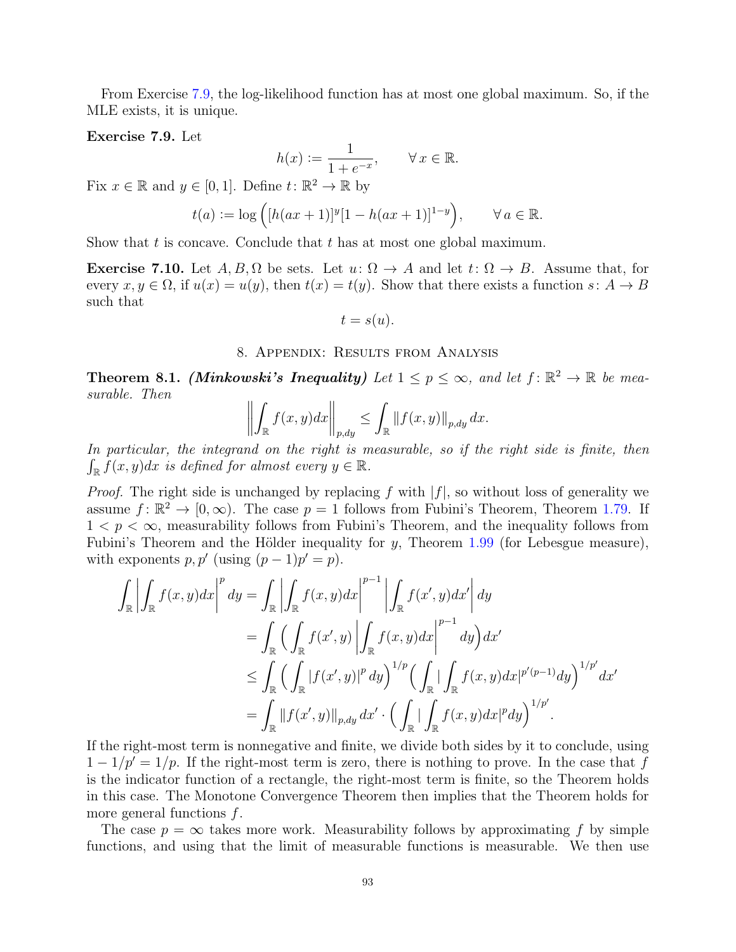From Exercise [7.9,](#page-92-0) the log-likelihood function has at most one global maximum. So, if the MLE exists, it is unique.

### <span id="page-92-0"></span>Exercise 7.9. Let

$$
h(x) := \frac{1}{1 + e^{-x}}, \qquad \forall x \in \mathbb{R}.
$$

Fix  $x \in \mathbb{R}$  and  $y \in [0, 1]$ . Define  $t: \mathbb{R}^2 \to \mathbb{R}$  by

$$
t(a) := \log ([h(ax + 1)]^y [1 - h(ax + 1)]^{1-y}), \qquad \forall a \in \mathbb{R}.
$$

Show that t is concave. Conclude that t has at most one global maximum.

**Exercise 7.10.** Let  $A, B, \Omega$  be sets. Let  $u: \Omega \to A$  and let  $t: \Omega \to B$ . Assume that, for every  $x, y \in \Omega$ , if  $u(x) = u(y)$ , then  $t(x) = t(y)$ . Show that there exists a function  $s: A \to B$ such that

$$
t = s(u).
$$

### 8. Appendix: Results from Analysis

<span id="page-92-1"></span>**Theorem 8.1.** (Minkowski's Inequality) Let  $1 \le p \le \infty$ , and let  $f: \mathbb{R}^2 \to \mathbb{R}$  be measurable. Then

$$
\left\| \int_{\mathbb{R}} f(x, y) dx \right\|_{p, dy} \leq \int_{\mathbb{R}} \left\| f(x, y) \right\|_{p, dy} dx.
$$

In particular, the integrand on the right is measurable, so if the right side is finite, then  $\int_{\mathbb{R}} f(x, y) dx$  is defined for almost every  $y \in \mathbb{R}$ .

*Proof.* The right side is unchanged by replacing f with  $|f|$ , so without loss of generality we assume  $f: \mathbb{R}^2 \to [0, \infty)$ . The case  $p = 1$  follows from Fubini's Theorem, Theorem [1.79.](#page-19-0) If  $1 < p < \infty$ , measurability follows from Fubini's Theorem, and the inequality follows from Fubini's Theorem and the Hölder inequality for y, Theorem  $1.99$  (for Lebesgue measure), with exponents  $p, p'$  (using  $(p-1)p' = p$ ).

$$
\int_{\mathbb{R}} \left| \int_{\mathbb{R}} f(x, y) dx \right|^{p} dy = \int_{\mathbb{R}} \left| \int_{\mathbb{R}} f(x, y) dx \right|^{p-1} \left| \int_{\mathbb{R}} f(x', y) dx' \right| dy
$$
\n
$$
= \int_{\mathbb{R}} \left( \int_{\mathbb{R}} f(x', y) \left| \int_{\mathbb{R}} f(x, y) dx \right|^{p-1} dy \right) dx'
$$
\n
$$
\leq \int_{\mathbb{R}} \left( \int_{\mathbb{R}} |f(x', y)|^{p} dy \right)^{1/p} \left( \int_{\mathbb{R}} \left| \int_{\mathbb{R}} f(x, y) dx \right|^{p'(p-1)} dy \right)^{1/p'} dx'
$$
\n
$$
= \int_{\mathbb{R}} \left\| f(x', y) \right\|_{p, dy} dx' \cdot \left( \int_{\mathbb{R}} \left| \int_{\mathbb{R}} f(x, y) dx \right|^{p} dy \right)^{1/p'}.
$$

If the right-most term is nonnegative and finite, we divide both sides by it to conclude, using  $1 - 1/p' = 1/p$ . If the right-most term is zero, there is nothing to prove. In the case that f is the indicator function of a rectangle, the right-most term is finite, so the Theorem holds in this case. The Monotone Convergence Theorem then implies that the Theorem holds for more general functions  $f$ .

The case  $p = \infty$  takes more work. Measurability follows by approximating f by simple functions, and using that the limit of measurable functions is measurable. We then use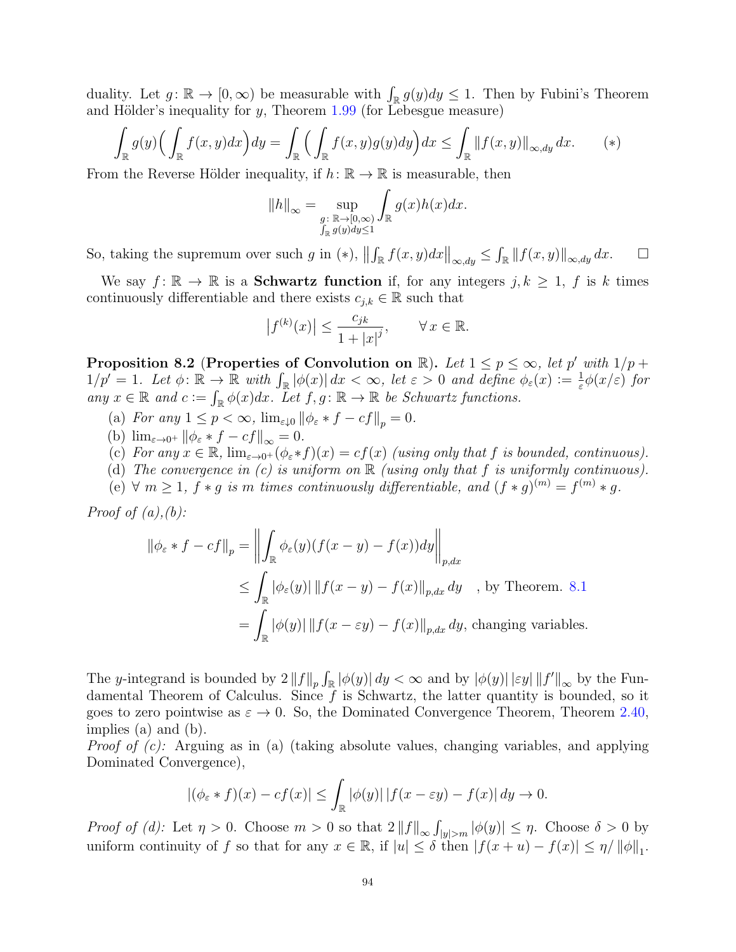duality. Let  $g: \mathbb{R} \to [0, \infty)$  be measurable with  $\int_{\mathbb{R}} g(y) dy \leq 1$ . Then by Fubini's Theorem and Hölder's inequality for  $y$ , Theorem [1.99](#page-22-0) (for Lebesgue measure)

$$
\int_{\mathbb{R}} g(y) \Big( \int_{\mathbb{R}} f(x, y) dx \Big) dy = \int_{\mathbb{R}} \Big( \int_{\mathbb{R}} f(x, y) g(y) dy \Big) dx \le \int_{\mathbb{R}} ||f(x, y)||_{\infty, dy} dx. \tag{*}
$$

From the Reverse Hölder inequality, if  $h: \mathbb{R} \to \mathbb{R}$  is measurable, then

$$
||h||_{\infty} = \sup_{\substack{g: \ \mathbb{R} \to [0,\infty) \\ \int_{\mathbb{R}} g(y) dy \le 1}} \int_{\mathbb{R}} g(x)h(x) dx.
$$

So, taking the supremum over such g in (\*),  $\left\| \int_{\mathbb{R}} f(x, y) dx \right\|_{\infty, dy} \leq \int_{\mathbb{R}} \left\| f(x, y) \right\|_{\infty, dy} dx$ .  $\Box$ 

We say  $f: \mathbb{R} \to \mathbb{R}$  is a **Schwartz function** if, for any integers  $j, k \geq 1$ , f is k times continuously differentiable and there exists  $c_{j,k} \in \mathbb{R}$  such that

$$
\left| f^{(k)}(x) \right| \le \frac{c_{jk}}{1 + |x|^j}, \qquad \forall x \in \mathbb{R}.
$$

<span id="page-93-0"></span>Proposition 8.2 (Properties of Convolution on  $\mathbb{R}$ ). Let  $1 \leq p \leq \infty$ , let p' with  $1/p +$  $1/p' = 1$ . Let  $\phi: \mathbb{R} \to \mathbb{R}$  with  $\int_{\mathbb{R}} |\phi(x)| dx < \infty$ , let  $\varepsilon > 0$  and define  $\phi_{\varepsilon}(x) := \frac{1}{\varepsilon}$  $\frac{1}{\varepsilon}\phi(x/\varepsilon)$  for any  $x \in \mathbb{R}$  and  $c := \int_{\mathbb{R}} \phi(x) dx$ . Let  $f, g: \mathbb{R} \to \mathbb{R}$  be Schwartz functions.

- (a) For any  $1 \leq p < \infty$ ,  $\lim_{\varepsilon \downarrow 0} ||\phi_{\varepsilon} * f cf||_p = 0$ .
- (b)  $\lim_{\varepsilon \to 0^+} ||\phi_{\varepsilon} * f cf||_{\infty} = 0.$
- (c) For any  $x \in \mathbb{R}$ ,  $\lim_{\varepsilon \to 0^+} (\phi_{\varepsilon} * f)(x) = cf(x)$  (using only that f is bounded, continuous).
- (d) The convergence in  $(c)$  is uniform on  $\mathbb R$  (using only that f is uniformly continuous).
- (e)  $\forall m \geq 1$ ,  $f * g$  is m times continuously differentiable, and  $(f * g)^{(m)} = f^{(m)} * g$ .

*Proof of*  $(a)$ *,*  $(b)$ *:* 

$$
\|\phi_{\varepsilon} * f - cf\|_{p} = \left\| \int_{\mathbb{R}} \phi_{\varepsilon}(y)(f(x - y) - f(x))dy \right\|_{p,dx}
$$
  
\n
$$
\leq \int_{\mathbb{R}} |\phi_{\varepsilon}(y)| \left\| f(x - y) - f(x) \right\|_{p,dx} dy \quad \text{, by Theorem. 8.1}
$$
  
\n
$$
= \int_{\mathbb{R}} |\phi(y)| \left\| f(x - \varepsilon y) - f(x) \right\|_{p,dx} dy, \text{ changing variables.}
$$

The y-integrand is bounded by  $2||f||_p \int_{\mathbb{R}} |\phi(y)| dy < \infty$  and by  $|\phi(y)| | \varepsilon y| ||f'||_{\infty}$  by the Fundamental Theorem of Calculus. Since  $f$  is Schwartz, the latter quantity is bounded, so it goes to zero pointwise as  $\varepsilon \to 0$ . So, the Dominated Convergence Theorem, Theorem [2.40,](#page-34-0) implies (a) and (b).

*Proof of (c):* Arguing as in (a) (taking absolute values, changing variables, and applying Dominated Convergence),

$$
|(\phi_{\varepsilon} * f)(x) - cf(x)| \leq \int_{\mathbb{R}} |\phi(y)| |f(x - \varepsilon y) - f(x)| dy \to 0.
$$

Proof of (d): Let  $\eta > 0$ . Choose  $m > 0$  so that  $2||f||_{\infty} \int_{|y| > m} |\phi(y)| \leq \eta$ . Choose  $\delta > 0$  by uniform continuity of f so that for any  $x \in \mathbb{R}$ , if  $|u| \leq \delta$  then  $|f(x+u) - f(x)| \leq \eta / ||\phi||_1$ .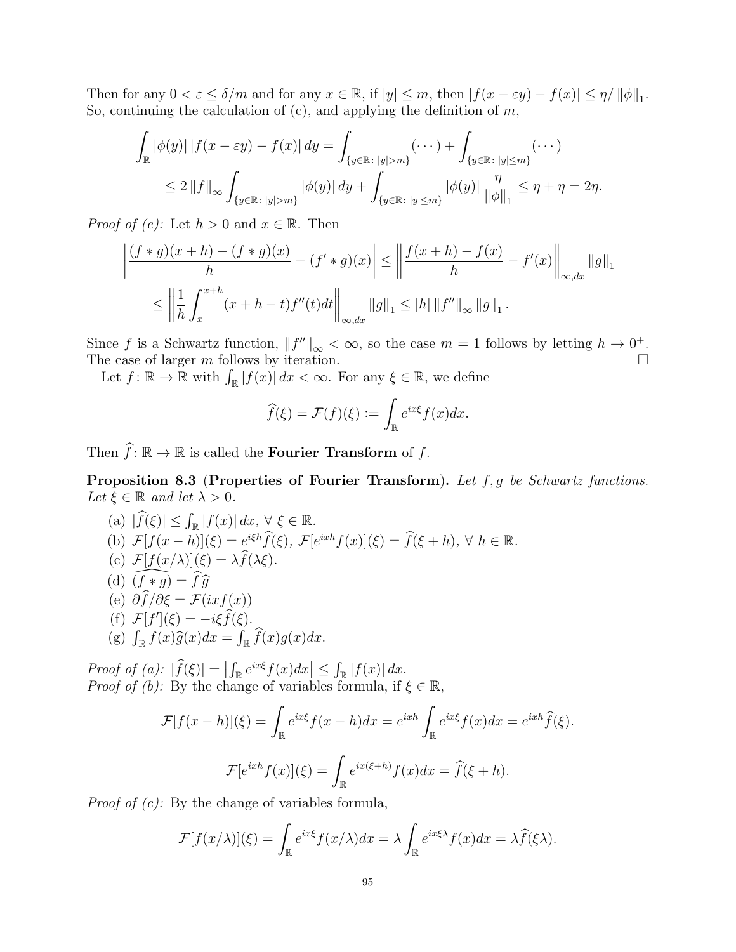Then for any  $0 < \varepsilon \le \delta/m$  and for any  $x \in \mathbb{R}$ , if  $|y| \le m$ , then  $|f(x - \varepsilon y) - f(x)| \le \eta / ||\phi||_1$ . So, continuing the calculation of  $(c)$ , and applying the definition of  $m$ ,

$$
\int_{\mathbb{R}} |\phi(y)| |f(x - \varepsilon y) - f(x)| dy = \int_{\{y \in \mathbb{R} : |y| > m\}} (\cdots) + \int_{\{y \in \mathbb{R} : |y| \le m\}} (\cdots)
$$
  
\n
$$
\le 2 \|f\|_{\infty} \int_{\{y \in \mathbb{R} : |y| > m\}} |\phi(y)| dy + \int_{\{y \in \mathbb{R} : |y| \le m\}} |\phi(y)| \frac{\eta}{\|\phi\|_{1}} \le \eta + \eta = 2\eta.
$$

*Proof of (e)*: Let  $h > 0$  and  $x \in \mathbb{R}$ . Then

$$
\left| \frac{(f*g)(x+h) - (f*g)(x)}{h} - (f'*g)(x) \right| \le \left\| \frac{f(x+h) - f(x)}{h} - f'(x) \right\|_{\infty, dx} ||g||_1
$$
  

$$
\le \left\| \frac{1}{h} \int_x^{x+h} (x+h-t) f''(t) dt \right\|_{\infty, dx} ||g||_1 \le |h| ||f''||_{\infty} ||g||_1.
$$

Since f is a Schwartz function,  $||f''||_{\infty} < \infty$ , so the case  $m = 1$  follows by letting  $h \to 0^+$ . The case of larger  $m$  follows by iteration.  $\Box$ 

Let  $f: \mathbb{R} \to \mathbb{R}$  with  $\int_{\mathbb{R}} |f(x)| dx < \infty$ . For any  $\xi \in \mathbb{R}$ , we define

$$
\widehat{f}(\xi) = \mathcal{F}(f)(\xi) := \int_{\mathbb{R}} e^{ix\xi} f(x) dx.
$$

Then  $\widehat{f}$ :  $\mathbb{R} \to \mathbb{R}$  is called the **Fourier Transform** of f.

<span id="page-94-0"></span>Proposition 8.3 (Properties of Fourier Transform). Let f, g be Schwartz functions. Let  $\xi \in \mathbb{R}$  and let  $\lambda > 0$ .

(a) 
$$
|\widehat{f}(\xi)| \leq \int_{\mathbb{R}} |f(x)| dx, \forall \xi \in \mathbb{R}
$$
.  
\n(b)  $\mathcal{F}[f(x-h)](\xi) = e^{i\xi h} \widehat{f}(\xi), \mathcal{F}[e^{ixh}f(x)](\xi) = \widehat{f}(\xi+h), \forall h \in \mathbb{R}$ .  
\n(c)  $\mathcal{F}[f(x/\lambda)](\xi) = \lambda \widehat{f}(\lambda \xi)$ .  
\n(d)  $(\widehat{f} * g) = \widehat{f} \widehat{g}$   
\n(e)  $\partial \widehat{f}/\partial \xi = \mathcal{F}(ixf(x))$   
\n(f)  $\mathcal{F}[f'](\xi) = -i\xi \widehat{f}(\xi)$ .  
\n(g)  $\int_{\mathbb{R}} f(x) \widehat{g}(x) dx = \int_{\mathbb{R}} \widehat{f}(x) g(x) dx$ .

Proof of (a):  $|\widehat{f}(\xi)| = \left| \int_{\mathbb{R}} e^{ix\xi} f(x) dx \right| \leq \int_{\mathbb{R}} |f(x)| dx$ . *Proof of (b)*: By the change of variables formula, if  $\xi \in \mathbb{R}$ ,

$$
\mathcal{F}[f(x-h)](\xi) = \int_{\mathbb{R}} e^{ix\xi} f(x-h) dx = e^{ixh} \int_{\mathbb{R}} e^{ix\xi} f(x) dx = e^{ixh} \widehat{f}(\xi).
$$

$$
\mathcal{F}[e^{ixh} f(x)](\xi) = \int_{\mathbb{R}} e^{ix(\xi+h)} f(x) dx = \widehat{f}(\xi+h).
$$

*Proof of (c)*: By the change of variables formula,

$$
\mathcal{F}[f(x/\lambda)](\xi) = \int_{\mathbb{R}} e^{ix\xi} f(x/\lambda) dx = \lambda \int_{\mathbb{R}} e^{ix\xi\lambda} f(x) dx = \lambda \widehat{f}(\xi\lambda).
$$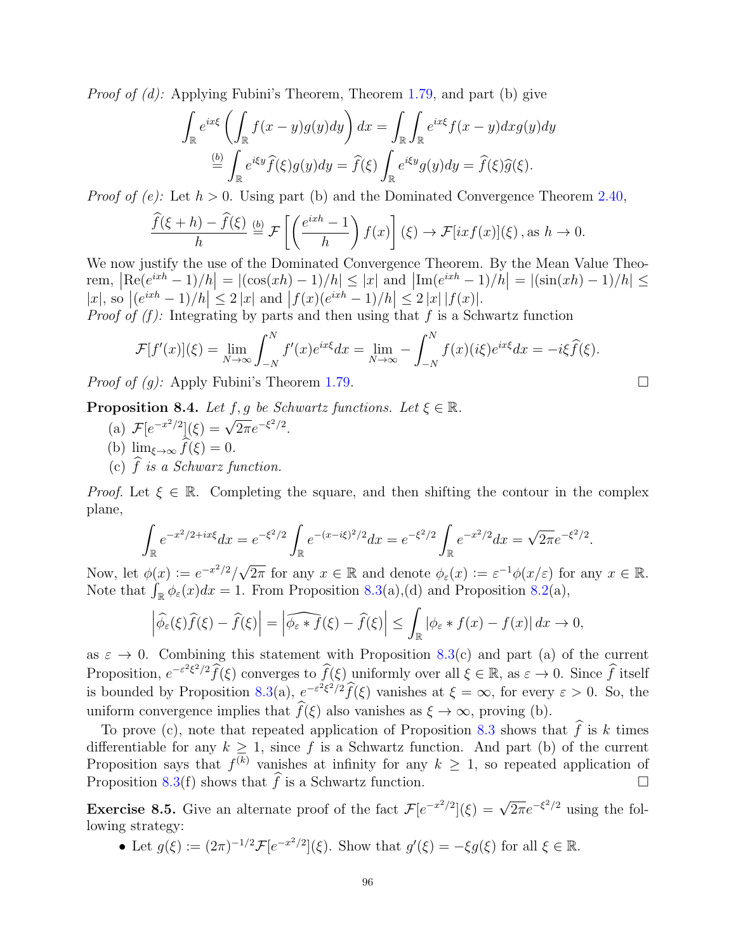*Proof of (d):* Applying Fubini's Theorem, Theorem [1.79,](#page-19-0) and part (b) give

$$
\int_{\mathbb{R}} e^{ix\xi} \left( \int_{\mathbb{R}} f(x - y)g(y) dy \right) dx = \int_{\mathbb{R}} \int_{\mathbb{R}} e^{ix\xi} f(x - y) dx g(y) dy
$$

$$
\stackrel{\text{(b)}}{=} \int_{\mathbb{R}} e^{i\xi y} \widehat{f}(\xi) g(y) dy = \widehat{f}(\xi) \int_{\mathbb{R}} e^{i\xi y} g(y) dy = \widehat{f}(\xi) \widehat{g}(\xi).
$$

*Proof of (e):* Let  $h > 0$ . Using part (b) and the Dominated Convergence Theorem [2.40,](#page-34-0)

$$
\frac{\widehat{f}(\xi+h)-\widehat{f}(\xi)}{h} \stackrel{(b)}{=} \mathcal{F}\left[\left(\frac{e^{ixh}-1}{h}\right)f(x)\right](\xi) \to \mathcal{F}[ixf(x)](\xi), \text{ as } h \to 0.
$$

We now justify the use of the Dominated Convergence Theorem. By the Mean Value Theo- $\text{rem}, \, |\text{Re}(e^{ixh} - 1)/h| = |(\cos(xh) - 1)/h| \le |x| \text{ and } |\text{Im}(e^{ixh} - 1)/h| = |(\sin(xh) - 1)/h| \le$  $|x|, \text{ so } |(e^{ixh} - 1)/h| \leq 2|x| \text{ and } |f(x)(e^{ixh} - 1)/h| \leq 2|x| |f(x)|.$ 

*Proof of (f)*: Integrating by parts and then using that f is a Schwartz function

$$
\mathcal{F}[f'(x)](\xi) = \lim_{N \to \infty} \int_{-N}^{N} f'(x)e^{ix\xi} dx = \lim_{N \to \infty} -\int_{-N}^{N} f(x)(i\xi)e^{ix\xi} dx = -i\xi \widehat{f}(\xi).
$$

*Proof of (g):* Apply Fubini's Theorem [1.79.](#page-19-0)

<span id="page-95-0"></span>**Proposition 8.4.** Let f, g be Schwartz functions. Let  $\xi \in \mathbb{R}$ .

- (a)  $\mathcal{F}[e^{-x^2/2}](\xi) = \sqrt{2\pi}e^{-\xi^2/2}.$
- (b)  $\lim_{\xi \to \infty} \widehat{f}(\xi) = 0.$
- (c)  $\hat{f}$  is a Schwarz function.

*Proof.* Let  $\xi \in \mathbb{R}$ . Completing the square, and then shifting the contour in the complex plane,

$$
\int_{\mathbb{R}} e^{-x^2/2 + ix\xi} dx = e^{-\xi^2/2} \int_{\mathbb{R}} e^{-(x-i\xi)^2/2} dx = e^{-\xi^2/2} \int_{\mathbb{R}} e^{-x^2/2} dx = \sqrt{2\pi} e^{-\xi^2/2}.
$$

Now, let  $\phi(x) := e^{-x^2/2}/\sqrt{2\pi}$  for any  $x \in \mathbb{R}$  and denote  $\phi_{\varepsilon}(x) := \varepsilon^{-1}\phi(x/\varepsilon)$  for any  $x \in \mathbb{R}$ . Note that  $\int_{\mathbb{R}} \phi_{\varepsilon}(x) dx = 1$ . From Proposition [8.3\(](#page-94-0)a),(d) and Proposition [8.2\(](#page-93-0)a),

$$
\left|\widehat{\phi_{\varepsilon}}(\xi)\widehat{f}(\xi)-\widehat{f}(\xi)\right|=\left|\widehat{\phi_{\varepsilon}*f}(\xi)-\widehat{f}(\xi)\right|\leq \int_{\mathbb{R}}|\phi_{\varepsilon}*f(x)-f(x)|dx\to 0,
$$

as  $\varepsilon \to 0$ . Combining this statement with Proposition [8.3\(](#page-94-0)c) and part (a) of the current Proposition,  $e^{-\varepsilon^2 \xi^2/2} \widehat{f}(\xi)$  converges to  $\widehat{f}(\xi)$  uniformly over all  $\xi \in \mathbb{R}$ , as  $\varepsilon \to 0$ . Since  $\widehat{f}$  itself is bounded by Proposition [8.3\(](#page-94-0)a),  $e^{-\varepsilon^2 \xi^2/2} \widehat{f}(\xi)$  vanishes at  $\xi = \infty$ , for every  $\varepsilon > 0$ . So, the uniform convergence implies that  $\widehat{f}(\xi)$  also vanishes as  $\xi \to \infty$ , proving (b).

To prove (c), note that repeated application of Proposition [8.3](#page-94-0) shows that  $\hat{f}$  is k times differentiable for any  $k \geq 1$ , since f is a Schwartz function. And part (b) of the current Proposition says that  $f^{(k)}$  vanishes at infinity for any  $k \geq 1$ , so repeated application of Proposition [8.3\(](#page-94-0)f) shows that  $\hat{f}$  is a Schwartz function.

**Exercise 8.5.** Give an alternate proof of the fact  $\mathcal{F}[e^{-x^2/2}](\xi) = \sqrt{2\pi}e^{-\xi^2/2}$  using the following strategy:

• Let  $g(\xi) := (2\pi)^{-1/2} \mathcal{F} [e^{-x^2/2}] (\xi)$ . Show that  $g'(\xi) = -\xi g(\xi)$  for all  $\xi \in \mathbb{R}$ .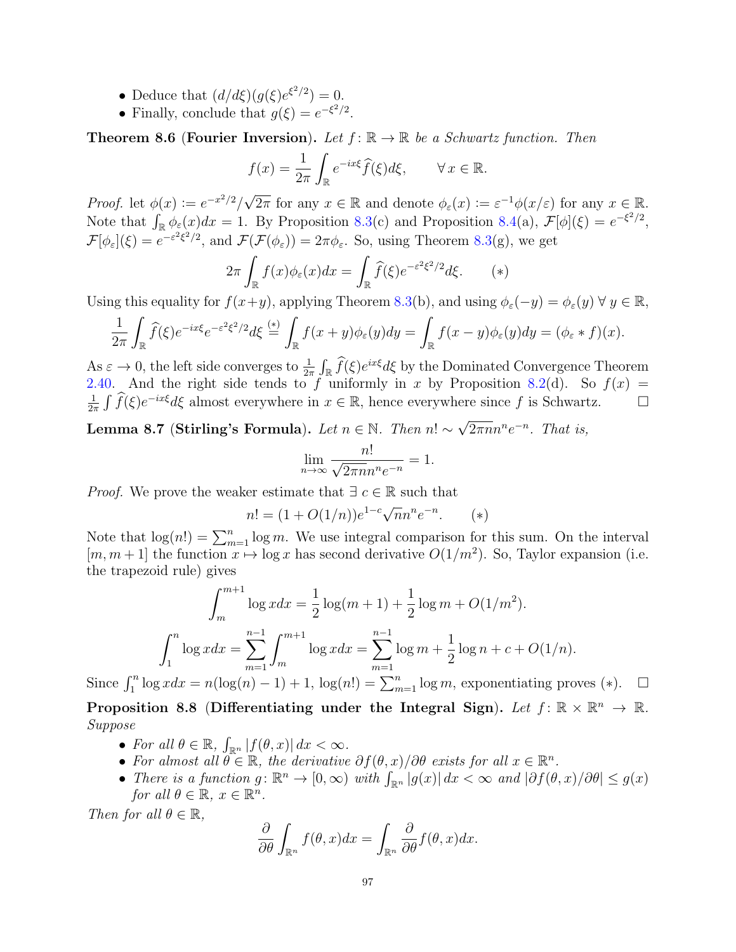- Deduce that  $\left(\frac{d}{d\xi}\right)(g(\xi)e^{\xi^2/2})=0.$
- Finally, conclude that  $g(\xi) = e^{-\xi^2/2}$ .

<span id="page-96-0"></span>**Theorem 8.6 (Fourier Inversion).** Let  $f: \mathbb{R} \to \mathbb{R}$  be a Schwartz function. Then

$$
f(x) = \frac{1}{2\pi} \int_{\mathbb{R}} e^{-ix\xi} \widehat{f}(\xi) d\xi, \qquad \forall x \in \mathbb{R}.
$$

Proof. let  $\phi(x) := e^{-x^2/2}/\sqrt{2\pi}$  for any  $x \in \mathbb{R}$  and denote  $\phi_{\varepsilon}(x) := \varepsilon^{-1}\phi(x/\varepsilon)$  for any  $x \in \mathbb{R}$ . Note that  $\int_{\mathbb{R}} \phi_{\varepsilon}(x) dx = 1$ . By Proposition [8.3\(](#page-94-0)c) and Proposition [8.4\(](#page-95-0)a),  $\mathcal{F}[\phi](\xi) = e^{-\xi^2/2}$ ,  $\mathcal{F}[\phi_{\varepsilon}](\xi) = e^{-\varepsilon^2 \xi^2/2}$ , and  $\mathcal{F}(\mathcal{F}(\phi_{\varepsilon})) = 2\pi \phi_{\varepsilon}$ . So, using Theorem [8.3\(](#page-94-0)g), we get

$$
2\pi \int_{\mathbb{R}} f(x)\phi_{\varepsilon}(x)dx = \int_{\mathbb{R}} \widehat{f}(\xi)e^{-\varepsilon^{2}\xi^{2}/2}d\xi. \qquad (*)
$$

Using this equality for  $f(x+y)$ , applying Theorem [8.3\(](#page-94-0)b), and using  $\phi_{\varepsilon}(-y) = \phi_{\varepsilon}(y) \forall y \in \mathbb{R}$ ,

$$
\frac{1}{2\pi} \int_{\mathbb{R}} \widehat{f}(\xi) e^{-ix\xi} e^{-\varepsilon^2 \xi^2/2} d\xi \stackrel{(*)}{=} \int_{\mathbb{R}} f(x+y) \phi_{\varepsilon}(y) dy = \int_{\mathbb{R}} f(x-y) \phi_{\varepsilon}(y) dy = (\phi_{\varepsilon} * f)(x).
$$

As  $\varepsilon \to 0$ , the left side converges to  $\frac{1}{2\pi} \int_{\mathbb{R}} \hat{f}(\xi) e^{ix\xi} d\xi$  by the Dominated Convergence Theorem [2.40.](#page-34-0) And the right side tends to f uniformly in x by Proposition [8.2\(](#page-93-0)d). So  $f(x) =$ 1  $\frac{1}{2\pi} \int \widehat{f}(\xi) e^{-ix\xi} d\xi$  almost everywhere in  $x \in \mathbb{R}$ , hence everywhere since f is Schwartz.  $\square$ 

Lemma 8.7 (Stirling's Formula). Let  $n \in \mathbb{N}$ . Then  $n! \sim \sqrt{2}$  $\overline{2\pi n}n^n e^{-n}$ . That is,

$$
\lim_{n \to \infty} \frac{n!}{\sqrt{2\pi n} n^n e^{-n}} = 1.
$$

*Proof.* We prove the weaker estimate that  $\exists c \in \mathbb{R}$  such that

$$
n! = (1 + O(1/n))e^{1-c}\sqrt{n}n^n e^{-n}.
$$
 (\*)

Note that  $\log(n!) = \sum_{m=1}^{n} \log m$ . We use integral comparison for this sum. On the interval  $[m, m+1]$  the function  $x \mapsto \log x$  has second derivative  $O(1/m^2)$ . So, Taylor expansion (i.e. the trapezoid rule) gives

$$
\int_{m}^{m+1} \log x dx = \frac{1}{2} \log(m+1) + \frac{1}{2} \log m + O(1/m^{2}).
$$

$$
\int_{1}^{n} \log x dx = \sum_{m=1}^{n-1} \int_{m}^{m+1} \log x dx = \sum_{m=1}^{n-1} \log m + \frac{1}{2} \log n + c + O(1/n).
$$

Since  $\int_1^n \log x dx = n(\log(n) - 1) + 1$ ,  $\log(n!) = \sum_{m=1}^n \log m$ , exponentiating proves (\*).  $\Box$ Proposition 8.8 (Differentiating under the Integral Sign). Let  $f: \mathbb{R} \times \mathbb{R}^n \to \mathbb{R}$ .

- Suppose
	- For all  $\theta \in \mathbb{R}$ ,  $\int_{\mathbb{R}^n} |f(\theta, x)| dx < \infty$ .
	- For almost all  $\theta \in \mathbb{R}$ , the derivative  $\partial f(\theta, x)/\partial \theta$  exists for all  $x \in \mathbb{R}^n$ .
	- There is a function  $g: \mathbb{R}^n \to [0, \infty)$  with  $\int_{\mathbb{R}^n} |g(x)| dx < \infty$  and  $|\partial f(\theta, x)/\partial \theta| \leq g(x)$ for all  $\theta \in \mathbb{R}, x \in \mathbb{R}^n$ .

Then for all  $\theta \in \mathbb{R}$ ,

$$
\frac{\partial}{\partial \theta} \int_{\mathbb{R}^n} f(\theta, x) dx = \int_{\mathbb{R}^n} \frac{\partial}{\partial \theta} f(\theta, x) dx.
$$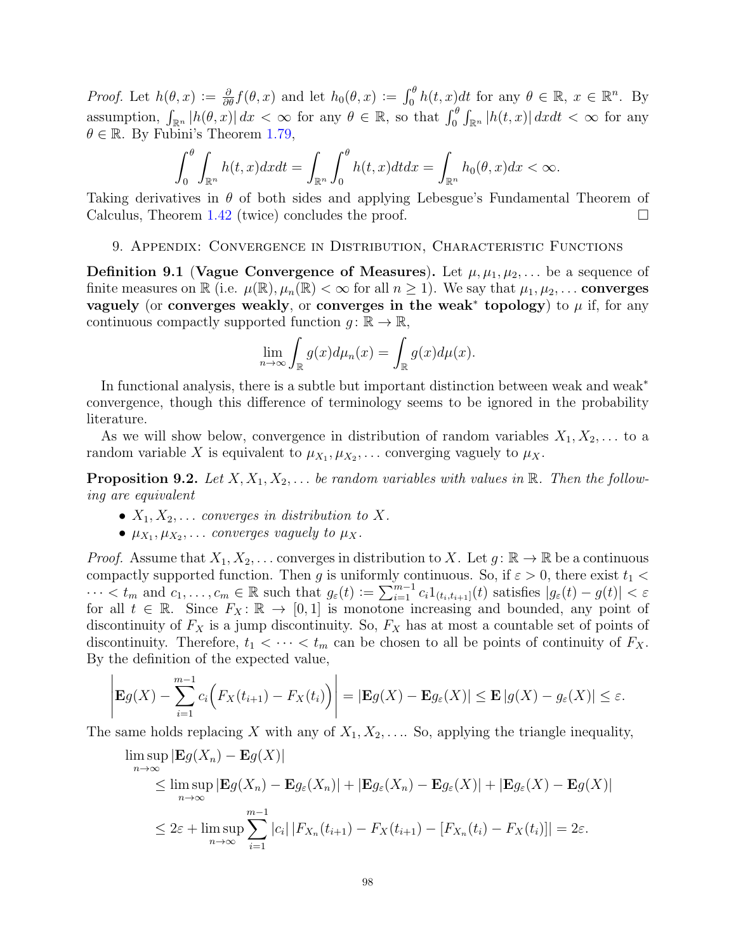*Proof.* Let  $h(\theta, x) := \frac{\partial}{\partial \theta} f(\theta, x)$  and let  $h_0(\theta, x) := \int_0^\theta h(t, x) dt$  for any  $\theta \in \mathbb{R}, x \in \mathbb{R}^n$ . By assumption,  $\int_{\mathbb{R}^n} |h(\theta, x)| dx < \infty$  for any  $\theta \in \mathbb{R}$ , so that  $\int_0^{\theta} \int_{\mathbb{R}^n} |h(t, x)| dx dt < \infty$  for any  $\theta \in \mathbb{R}$ . By Fubini's Theorem [1.79,](#page-19-0)

$$
\int_0^\theta \int_{\mathbb{R}^n} h(t,x)dxdt = \int_{\mathbb{R}^n} \int_0^\theta h(t,x)dtdx = \int_{\mathbb{R}^n} h_0(\theta,x)dx < \infty.
$$

Taking derivatives in  $\theta$  of both sides and applying Lebesgue's Fundamental Theorem of Calculus, Theorem [1.42](#page-10-0) (twice) concludes the proof.  $\Box$ 

#### 9. Appendix: Convergence in Distribution, Characteristic Functions

**Definition 9.1 (Vague Convergence of Measures).** Let  $\mu, \mu_1, \mu_2, \ldots$  be a sequence of finite measures on  $\mathbb R$  (i.e.  $\mu(\mathbb R), \mu_n(\mathbb R) < \infty$  for all  $n \geq 1$ ). We say that  $\mu_1, \mu_2, \ldots$  converges vaguely (or converges weakly, or converges in the weak<sup>\*</sup> topology) to  $\mu$  if, for any continuous compactly supported function  $g: \mathbb{R} \to \mathbb{R}$ ,

$$
\lim_{n \to \infty} \int_{\mathbb{R}} g(x) d\mu_n(x) = \int_{\mathbb{R}} g(x) d\mu(x).
$$

In functional analysis, there is a subtle but important distinction between weak and weak<sup>\*</sup> convergence, though this difference of terminology seems to be ignored in the probability literature.

As we will show below, convergence in distribution of random variables  $X_1, X_2, \ldots$  to a random variable X is equivalent to  $\mu_{X_1}, \mu_{X_2}, \ldots$  converging vaguely to  $\mu_X$ .

<span id="page-97-0"></span>**Proposition 9.2.** Let  $X, X_1, X_2, \ldots$  be random variables with values in  $\mathbb{R}$ . Then the following are equivalent

- $X_1, X_2, \ldots$  converges in distribution to X.
- $\mu_{X_1}, \mu_{X_2}, \ldots$  converges vaguely to  $\mu_X$ .

*Proof.* Assume that  $X_1, X_2, \ldots$  converges in distribution to X. Let  $g: \mathbb{R} \to \mathbb{R}$  be a continuous compactly supported function. Then g is uniformly continuous. So, if  $\varepsilon > 0$ , there exist  $t_1 <$  $\cdots < t_m$  and  $c_1, \ldots, c_m \in \mathbb{R}$  such that  $g_{\varepsilon}(t) := \sum_{i=1}^{m-1} c_i 1_{(t_i, t_{i+1}]}(t)$  satisfies  $|g_{\varepsilon}(t) - g(t)| < \varepsilon$ for all  $t \in \mathbb{R}$ . Since  $F_X : \mathbb{R} \to [0,1]$  is monotone increasing and bounded, any point of discontinuity of  $F_X$  is a jump discontinuity. So,  $F_X$  has at most a countable set of points of discontinuity. Therefore,  $t_1 < \cdots < t_m$  can be chosen to all be points of continuity of  $F_X$ . By the definition of the expected value,

$$
\left| \mathbf{E} g(X) - \sum_{i=1}^{m-1} c_i \Big( F_X(t_{i+1}) - F_X(t_i) \Big) \right| = \left| \mathbf{E} g(X) - \mathbf{E} g_{\varepsilon}(X) \right| \leq \mathbf{E} \left| g(X) - g_{\varepsilon}(X) \right| \leq \varepsilon.
$$

The same holds replacing X with any of  $X_1, X_2, \ldots$  So, applying the triangle inequality,

$$
\limsup_{n \to \infty} |\mathbf{E}g(X_n) - \mathbf{E}g(X)|
$$
\n
$$
\leq \limsup_{n \to \infty} |\mathbf{E}g(X_n) - \mathbf{E}g_{\varepsilon}(X_n)| + |\mathbf{E}g_{\varepsilon}(X_n) - \mathbf{E}g_{\varepsilon}(X)| + |\mathbf{E}g_{\varepsilon}(X) - \mathbf{E}g(X)|
$$
\n
$$
\leq 2\varepsilon + \limsup_{n \to \infty} \sum_{i=1}^{m-1} |c_i| |F_{X_n}(t_{i+1}) - F_X(t_{i+1}) - [F_{X_n}(t_i) - F_X(t_i)]| = 2\varepsilon.
$$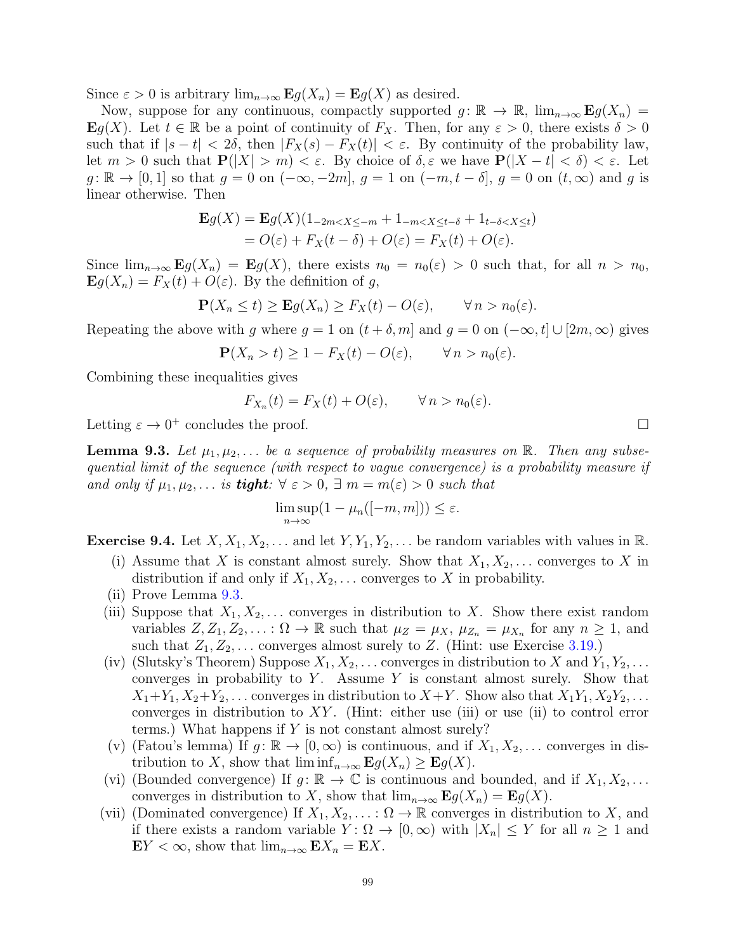Since  $\varepsilon > 0$  is arbitrary  $\lim_{n\to\infty}$   $\mathbf{E} g(X_n) = \mathbf{E} g(X)$  as desired.

Now, suppose for any continuous, compactly supported  $g: \mathbb{R} \to \mathbb{R}$ ,  $\lim_{n\to\infty}$   $\mathbf{E}g(X_n) =$ **E**g(X). Let  $t \in \mathbb{R}$  be a point of continuity of  $F_X$ . Then, for any  $\varepsilon > 0$ , there exists  $\delta > 0$ such that if  $|s-t| < 2\delta$ , then  $|F_X(s) - F_X(t)| < \varepsilon$ . By continuity of the probability law, let  $m > 0$  such that  $P(|X| > m) < \varepsilon$ . By choice of  $\delta, \varepsilon$  we have  $P(|X - t| < \delta) < \varepsilon$ . Let  $g: \mathbb{R} \to [0, 1]$  so that  $g = 0$  on  $(-\infty, -2m]$ ,  $g = 1$  on  $(-m, t - \delta]$ ,  $g = 0$  on  $(t, \infty)$  and g is linear otherwise. Then

$$
\mathbf{E}g(X) = \mathbf{E}g(X)(1_{-2m < X \le -m} + 1_{-m < X \le t-\delta} + 1_{t-\delta < X \le t})
$$
  
=  $O(\varepsilon) + F_X(t-\delta) + O(\varepsilon) = F_X(t) + O(\varepsilon).$ 

Since  $\lim_{n\to\infty}$   $\mathbf{E}g(X_n) = \mathbf{E}g(X)$ , there exists  $n_0 = n_0(\varepsilon) > 0$  such that, for all  $n > n_0$ ,  $\mathbf{E}g(X_n) = F_X(t) + O(\varepsilon)$ . By the definition of g,

$$
\mathbf{P}(X_n \le t) \ge \mathbf{E}g(X_n) \ge F_X(t) - O(\varepsilon), \qquad \forall n > n_0(\varepsilon).
$$

Repeating the above with g where  $g = 1$  on  $(t + \delta, m]$  and  $g = 0$  on  $(-\infty, t] \cup [2m, \infty)$  gives

$$
\mathbf{P}(X_n > t) \ge 1 - F_X(t) - O(\varepsilon), \qquad \forall n > n_0(\varepsilon).
$$

Combining these inequalities gives

$$
F_{X_n}(t) = F_X(t) + O(\varepsilon), \qquad \forall n > n_0(\varepsilon).
$$

Letting  $\varepsilon \to 0^+$  concludes the proof.

<span id="page-98-0"></span>**Lemma 9.3.** Let  $\mu_1, \mu_2, \ldots$  be a sequence of probability measures on R. Then any subsequential limit of the sequence (with respect to vague convergence) is a probability measure if and only if  $\mu_1, \mu_2, \ldots$  is **tight**:  $\forall \varepsilon > 0, \exists m = m(\varepsilon) > 0$  such that

$$
\limsup_{n \to \infty} (1 - \mu_n([-m, m])) \le \varepsilon.
$$

<span id="page-98-1"></span>**Exercise 9.4.** Let  $X, X_1, X_2, \ldots$  and let  $Y, Y_1, Y_2, \ldots$  be random variables with values in R.

- (i) Assume that X is constant almost surely. Show that  $X_1, X_2, \ldots$  converges to X in distribution if and only if  $X_1, X_2, \ldots$  converges to X in probability.
- (ii) Prove Lemma [9.3.](#page-98-0)
- (iii) Suppose that  $X_1, X_2, \ldots$  converges in distribution to X. Show there exist random variables  $Z, Z_1, Z_2, \ldots : \Omega \to \mathbb{R}$  such that  $\mu_Z = \mu_X$ ,  $\mu_{Z_n} = \mu_{X_n}$  for any  $n \geq 1$ , and such that  $Z_1, Z_2, \ldots$  converges almost surely to Z. (Hint: use Exercise [3.19.](#page-43-0))
- (iv) (Slutsky's Theorem) Suppose  $X_1, X_2, \ldots$  converges in distribution to X and  $Y_1, Y_2, \ldots$ converges in probability to  $Y$ . Assume  $Y$  is constant almost surely. Show that  $X_1+Y_1, X_2+Y_2, \ldots$  converges in distribution to  $X+Y$ . Show also that  $X_1Y_1, X_2Y_2, \ldots$ converges in distribution to  $XY$ . (Hint: either use (iii) or use (ii) to control error terms.) What happens if Y is not constant almost surely?
- (v) (Fatou's lemma) If  $g: \mathbb{R} \to [0, \infty)$  is continuous, and if  $X_1, X_2, \ldots$  converges in distribution to X, show that  $\liminf_{n\to\infty}$   $\mathbf{E} g(X_n) \geq \mathbf{E} g(X)$ .
- (vi) (Bounded convergence) If  $g: \mathbb{R} \to \mathbb{C}$  is continuous and bounded, and if  $X_1, X_2, \ldots$ converges in distribution to X, show that  $\lim_{n\to\infty}$   $\mathbf{E} g(X_n) = \mathbf{E} g(X)$ .
- (vii) (Dominated convergence) If  $X_1, X_2, \ldots : \Omega \to \mathbb{R}$  converges in distribution to X, and if there exists a random variable  $Y: \Omega \to [0, \infty)$  with  $|X_n| \leq Y$  for all  $n \geq 1$  and  $EY < \infty$ , show that  $\lim_{n\to\infty} E X_n = E X$ .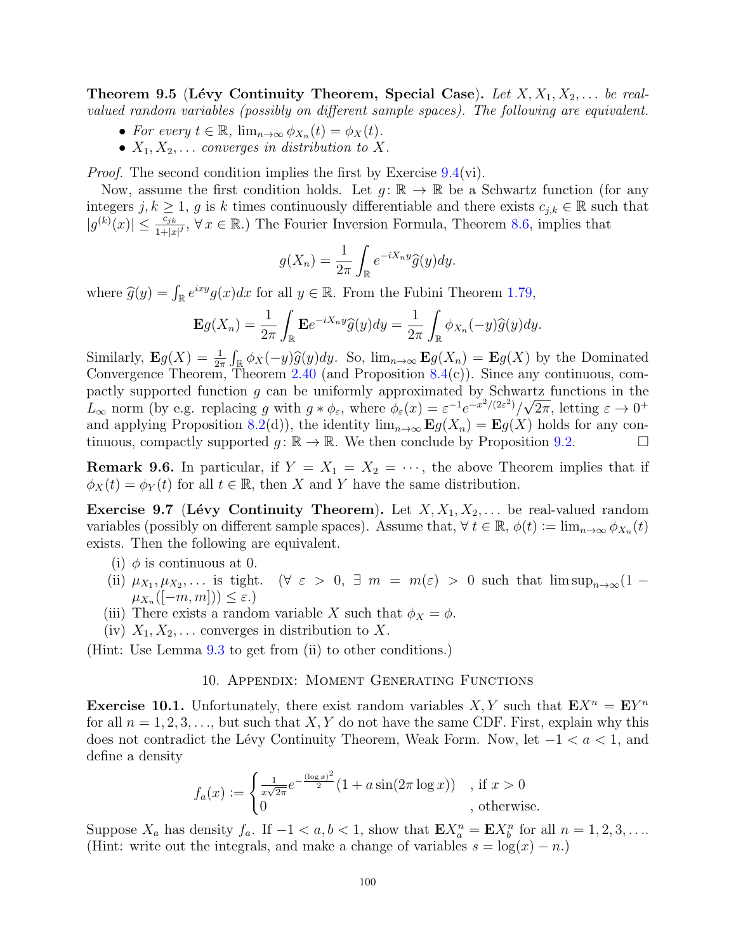Theorem 9.5 (Lévy Continuity Theorem, Special Case). Let  $X, X_1, X_2, \ldots$  be realvalued random variables (possibly on different sample spaces). The following are equivalent.

- For every  $t \in \mathbb{R}$ ,  $\lim_{n \to \infty} \phi_{X_n}(t) = \phi_X(t)$ .
- $X_1, X_2, \ldots$  converges in distribution to X.

Proof. The second condition implies the first by Exercise [9.4\(](#page-98-1)vi).

Now, assume the first condition holds. Let  $g: \mathbb{R} \to \mathbb{R}$  be a Schwartz function (for any integers j,  $k \geq 1$ , g is k times continuously differentiable and there exists  $c_{j,k} \in \mathbb{R}$  such that  $|g^{(k)}(x)| \leq \frac{c_{jk}}{1+|x|^j}$ ,  $\forall x \in \mathbb{R}$ .) The Fourier Inversion Formula, Theorem [8.6,](#page-96-0) implies that

$$
g(X_n) = \frac{1}{2\pi} \int_{\mathbb{R}} e^{-iX_n y} \widehat{g}(y) dy.
$$

where  $\widehat{g}(y) = \int_{\mathbb{R}} e^{ixy} g(x) dx$  for all  $y \in \mathbb{R}$ . From the Fubini Theorem [1.79,](#page-19-0)

$$
\mathbf{E}g(X_n) = \frac{1}{2\pi} \int_{\mathbb{R}} \mathbf{E}e^{-iX_n y} \widehat{g}(y) dy = \frac{1}{2\pi} \int_{\mathbb{R}} \phi_{X_n}(-y) \widehat{g}(y) dy.
$$

Similarly,  $\mathbf{E}g(X) = \frac{1}{2\pi} \int_{\mathbb{R}} \phi_X(-y) \widehat{g}(y) dy$ . So,  $\lim_{n \to \infty} \mathbf{E}g(X_n) = \mathbf{E}g(X)$  by the Dominated Convergence Theorem, Theorem [2.40](#page-34-0) (and Proposition [8.4\(](#page-95-0)c)). Since any continuous, compactly supported function g can be uniformly approximated by Schwartz functions in the  $L_{\infty}$  norm (by e.g. replacing g with  $g * \phi_{\varepsilon}$ , where  $\phi_{\varepsilon}(x) = \varepsilon^{-1} e^{-x^2/(2\varepsilon^2)} / \sqrt{2\pi}$ , letting  $\varepsilon \to 0^+$ and applying Proposition [8.2\(](#page-93-0)d)), the identity  $\lim_{n\to\infty}$   $\mathbf{E}g(X_n) = \mathbf{E}g(X)$  holds for any continuous, compactly supported  $g: \mathbb{R} \to \mathbb{R}$ . We then conclude by Proposition [9.2.](#page-97-0)

<span id="page-99-0"></span>**Remark 9.6.** In particular, if  $Y = X_1 = X_2 = \cdots$ , the above Theorem implies that if  $\phi_X(t) = \phi_Y(t)$  for all  $t \in \mathbb{R}$ , then X and Y have the same distribution.

**Exercise 9.7 (Lévy Continuity Theorem).** Let  $X, X_1, X_2, \ldots$  be real-valued random variables (possibly on different sample spaces). Assume that,  $\forall t \in \mathbb{R}, \phi(t) := \lim_{n \to \infty} \phi_{X_n}(t)$ exists. Then the following are equivalent.

- (i)  $\phi$  is continuous at 0.
- (ii)  $\mu_{X_1}, \mu_{X_2}, \ldots$  is tight. ( $\forall \varepsilon > 0, \exists m = m(\varepsilon) > 0$  such that  $\limsup_{n \to \infty} (1 \mu_{X_n}([-m,m])) \leq \varepsilon.$ )
- (iii) There exists a random variable X such that  $\phi_X = \phi$ .
- (iv)  $X_1, X_2, \ldots$  converges in distribution to X.

(Hint: Use Lemma [9.3](#page-98-0) to get from (ii) to other conditions.)

# 10. Appendix: Moment Generating Functions

**Exercise 10.1.** Unfortunately, there exist random variables  $X, Y$  such that  $E X^n = E Y^n$ for all  $n = 1, 2, 3, \ldots$ , but such that X, Y do not have the same CDF. First, explain why this does not contradict the Lévy Continuity Theorem, Weak Form. Now, let  $-1 < a < 1$ , and define a density

$$
f_a(x) := \begin{cases} \frac{1}{x\sqrt{2\pi}} e^{-\frac{(\log x)^2}{2}} (1 + a\sin(2\pi \log x)) & , \text{ if } x > 0\\ 0 & , \text{ otherwise.} \end{cases}
$$

Suppose  $X_a$  has density  $f_a$ . If  $-1 < a, b < 1$ , show that  $\mathbf{E} X_a^n = \mathbf{E} X_b^n$  for all  $n = 1, 2, 3, \ldots$ (Hint: write out the integrals, and make a change of variables  $s = \log(x) - n$ .)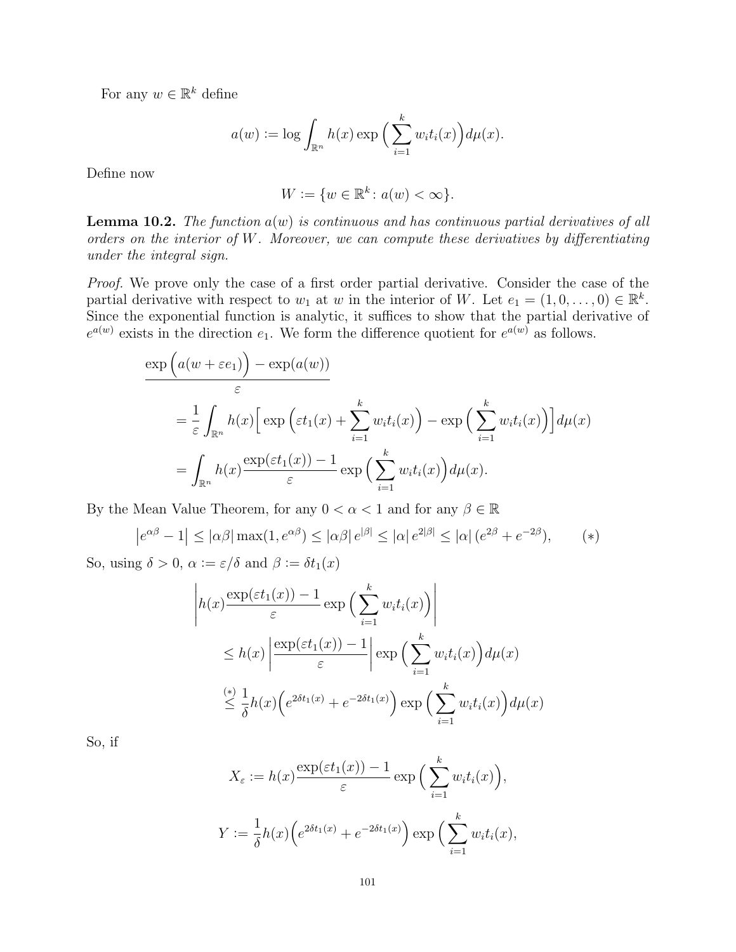For any  $w \in \mathbb{R}^k$  define

$$
a(w) := \log \int_{\mathbb{R}^n} h(x) \exp \Big( \sum_{i=1}^k w_i t_i(x) \Big) d\mu(x).
$$

Define now

$$
W := \{ w \in \mathbb{R}^k \colon a(w) < \infty \}.
$$

<span id="page-100-0"></span>**Lemma 10.2.** The function  $a(w)$  is continuous and has continuous partial derivatives of all orders on the interior of W. Moreover, we can compute these derivatives by differentiating under the integral sign.

Proof. We prove only the case of a first order partial derivative. Consider the case of the partial derivative with respect to  $w_1$  at w in the interior of W. Let  $e_1 = (1, 0, \ldots, 0) \in \mathbb{R}^k$ . Since the exponential function is analytic, it suffices to show that the partial derivative of  $e^{a(w)}$  exists in the direction  $e_1$ . We form the difference quotient for  $e^{a(w)}$  as follows.

$$
\frac{\exp\left(a(w+\varepsilon e_1)\right)-\exp(a(w))}{\varepsilon}
$$
\n
$$
=\frac{1}{\varepsilon}\int_{\mathbb{R}^n}h(x)\Big[\exp\Big(\varepsilon t_1(x)+\sum_{i=1}^k w_it_i(x)\Big)-\exp\Big(\sum_{i=1}^k w_it_i(x)\Big)\Big]d\mu(x)
$$
\n
$$
=\int_{\mathbb{R}^n}h(x)\frac{\exp(\varepsilon t_1(x))-1}{\varepsilon}\exp\Big(\sum_{i=1}^k w_it_i(x)\Big)d\mu(x).
$$

By the Mean Value Theorem, for any  $0 < \alpha < 1$  and for any  $\beta \in \mathbb{R}$ 

$$
|e^{\alpha\beta} - 1| \le |\alpha\beta| \max(1, e^{\alpha\beta}) \le |\alpha\beta| e^{|\beta|} \le |\alpha| e^{2|\beta|} \le |\alpha| (e^{2\beta} + e^{-2\beta}), \qquad (*)
$$

So, using  $\delta > 0$ ,  $\alpha := \varepsilon/\delta$  and  $\beta := \delta t_1(x)$ 

$$
\left| h(x) \frac{\exp(\varepsilon t_1(x)) - 1}{\varepsilon} \exp\left(\sum_{i=1}^k w_i t_i(x)\right) \right|
$$
  
\n
$$
\leq h(x) \left| \frac{\exp(\varepsilon t_1(x)) - 1}{\varepsilon} \right| \exp\left(\sum_{i=1}^k w_i t_i(x)\right) d\mu(x)
$$
  
\n
$$
\stackrel{(*)}{\leq} \frac{1}{\delta} h(x) \left(e^{2\delta t_1(x)} + e^{-2\delta t_1(x)}\right) \exp\left(\sum_{i=1}^k w_i t_i(x)\right) d\mu(x)
$$

So, if

 $\bigg\}$ 

$$
X_{\varepsilon} := h(x) \frac{\exp(\varepsilon t_1(x)) - 1}{\varepsilon} \exp\Big(\sum_{i=1}^k w_i t_i(x)\Big),
$$
  

$$
Y := \frac{1}{\delta} h(x) \Big(e^{2\delta t_1(x)} + e^{-2\delta t_1(x)}\Big) \exp\Big(\sum_{i=1}^k w_i t_i(x),\Big)
$$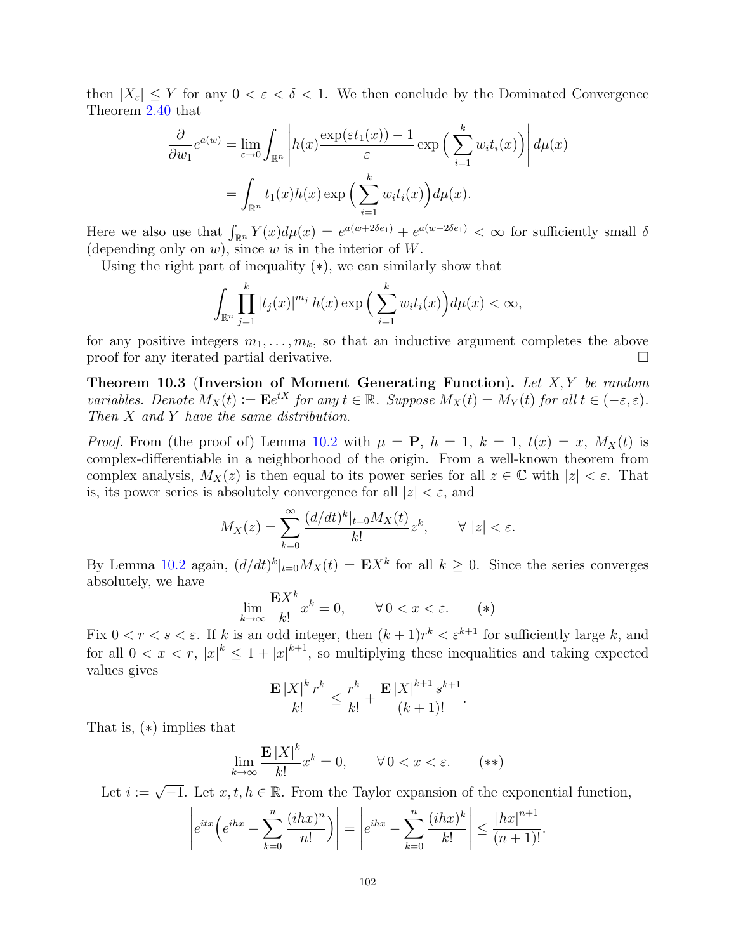then  $|X_{\varepsilon}| \leq Y$  for any  $0 \leq \varepsilon \leq \delta \leq 1$ . We then conclude by the Dominated Convergence Theorem [2.40](#page-34-0) that

$$
\frac{\partial}{\partial w_1} e^{a(w)} = \lim_{\varepsilon \to 0} \int_{\mathbb{R}^n} \left| h(x) \frac{\exp(\varepsilon t_1(x)) - 1}{\varepsilon} \exp\left(\sum_{i=1}^k w_i t_i(x)\right) \right| d\mu(x)
$$

$$
= \int_{\mathbb{R}^n} t_1(x) h(x) \exp\left(\sum_{i=1}^k w_i t_i(x)\right) d\mu(x).
$$

Here we also use that  $\int_{\mathbb{R}^n} Y(x) d\mu(x) = e^{a(w+2\delta e_1)} + e^{a(w-2\delta e_1)} < \infty$  for sufficiently small  $\delta$ (depending only on  $w$ ), since  $w$  is in the interior of  $W$ .

Using the right part of inequality  $(*)$ , we can similarly show that

$$
\int_{\mathbb{R}^n} \prod_{j=1}^k |t_j(x)|^{m_j} h(x) \exp\Big(\sum_{i=1}^k w_i t_i(x)\Big) d\mu(x) < \infty,
$$

for any positive integers  $m_1, \ldots, m_k$ , so that an inductive argument completes the above proof for any iterated partial derivative.

Theorem 10.3 (Inversion of Moment Generating Function). Let  $X, Y$  be random variables. Denote  $M_X(t) := \mathbf{E}e^{tX}$  for any  $t \in \mathbb{R}$ . Suppose  $M_X(t) = M_Y(t)$  for all  $t \in (-\varepsilon, \varepsilon)$ . Then X and Y have the same distribution.

*Proof.* From (the proof of) Lemma [10.2](#page-100-0) with  $\mu = P$ ,  $h = 1$ ,  $k = 1$ ,  $t(x) = x$ ,  $M_X(t)$  is complex-differentiable in a neighborhood of the origin. From a well-known theorem from complex analysis,  $M_X(z)$  is then equal to its power series for all  $z \in \mathbb{C}$  with  $|z| < \varepsilon$ . That is, its power series is absolutely convergence for all  $|z| < \varepsilon$ , and

$$
M_X(z) = \sum_{k=0}^{\infty} \frac{(d/dt)^k|_{t=0} M_X(t)}{k!} z^k, \qquad \forall |z| < \varepsilon.
$$

By Lemma [10.2](#page-100-0) again,  $(d/dt)^k|_{t=0}M_X(t) = \mathbf{E}X^k$  for all  $k \geq 0$ . Since the series converges absolutely, we have

$$
\lim_{k \to \infty} \frac{\mathbf{E} X^k}{k!} x^k = 0, \qquad \forall \, 0 < x < \varepsilon. \tag{*}
$$

Fix  $0 < r < s < \varepsilon$ . If k is an odd integer, then  $(k+1)r^k < \varepsilon^{k+1}$  for sufficiently large k, and for all  $0 < x < r$ ,  $|x|^{k} \leq 1 + |x|^{k+1}$ , so multiplying these inequalities and taking expected values gives

$$
\frac{\mathbf{E}\left|X\right|^k r^k}{k!} \le \frac{r^k}{k!} + \frac{\mathbf{E}\left|X\right|^{k+1} s^{k+1}}{(k+1)!}.
$$

That is, (∗) implies that

$$
\lim_{k \to \infty} \frac{\mathbf{E} \left| X \right|^k}{k!} x^k = 0, \qquad \forall \, 0 < x < \varepsilon. \tag{**}
$$

Let  $i :=$  $\sqrt{-1}$ . Let  $x, t, h \in \mathbb{R}$ . From the Taylor expansion of the exponential function,

$$
\left| e^{itx} \left( e^{ihx} - \sum_{k=0}^n \frac{(ihx)^n}{n!} \right) \right| = \left| e^{ihx} - \sum_{k=0}^n \frac{(ihx)^k}{k!} \right| \le \frac{|hx|^{n+1}}{(n+1)!}.
$$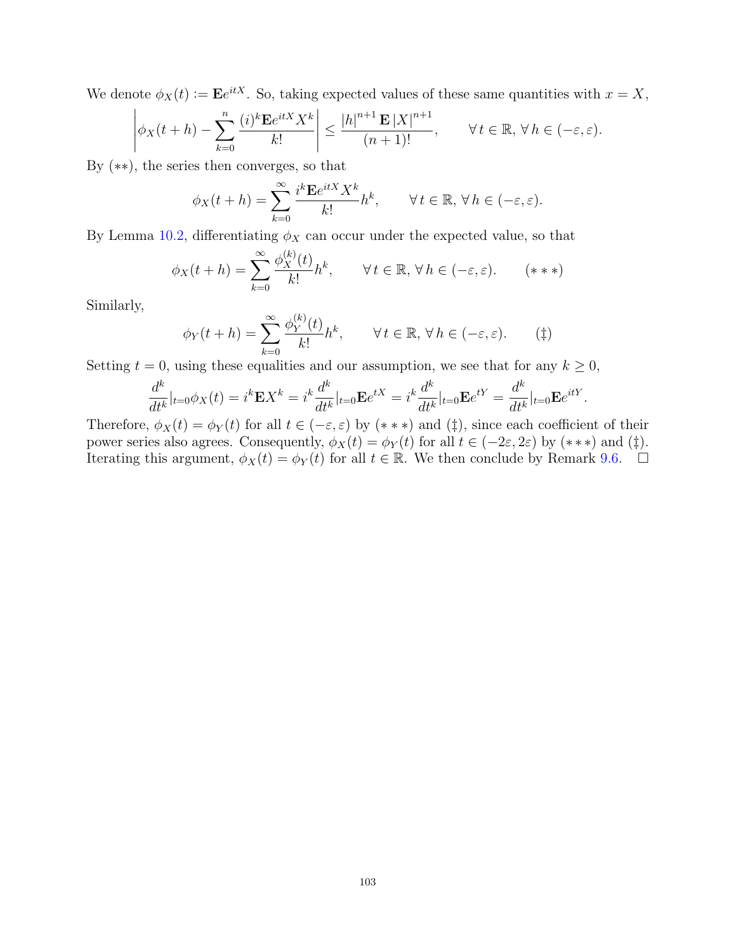We denote  $\phi_X(t) \coloneqq \mathbf{E}e^{itX}$ . So, taking expected values of these same quantities with  $x = X$ ,

$$
\left|\phi_X(t+h)-\sum_{k=0}^n\frac{(i)^k\mathbf{E}e^{itX}X^k}{k!}\right|\leq\frac{|h|^{n+1}\mathbf{E}|X|^{n+1}}{(n+1)!},\qquad\forall\,t\in\mathbb{R},\,\forall\,h\in(-\varepsilon,\varepsilon).
$$

By (∗∗), the series then converges, so that

$$
\phi_X(t+h) = \sum_{k=0}^{\infty} \frac{i^k \mathbf{E} e^{itX} X^k}{k!} h^k, \qquad \forall \, t \in \mathbb{R}, \, \forall \, h \in (-\varepsilon, \varepsilon).
$$

By Lemma [10.2,](#page-100-0) differentiating  $\phi_X$  can occur under the expected value, so that

$$
\phi_X(t+h) = \sum_{k=0}^{\infty} \frac{\phi_X^{(k)}(t)}{k!} h^k, \qquad \forall \, t \in \mathbb{R}, \, \forall \, h \in (-\varepsilon, \varepsilon). \qquad (***)
$$

Similarly,

$$
\phi_Y(t+h) = \sum_{k=0}^{\infty} \frac{\phi_Y^{(k)}(t)}{k!} h^k, \qquad \forall t \in \mathbb{R}, \forall h \in (-\varepsilon, \varepsilon).
$$
 (†)

Setting  $t = 0$ , using these equalities and our assumption, we see that for any  $k \geq 0$ ,

$$
\frac{d^k}{dt^k}|_{t=0}\phi_X(t) = i^k \mathbf{E} X^k = i^k \frac{d^k}{dt^k}|_{t=0} \mathbf{E} e^{tX} = i^k \frac{d^k}{dt^k}|_{t=0} \mathbf{E} e^{tY} = \frac{d^k}{dt^k}|_{t=0} \mathbf{E} e^{itY}.
$$

Therefore,  $\phi_X(t) = \phi_Y(t)$  for all  $t \in (-\varepsilon, \varepsilon)$  by  $(* **)$  and  $(\ddagger)$ , since each coefficient of their power series also agrees. Consequently,  $\phi_X(t) = \phi_Y(t)$  for all  $t \in (-2\varepsilon, 2\varepsilon)$  by  $(***)$  and  $(\ddagger)$ . Iterating this argument,  $\phi_X(t) = \phi_Y(t)$  for all  $t \in \mathbb{R}$ . We then conclude by Remark [9.6.](#page-99-0)  $\Box$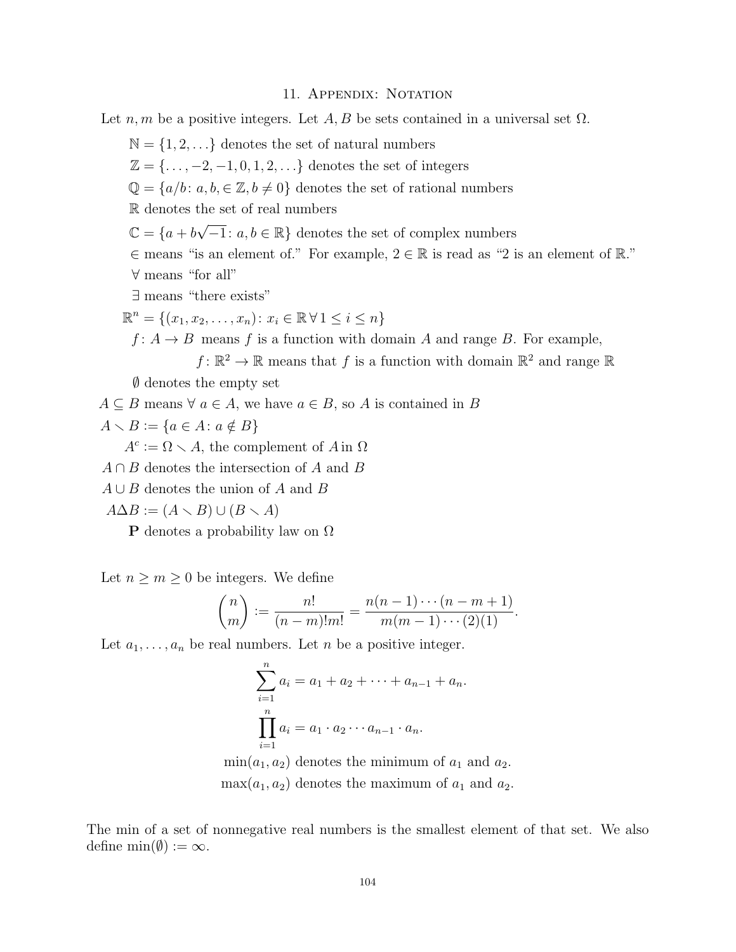## 11. APPENDIX: NOTATION

Let  $n, m$  be a positive integers. Let  $A, B$  be sets contained in a universal set  $\Omega$ .

 $\mathbb{N} = \{1, 2, \ldots\}$  denotes the set of natural numbers

 $\mathbb{Z} = \{\ldots, -2, -1, 0, 1, 2, \ldots\}$  denotes the set of integers

 $\mathbb{Q} = \{a/b : a, b \in \mathbb{Z}, b \neq 0\}$  denotes the set of rational numbers

R denotes the set of real numbers

 $\mathbb{C} = \{a + b\sqrt{-1}: a, b \in \mathbb{R}\}\$ denotes the set of complex numbers

∈ means "is an element of." For example, 2 ∈ R is read as "2 is an element of R." ∀ means "for all"

∃ means "there exists"

 $\mathbb{R}^n = \{ (x_1, x_2, \dots, x_n) : x_i \in \mathbb{R} \forall 1 \le i \le n \}$ 

 $f: A \rightarrow B$  means f is a function with domain A and range B. For example,

 $f: \mathbb{R}^2 \to \mathbb{R}$  means that f is a function with domain  $\mathbb{R}^2$  and range  $\mathbb{R}$ 

∅ denotes the empty set

 $A \subseteq B$  means  $\forall a \in A$ , we have  $a \in B$ , so A is contained in B

$$
A \setminus B := \{ a \in A : a \notin B \}
$$

 $A^c := \Omega \setminus A$ , the complement of A in  $\Omega$ 

- $A \cap B$  denotes the intersection of A and B
- $A \cup B$  denotes the union of A and B

 $A\Delta B := (A \setminus B) \cup (B \setminus A)$ 

**P** denotes a probability law on  $\Omega$ 

Let  $n \geq m \geq 0$  be integers. We define

$$
\binom{n}{m} := \frac{n!}{(n-m)!m!} = \frac{n(n-1)\cdots(n-m+1)}{m(m-1)\cdots(2)(1)}.
$$

Let  $a_1, \ldots, a_n$  be real numbers. Let n be a positive integer.

$$
\sum_{i=1}^{n} a_i = a_1 + a_2 + \dots + a_{n-1} + a_n.
$$
  

$$
\prod_{i=1}^{n} a_i = a_1 \cdot a_2 \cdots a_{n-1} \cdot a_n.
$$
  

$$
\min(a_1, a_2) \text{ denotes the minimum of } a_1 \text{ and } a_2.
$$

 $\max(a_1, a_2)$  denotes the maximum of  $a_1$  and  $a_2$ .

The min of a set of nonnegative real numbers is the smallest element of that set. We also define  $\min(\emptyset) := \infty$ .